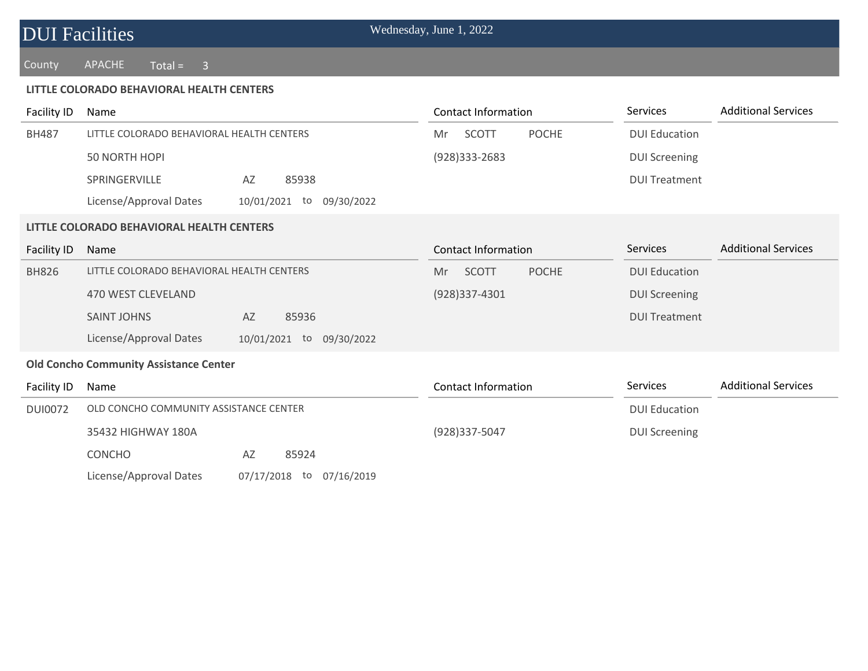County APACHE Total = 3

#### **LITTLE COLORADO BEHAVIORAL HEALTH CENTERS**

| Facility ID    | Name                                                     | <b>Contact Information</b>         | Services             | <b>Additional Services</b> |
|----------------|----------------------------------------------------------|------------------------------------|----------------------|----------------------------|
| <b>BH487</b>   | LITTLE COLORADO BEHAVIORAL HEALTH CENTERS                | SCOTT<br><b>POCHE</b><br>Mr        | <b>DUI Education</b> |                            |
|                | <b>50 NORTH HOPI</b>                                     | $(928)333 - 2683$                  | <b>DUI Screening</b> |                            |
|                | SPRINGERVILLE<br>85938<br>AZ                             |                                    | <b>DUI Treatment</b> |                            |
|                | License/Approval Dates<br>10/01/2021<br>to<br>09/30/2022 |                                    |                      |                            |
|                | LITTLE COLORADO BEHAVIORAL HEALTH CENTERS                |                                    |                      |                            |
| Facility ID    | Name                                                     | <b>Contact Information</b>         | <b>Services</b>      | <b>Additional Services</b> |
| <b>BH826</b>   | LITTLE COLORADO BEHAVIORAL HEALTH CENTERS                | <b>SCOTT</b><br><b>POCHE</b><br>Mr | <b>DUI Education</b> |                            |
|                | 470 WEST CLEVELAND                                       | (928)337-4301                      | <b>DUI Screening</b> |                            |
|                | <b>SAINT JOHNS</b><br>AZ<br>85936                        |                                    | <b>DUI Treatment</b> |                            |
|                | License/Approval Dates<br>10/01/2021 to 09/30/2022       |                                    |                      |                            |
|                | <b>Old Concho Community Assistance Center</b>            |                                    |                      |                            |
| Facility ID    | Name                                                     | <b>Contact Information</b>         | <b>Services</b>      | <b>Additional Services</b> |
| <b>DUI0072</b> | OLD CONCHO COMMUNITY ASSISTANCE CENTER                   |                                    | <b>DUI Education</b> |                            |
|                | 35432 HIGHWAY 180A                                       | (928)337-5047                      | <b>DUI Screening</b> |                            |
|                | <b>CONCHO</b><br>85924<br>AZ                             |                                    |                      |                            |
|                | License/Approval Dates<br>07/17/2018 to<br>07/16/2019    |                                    |                      |                            |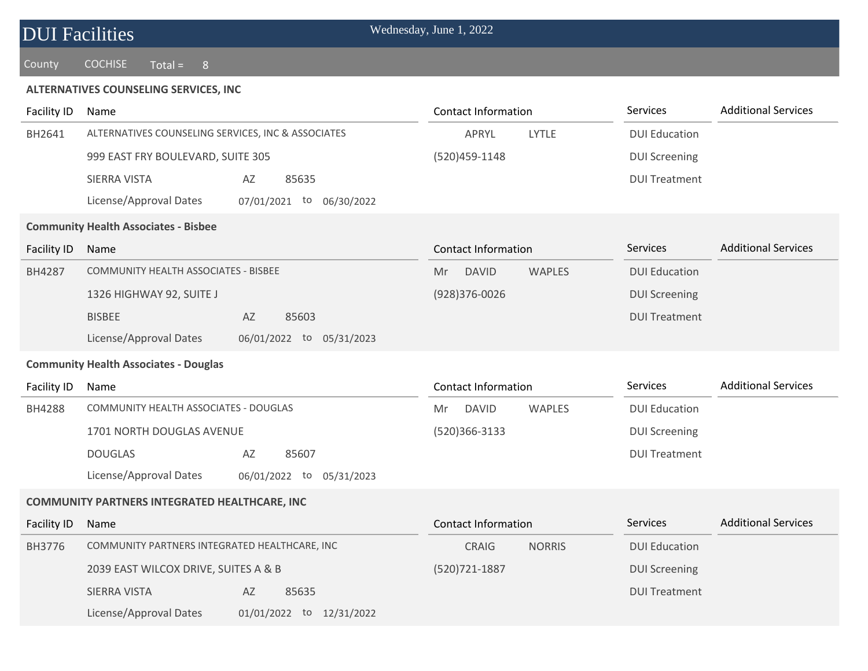County COCHISE Total = 8

### **ALTERNATIVES COUNSELING SERVICES, INC**

| <b>Facility ID</b> | Name                                                 | <b>Contact Information</b>          | Services             | <b>Additional Services</b> |
|--------------------|------------------------------------------------------|-------------------------------------|----------------------|----------------------------|
| BH2641             | ALTERNATIVES COUNSELING SERVICES, INC & ASSOCIATES   | LYTLE<br>APRYL                      | <b>DUI Education</b> |                            |
|                    | 999 EAST FRY BOULEVARD, SUITE 305                    | (520) 459-1148                      | <b>DUI Screening</b> |                            |
|                    | AZ<br>SIERRA VISTA<br>85635                          |                                     | <b>DUI Treatment</b> |                            |
|                    | License/Approval Dates<br>07/01/2021 to 06/30/2022   |                                     |                      |                            |
|                    | <b>Community Health Associates - Bisbee</b>          |                                     |                      |                            |
| Facility ID        | Name                                                 | <b>Contact Information</b>          | Services             | <b>Additional Services</b> |
| BH4287             | COMMUNITY HEALTH ASSOCIATES - BISBEE                 | <b>DAVID</b><br><b>WAPLES</b><br>Mr | <b>DUI Education</b> |                            |
|                    | 1326 HIGHWAY 92, SUITE J                             | $(928)376 - 0026$                   | <b>DUI Screening</b> |                            |
|                    | <b>BISBEE</b><br>AZ<br>85603                         |                                     | <b>DUI Treatment</b> |                            |
|                    | License/Approval Dates<br>06/01/2022 to 05/31/2023   |                                     |                      |                            |
|                    | <b>Community Health Associates - Douglas</b>         |                                     |                      |                            |
| Facility ID        | Name                                                 | <b>Contact Information</b>          | <b>Services</b>      | <b>Additional Services</b> |
| BH4288             | COMMUNITY HEALTH ASSOCIATES - DOUGLAS                | <b>DAVID</b><br><b>WAPLES</b><br>Mr | <b>DUI Education</b> |                            |
|                    | 1701 NORTH DOUGLAS AVENUE                            | (520)366-3133                       | <b>DUI Screening</b> |                            |
|                    | <b>DOUGLAS</b><br>AZ<br>85607                        |                                     | <b>DUI Treatment</b> |                            |
|                    | License/Approval Dates<br>06/01/2022 to 05/31/2023   |                                     |                      |                            |
|                    | <b>COMMUNITY PARTNERS INTEGRATED HEALTHCARE, INC</b> |                                     |                      |                            |
| Facility ID        | Name                                                 | <b>Contact Information</b>          | Services             | <b>Additional Services</b> |
| BH3776             | COMMUNITY PARTNERS INTEGRATED HEALTHCARE, INC        | <b>NORRIS</b><br>CRAIG              | <b>DUI Education</b> |                            |
|                    | 2039 EAST WILCOX DRIVE, SUITES A & B                 | (520) 721-1887                      | <b>DUI Screening</b> |                            |
|                    | <b>SIERRA VISTA</b><br>AZ<br>85635                   |                                     | <b>DUI Treatment</b> |                            |
|                    | License/Approval Dates<br>01/01/2022 to 12/31/2022   |                                     |                      |                            |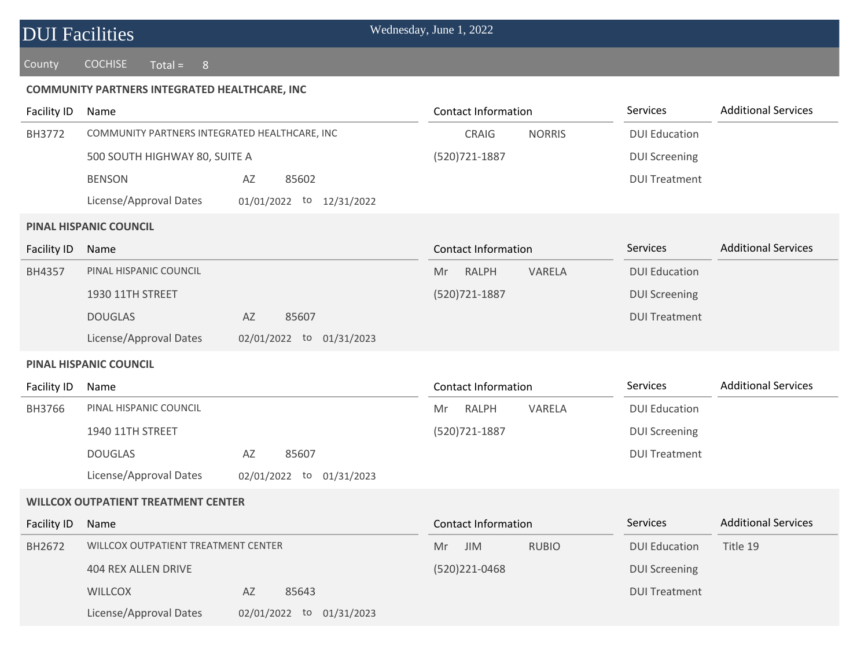### County COCHISE Total =  $8$

### **COMMUNITY PARTNERS INTEGRATED HEALTHCARE, INC**

| <b>Facility ID</b> | Name                                          |                          | <b>Contact Information</b>       | Services             | <b>Additional Services</b> |
|--------------------|-----------------------------------------------|--------------------------|----------------------------------|----------------------|----------------------------|
| BH3772             | COMMUNITY PARTNERS INTEGRATED HEALTHCARE, INC |                          | CRAIG<br><b>NORRIS</b>           | <b>DUI Education</b> |                            |
|                    | 500 SOUTH HIGHWAY 80, SUITE A                 |                          | (520) 721-1887                   | <b>DUI Screening</b> |                            |
|                    | <b>BENSON</b>                                 | 85602<br>AZ              |                                  | <b>DUI Treatment</b> |                            |
|                    | License/Approval Dates                        | 01/01/2022 to 12/31/2022 |                                  |                      |                            |
|                    | <b>PINAL HISPANIC COUNCIL</b>                 |                          |                                  |                      |                            |
| <b>Facility ID</b> | Name                                          |                          | <b>Contact Information</b>       | <b>Services</b>      | <b>Additional Services</b> |
| BH4357             | PINAL HISPANIC COUNCIL                        |                          | VARELA<br><b>RALPH</b><br>Mr     | <b>DUI Education</b> |                            |
|                    | 1930 11TH STREET                              |                          | (520) 721-1887                   | <b>DUI Screening</b> |                            |
|                    | <b>DOUGLAS</b>                                | AZ<br>85607              |                                  | <b>DUI Treatment</b> |                            |
|                    | License/Approval Dates                        | 02/01/2022 to 01/31/2023 |                                  |                      |                            |
|                    | PINAL HISPANIC COUNCIL                        |                          |                                  |                      |                            |
| Facility ID        | Name                                          |                          | <b>Contact Information</b>       | Services             | <b>Additional Services</b> |
| BH3766             | PINAL HISPANIC COUNCIL                        |                          | <b>RALPH</b><br>VARELA<br>Mr     | <b>DUI Education</b> |                            |
|                    | 1940 11TH STREET                              |                          | (520) 721-1887                   | <b>DUI Screening</b> |                            |
|                    | <b>DOUGLAS</b>                                | AZ<br>85607              |                                  | <b>DUI Treatment</b> |                            |
|                    | License/Approval Dates                        | 02/01/2022 to 01/31/2023 |                                  |                      |                            |
|                    | <b>WILLCOX OUTPATIENT TREATMENT CENTER</b>    |                          |                                  |                      |                            |
| <b>Facility ID</b> | Name                                          |                          | <b>Contact Information</b>       | <b>Services</b>      | <b>Additional Services</b> |
| BH2672             | WILLCOX OUTPATIENT TREATMENT CENTER           |                          | <b>JIM</b><br><b>RUBIO</b><br>Mr | <b>DUI Education</b> | Title 19                   |
|                    | <b>404 REX ALLEN DRIVE</b>                    |                          | (520)221-0468                    | <b>DUI Screening</b> |                            |
|                    | <b>WILLCOX</b>                                | AZ<br>85643              |                                  | <b>DUI Treatment</b> |                            |
|                    | License/Approval Dates                        | 02/01/2022 to 01/31/2023 |                                  |                      |                            |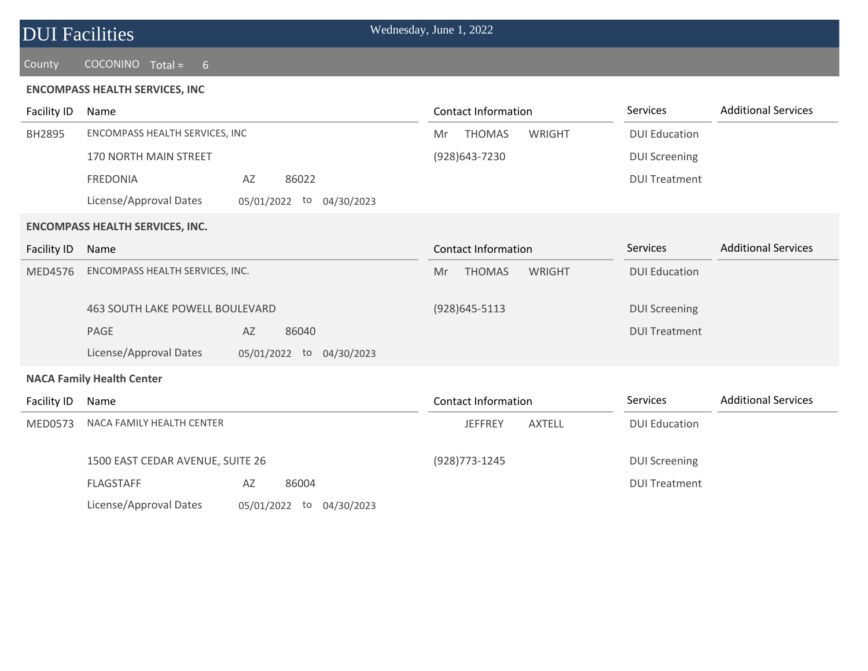| <b>DUI</b> Facilities |                                       |    |       | Wednesday, June 1, 2022 |               |        |                      |                            |
|-----------------------|---------------------------------------|----|-------|-------------------------|---------------|--------|----------------------|----------------------------|
| County                | COCONINO Total = 6                    |    |       |                         |               |        |                      |                            |
|                       | <b>ENCOMPASS HEALTH SERVICES, INC</b> |    |       |                         |               |        |                      |                            |
| Facility ID           | Name                                  |    |       | Contact Information     |               |        | Services             | <b>Additional Services</b> |
| BH2895                | ENCOMPASS HEALTH SERVICES, INC        |    |       | Mr                      | <b>THOMAS</b> | WRIGHT | <b>DUI Education</b> |                            |
|                       | <b>170 NORTH MAIN STREET</b>          |    |       | (928) 643 - 7230        |               |        | <b>DUI Screening</b> |                            |
|                       | <b>FREDONIA</b>                       | AZ | 86022 |                         |               |        | <b>DUI Treatment</b> |                            |

#### **ENCOMPASS HEALTH SERVICES, INC.**

License/Approval Dates 05/01/2022 to 04/30/2023

| Name                                                               |                             | Contact Information           | <b>Services</b>      | <b>Additional Services</b> |
|--------------------------------------------------------------------|-----------------------------|-------------------------------|----------------------|----------------------------|
| ENCOMPASS HEALTH SERVICES, INC.<br>463 SOUTH LAKE POWELL BOULEVARD |                             | <b>THOMAS</b><br>WRIGHT<br>Mr | <b>DUI Education</b> |                            |
|                                                                    |                             | $(928)645 - 5113$             | <b>DUI Screening</b> |                            |
| <b>PAGE</b>                                                        | AZ<br>86040                 |                               | <b>DUI Treatment</b> |                            |
| License/Approval Dates                                             | 04/30/2023<br>05/01/2022 to |                               |                      |                            |
|                                                                    |                             |                               |                      |                            |

#### **NACA Family Health Center**

| Facility ID<br>Name |                                  | Contact Information         |                | <b>Services</b> | <b>Additional Services</b> |  |
|---------------------|----------------------------------|-----------------------------|----------------|-----------------|----------------------------|--|
| MED0573             | NACA FAMILY HEALTH CENTER        |                             | <b>JEFFREY</b> | AXTELL          | <b>DUI Education</b>       |  |
|                     | 1500 EAST CEDAR AVENUE, SUITE 26 |                             | (928) 773-1245 |                 | <b>DUI Screening</b>       |  |
|                     | <b>FLAGSTAFF</b>                 | 86004<br>AZ                 |                |                 | <b>DUI Treatment</b>       |  |
|                     | License/Approval Dates           | 05/01/2022 to<br>04/30/2023 |                |                 |                            |  |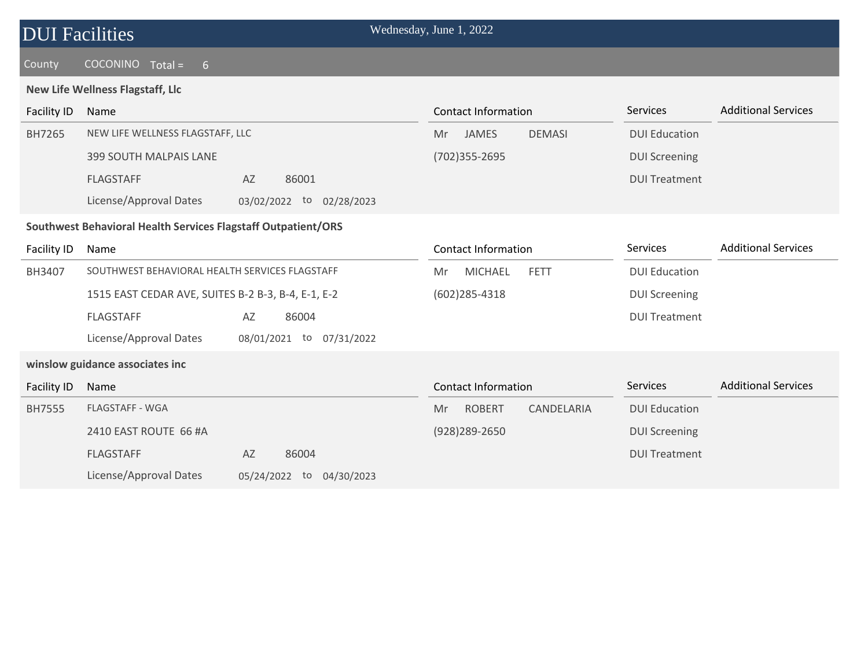| <b>DUI Facilities</b> |  |
|-----------------------|--|
|-----------------------|--|

### County COCONINO Total = 6

### **New Life Wellness Flagstaff, Llc**

| <b>Facility ID</b>                                            | Name                                                     | Contact Information                 | <b>Services</b>      | <b>Additional Services</b> |  |  |  |
|---------------------------------------------------------------|----------------------------------------------------------|-------------------------------------|----------------------|----------------------------|--|--|--|
| BH7265                                                        | NEW LIFE WELLNESS FLAGSTAFF, LLC                         | JAMES<br><b>DEMASI</b><br>Mr        | <b>DUI Education</b> |                            |  |  |  |
|                                                               | 399 SOUTH MALPAIS LANE                                   | (702) 355 - 2695                    | <b>DUI Screening</b> |                            |  |  |  |
|                                                               | AZ<br>86001<br><b>FLAGSTAFF</b>                          |                                     | <b>DUI Treatment</b> |                            |  |  |  |
|                                                               | License/Approval Dates<br>02/28/2023<br>03/02/2022<br>to |                                     |                      |                            |  |  |  |
| Southwest Behavioral Health Services Flagstaff Outpatient/ORS |                                                          |                                     |                      |                            |  |  |  |
| Facility ID                                                   | Name                                                     | Contact Information                 | <b>Services</b>      | <b>Additional Services</b> |  |  |  |
| BH3407                                                        | SOUTHWEST BEHAVIORAL HEALTH SERVICES FLAGSTAFF           | <b>MICHAEL</b><br><b>FETT</b><br>Mr | <b>DUI Education</b> |                            |  |  |  |

(602)285-4318

DUI Screening

DUI Treatment

1515 EAST CEDAR AVE, SUITES B-2 B-3, B-4, E-1, E-2 FLAGSTAFF AZ 86004 License/Approval Dates 08/01/2021 to 07/31/2022

### **winslow guidance associates inc**

| Facility ID   | Name                   |               |            | Contact Information |               |            | Services             | <b>Additional Services</b> |
|---------------|------------------------|---------------|------------|---------------------|---------------|------------|----------------------|----------------------------|
| <b>BH7555</b> | <b>FLAGSTAFF - WGA</b> |               |            | Mr                  | <b>ROBERT</b> | CANDELARIA | <b>DUI Education</b> |                            |
|               | 2410 EAST ROUTE 66 #A  |               |            |                     | (928)289-2650 |            | <b>DUI Screening</b> |                            |
|               | <b>FLAGSTAFF</b>       | AZ            | 86004      |                     |               |            | <b>DUI Treatment</b> |                            |
|               | License/Approval Dates | 05/24/2022 to | 04/30/2023 |                     |               |            |                      |                            |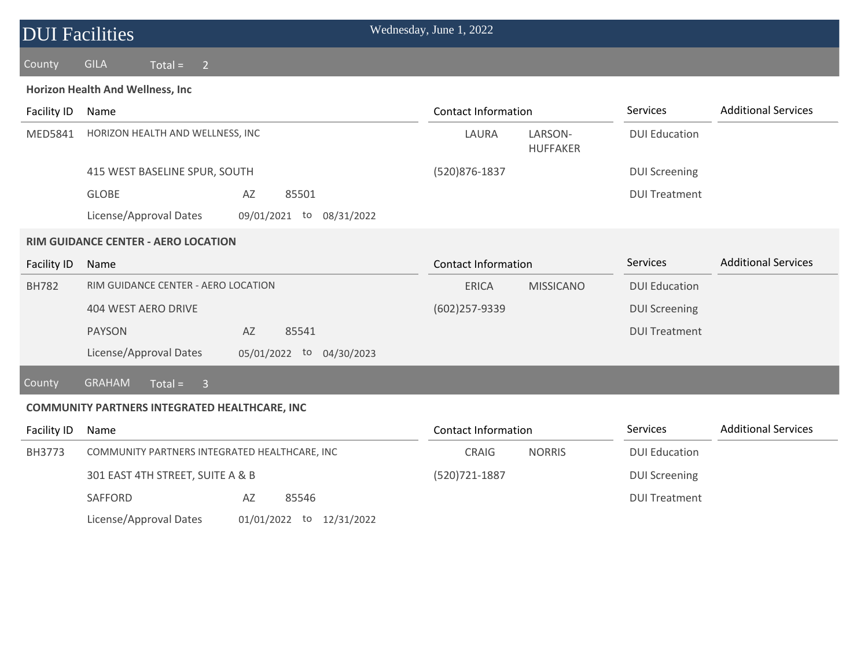| <b>DUI Facilities</b> |                                                          | Wednesday, June 1, 2022    |                            |                      |                            |
|-----------------------|----------------------------------------------------------|----------------------------|----------------------------|----------------------|----------------------------|
| County                | <b>GILA</b><br>$Total =$<br>$\overline{2}$               |                            |                            |                      |                            |
|                       | Horizon Health And Wellness, Inc                         |                            |                            |                      |                            |
| Facility ID           | Name                                                     | <b>Contact Information</b> |                            | Services             | <b>Additional Services</b> |
| MED5841               | HORIZON HEALTH AND WELLNESS, INC                         | LAURA                      | LARSON-<br><b>HUFFAKER</b> | <b>DUI Education</b> |                            |
|                       | 415 WEST BASELINE SPUR, SOUTH                            | (520)876-1837              |                            | <b>DUI Screening</b> |                            |
|                       | <b>GLOBE</b><br>AZ<br>85501                              |                            |                            | <b>DUI Treatment</b> |                            |
|                       | License/Approval Dates<br>09/01/2021<br>08/31/2022<br>to |                            |                            |                      |                            |
|                       | <b>RIM GUIDANCE CENTER - AERO LOCATION</b>               |                            |                            |                      |                            |
| <b>Facility ID</b>    | Name                                                     | <b>Contact Information</b> |                            | <b>Services</b>      | <b>Additional Services</b> |
| <b>BH782</b>          | RIM GUIDANCE CENTER - AERO LOCATION                      | <b>ERICA</b>               | <b>MISSICANO</b>           | <b>DUI Education</b> |                            |
|                       | 404 WEST AERO DRIVE                                      | $(602)$ 257-9339           |                            | <b>DUI Screening</b> |                            |
|                       | AZ<br>85541<br><b>PAYSON</b>                             |                            |                            | <b>DUI Treatment</b> |                            |
|                       | License/Approval Dates<br>to<br>05/01/2022<br>04/30/2023 |                            |                            |                      |                            |
| <b>County</b>         | <b>GRAHAM</b><br>$Total =$<br>$\overline{\mathbf{3}}$    |                            |                            |                      |                            |
|                       | <b>COMMUNITY PARTNERS INTEGRATED HEALTHCARE, INC</b>     |                            |                            |                      |                            |
| Facility ID           | Name                                                     | <b>Contact Information</b> |                            | Services             | <b>Additional Services</b> |

| Facility ID | Name                                          |                          | <b>Contact Information</b> | <b>Additional Services</b><br><b>Services</b> |
|-------------|-----------------------------------------------|--------------------------|----------------------------|-----------------------------------------------|
| BH3773      | COMMUNITY PARTNERS INTEGRATED HEALTHCARE, INC |                          | <b>NORRIS</b><br>CRAIG     | <b>DUI Education</b>                          |
|             | 301 EAST 4TH STREET, SUITE A & B              |                          | (520) 721 - 1887           | <b>DUI Screening</b>                          |
|             | SAFFORD                                       | 85546<br>AZ              |                            | <b>DUI Treatment</b>                          |
|             | License/Approval Dates                        | 01/01/2022 to 12/31/2022 |                            |                                               |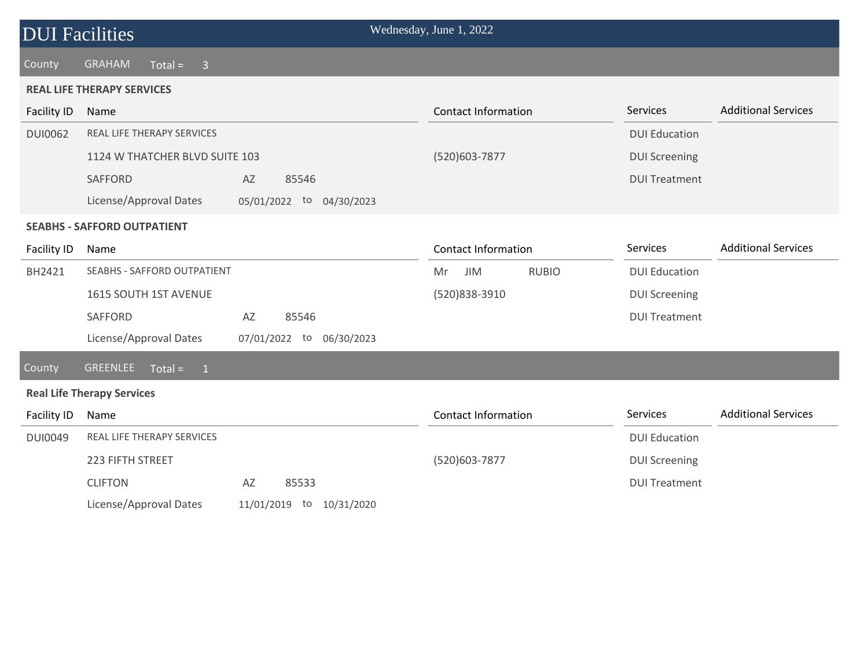### County GRAHAM Total = 3

#### **REAL LIFE THERAPY SERVICES**

| <b>Facility ID</b> | Name                               |                                | <b>Contact Information</b> | Services             | <b>Additional Services</b> |
|--------------------|------------------------------------|--------------------------------|----------------------------|----------------------|----------------------------|
| <b>DUI0062</b>     | <b>REAL LIFE THERAPY SERVICES</b>  |                                |                            | <b>DUI Education</b> |                            |
|                    | 1124 W THATCHER BLVD SUITE 103     |                                | (520) 603-7877             | <b>DUI Screening</b> |                            |
|                    | <b>SAFFORD</b>                     | 85546<br>AZ                    |                            | <b>DUI Treatment</b> |                            |
|                    | License/Approval Dates             | 05/01/2022<br>to<br>04/30/2023 |                            |                      |                            |
|                    | <b>SEABHS - SAFFORD OUTPATIENT</b> |                                |                            |                      |                            |
| Facility ID        | Name                               |                                | Contact Information        | Services             | <b>Additional Services</b> |
| BH2421             | SEABHS - SAFFORD OUTPATIENT        |                                | <b>RUBIO</b><br>JIM<br>Mr  | <b>DUI Education</b> |                            |
|                    | 1615 SOUTH 1ST AVENUE              |                                | (520)838-3910              | <b>DUI Screening</b> |                            |
|                    | SAFFORD                            | 85546<br>AZ                    |                            | <b>DUI Treatment</b> |                            |
|                    | License/Approval Dates             | 07/01/2022 to 06/30/2023       |                            |                      |                            |
| County             | <b>GREENLEE</b><br>$Total = 1$     |                                |                            |                      |                            |
|                    | <b>Real Life Therapy Services</b>  |                                |                            |                      |                            |
| Facility ID        | Name                               |                                | Contact Information        | Services             | <b>Additional Services</b> |
| <b>DUI0049</b>     | REAL LIFE THERAPY SERVICES         |                                |                            | <b>DUI Education</b> |                            |
|                    | 223 FIFTH STREET                   |                                | (520)603-7877              | <b>DUI Screening</b> |                            |
|                    | <b>CLIFTON</b>                     | 85533<br>AZ                    |                            | <b>DUI Treatment</b> |                            |
|                    | License/Approval Dates             | 11/01/2019 to 10/31/2020       |                            |                      |                            |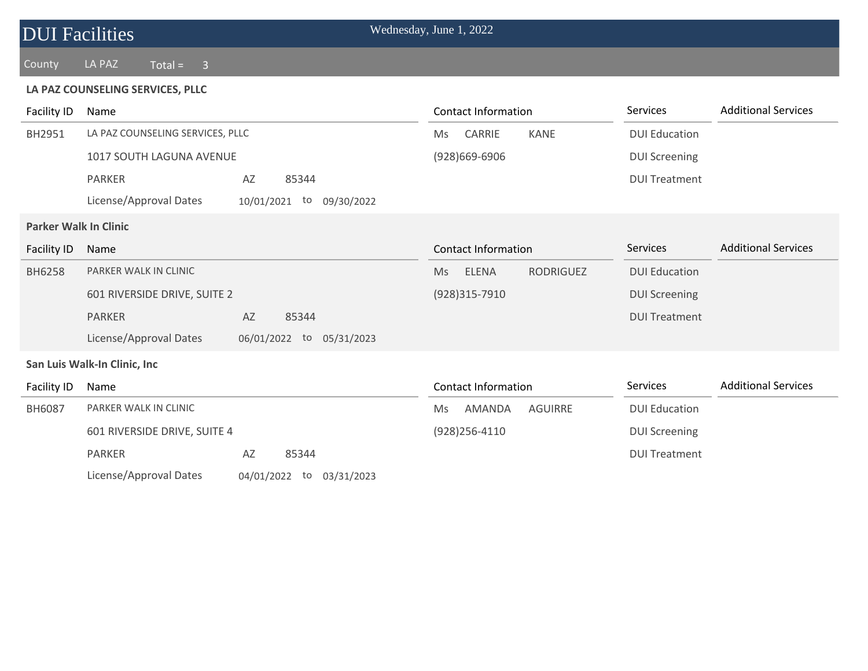| <b>DUI Facilities</b>        |                                  |                                | Wednesday, June 1, 2022 |                            |                  |                      |                            |
|------------------------------|----------------------------------|--------------------------------|-------------------------|----------------------------|------------------|----------------------|----------------------------|
| County                       | LA PAZ<br>$Total = 3$            |                                |                         |                            |                  |                      |                            |
|                              | LA PAZ COUNSELING SERVICES, PLLC |                                |                         |                            |                  |                      |                            |
| <b>Facility ID</b>           | Name                             |                                |                         | <b>Contact Information</b> |                  | <b>Services</b>      | <b>Additional Services</b> |
| BH2951                       | LA PAZ COUNSELING SERVICES, PLLC |                                | Ms                      | CARRIE                     | <b>KANE</b>      | <b>DUI Education</b> |                            |
|                              | 1017 SOUTH LAGUNA AVENUE         |                                |                         | $(928)669 - 6906$          |                  | <b>DUI Screening</b> |                            |
|                              | <b>PARKER</b>                    | AZ<br>85344                    |                         |                            |                  | <b>DUI Treatment</b> |                            |
|                              | License/Approval Dates           | 10/01/2021<br>to<br>09/30/2022 |                         |                            |                  |                      |                            |
| <b>Parker Walk In Clinic</b> |                                  |                                |                         |                            |                  |                      |                            |
| Facility ID                  | Name                             |                                |                         | <b>Contact Information</b> |                  | <b>Services</b>      | <b>Additional Services</b> |
| <b>BH6258</b>                | PARKER WALK IN CLINIC            |                                | Ms                      | <b>ELENA</b>               | <b>RODRIGUEZ</b> | <b>DUI Education</b> |                            |
|                              | 601 RIVERSIDE DRIVE, SUITE 2     |                                |                         | (928)315-7910              |                  | <b>DUI Screening</b> |                            |
|                              | <b>PARKER</b>                    | AZ<br>85344                    |                         |                            |                  | <b>DUI Treatment</b> |                            |
|                              | License/Approval Dates           | 06/01/2022 to 05/31/2023       |                         |                            |                  |                      |                            |
|                              | San Luis Walk-In Clinic, Inc     |                                |                         |                            |                  |                      |                            |
| <b>Facility ID</b>           | Name                             |                                |                         | <b>Contact Information</b> |                  | Services             | <b>Additional Services</b> |
| BH6087                       | PARKER WALK IN CLINIC            |                                | Ms                      | AMANDA                     | <b>AGUIRRE</b>   | <b>DUI Education</b> |                            |
|                              | 601 RIVERSIDE DRIVE, SUITE 4     |                                |                         | $(928)$ 256-4110           |                  | <b>DUI Screening</b> |                            |
|                              | <b>PARKER</b>                    | AZ<br>85344                    |                         |                            |                  | <b>DUI Treatment</b> |                            |
|                              | License/Approval Dates           | 04/01/2022 to 03/31/2023       |                         |                            |                  |                      |                            |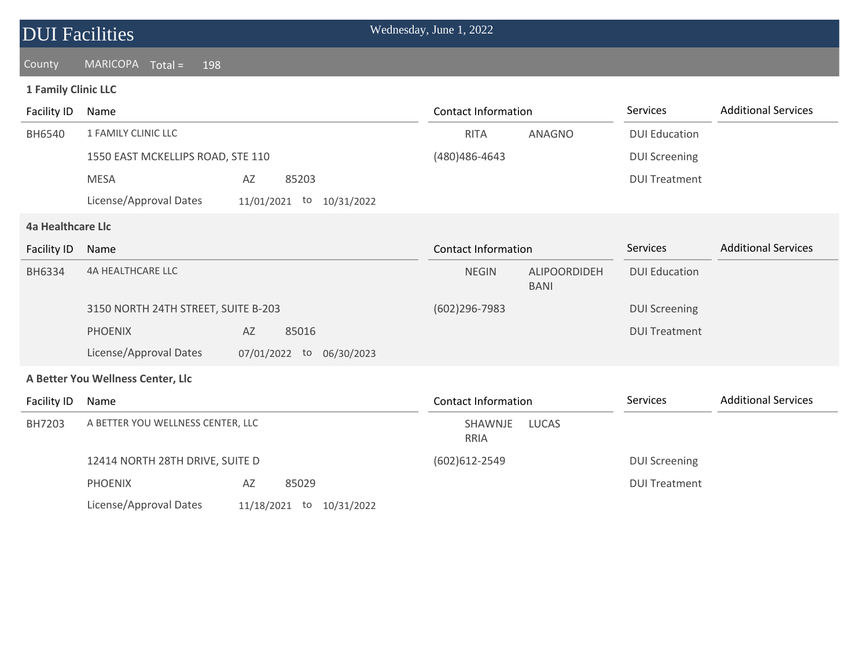|                            | <b>DUI</b> Facilities             |                                |  | Wednesday, June 1, 2022 |        |                      |                            |
|----------------------------|-----------------------------------|--------------------------------|--|-------------------------|--------|----------------------|----------------------------|
| County                     | MARICOPA Total =<br>198           |                                |  |                         |        |                      |                            |
| <b>1 Family Clinic LLC</b> |                                   |                                |  |                         |        |                      |                            |
| Facility ID                | Name                              |                                |  | Contact Information     |        | <b>Services</b>      | <b>Additional Services</b> |
| BH6540                     | 1 FAMILY CLINIC LLC               |                                |  | RITA                    | ANAGNO | <b>DUI Education</b> |                            |
|                            | 1550 EAST MCKELLIPS ROAD, STE 110 |                                |  | (480) 486-4643          |        | <b>DUI Screening</b> |                            |
|                            | <b>MESA</b>                       | 85203<br>AZ                    |  |                         |        | <b>DUI Treatment</b> |                            |
|                            | License/Approval Dates            | 11/01/2021<br>10/31/2022<br>to |  |                         |        |                      |                            |

#### **4a Healthcare Llc**

| Facility ID | Name                                |                                |                            | <b>Contact Information</b>  |                      | <b>Additional Services</b> |
|-------------|-------------------------------------|--------------------------------|----------------------------|-----------------------------|----------------------|----------------------------|
| BH6334      | 4A HEALTHCARE LLC                   |                                | <b>NEGIN</b>               | ALIPOORDIDEH<br><b>BANI</b> | <b>DUI Education</b> |                            |
|             | 3150 NORTH 24TH STREET, SUITE B-203 |                                | $(602)296 - 7983$          |                             | <b>DUI Screening</b> |                            |
|             | <b>PHOENIX</b>                      | 85016<br>AZ                    |                            |                             | <b>DUI Treatment</b> |                            |
|             | License/Approval Dates              | 07/01/2022<br>06/30/2023<br>to |                            |                             |                      |                            |
|             | A Better You Wellness Center, Llc   |                                |                            |                             |                      |                            |
| Facility ID | Name                                |                                | <b>Contact Information</b> |                             | <b>Services</b>      | <b>Additional Services</b> |
| BH7203      | A BETTER YOU WELLNESS CENTER, LLC   |                                | SHAWNJE<br>RRIA            | LUCAS                       |                      |                            |
|             | 12414 NORTH 28TH DRIVE, SUITE D     |                                | (602) 612 - 2549           |                             | <b>DUI Screening</b> |                            |
|             | <b>PHOENIX</b>                      | AZ<br>85029                    |                            |                             | <b>DUI Treatment</b> |                            |
|             | License/Approval Dates              | 11/18/2021<br>10/31/2022<br>to |                            |                             |                      |                            |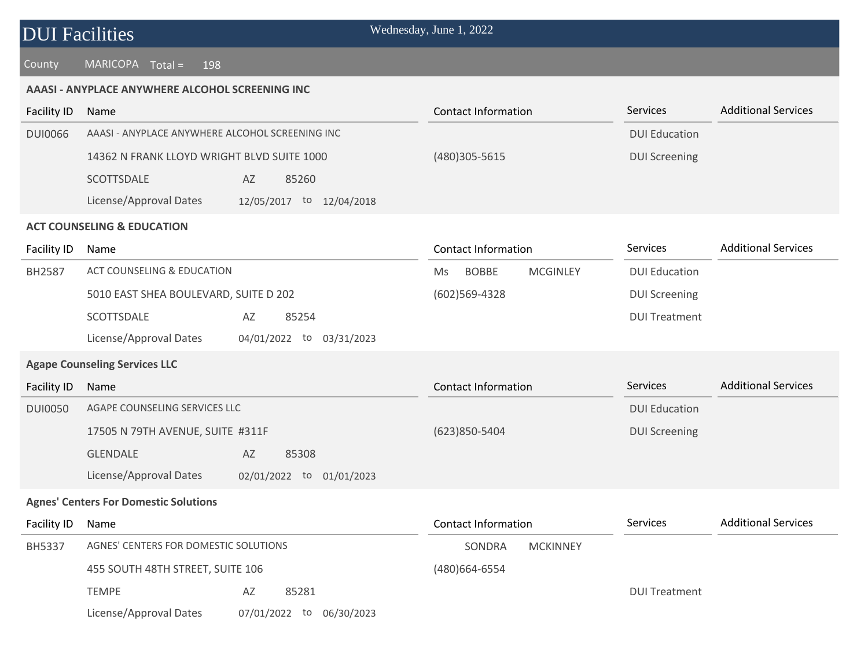### County MARICOPA Total = 198

#### **AAASI - ANYPLACE ANYWHERE ALCOHOL SCREENING INC**

| <b>Facility ID</b> | Name                                                  | <b>Contact Information</b>             | Services             | <b>Additional Services</b> |
|--------------------|-------------------------------------------------------|----------------------------------------|----------------------|----------------------------|
| <b>DUI0066</b>     | AAASI - ANYPLACE ANYWHERE ALCOHOL SCREENING INC       |                                        | <b>DUI Education</b> |                            |
|                    | 14362 N FRANK LLOYD WRIGHT BLVD SUITE 1000            | (480)305-5615                          | <b>DUI Screening</b> |                            |
|                    | SCOTTSDALE<br>AZ<br>85260                             |                                        |                      |                            |
|                    | License/Approval Dates<br>12/05/2017 to 12/04/2018    |                                        |                      |                            |
|                    | <b>ACT COUNSELING &amp; EDUCATION</b>                 |                                        |                      |                            |
| Facility ID        | Name                                                  | <b>Contact Information</b>             | Services             | <b>Additional Services</b> |
| <b>BH2587</b>      | <b>ACT COUNSELING &amp; EDUCATION</b>                 | <b>BOBBE</b><br><b>MCGINLEY</b><br>Ms. | <b>DUI Education</b> |                            |
|                    | 5010 EAST SHEA BOULEVARD, SUITE D 202                 | $(602)569-4328$                        | <b>DUI Screening</b> |                            |
|                    | SCOTTSDALE<br>85254<br>AZ                             |                                        | <b>DUI Treatment</b> |                            |
|                    | License/Approval Dates<br>04/01/2022 to<br>03/31/2023 |                                        |                      |                            |
|                    | <b>Agape Counseling Services LLC</b>                  |                                        |                      |                            |
| <b>Facility ID</b> | Name                                                  | <b>Contact Information</b>             | Services             | <b>Additional Services</b> |
| <b>DUI0050</b>     | AGAPE COUNSELING SERVICES LLC                         |                                        | <b>DUI Education</b> |                            |
|                    | 17505 N 79TH AVENUE, SUITE #311F                      | (623)850-5404                          | <b>DUI Screening</b> |                            |
|                    | <b>GLENDALE</b><br>AZ<br>85308                        |                                        |                      |                            |
|                    | License/Approval Dates<br>02/01/2022 to 01/01/2023    |                                        |                      |                            |
|                    | <b>Agnes' Centers For Domestic Solutions</b>          |                                        |                      |                            |
| Facility ID        | Name                                                  | <b>Contact Information</b>             | Services             | <b>Additional Services</b> |
| <b>BH5337</b>      | AGNES' CENTERS FOR DOMESTIC SOLUTIONS                 | SONDRA<br><b>MCKINNEY</b>              |                      |                            |
|                    | 455 SOUTH 48TH STREET, SUITE 106                      | (480)664-6554                          |                      |                            |
|                    | <b>TEMPE</b><br>AZ<br>85281                           |                                        | <b>DUI Treatment</b> |                            |
|                    | License/Approval Dates<br>07/01/2022 to 06/30/2023    |                                        |                      |                            |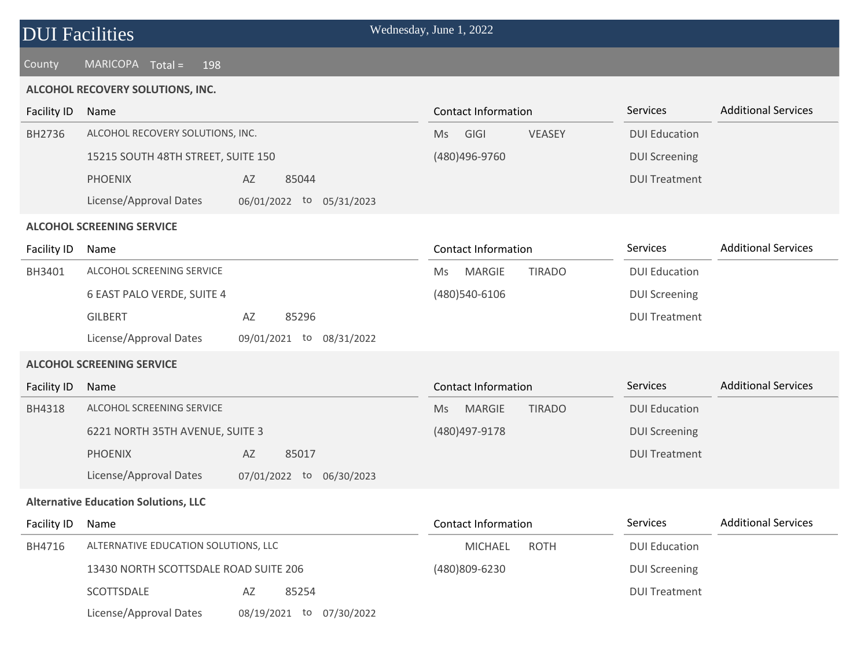| <b>DUI Facilities</b> |  |
|-----------------------|--|
|-----------------------|--|

### **ALCOHOL RECOVERY SOLUTIONS, INC.**

| <b>Facility ID</b> | Name                                        |                             | <b>Contact Information</b>                  | Services             | <b>Additional Services</b> |
|--------------------|---------------------------------------------|-----------------------------|---------------------------------------------|----------------------|----------------------------|
| BH2736             | ALCOHOL RECOVERY SOLUTIONS, INC.            |                             | GIGI<br><b>VEASEY</b><br>Ms                 | <b>DUI Education</b> |                            |
|                    | 15215 SOUTH 48TH STREET, SUITE 150          |                             | (480)496-9760                               | <b>DUI Screening</b> |                            |
|                    | <b>PHOENIX</b>                              | 85044<br>AZ                 |                                             | <b>DUI Treatment</b> |                            |
|                    | License/Approval Dates                      | 06/01/2022 to 05/31/2023    |                                             |                      |                            |
|                    | <b>ALCOHOL SCREENING SERVICE</b>            |                             |                                             |                      |                            |
| Facility ID        | Name                                        |                             | <b>Contact Information</b>                  | Services             | <b>Additional Services</b> |
| BH3401             | ALCOHOL SCREENING SERVICE                   |                             | <b>MARGIE</b><br><b>TIRADO</b><br>Ms        | <b>DUI Education</b> |                            |
|                    | 6 EAST PALO VERDE, SUITE 4                  |                             | (480)540-6106                               | <b>DUI Screening</b> |                            |
|                    | <b>GILBERT</b>                              | 85296<br>AZ                 |                                             | <b>DUI Treatment</b> |                            |
|                    | License/Approval Dates                      | 09/01/2021 to<br>08/31/2022 |                                             |                      |                            |
|                    | <b>ALCOHOL SCREENING SERVICE</b>            |                             |                                             |                      |                            |
| Facility ID        | Name                                        |                             | <b>Contact Information</b>                  | Services             | <b>Additional Services</b> |
| BH4318             | ALCOHOL SCREENING SERVICE                   |                             | <b>MARGIE</b><br><b>TIRADO</b><br><b>Ms</b> | <b>DUI Education</b> |                            |
|                    | 6221 NORTH 35TH AVENUE, SUITE 3             |                             | (480) 497-9178                              | <b>DUI Screening</b> |                            |
|                    | <b>PHOENIX</b>                              | AZ<br>85017                 |                                             | <b>DUI Treatment</b> |                            |
|                    | License/Approval Dates                      | 07/01/2022 to 06/30/2023    |                                             |                      |                            |
|                    | <b>Alternative Education Solutions, LLC</b> |                             |                                             |                      |                            |
| Facility ID        | Name                                        |                             | <b>Contact Information</b>                  | Services             | <b>Additional Services</b> |
| BH4716             | ALTERNATIVE EDUCATION SOLUTIONS, LLC        |                             | <b>ROTH</b><br><b>MICHAEL</b>               | <b>DUI Education</b> |                            |
|                    | 13430 NORTH SCOTTSDALE ROAD SUITE 206       |                             | (480)809-6230                               | <b>DUI Screening</b> |                            |
|                    | SCOTTSDALE                                  | AZ<br>85254                 |                                             | <b>DUI Treatment</b> |                            |
|                    | License/Approval Dates                      | 08/19/2021 to 07/30/2022    |                                             |                      |                            |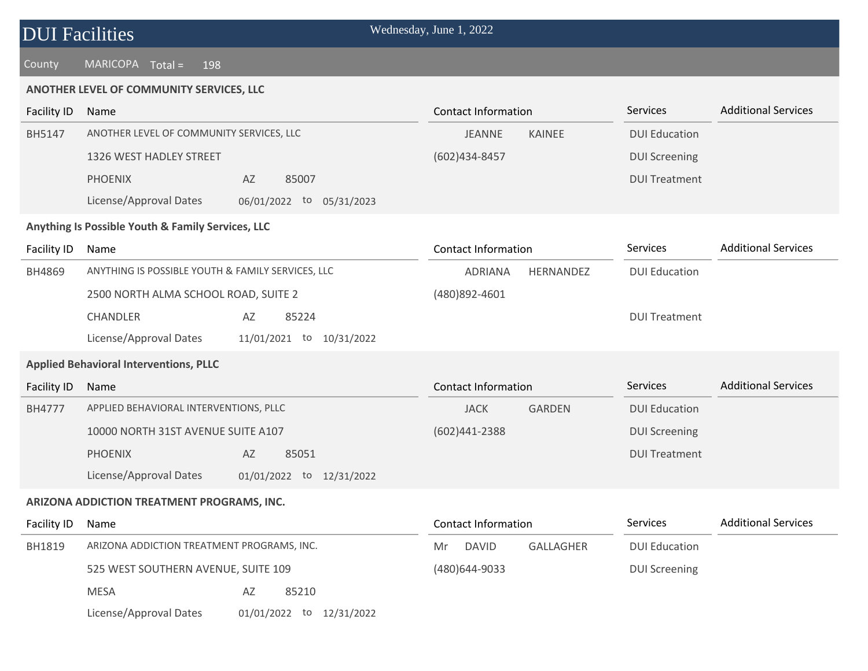| <b>DUI Facilities</b> | Wednesday, June 1, 2022 |
|-----------------------|-------------------------|
|                       |                         |

### **ANOTHER LEVEL OF COMMUNITY SERVICES, LLC**

| <b>Facility ID</b> | Name                                               | <b>Contact Information</b>      | Services             | <b>Additional Services</b> |
|--------------------|----------------------------------------------------|---------------------------------|----------------------|----------------------------|
| BH5147             | ANOTHER LEVEL OF COMMUNITY SERVICES, LLC           | <b>JEANNE</b><br>KAINEE         | <b>DUI Education</b> |                            |
|                    | 1326 WEST HADLEY STREET                            | (602)434-8457                   | <b>DUI Screening</b> |                            |
|                    | <b>PHOENIX</b><br>AZ<br>85007                      |                                 | <b>DUI Treatment</b> |                            |
|                    | License/Approval Dates<br>06/01/2022 to 05/31/2023 |                                 |                      |                            |
|                    | Anything Is Possible Youth & Family Services, LLC  |                                 |                      |                            |
| Facility ID        | Name                                               | <b>Contact Information</b>      | Services             | <b>Additional Services</b> |
| BH4869             | ANYTHING IS POSSIBLE YOUTH & FAMILY SERVICES, LLC  | <b>ADRIANA</b><br>HERNANDEZ     | <b>DUI Education</b> |                            |
|                    | 2500 NORTH ALMA SCHOOL ROAD, SUITE 2               | (480)892-4601                   |                      |                            |
|                    | CHANDLER<br>85224<br>AZ                            |                                 | <b>DUI Treatment</b> |                            |
|                    | License/Approval Dates<br>11/01/2021 to 10/31/2022 |                                 |                      |                            |
|                    | <b>Applied Behavioral Interventions, PLLC</b>      |                                 |                      |                            |
| <b>Facility ID</b> | Name                                               | <b>Contact Information</b>      | Services             | <b>Additional Services</b> |
| <b>BH4777</b>      | APPLIED BEHAVIORAL INTERVENTIONS, PLLC             | <b>JACK</b><br><b>GARDEN</b>    | <b>DUI Education</b> |                            |
|                    | 10000 NORTH 31ST AVENUE SUITE A107                 | (602)441-2388                   | <b>DUI Screening</b> |                            |
|                    | <b>PHOENIX</b><br>AZ<br>85051                      |                                 | <b>DUI Treatment</b> |                            |
|                    | License/Approval Dates<br>01/01/2022 to 12/31/2022 |                                 |                      |                            |
|                    | ARIZONA ADDICTION TREATMENT PROGRAMS, INC.         |                                 |                      |                            |
| Facility ID        | Name                                               | <b>Contact Information</b>      | Services             | <b>Additional Services</b> |
| BH1819             | ARIZONA ADDICTION TREATMENT PROGRAMS, INC.         | GALLAGHER<br><b>DAVID</b><br>Mr | <b>DUI Education</b> |                            |
|                    | 525 WEST SOUTHERN AVENUE, SUITE 109                | (480)644-9033                   | <b>DUI Screening</b> |                            |
|                    | <b>MESA</b><br>AZ<br>85210                         |                                 |                      |                            |
|                    | License/Approval Dates<br>01/01/2022 to 12/31/2022 |                                 |                      |                            |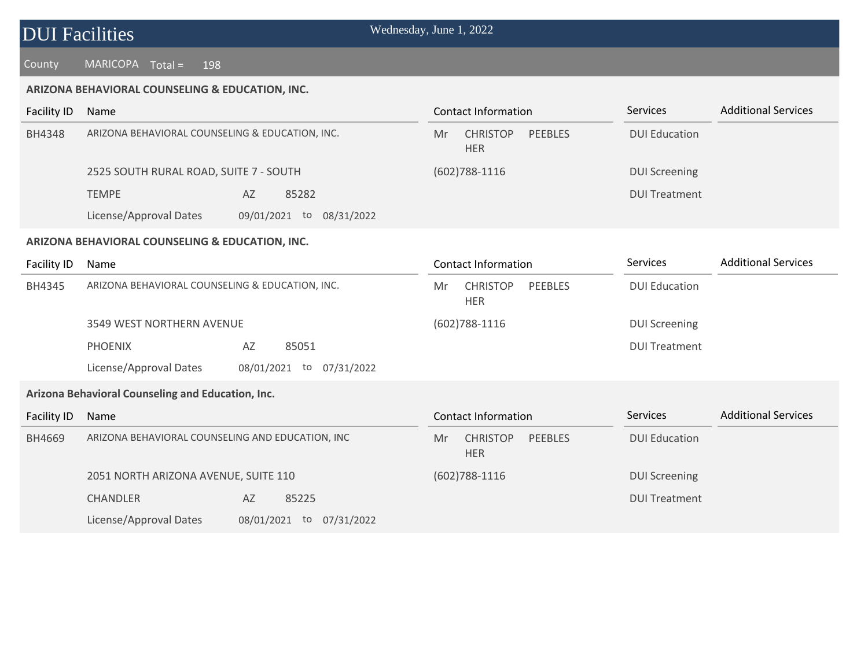### County MARICOPA Total = 198

#### **ARIZONA BEHAVIORAL COUNSELING & EDUCATION, INC.**

| Facility ID   | Name                                            |                                | Contact Information |                               |                      | <b>Services</b>      | <b>Additional Services</b> |
|---------------|-------------------------------------------------|--------------------------------|---------------------|-------------------------------|----------------------|----------------------|----------------------------|
| <b>BH4348</b> | ARIZONA BEHAVIORAL COUNSELING & EDUCATION, INC. |                                | Mr                  | <b>CHRISTOP</b><br><b>HER</b> | <b>PEEBLES</b>       | <b>DUI Education</b> |                            |
|               | 2525 SOUTH RURAL ROAD, SUITE 7 - SOUTH          |                                | $(602)788 - 1116$   |                               | <b>DUI Screening</b> |                      |                            |
|               | <b>TEMPE</b>                                    | 85282<br>AZ                    |                     |                               |                      | <b>DUI Treatment</b> |                            |
|               | License/Approval Dates                          | 08/31/2022<br>09/01/2021<br>to |                     |                               |                      |                      |                            |

#### **ARIZONA BEHAVIORAL COUNSELING & EDUCATION, INC.**

| Facility ID | Name                                                     | <b>Contact Information</b>                            | <b>Additional Services</b><br><b>Services</b> |  |
|-------------|----------------------------------------------------------|-------------------------------------------------------|-----------------------------------------------|--|
| BH4345      | ARIZONA BEHAVIORAL COUNSELING & EDUCATION, INC.          | <b>CHRISTOP</b><br>PEEBLES<br>Mr<br><b>HER</b>        | <b>DUI Education</b>                          |  |
|             | 3549 WEST NORTHERN AVENUE                                | $(602)788 - 1116$                                     | <b>DUI Screening</b>                          |  |
|             | AZ<br><b>PHOENIX</b><br>85051                            |                                                       | <b>DUI Treatment</b>                          |  |
|             | License/Approval Dates<br>08/01/2021<br>07/31/2022<br>to |                                                       |                                               |  |
|             | Arizona Behavioral Counseling and Education, Inc.        |                                                       |                                               |  |
| Facility ID | Name                                                     | Contact Information                                   | <b>Additional Services</b><br><b>Services</b> |  |
| BH4669      | ARIZONA BEHAVIORAL COUNSELING AND EDUCATION, INC         | <b>CHRISTOP</b><br><b>PEEBLES</b><br>Mr<br><b>HER</b> | <b>DUI Education</b>                          |  |
|             | 2051 NORTH ARIZONA AVENUE, SUITE 110                     | $(602)788 - 1116$                                     | <b>DUI Screening</b>                          |  |
|             | 85225<br><b>CHANDLER</b><br>AZ                           |                                                       | <b>DUI Treatment</b>                          |  |
|             | License/Approval Dates<br>08/01/2021<br>07/31/2022<br>to |                                                       |                                               |  |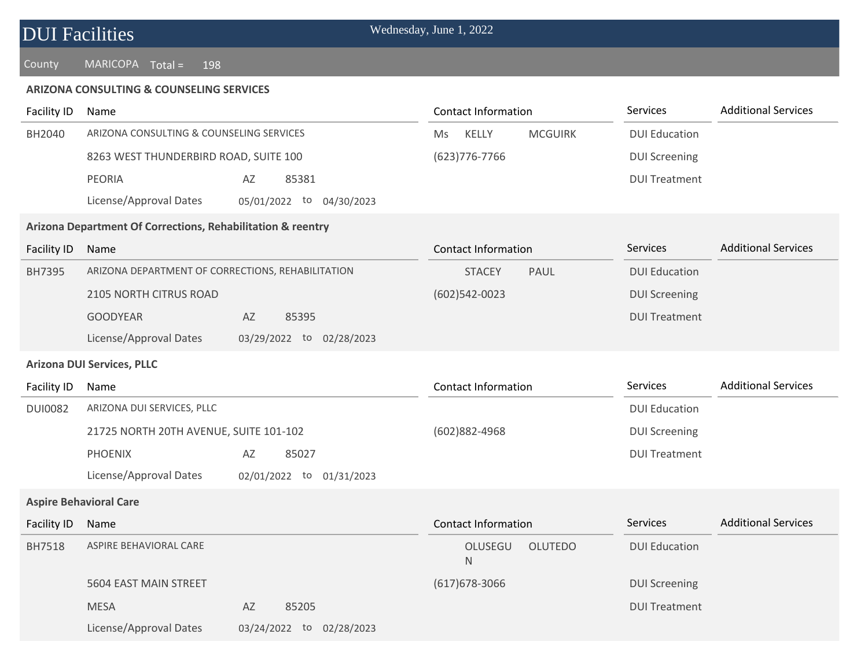#### **ARIZONA CONSULTING & COUNSELING SERVICES**

| <b>Facility ID</b> | <b>Contact Information</b><br>Name                          |                          | Services                       | <b>Additional Services</b> |                            |
|--------------------|-------------------------------------------------------------|--------------------------|--------------------------------|----------------------------|----------------------------|
| BH2040             | ARIZONA CONSULTING & COUNSELING SERVICES                    |                          | KELLY<br><b>MCGUIRK</b><br>Ms  | <b>DUI Education</b>       |                            |
|                    | 8263 WEST THUNDERBIRD ROAD, SUITE 100                       |                          | (623) 776-7766                 | <b>DUI Screening</b>       |                            |
|                    | <b>PEORIA</b>                                               | 85381<br>AZ              |                                | <b>DUI Treatment</b>       |                            |
|                    | License/Approval Dates                                      | 05/01/2022 to 04/30/2023 |                                |                            |                            |
|                    | Arizona Department Of Corrections, Rehabilitation & reentry |                          |                                |                            |                            |
| Facility ID        | Name                                                        |                          | <b>Contact Information</b>     | Services                   | <b>Additional Services</b> |
| BH7395             | ARIZONA DEPARTMENT OF CORRECTIONS, REHABILITATION           |                          | <b>STACEY</b><br>PAUL          | <b>DUI Education</b>       |                            |
|                    | 2105 NORTH CITRUS ROAD                                      |                          | $(602)$ 542-0023               | <b>DUI Screening</b>       |                            |
|                    | <b>GOODYEAR</b>                                             | AZ<br>85395              |                                | <b>DUI Treatment</b>       |                            |
|                    | License/Approval Dates                                      | 03/29/2022 to 02/28/2023 |                                |                            |                            |
|                    | <b>Arizona DUI Services, PLLC</b>                           |                          |                                |                            |                            |
| Facility ID        | Name                                                        |                          | <b>Contact Information</b>     | Services                   | <b>Additional Services</b> |
| <b>DUI0082</b>     | ARIZONA DUI SERVICES, PLLC                                  |                          |                                | <b>DUI Education</b>       |                            |
|                    | 21725 NORTH 20TH AVENUE, SUITE 101-102                      |                          | (602)882-4968                  | <b>DUI Screening</b>       |                            |
|                    | <b>PHOENIX</b>                                              | 85027<br>AZ              |                                | <b>DUI Treatment</b>       |                            |
|                    | License/Approval Dates                                      | 02/01/2022 to 01/31/2023 |                                |                            |                            |
|                    | <b>Aspire Behavioral Care</b>                               |                          |                                |                            |                            |
| <b>Facility ID</b> | Name                                                        |                          | <b>Contact Information</b>     | Services                   | <b>Additional Services</b> |
| <b>BH7518</b>      | ASPIRE BEHAVIORAL CARE                                      |                          | OLUSEGU<br><b>OLUTEDO</b><br>N | <b>DUI Education</b>       |                            |
|                    | 5604 EAST MAIN STREET                                       |                          | $(617)678 - 3066$              | <b>DUI Screening</b>       |                            |
|                    | <b>MESA</b>                                                 | 85205<br>AZ              |                                | <b>DUI Treatment</b>       |                            |
|                    | License/Approval Dates                                      | 03/24/2022 to 02/28/2023 |                                |                            |                            |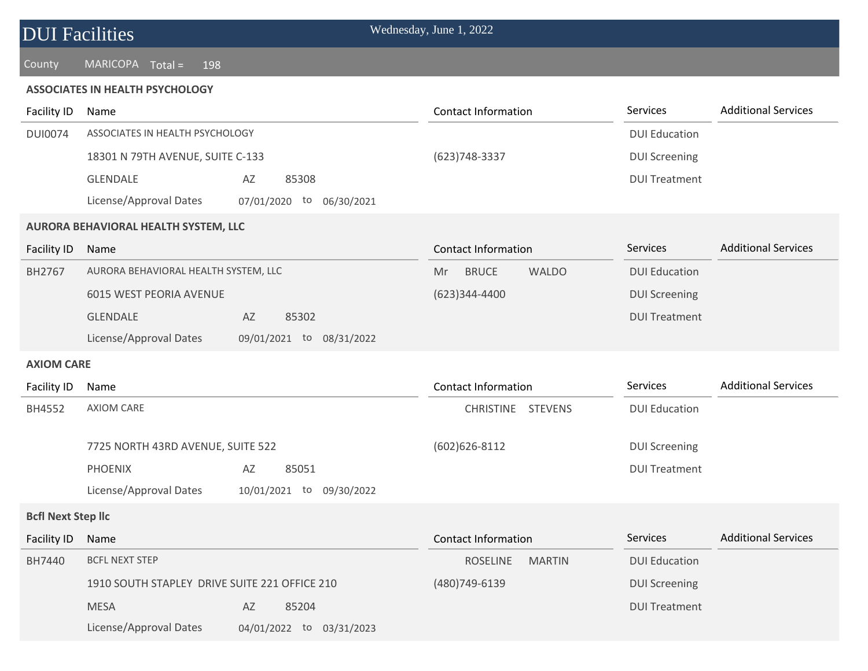### County MARICOPA Total = 198

#### **ASSOCIATES IN HEALTH PSYCHOLOGY**

| Facility ID               | Name                                                  | <b>Contact Information</b>          | Services             | <b>Additional Services</b> |
|---------------------------|-------------------------------------------------------|-------------------------------------|----------------------|----------------------------|
| <b>DUI0074</b>            | ASSOCIATES IN HEALTH PSYCHOLOGY                       |                                     | <b>DUI Education</b> |                            |
|                           | 18301 N 79TH AVENUE, SUITE C-133                      | (623) 748-3337                      | <b>DUI Screening</b> |                            |
|                           | <b>GLENDALE</b><br>AZ<br>85308                        |                                     | <b>DUI Treatment</b> |                            |
|                           | License/Approval Dates<br>07/01/2020 to 06/30/2021    |                                     |                      |                            |
|                           | AURORA BEHAVIORAL HEALTH SYSTEM, LLC                  |                                     |                      |                            |
| <b>Facility ID</b>        | Name                                                  | <b>Contact Information</b>          | Services             | <b>Additional Services</b> |
| BH2767                    | AURORA BEHAVIORAL HEALTH SYSTEM, LLC                  | <b>BRUCE</b><br><b>WALDO</b><br>Mr. | <b>DUI Education</b> |                            |
|                           | 6015 WEST PEORIA AVENUE                               | (623)344-4400                       | <b>DUI Screening</b> |                            |
|                           | <b>GLENDALE</b><br>85302<br>AZ                        |                                     | <b>DUI Treatment</b> |                            |
|                           | License/Approval Dates<br>09/01/2021 to 08/31/2022    |                                     |                      |                            |
| <b>AXIOM CARE</b>         |                                                       |                                     |                      |                            |
| Facility ID               | Name                                                  | <b>Contact Information</b>          | Services             | <b>Additional Services</b> |
| BH4552                    | <b>AXIOM CARE</b>                                     | CHRISTINE STEVENS                   | <b>DUI Education</b> |                            |
|                           | 7725 NORTH 43RD AVENUE, SUITE 522                     | $(602)626 - 8112$                   | <b>DUI Screening</b> |                            |
|                           | <b>PHOENIX</b><br>85051<br>AZ                         |                                     | <b>DUI Treatment</b> |                            |
|                           | License/Approval Dates<br>10/01/2021 to<br>09/30/2022 |                                     |                      |                            |
| <b>Bcfl Next Step Ilc</b> |                                                       |                                     |                      |                            |
| <b>Facility ID</b>        | Name                                                  | <b>Contact Information</b>          | Services             | <b>Additional Services</b> |
| BH7440                    | <b>BCFL NEXT STEP</b>                                 | <b>ROSELINE</b><br><b>MARTIN</b>    | <b>DUI Education</b> |                            |
|                           | 1910 SOUTH STAPLEY DRIVE SUITE 221 OFFICE 210         | (480) 749-6139                      | <b>DUI Screening</b> |                            |
|                           | <b>MESA</b><br>85204<br>AZ                            |                                     | <b>DUI Treatment</b> |                            |
|                           | License/Approval Dates<br>04/01/2022 to<br>03/31/2023 |                                     |                      |                            |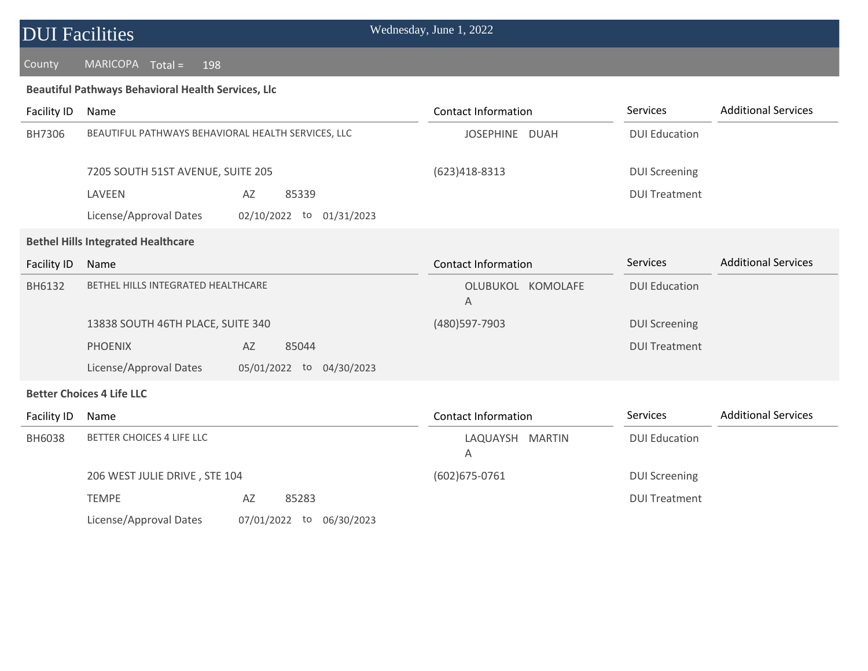### County MARICOPA Total = 198

### **Beautiful Pathways Behavioral Health Services, Llc**

| <b>Facility ID</b> | Name                                               |                          | <b>Contact Information</b> | <b>Services</b>      | <b>Additional Services</b> |
|--------------------|----------------------------------------------------|--------------------------|----------------------------|----------------------|----------------------------|
| BH7306             | BEAUTIFUL PATHWAYS BEHAVIORAL HEALTH SERVICES, LLC |                          | JOSEPHINE DUAH             | <b>DUI Education</b> |                            |
|                    | 7205 SOUTH 51ST AVENUE, SUITE 205                  |                          | (623)418-8313              | <b>DUI Screening</b> |                            |
|                    | LAVEEN                                             | 85339<br>AZ              |                            | <b>DUI Treatment</b> |                            |
|                    | License/Approval Dates                             | 02/10/2022 to 01/31/2023 |                            |                      |                            |
|                    | <b>Bethel Hills Integrated Healthcare</b>          |                          |                            |                      |                            |
| <b>Facility ID</b> | Name                                               |                          | <b>Contact Information</b> | <b>Services</b>      | <b>Additional Services</b> |
| BH6132             | BETHEL HILLS INTEGRATED HEALTHCARE                 |                          | OLUBUKOL KOMOLAFE<br>A     | <b>DUI Education</b> |                            |
|                    | 13838 SOUTH 46TH PLACE, SUITE 340                  |                          | (480) 597-7903             | <b>DUI Screening</b> |                            |
|                    | <b>PHOENIX</b>                                     | 85044<br>AZ              |                            | <b>DUI Treatment</b> |                            |
|                    | License/Approval Dates                             | 05/01/2022 to 04/30/2023 |                            |                      |                            |
|                    | <b>Better Choices 4 Life LLC</b>                   |                          |                            |                      |                            |
| <b>Facility ID</b> | Name                                               |                          | <b>Contact Information</b> | Services             | <b>Additional Services</b> |
| <b>BH6038</b>      | BETTER CHOICES 4 LIFE LLC                          |                          | LAQUAYSH MARTIN<br>Α       | <b>DUI Education</b> |                            |
|                    | 206 WEST JULIE DRIVE, STE 104                      |                          | $(602)675 - 0761$          | <b>DUI Screening</b> |                            |
|                    | <b>TEMPE</b>                                       | AZ<br>85283              |                            | <b>DUI Treatment</b> |                            |

License/Approval Dates 07/01/2022 to 06/30/2023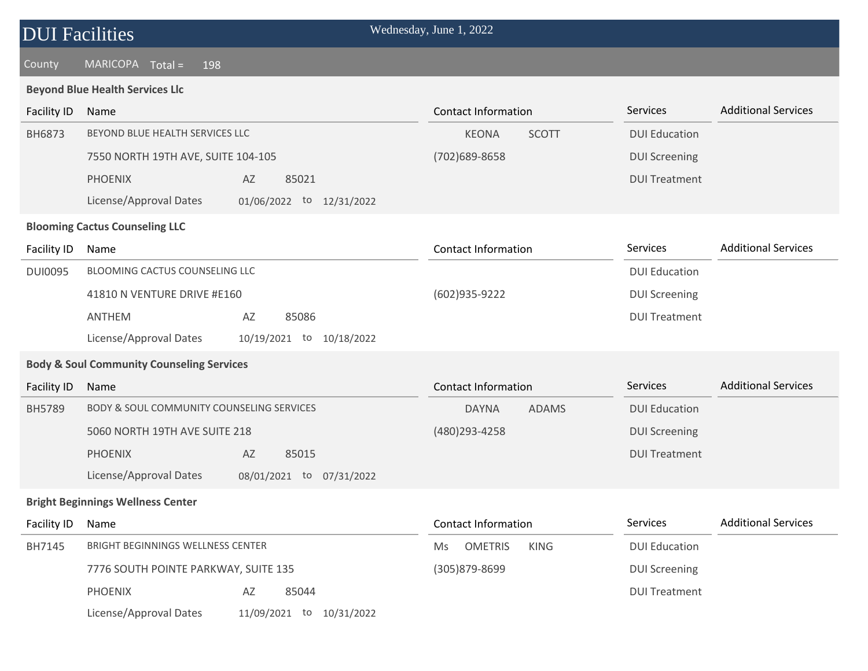| <b>DUI Facilities</b> |  |
|-----------------------|--|
|-----------------------|--|

### **Beyond Blue Health Services Llc**

| <b>Facility ID</b> | Name                                                  | <b>Contact Information</b>          | Services             | <b>Additional Services</b> |
|--------------------|-------------------------------------------------------|-------------------------------------|----------------------|----------------------------|
| BH6873             | BEYOND BLUE HEALTH SERVICES LLC                       | <b>SCOTT</b><br><b>KEONA</b>        | <b>DUI Education</b> |                            |
|                    | 7550 NORTH 19TH AVE, SUITE 104-105                    | (702) 689-8658                      | <b>DUI Screening</b> |                            |
|                    | <b>PHOENIX</b><br>AZ<br>85021                         |                                     | <b>DUI Treatment</b> |                            |
|                    | License/Approval Dates<br>01/06/2022 to 12/31/2022    |                                     |                      |                            |
|                    | <b>Blooming Cactus Counseling LLC</b>                 |                                     |                      |                            |
| Facility ID        | Name                                                  | <b>Contact Information</b>          | Services             | <b>Additional Services</b> |
| <b>DUI0095</b>     | BLOOMING CACTUS COUNSELING LLC                        |                                     | <b>DUI Education</b> |                            |
|                    | 41810 N VENTURE DRIVE #E160                           | (602)935-9222                       | <b>DUI Screening</b> |                            |
|                    | ANTHEM<br>AZ<br>85086                                 |                                     | <b>DUI Treatment</b> |                            |
|                    | License/Approval Dates<br>10/19/2021 to<br>10/18/2022 |                                     |                      |                            |
|                    | <b>Body &amp; Soul Community Counseling Services</b>  |                                     |                      |                            |
| Facility ID        | Name                                                  | <b>Contact Information</b>          | Services             | <b>Additional Services</b> |
| BH5789             | BODY & SOUL COMMUNITY COUNSELING SERVICES             | <b>ADAMS</b><br><b>DAYNA</b>        | <b>DUI Education</b> |                            |
|                    | 5060 NORTH 19TH AVE SUITE 218                         | (480) 293-4258                      | <b>DUI Screening</b> |                            |
|                    | <b>PHOENIX</b><br>85015<br>AZ                         |                                     | <b>DUI Treatment</b> |                            |
|                    | License/Approval Dates<br>08/01/2021 to 07/31/2022    |                                     |                      |                            |
|                    | <b>Bright Beginnings Wellness Center</b>              |                                     |                      |                            |
| Facility ID        | Name                                                  | <b>Contact Information</b>          | Services             | <b>Additional Services</b> |
| BH7145             | BRIGHT BEGINNINGS WELLNESS CENTER                     | <b>OMETRIS</b><br><b>KING</b><br>Ms | <b>DUI Education</b> |                            |
|                    | 7776 SOUTH POINTE PARKWAY, SUITE 135                  | (305)879-8699                       | <b>DUI Screening</b> |                            |
|                    | <b>PHOENIX</b><br>AZ<br>85044                         |                                     | <b>DUI Treatment</b> |                            |
|                    | License/Approval Dates<br>11/09/2021 to<br>10/31/2022 |                                     |                      |                            |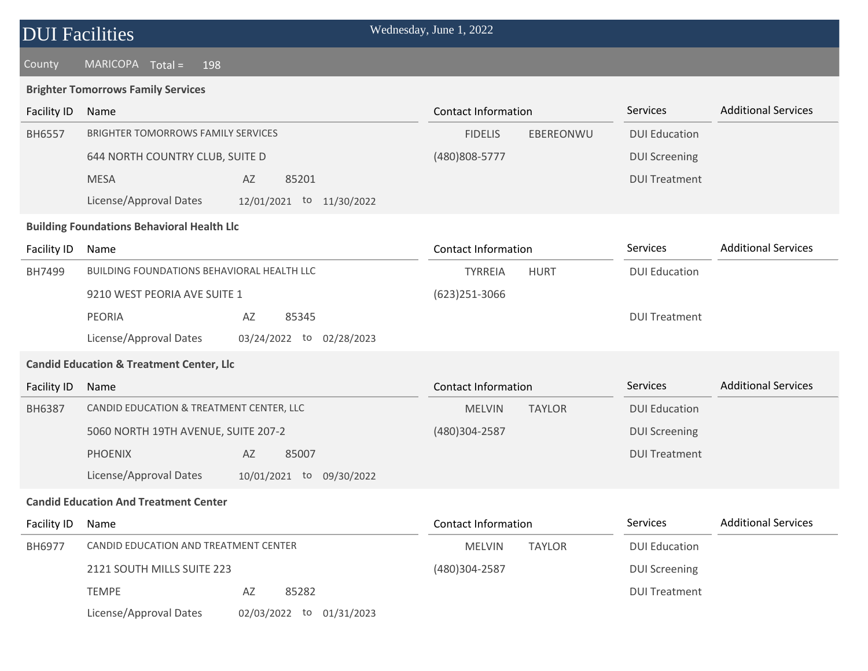| <b>DUI Facilities</b>                             |                                                     | Wednesday, June 1, 2022        |                      |                            |  |  |  |
|---------------------------------------------------|-----------------------------------------------------|--------------------------------|----------------------|----------------------------|--|--|--|
| County                                            | MARICOPA Total =<br>198                             |                                |                      |                            |  |  |  |
|                                                   | <b>Brighter Tomorrows Family Services</b>           |                                |                      |                            |  |  |  |
| Facility ID                                       | Name                                                | <b>Contact Information</b>     | Services             | <b>Additional Services</b> |  |  |  |
| <b>BH6557</b>                                     | <b>BRIGHTER TOMORROWS FAMILY SERVICES</b>           | <b>FIDELIS</b><br>EBEREONWU    | <b>DUI Education</b> |                            |  |  |  |
|                                                   | 644 NORTH COUNTRY CLUB, SUITE D                     | (480) 808-5777                 | <b>DUI Screening</b> |                            |  |  |  |
|                                                   | <b>MESA</b><br>85201<br>AZ                          |                                | <b>DUI Treatment</b> |                            |  |  |  |
|                                                   | License/Approval Dates<br>12/01/2021 to 11/30/2022  |                                |                      |                            |  |  |  |
| <b>Building Foundations Behavioral Health Llc</b> |                                                     |                                |                      |                            |  |  |  |
| Facility ID                                       | Name                                                | <b>Contact Information</b>     | Services             | <b>Additional Services</b> |  |  |  |
| BH7499                                            | BUILDING FOUNDATIONS BEHAVIORAL HEALTH LLC          | <b>TYRREIA</b><br><b>HURT</b>  | <b>DUI Education</b> |                            |  |  |  |
|                                                   | 9210 WEST PEORIA AVE SUITE 1                        | (623)251-3066                  |                      |                            |  |  |  |
|                                                   | <b>PEORIA</b><br>AZ<br>85345                        |                                | <b>DUI Treatment</b> |                            |  |  |  |
|                                                   | License/Approval Dates<br>03/24/2022 to 02/28/2023  |                                |                      |                            |  |  |  |
|                                                   | <b>Candid Education &amp; Treatment Center, Llc</b> |                                |                      |                            |  |  |  |
| Facility ID                                       | Name                                                | <b>Contact Information</b>     | Services             | <b>Additional Services</b> |  |  |  |
| <b>BH6387</b>                                     | CANDID EDUCATION & TREATMENT CENTER, LLC            | <b>TAYLOR</b><br><b>MELVIN</b> | <b>DUI Education</b> |                            |  |  |  |
|                                                   | 5060 NORTH 19TH AVENUE, SUITE 207-2                 | (480)304-2587                  | <b>DUI Screening</b> |                            |  |  |  |
|                                                   | <b>PHOENIX</b><br>AZ<br>85007                       |                                | <b>DUI Treatment</b> |                            |  |  |  |
|                                                   | License/Approval Dates<br>10/01/2021 to 09/30/2022  |                                |                      |                            |  |  |  |
|                                                   | <b>Candid Education And Treatment Center</b>        |                                |                      |                            |  |  |  |
| <b>Facility ID</b>                                | Name                                                | <b>Contact Information</b>     | Services             | <b>Additional Services</b> |  |  |  |
| BH6977                                            | CANDID EDUCATION AND TREATMENT CENTER               | <b>MELVIN</b><br><b>TAYLOR</b> | <b>DUI Education</b> |                            |  |  |  |
|                                                   | 2121 SOUTH MILLS SUITE 223                          | (480)304-2587                  | <b>DUI Screening</b> |                            |  |  |  |
|                                                   | <b>TEMPE</b><br>85282<br>AZ                         |                                | <b>DUI Treatment</b> |                            |  |  |  |
|                                                   | License/Approval Dates<br>02/03/2022 to 01/31/2023  |                                |                      |                            |  |  |  |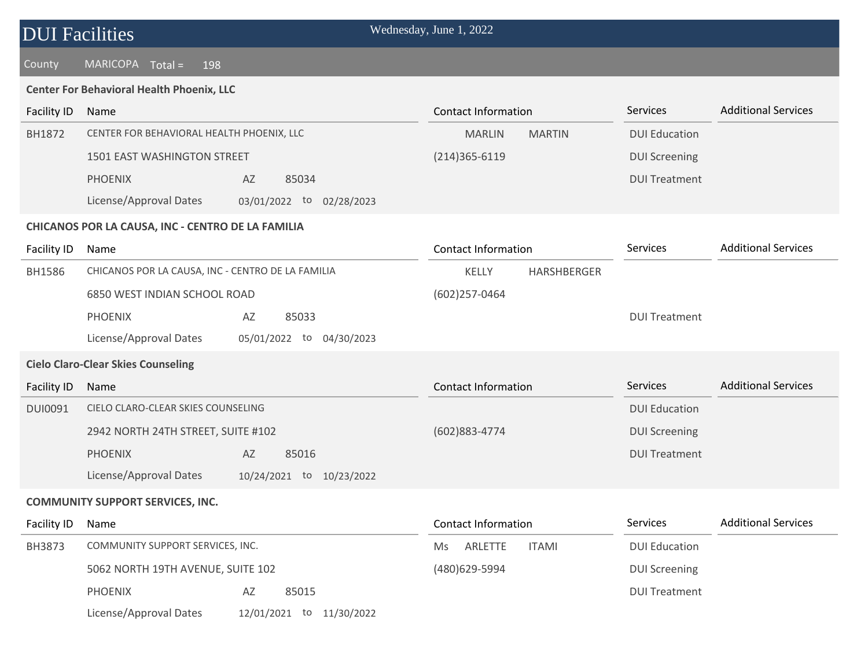| <b>DUI Facilities</b> |                                                   |                             |  | Wednesday, June 1, 2022    |               |                      |                            |  |
|-----------------------|---------------------------------------------------|-----------------------------|--|----------------------------|---------------|----------------------|----------------------------|--|
| County                | $MARICOPA$ $Total =$<br>198                       |                             |  |                            |               |                      |                            |  |
|                       | <b>Center For Behavioral Health Phoenix, LLC</b>  |                             |  |                            |               |                      |                            |  |
| Facility ID           | Name                                              |                             |  | <b>Contact Information</b> |               | Services             | <b>Additional Services</b> |  |
| BH1872                | CENTER FOR BEHAVIORAL HEALTH PHOENIX, LLC         |                             |  | <b>MARLIN</b>              | <b>MARTIN</b> | <b>DUI Education</b> |                            |  |
|                       | 1501 EAST WASHINGTON STREET                       |                             |  | $(214)365 - 6119$          |               | <b>DUI Screening</b> |                            |  |
|                       | <b>PHOENIX</b>                                    | AZ<br>85034                 |  |                            |               | <b>DUI Treatment</b> |                            |  |
|                       | License/Approval Dates                            | 03/01/2022 to 02/28/2023    |  |                            |               |                      |                            |  |
|                       | CHICANOS POR LA CAUSA, INC - CENTRO DE LA FAMILIA |                             |  |                            |               |                      |                            |  |
| Facility ID           | Name                                              |                             |  | <b>Contact Information</b> |               | Services             | <b>Additional Services</b> |  |
| <b>BH1586</b>         | CHICANOS POR LA CAUSA, INC - CENTRO DE LA FAMILIA |                             |  | KELLY                      | HARSHBERGER   |                      |                            |  |
|                       | 6850 WEST INDIAN SCHOOL ROAD                      |                             |  | (602)257-0464              |               |                      |                            |  |
|                       | <b>PHOENIX</b>                                    | AZ<br>85033                 |  |                            |               | <b>DUI Treatment</b> |                            |  |
|                       | License/Approval Dates                            | 05/01/2022 to 04/30/2023    |  |                            |               |                      |                            |  |
|                       | <b>Cielo Claro-Clear Skies Counseling</b>         |                             |  |                            |               |                      |                            |  |
| <b>Facility ID</b>    | Name                                              |                             |  | <b>Contact Information</b> |               | Services             | <b>Additional Services</b> |  |
| <b>DUI0091</b>        | CIELO CLARO-CLEAR SKIES COUNSELING                |                             |  |                            |               | <b>DUI Education</b> |                            |  |
|                       | 2942 NORTH 24TH STREET, SUITE #102                |                             |  | (602)883-4774              |               | <b>DUI Screening</b> |                            |  |
|                       | <b>PHOENIX</b>                                    | AZ<br>85016                 |  |                            |               | <b>DUI Treatment</b> |                            |  |
|                       | License/Approval Dates                            | 10/24/2021 to 10/23/2022    |  |                            |               |                      |                            |  |
|                       | <b>COMMUNITY SUPPORT SERVICES, INC.</b>           |                             |  |                            |               |                      |                            |  |
| <b>Facility ID</b>    | Name                                              |                             |  | <b>Contact Information</b> |               | Services             | <b>Additional Services</b> |  |
| BH3873                | COMMUNITY SUPPORT SERVICES, INC.                  |                             |  | ARLETTE<br>Ms              | <b>ITAMI</b>  | <b>DUI Education</b> |                            |  |
|                       | 5062 NORTH 19TH AVENUE, SUITE 102                 |                             |  | (480)629-5994              |               | <b>DUI Screening</b> |                            |  |
|                       | <b>PHOENIX</b>                                    | AZ<br>85015                 |  |                            |               | <b>DUI Treatment</b> |                            |  |
|                       | License/Approval Dates                            | 12/01/2021 to<br>11/30/2022 |  |                            |               |                      |                            |  |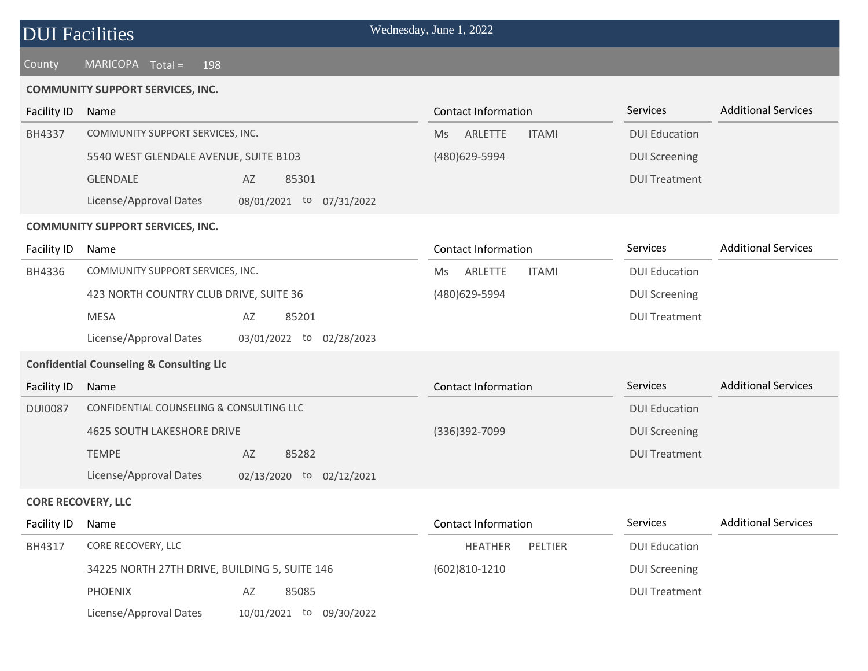| <b>DUI Facilities</b> |  |  |  |
|-----------------------|--|--|--|
|-----------------------|--|--|--|

### **COMMUNITY SUPPORT SERVICES, INC.**

| <b>Facility ID</b>        | Name                                                  | <b>Contact Information</b>    | Services             | <b>Additional Services</b> |
|---------------------------|-------------------------------------------------------|-------------------------------|----------------------|----------------------------|
| <b>BH4337</b>             | COMMUNITY SUPPORT SERVICES, INC.                      | ARLETTE<br><b>ITAMI</b><br>Ms | <b>DUI Education</b> |                            |
|                           | 5540 WEST GLENDALE AVENUE, SUITE B103                 | (480)629-5994                 | <b>DUI Screening</b> |                            |
|                           | <b>GLENDALE</b><br>AZ<br>85301                        |                               | <b>DUI Treatment</b> |                            |
|                           | License/Approval Dates<br>08/01/2021 to 07/31/2022    |                               |                      |                            |
|                           | <b>COMMUNITY SUPPORT SERVICES, INC.</b>               |                               |                      |                            |
| Facility ID               | Name                                                  | <b>Contact Information</b>    | Services             | <b>Additional Services</b> |
| BH4336                    | COMMUNITY SUPPORT SERVICES, INC.                      | ARLETTE<br><b>ITAMI</b><br>Ms | <b>DUI Education</b> |                            |
|                           | 423 NORTH COUNTRY CLUB DRIVE, SUITE 36                | (480)629-5994                 | <b>DUI Screening</b> |                            |
|                           | <b>MESA</b><br>AZ<br>85201                            |                               | <b>DUI Treatment</b> |                            |
|                           | License/Approval Dates<br>03/01/2022 to<br>02/28/2023 |                               |                      |                            |
|                           | <b>Confidential Counseling &amp; Consulting Llc</b>   |                               |                      |                            |
| <b>Facility ID</b>        | Name                                                  | <b>Contact Information</b>    | <b>Services</b>      | <b>Additional Services</b> |
| <b>DUI0087</b>            | CONFIDENTIAL COUNSELING & CONSULTING LLC              |                               | <b>DUI Education</b> |                            |
|                           | <b>4625 SOUTH LAKESHORE DRIVE</b>                     | (336)392-7099                 | <b>DUI Screening</b> |                            |
|                           | <b>TEMPE</b><br>85282<br>AZ                           |                               | <b>DUI Treatment</b> |                            |
|                           | License/Approval Dates<br>02/13/2020 to 02/12/2021    |                               |                      |                            |
| <b>CORE RECOVERY, LLC</b> |                                                       |                               |                      |                            |
| Facility ID               | Name                                                  | <b>Contact Information</b>    | Services             | <b>Additional Services</b> |
| BH4317                    | CORE RECOVERY, LLC                                    | <b>HEATHER</b><br>PELTIER     | <b>DUI Education</b> |                            |
|                           | 34225 NORTH 27TH DRIVE, BUILDING 5, SUITE 146         | $(602)810-1210$               | <b>DUI Screening</b> |                            |
|                           | <b>PHOENIX</b><br>85085<br>AZ                         |                               | <b>DUI Treatment</b> |                            |
|                           | License/Approval Dates<br>10/01/2021 to 09/30/2022    |                               |                      |                            |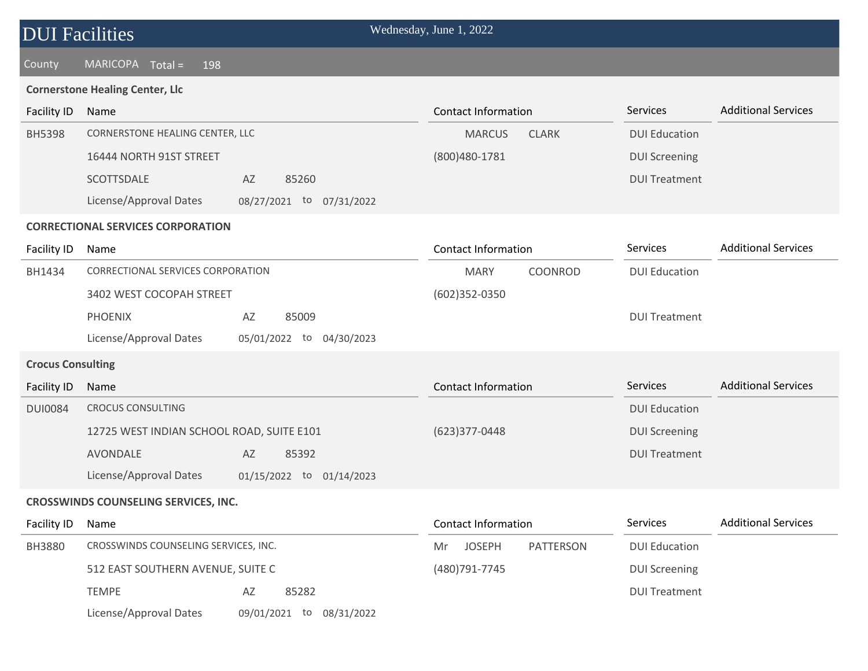| <b>DUI</b> Facilities    |                                                       | Wednesday, June 1, 2022          |                      |                            |
|--------------------------|-------------------------------------------------------|----------------------------------|----------------------|----------------------------|
| County                   | <b>MARICOPA</b><br>$Total =$<br>198                   |                                  |                      |                            |
|                          | <b>Cornerstone Healing Center, Llc</b>                |                                  |                      |                            |
| <b>Facility ID</b>       | Name                                                  | <b>Contact Information</b>       | Services             | <b>Additional Services</b> |
| <b>BH5398</b>            | CORNERSTONE HEALING CENTER, LLC                       | <b>MARCUS</b><br><b>CLARK</b>    | <b>DUI Education</b> |                            |
|                          | 16444 NORTH 91ST STREET                               | (800) 480 - 1781                 | <b>DUI Screening</b> |                            |
|                          | 85260<br>SCOTTSDALE<br>AZ                             |                                  | <b>DUI Treatment</b> |                            |
|                          | License/Approval Dates<br>08/27/2021 to 07/31/2022    |                                  |                      |                            |
|                          | <b>CORRECTIONAL SERVICES CORPORATION</b>              |                                  |                      |                            |
| Facility ID              | Name                                                  | <b>Contact Information</b>       | Services             | <b>Additional Services</b> |
| BH1434                   | CORRECTIONAL SERVICES CORPORATION                     | COONROD<br><b>MARY</b>           | <b>DUI Education</b> |                            |
|                          | 3402 WEST COCOPAH STREET                              | (602)352-0350                    |                      |                            |
|                          | <b>PHOENIX</b><br>AZ<br>85009                         |                                  | <b>DUI Treatment</b> |                            |
|                          | License/Approval Dates<br>05/01/2022 to<br>04/30/2023 |                                  |                      |                            |
| <b>Crocus Consulting</b> |                                                       |                                  |                      |                            |
| Facility ID              | Name                                                  | <b>Contact Information</b>       | Services             | <b>Additional Services</b> |
| <b>DUI0084</b>           | <b>CROCUS CONSULTING</b>                              |                                  | <b>DUI Education</b> |                            |
|                          | 12725 WEST INDIAN SCHOOL ROAD, SUITE E101             | (623)377-0448                    | <b>DUI Screening</b> |                            |
|                          | AVONDALE<br>AZ<br>85392                               |                                  | <b>DUI Treatment</b> |                            |
|                          | License/Approval Dates<br>01/15/2022 to 01/14/2023    |                                  |                      |                            |
|                          | CROSSWINDS COUNSELING SERVICES, INC.                  |                                  |                      |                            |
| <b>Facility ID</b>       | Name                                                  | <b>Contact Information</b>       | Services             | <b>Additional Services</b> |
| <b>BH3880</b>            | CROSSWINDS COUNSELING SERVICES, INC.                  | <b>JOSEPH</b><br>PATTERSON<br>Mr | <b>DUI Education</b> |                            |
|                          | 512 EAST SOUTHERN AVENUE, SUITE C                     | (480) 791 - 7745                 | <b>DUI Screening</b> |                            |
|                          | <b>TEMPE</b><br>85282<br>AZ                           |                                  | <b>DUI Treatment</b> |                            |
|                          | License/Approval Dates<br>09/01/2021 to 08/31/2022    |                                  |                      |                            |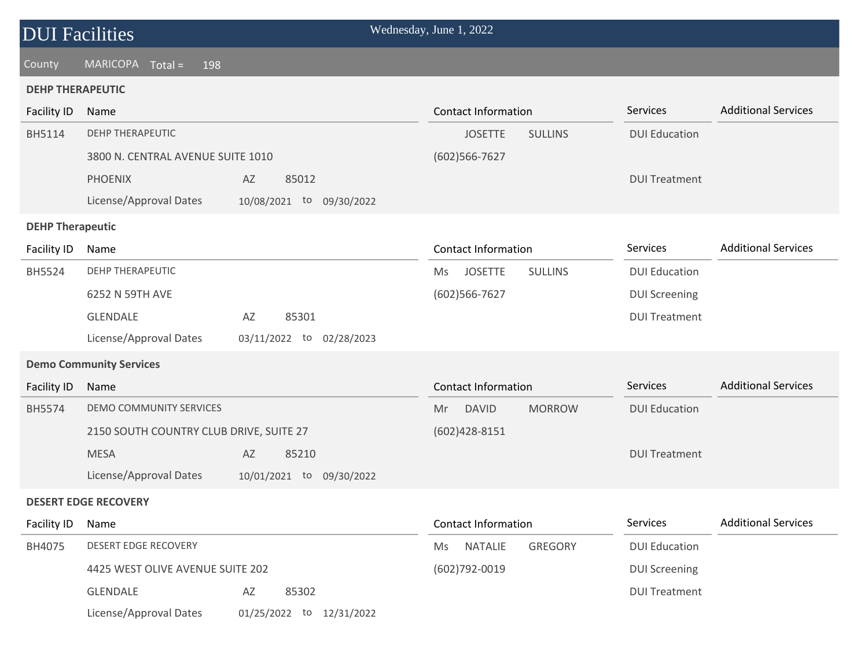### County MARICOPA Total = 198

### **DEHP THERAPEUTIC**

| <b>Facility ID</b>      | Name                                    |                          | <b>Contact Information</b> |                | Services             | <b>Additional Services</b> |
|-------------------------|-----------------------------------------|--------------------------|----------------------------|----------------|----------------------|----------------------------|
| BH5114                  | <b>DEHP THERAPEUTIC</b>                 |                          | <b>JOSETTE</b>             | <b>SULLINS</b> | <b>DUI Education</b> |                            |
|                         | 3800 N. CENTRAL AVENUE SUITE 1010       |                          | (602)566-7627              |                |                      |                            |
|                         | <b>PHOENIX</b>                          | 85012<br>AZ              |                            |                | <b>DUI Treatment</b> |                            |
|                         | License/Approval Dates                  | 10/08/2021 to 09/30/2022 |                            |                |                      |                            |
| <b>DEHP Therapeutic</b> |                                         |                          |                            |                |                      |                            |
| Facility ID             | Name                                    |                          | <b>Contact Information</b> |                | Services             | <b>Additional Services</b> |
| BH5524                  | <b>DEHP THERAPEUTIC</b>                 |                          | <b>JOSETTE</b><br>Ms       | <b>SULLINS</b> | <b>DUI Education</b> |                            |
|                         | 6252 N 59TH AVE                         |                          | (602)566-7627              |                | <b>DUI Screening</b> |                            |
|                         | <b>GLENDALE</b>                         | 85301<br>AZ              |                            |                | <b>DUI Treatment</b> |                            |
|                         | License/Approval Dates                  | 03/11/2022 to 02/28/2023 |                            |                |                      |                            |
|                         | <b>Demo Community Services</b>          |                          |                            |                |                      |                            |
| <b>Facility ID</b>      | Name                                    |                          | <b>Contact Information</b> |                | Services             | <b>Additional Services</b> |
| <b>BH5574</b>           | DEMO COMMUNITY SERVICES                 |                          | <b>DAVID</b><br>Mr         | <b>MORROW</b>  | <b>DUI Education</b> |                            |
|                         | 2150 SOUTH COUNTRY CLUB DRIVE, SUITE 27 |                          | $(602)428 - 8151$          |                |                      |                            |
|                         | <b>MESA</b>                             | AZ<br>85210              |                            |                | <b>DUI Treatment</b> |                            |
|                         | License/Approval Dates                  | 10/01/2021 to 09/30/2022 |                            |                |                      |                            |
|                         | <b>DESERT EDGE RECOVERY</b>             |                          |                            |                |                      |                            |
| Facility ID             | Name                                    |                          | <b>Contact Information</b> |                | Services             | <b>Additional Services</b> |
| BH4075                  | <b>DESERT EDGE RECOVERY</b>             |                          | <b>NATALIE</b><br>Ms       | <b>GREGORY</b> | <b>DUI Education</b> |                            |
|                         | 4425 WEST OLIVE AVENUE SUITE 202        |                          | (602)792-0019              |                | <b>DUI Screening</b> |                            |
|                         | <b>GLENDALE</b>                         | 85302<br>AZ              |                            |                | <b>DUI Treatment</b> |                            |
|                         | License/Approval Dates                  | 01/25/2022 to 12/31/2022 |                            |                |                      |                            |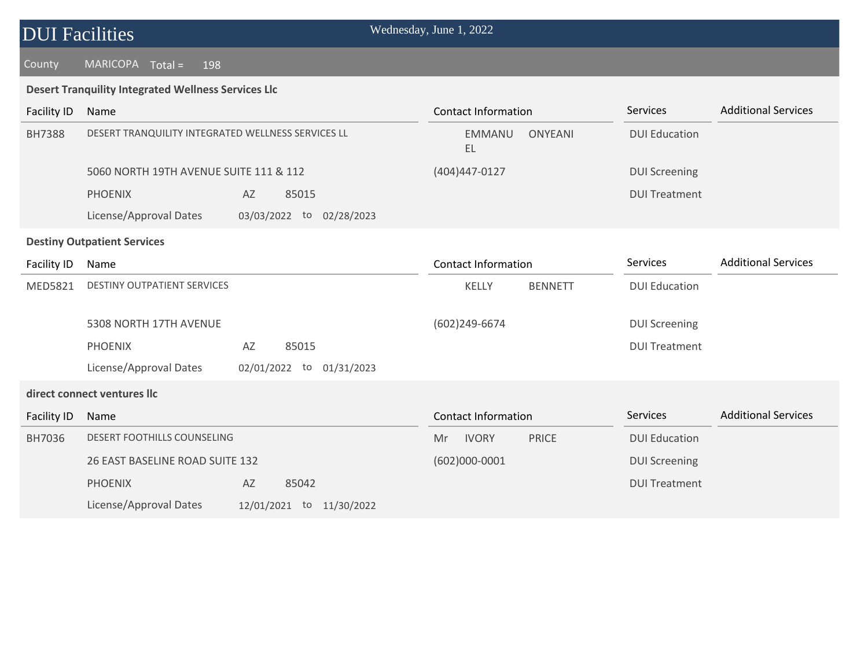### County MARICOPA Total = 198

### **Desert Tranquility Integrated Wellness Services Llc**

| <b>Facility ID</b>                 | Name                                               |    |                             | <b>Contact Information</b> |                      | Services             | <b>Additional Services</b> |
|------------------------------------|----------------------------------------------------|----|-----------------------------|----------------------------|----------------------|----------------------|----------------------------|
| <b>BH7388</b>                      | DESERT TRANQUILITY INTEGRATED WELLNESS SERVICES LL |    | <b>EMMANU</b><br>EL         | <b>ONYEANI</b>             | <b>DUI Education</b> |                      |                            |
|                                    | 5060 NORTH 19TH AVENUE SUITE 111 & 112             |    |                             | (404)447-0127              |                      | <b>DUI Screening</b> |                            |
|                                    | <b>PHOENIX</b>                                     | AZ | 85015                       |                            |                      | <b>DUI Treatment</b> |                            |
|                                    | License/Approval Dates                             |    | 03/03/2022 to 02/28/2023    |                            |                      |                      |                            |
| <b>Destiny Outpatient Services</b> |                                                    |    |                             |                            |                      |                      |                            |
| <b>Facility ID</b>                 | Name                                               |    |                             | <b>Contact Information</b> |                      | Services             | <b>Additional Services</b> |
| MED5821                            | <b>DESTINY OUTPATIENT SERVICES</b>                 |    |                             | KELLY                      | <b>BENNETT</b>       | <b>DUI Education</b> |                            |
|                                    | 5308 NORTH 17TH AVENUE                             |    |                             | (602)249-6674              |                      | <b>DUI Screening</b> |                            |
|                                    | <b>PHOENIX</b>                                     | AZ | 85015                       |                            |                      | <b>DUI Treatment</b> |                            |
|                                    | License/Approval Dates                             |    | 02/01/2022 to<br>01/31/2023 |                            |                      |                      |                            |
|                                    | direct connect ventures llc                        |    |                             |                            |                      |                      |                            |
| <b>Facility ID</b>                 | Name                                               |    |                             | <b>Contact Information</b> |                      | Services             | <b>Additional Services</b> |
| BH7036                             | DESERT FOOTHILLS COUNSELING                        |    |                             | <b>IVORY</b><br>Mr         | <b>PRICE</b>         | <b>DUI Education</b> |                            |
|                                    | 26 EAST BASELINE ROAD SUITE 132                    |    |                             | $(602)000 - 0001$          |                      | <b>DUI Screening</b> |                            |
|                                    | <b>PHOENIX</b>                                     | AZ | 85042                       |                            |                      | <b>DUI Treatment</b> |                            |
|                                    | License/Approval Dates                             |    | 12/01/2021 to 11/30/2022    |                            |                      |                      |                            |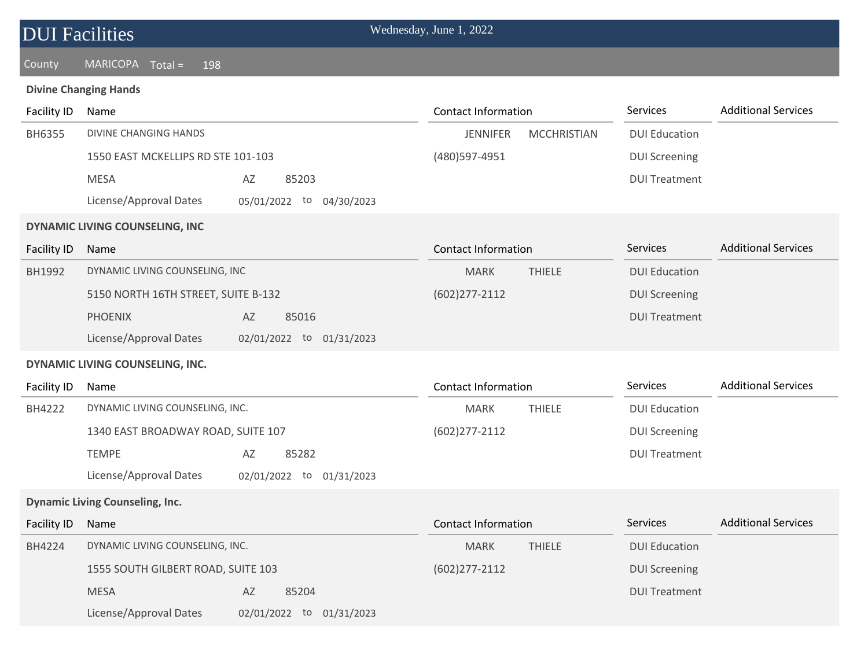### County MARICOPA Total = 198

### **Divine Changing Hands**

| <b>Facility ID</b> | Name                                                  | <b>Contact Information</b>            | Services             | <b>Additional Services</b> |
|--------------------|-------------------------------------------------------|---------------------------------------|----------------------|----------------------------|
| BH6355             | <b>DIVINE CHANGING HANDS</b>                          | <b>JENNIFER</b><br><b>MCCHRISTIAN</b> | <b>DUI Education</b> |                            |
|                    | 1550 EAST MCKELLIPS RD STE 101-103                    | (480) 597-4951                        | <b>DUI Screening</b> |                            |
|                    | <b>MESA</b><br>AZ<br>85203                            |                                       | <b>DUI Treatment</b> |                            |
|                    | License/Approval Dates<br>05/01/2022 to<br>04/30/2023 |                                       |                      |                            |
|                    | DYNAMIC LIVING COUNSELING, INC                        |                                       |                      |                            |
| <b>Facility ID</b> | Name                                                  | <b>Contact Information</b>            | Services             | <b>Additional Services</b> |
| BH1992             | DYNAMIC LIVING COUNSELING, INC                        | <b>THIELE</b><br><b>MARK</b>          | <b>DUI Education</b> |                            |
|                    | 5150 NORTH 16TH STREET, SUITE B-132                   | $(602)$ 277-2112                      | <b>DUI Screening</b> |                            |
|                    | <b>PHOENIX</b><br>AZ<br>85016                         |                                       | <b>DUI Treatment</b> |                            |
|                    | License/Approval Dates<br>02/01/2022 to 01/31/2023    |                                       |                      |                            |
|                    | DYNAMIC LIVING COUNSELING, INC.                       |                                       |                      |                            |
| Facility ID        | Name                                                  | <b>Contact Information</b>            | Services             | <b>Additional Services</b> |
| BH4222             | DYNAMIC LIVING COUNSELING, INC.                       | <b>MARK</b><br><b>THIELE</b>          | <b>DUI Education</b> |                            |
|                    | 1340 EAST BROADWAY ROAD, SUITE 107                    | $(602)$ 277-2112                      | <b>DUI Screening</b> |                            |
|                    | <b>TEMPE</b><br>AZ<br>85282                           |                                       | <b>DUI Treatment</b> |                            |
|                    | License/Approval Dates<br>02/01/2022 to<br>01/31/2023 |                                       |                      |                            |
|                    | <b>Dynamic Living Counseling, Inc.</b>                |                                       |                      |                            |
| <b>Facility ID</b> | Name                                                  | <b>Contact Information</b>            | <b>Services</b>      | <b>Additional Services</b> |
| BH4224             | DYNAMIC LIVING COUNSELING, INC.                       | <b>MARK</b><br><b>THIELE</b>          | <b>DUI Education</b> |                            |
|                    | 1555 SOUTH GILBERT ROAD, SUITE 103                    | $(602)$ 277-2112                      | <b>DUI Screening</b> |                            |
|                    | <b>MESA</b><br>AZ<br>85204                            |                                       | <b>DUI Treatment</b> |                            |
|                    | License/Approval Dates<br>02/01/2022 to 01/31/2023    |                                       |                      |                            |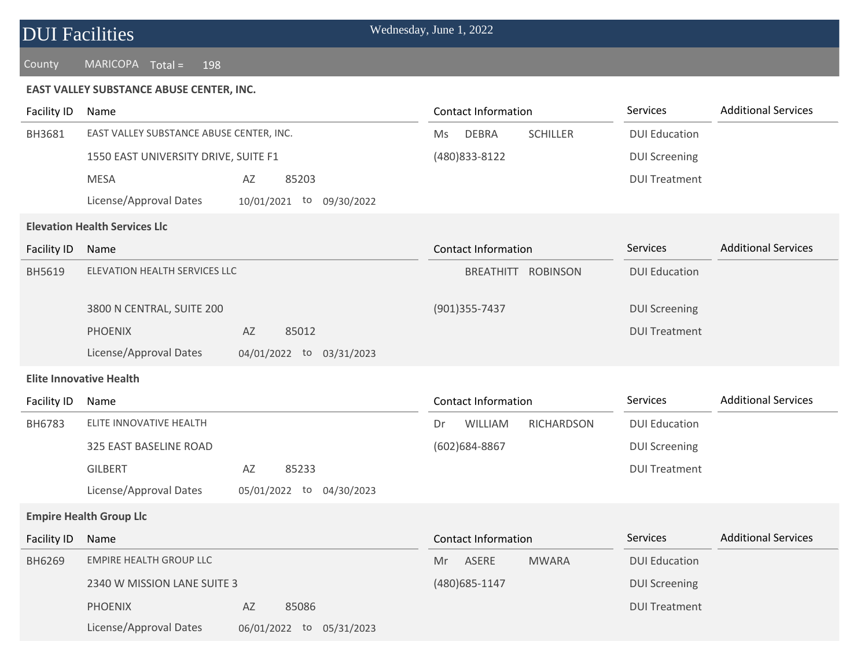### County MARICOPA Total = 198

### **EAST VALLEY SUBSTANCE ABUSE CENTER, INC.**

| <b>Facility ID</b> | Name                                     |                             | <b>Contact Information</b>            | Services             | <b>Additional Services</b> |
|--------------------|------------------------------------------|-----------------------------|---------------------------------------|----------------------|----------------------------|
| BH3681             | EAST VALLEY SUBSTANCE ABUSE CENTER, INC. |                             | <b>DEBRA</b><br><b>SCHILLER</b><br>Ms | <b>DUI Education</b> |                            |
|                    | 1550 EAST UNIVERSITY DRIVE, SUITE F1     |                             | (480) 833-8122                        | <b>DUI Screening</b> |                            |
|                    | <b>MESA</b>                              | AZ<br>85203                 |                                       | <b>DUI Treatment</b> |                            |
|                    | License/Approval Dates                   | 10/01/2021 to<br>09/30/2022 |                                       |                      |                            |
|                    | <b>Elevation Health Services Llc</b>     |                             |                                       |                      |                            |
| <b>Facility ID</b> | Name                                     |                             | <b>Contact Information</b>            | Services             | <b>Additional Services</b> |
| BH5619             | ELEVATION HEALTH SERVICES LLC            |                             | BREATHITT ROBINSON                    | <b>DUI Education</b> |                            |
|                    | 3800 N CENTRAL, SUITE 200                |                             | (901) 355 - 7437                      | <b>DUI Screening</b> |                            |
|                    | <b>PHOENIX</b>                           | 85012<br>AZ                 |                                       | <b>DUI Treatment</b> |                            |
|                    | License/Approval Dates                   | 04/01/2022 to 03/31/2023    |                                       |                      |                            |
|                    | <b>Elite Innovative Health</b>           |                             |                                       |                      |                            |
| Facility ID        | Name                                     |                             | <b>Contact Information</b>            | Services             | <b>Additional Services</b> |
| BH6783             | ELITE INNOVATIVE HEALTH                  |                             | WILLIAM<br><b>RICHARDSON</b><br>Dr    | <b>DUI Education</b> |                            |
|                    | 325 EAST BASELINE ROAD                   |                             | (602)684-8867                         | <b>DUI Screening</b> |                            |
|                    | <b>GILBERT</b>                           | 85233<br>AZ                 |                                       | <b>DUI Treatment</b> |                            |
|                    | License/Approval Dates                   | 05/01/2022 to<br>04/30/2023 |                                       |                      |                            |
|                    | <b>Empire Health Group Llc</b>           |                             |                                       |                      |                            |
| <b>Facility ID</b> | Name                                     |                             | <b>Contact Information</b>            | Services             | <b>Additional Services</b> |
| BH6269             | <b>EMPIRE HEALTH GROUP LLC</b>           |                             | ASERE<br><b>MWARA</b><br>Mr.          | <b>DUI Education</b> |                            |
|                    | 2340 W MISSION LANE SUITE 3              |                             | (480) 685-1147                        | <b>DUI Screening</b> |                            |
|                    | <b>PHOENIX</b>                           | AZ<br>85086                 |                                       | <b>DUI Treatment</b> |                            |
|                    | License/Approval Dates                   | 06/01/2022 to 05/31/2023    |                                       |                      |                            |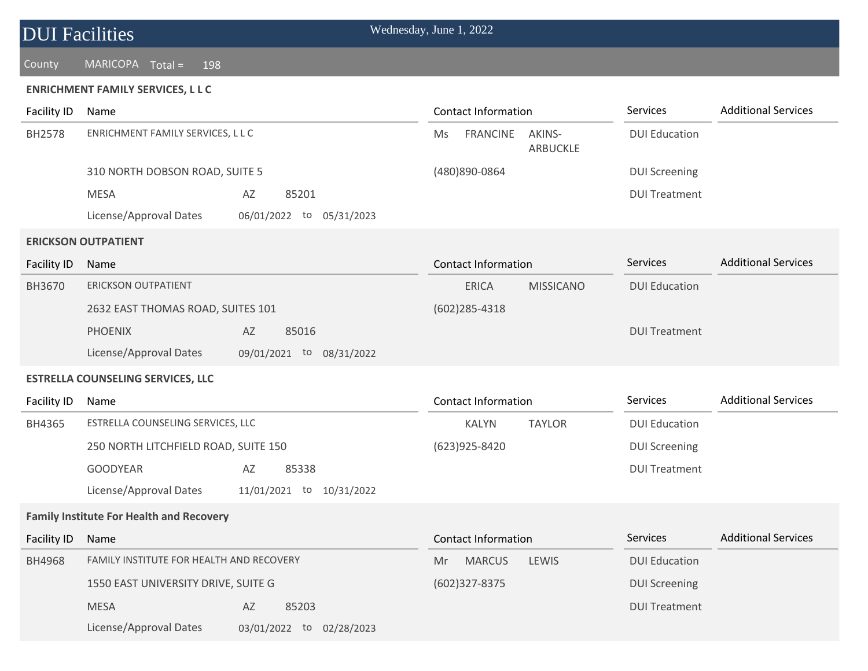### County MARICOPA Total = 198

### **ENRICHMENT FAMILY SERVICES, L L C**

| Facility ID        | Name                                            |                          |    | <b>Contact Information</b> |                    | Services             | <b>Additional Services</b> |
|--------------------|-------------------------------------------------|--------------------------|----|----------------------------|--------------------|----------------------|----------------------------|
| BH2578             | ENRICHMENT FAMILY SERVICES, L L C               |                          | Ms | <b>FRANCINE</b>            | AKINS-<br>ARBUCKLE | <b>DUI Education</b> |                            |
|                    | 310 NORTH DOBSON ROAD, SUITE 5                  |                          |    | (480)890-0864              |                    | <b>DUI Screening</b> |                            |
|                    | <b>MESA</b>                                     | AZ<br>85201              |    |                            |                    | <b>DUI Treatment</b> |                            |
|                    | License/Approval Dates                          | 06/01/2022 to 05/31/2023 |    |                            |                    |                      |                            |
|                    | <b>ERICKSON OUTPATIENT</b>                      |                          |    |                            |                    |                      |                            |
| <b>Facility ID</b> | Name                                            |                          |    | <b>Contact Information</b> |                    | <b>Services</b>      | <b>Additional Services</b> |
| BH3670             | <b>ERICKSON OUTPATIENT</b>                      |                          |    | <b>ERICA</b>               | <b>MISSICANO</b>   | <b>DUI Education</b> |                            |
|                    | 2632 EAST THOMAS ROAD, SUITES 101               |                          |    | $(602)$ 285-4318           |                    |                      |                            |
|                    | <b>PHOENIX</b>                                  | 85016<br>AZ              |    |                            |                    | <b>DUI Treatment</b> |                            |
|                    | License/Approval Dates                          | 09/01/2021 to 08/31/2022 |    |                            |                    |                      |                            |
|                    | <b>ESTRELLA COUNSELING SERVICES, LLC</b>        |                          |    |                            |                    |                      |                            |
| <b>Facility ID</b> | Name                                            |                          |    | <b>Contact Information</b> |                    | Services             | <b>Additional Services</b> |
| BH4365             | ESTRELLA COUNSELING SERVICES, LLC               |                          |    | <b>KALYN</b>               | <b>TAYLOR</b>      | <b>DUI Education</b> |                            |
|                    | 250 NORTH LITCHFIELD ROAD, SUITE 150            |                          |    | (623) 925-8420             |                    | <b>DUI Screening</b> |                            |
|                    | <b>GOODYEAR</b>                                 | AZ<br>85338              |    |                            |                    | <b>DUI Treatment</b> |                            |
|                    | License/Approval Dates                          | 11/01/2021 to 10/31/2022 |    |                            |                    |                      |                            |
|                    | <b>Family Institute For Health and Recovery</b> |                          |    |                            |                    |                      |                            |
| <b>Facility ID</b> | Name                                            |                          |    | <b>Contact Information</b> |                    | Services             | <b>Additional Services</b> |
| BH4968             | <b>FAMILY INSTITUTE FOR HEALTH AND RECOVERY</b> |                          | Mr | <b>MARCUS</b>              | LEWIS              | <b>DUI Education</b> |                            |
|                    | 1550 EAST UNIVERSITY DRIVE, SUITE G             |                          |    | (602)327-8375              |                    | <b>DUI Screening</b> |                            |
|                    | <b>MESA</b>                                     | 85203<br>AZ              |    |                            |                    | <b>DUI Treatment</b> |                            |
|                    | License/Approval Dates                          | 03/01/2022 to 02/28/2023 |    |                            |                    |                      |                            |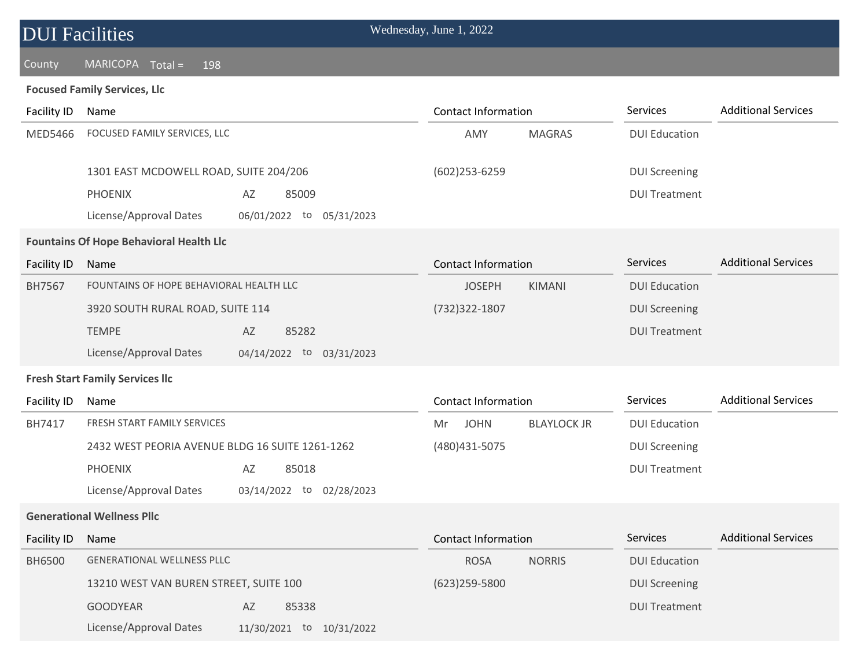### County MARICOPA Total = 198

### **Focused Family Services, Llc**

| Facility ID        | Name                                            |                             | <b>Contact Information</b> |                    | Services             | <b>Additional Services</b> |
|--------------------|-------------------------------------------------|-----------------------------|----------------------------|--------------------|----------------------|----------------------------|
| MED5466            | FOCUSED FAMILY SERVICES, LLC                    |                             | AMY                        | <b>MAGRAS</b>      | <b>DUI Education</b> |                            |
|                    | 1301 EAST MCDOWELL ROAD, SUITE 204/206          |                             | (602)253-6259              |                    | <b>DUI Screening</b> |                            |
|                    | <b>PHOENIX</b>                                  | AZ<br>85009                 |                            |                    | <b>DUI Treatment</b> |                            |
|                    | License/Approval Dates                          | 06/01/2022 to 05/31/2023    |                            |                    |                      |                            |
|                    | <b>Fountains Of Hope Behavioral Health Llc</b>  |                             |                            |                    |                      |                            |
| <b>Facility ID</b> | Name                                            |                             | <b>Contact Information</b> |                    | Services             | <b>Additional Services</b> |
| BH7567             | FOUNTAINS OF HOPE BEHAVIORAL HEALTH LLC         |                             | <b>JOSEPH</b>              | KIMANI             | <b>DUI Education</b> |                            |
|                    | 3920 SOUTH RURAL ROAD, SUITE 114                |                             | (732) 322-1807             |                    | <b>DUI Screening</b> |                            |
|                    | <b>TEMPE</b>                                    | AZ<br>85282                 |                            |                    | <b>DUI Treatment</b> |                            |
|                    | License/Approval Dates                          | 04/14/2022 to 03/31/2023    |                            |                    |                      |                            |
|                    | <b>Fresh Start Family Services Ilc</b>          |                             |                            |                    |                      |                            |
| Facility ID        | Name                                            |                             | <b>Contact Information</b> |                    | Services             | <b>Additional Services</b> |
| BH7417             | FRESH START FAMILY SERVICES                     |                             | <b>JOHN</b><br>Mr          | <b>BLAYLOCK JR</b> | <b>DUI Education</b> |                            |
|                    | 2432 WEST PEORIA AVENUE BLDG 16 SUITE 1261-1262 |                             | (480) 431-5075             |                    | <b>DUI Screening</b> |                            |
|                    | <b>PHOENIX</b>                                  | AZ<br>85018                 |                            |                    | <b>DUI Treatment</b> |                            |
|                    | License/Approval Dates                          | 03/14/2022 to<br>02/28/2023 |                            |                    |                      |                            |
|                    | <b>Generational Wellness Pllc</b>               |                             |                            |                    |                      |                            |
| Facility ID        | Name                                            |                             | <b>Contact Information</b> |                    | Services             | <b>Additional Services</b> |
| <b>BH6500</b>      | <b>GENERATIONAL WELLNESS PLLC</b>               |                             | <b>ROSA</b>                | <b>NORRIS</b>      | <b>DUI Education</b> |                            |
|                    | 13210 WEST VAN BUREN STREET, SUITE 100          |                             | $(623)$ 259-5800           |                    | <b>DUI Screening</b> |                            |
|                    | <b>GOODYEAR</b>                                 | AZ<br>85338                 |                            |                    | <b>DUI Treatment</b> |                            |
|                    | License/Approval Dates                          | 11/30/2021 to 10/31/2022    |                            |                    |                      |                            |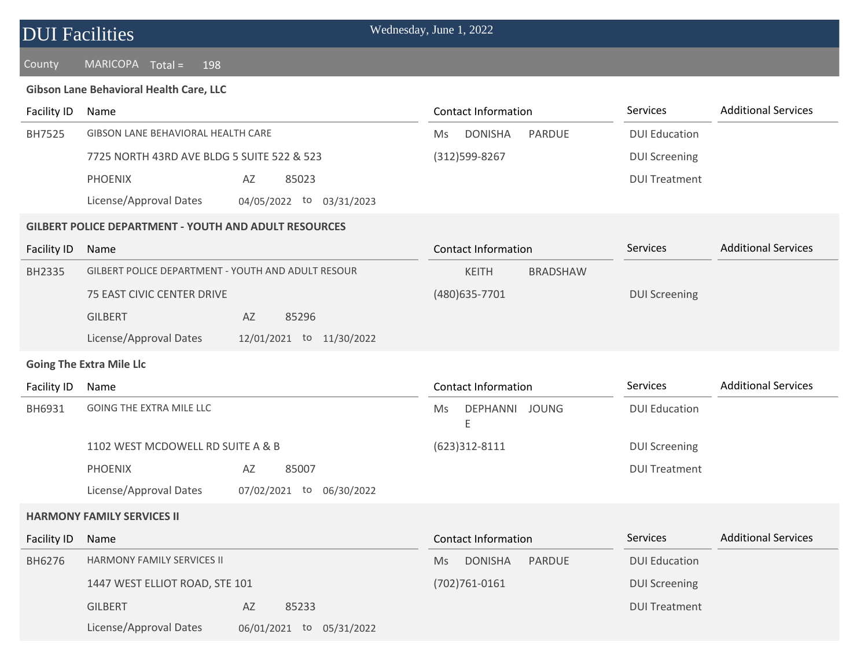| <b>DUI Facilities</b> |
|-----------------------|
|-----------------------|

### **Gibson Lane Behavioral Health Care, LLC**

| <b>Facility ID</b> | Name                                                         |                          | <b>Contact Information</b> |                 | Services             | <b>Additional Services</b> |
|--------------------|--------------------------------------------------------------|--------------------------|----------------------------|-----------------|----------------------|----------------------------|
| BH7525             | GIBSON LANE BEHAVIORAL HEALTH CARE                           |                          | <b>DONISHA</b><br>Ms       | <b>PARDUE</b>   | <b>DUI Education</b> |                            |
|                    | 7725 NORTH 43RD AVE BLDG 5 SUITE 522 & 523                   |                          | (312) 599-8267             |                 | <b>DUI Screening</b> |                            |
|                    | <b>PHOENIX</b>                                               | 85023<br>AZ              |                            |                 | <b>DUI Treatment</b> |                            |
|                    | License/Approval Dates                                       | 04/05/2022 to 03/31/2023 |                            |                 |                      |                            |
|                    | <b>GILBERT POLICE DEPARTMENT - YOUTH AND ADULT RESOURCES</b> |                          |                            |                 |                      |                            |
| <b>Facility ID</b> | Name                                                         |                          | <b>Contact Information</b> |                 | Services             | <b>Additional Services</b> |
| BH2335             | GILBERT POLICE DEPARTMENT - YOUTH AND ADULT RESOUR           |                          | <b>KEITH</b>               | <b>BRADSHAW</b> |                      |                            |
|                    | 75 EAST CIVIC CENTER DRIVE                                   |                          | (480) 635-7701             |                 | <b>DUI Screening</b> |                            |
|                    | <b>GILBERT</b>                                               | 85296<br>AZ              |                            |                 |                      |                            |
|                    | License/Approval Dates                                       | 12/01/2021 to 11/30/2022 |                            |                 |                      |                            |
|                    | <b>Going The Extra Mile Llc</b>                              |                          |                            |                 |                      |                            |
| Facility ID        | Name                                                         |                          | <b>Contact Information</b> |                 | Services             | <b>Additional Services</b> |
| BH6931             | <b>GOING THE EXTRA MILE LLC</b>                              |                          | DEPHANNI JOUNG<br>Ms<br>E  |                 | <b>DUI Education</b> |                            |
|                    | 1102 WEST MCDOWELL RD SUITE A & B                            |                          | $(623)312 - 8111$          |                 | <b>DUI Screening</b> |                            |
|                    | <b>PHOENIX</b>                                               | 85007<br>AZ              |                            |                 | <b>DUI Treatment</b> |                            |
|                    | License/Approval Dates                                       | 07/02/2021 to 06/30/2022 |                            |                 |                      |                            |
|                    | <b>HARMONY FAMILY SERVICES II</b>                            |                          |                            |                 |                      |                            |
| <b>Facility ID</b> | Name                                                         |                          | <b>Contact Information</b> |                 | Services             | <b>Additional Services</b> |
| BH6276             | HARMONY FAMILY SERVICES II                                   |                          | <b>DONISHA</b><br>Ms       | <b>PARDUE</b>   | <b>DUI Education</b> |                            |
|                    | 1447 WEST ELLIOT ROAD, STE 101                               |                          | $(702)761 - 0161$          |                 | <b>DUI Screening</b> |                            |
|                    | <b>GILBERT</b>                                               | AZ<br>85233              |                            |                 | <b>DUI Treatment</b> |                            |
|                    | License/Approval Dates                                       | 06/01/2021 to 05/31/2022 |                            |                 |                      |                            |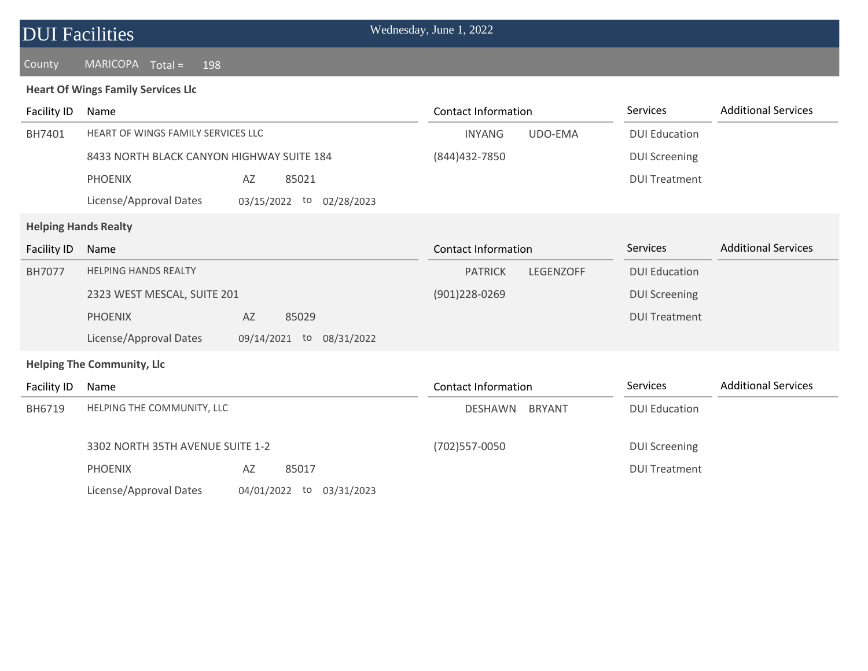| <b>DUI Facilities</b> |
|-----------------------|
|-----------------------|

### **Heart Of Wings Family Services Llc**

| Facility ID        | Name                                      |                                | <b>Contact Information</b>         | Services             | <b>Additional Services</b> |
|--------------------|-------------------------------------------|--------------------------------|------------------------------------|----------------------|----------------------------|
| BH7401             | HEART OF WINGS FAMILY SERVICES LLC        |                                | UDO-EMA<br><b>INYANG</b>           | <b>DUI Education</b> |                            |
|                    | 8433 NORTH BLACK CANYON HIGHWAY SUITE 184 |                                | (844) 432-7850                     | <b>DUI Screening</b> |                            |
|                    | <b>PHOENIX</b>                            | AZ<br>85021                    |                                    | <b>DUI Treatment</b> |                            |
|                    | License/Approval Dates                    | 03/15/2022<br>to<br>02/28/2023 |                                    |                      |                            |
|                    | <b>Helping Hands Realty</b>               |                                |                                    |                      |                            |
| <b>Facility ID</b> | Name                                      |                                | <b>Contact Information</b>         | Services             | <b>Additional Services</b> |
| <b>BH7077</b>      | <b>HELPING HANDS REALTY</b>               |                                | <b>PATRICK</b><br><b>LEGENZOFF</b> | <b>DUI Education</b> |                            |
|                    | 2323 WEST MESCAL, SUITE 201               |                                | $(901)$ 228-0269                   | <b>DUI Screening</b> |                            |
|                    | <b>PHOENIX</b>                            | AZ<br>85029                    |                                    | <b>DUI Treatment</b> |                            |
|                    | License/Approval Dates                    | 09/14/2021 to<br>08/31/2022    |                                    |                      |                            |
|                    | <b>Helping The Community, Llc</b>         |                                |                                    |                      |                            |
| Facility ID        | Name                                      |                                | <b>Contact Information</b>         | Services             | <b>Additional Services</b> |
| BH6719             | HELPING THE COMMUNITY, LLC                |                                | <b>DESHAWN</b><br><b>BRYANT</b>    | <b>DUI Education</b> |                            |
|                    | 3302 NORTH 35TH AVENUE SUITE 1-2          |                                | (702) 557-0050                     | <b>DUI Screening</b> |                            |
|                    | <b>PHOENIX</b>                            | AZ<br>85017                    |                                    | <b>DUI Treatment</b> |                            |
|                    | License/Approval Dates                    | 04/01/2022<br>to<br>03/31/2023 |                                    |                      |                            |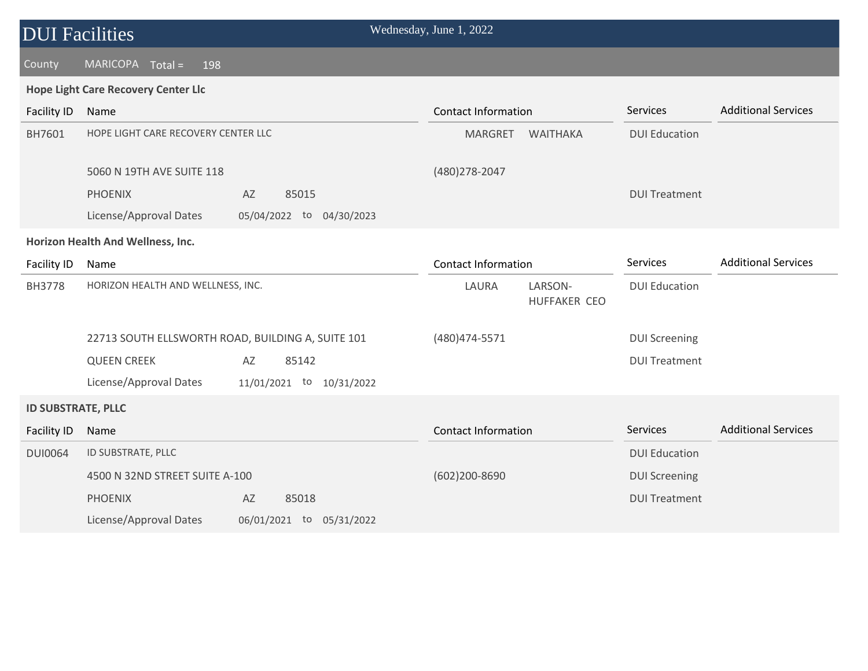| <b>DUI Facilities</b>     |                                                   |                          | Wednesday, June 1, 2022    |                                |                      |                            |
|---------------------------|---------------------------------------------------|--------------------------|----------------------------|--------------------------------|----------------------|----------------------------|
| County                    | $MARICOPA$ Total =<br>198                         |                          |                            |                                |                      |                            |
|                           | <b>Hope Light Care Recovery Center Llc</b>        |                          |                            |                                |                      |                            |
| Facility ID               | Name                                              |                          | <b>Contact Information</b> |                                | Services             | <b>Additional Services</b> |
| BH7601                    | HOPE LIGHT CARE RECOVERY CENTER LLC               |                          | MARGRET                    | WAITHAKA                       | <b>DUI Education</b> |                            |
|                           | 5060 N 19TH AVE SUITE 118                         |                          | (480) 278-2047             |                                |                      |                            |
|                           | <b>PHOENIX</b>                                    | AZ<br>85015              |                            |                                | <b>DUI Treatment</b> |                            |
|                           | License/Approval Dates                            | 05/04/2022 to 04/30/2023 |                            |                                |                      |                            |
|                           | Horizon Health And Wellness, Inc.                 |                          |                            |                                |                      |                            |
| Facility ID               | Name                                              |                          | <b>Contact Information</b> |                                | Services             | <b>Additional Services</b> |
| <b>BH3778</b>             | HORIZON HEALTH AND WELLNESS, INC.                 |                          | LAURA                      | LARSON-<br><b>HUFFAKER CEO</b> | <b>DUI Education</b> |                            |
|                           | 22713 SOUTH ELLSWORTH ROAD, BUILDING A, SUITE 101 |                          | (480) 474-5571             |                                | <b>DUI Screening</b> |                            |
|                           | <b>QUEEN CREEK</b>                                | 85142<br>AZ              |                            |                                | <b>DUI Treatment</b> |                            |
|                           | License/Approval Dates                            | 11/01/2021 to 10/31/2022 |                            |                                |                      |                            |
| <b>ID SUBSTRATE, PLLC</b> |                                                   |                          |                            |                                |                      |                            |
| <b>Facility ID</b>        | Name                                              |                          | <b>Contact Information</b> |                                | Services             | <b>Additional Services</b> |
| <b>DUI0064</b>            | ID SUBSTRATE, PLLC                                |                          |                            |                                | <b>DUI Education</b> |                            |
|                           | 4500 N 32ND STREET SUITE A-100                    |                          | (602)200-8690              |                                | <b>DUI Screening</b> |                            |
|                           | <b>PHOENIX</b>                                    | AZ<br>85018              |                            |                                | <b>DUI Treatment</b> |                            |
|                           | License/Approval Dates                            | 06/01/2021 to 05/31/2022 |                            |                                |                      |                            |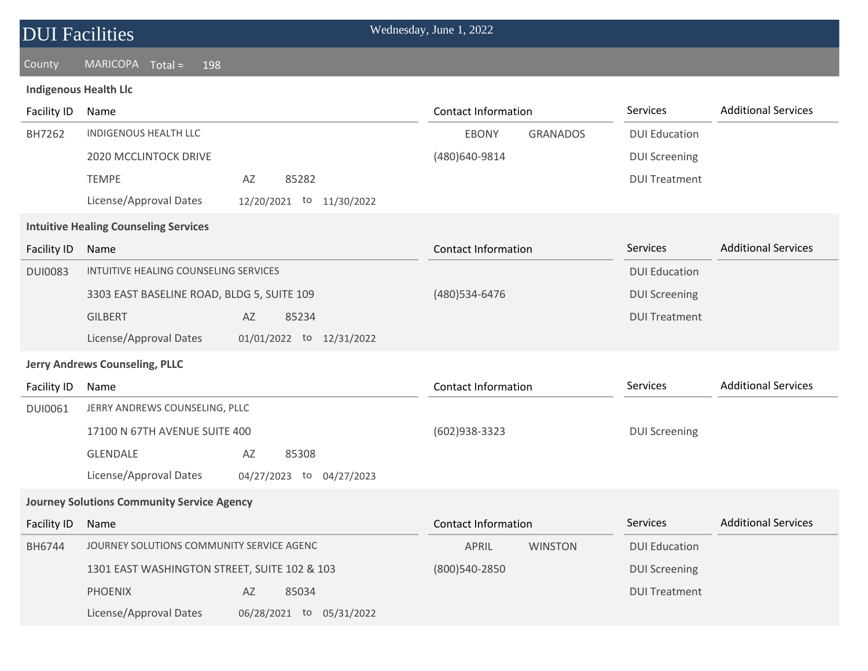| <b>DUI Facilities</b>        |                                                   |               |                          | Wednesday, June 1, 2022    |                 |                      |                            |
|------------------------------|---------------------------------------------------|---------------|--------------------------|----------------------------|-----------------|----------------------|----------------------------|
| County                       | <b>MARICOPA</b><br>$Total =$<br>198               |               |                          |                            |                 |                      |                            |
| <b>Indigenous Health Llc</b> |                                                   |               |                          |                            |                 |                      |                            |
| <b>Facility ID</b>           | Name                                              |               |                          | <b>Contact Information</b> |                 | Services             | <b>Additional Services</b> |
| BH7262                       | INDIGENOUS HEALTH LLC                             |               |                          | <b>EBONY</b>               | <b>GRANADOS</b> | <b>DUI Education</b> |                            |
|                              | 2020 MCCLINTOCK DRIVE                             |               |                          | (480)640-9814              |                 | <b>DUI Screening</b> |                            |
|                              | <b>TEMPE</b>                                      | AZ            | 85282                    |                            |                 | <b>DUI Treatment</b> |                            |
|                              | License/Approval Dates                            |               | 12/20/2021 to 11/30/2022 |                            |                 |                      |                            |
|                              | <b>Intuitive Healing Counseling Services</b>      |               |                          |                            |                 |                      |                            |
| <b>Facility ID</b>           | Name                                              |               |                          | <b>Contact Information</b> |                 | Services             | <b>Additional Services</b> |
| <b>DUI0083</b>               | INTUITIVE HEALING COUNSELING SERVICES             |               |                          |                            |                 | <b>DUI Education</b> |                            |
|                              | 3303 EAST BASELINE ROAD, BLDG 5, SUITE 109        |               |                          | (480) 534-6476             |                 | <b>DUI Screening</b> |                            |
|                              | <b>GILBERT</b>                                    | AZ            | 85234                    |                            |                 | <b>DUI Treatment</b> |                            |
|                              | License/Approval Dates                            |               | 01/01/2022 to 12/31/2022 |                            |                 |                      |                            |
|                              | <b>Jerry Andrews Counseling, PLLC</b>             |               |                          |                            |                 |                      |                            |
| <b>Facility ID</b>           | Name                                              |               |                          | <b>Contact Information</b> |                 | Services             | <b>Additional Services</b> |
| <b>DUI0061</b>               | JERRY ANDREWS COUNSELING, PLLC                    |               |                          |                            |                 |                      |                            |
|                              | 17100 N 67TH AVENUE SUITE 400                     |               |                          | $(602)938 - 3323$          |                 | <b>DUI Screening</b> |                            |
|                              | <b>GLENDALE</b>                                   | AZ            | 85308                    |                            |                 |                      |                            |
|                              | License/Approval Dates                            | 04/27/2023 to | 04/27/2023               |                            |                 |                      |                            |
|                              | <b>Journey Solutions Community Service Agency</b> |               |                          |                            |                 |                      |                            |
| <b>Facility ID</b>           | Name                                              |               |                          | <b>Contact Information</b> |                 | Services             | <b>Additional Services</b> |
| BH6744                       | JOURNEY SOLUTIONS COMMUNITY SERVICE AGENC         |               |                          | APRIL                      | <b>WINSTON</b>  | <b>DUI Education</b> |                            |
|                              | 1301 EAST WASHINGTON STREET, SUITE 102 & 103      |               |                          | (800) 540 - 2850           |                 | <b>DUI Screening</b> |                            |
|                              | <b>PHOENIX</b>                                    | AZ            | 85034                    |                            |                 | <b>DUI Treatment</b> |                            |

License/Approval Dates 06/28/2021 to 05/31/2022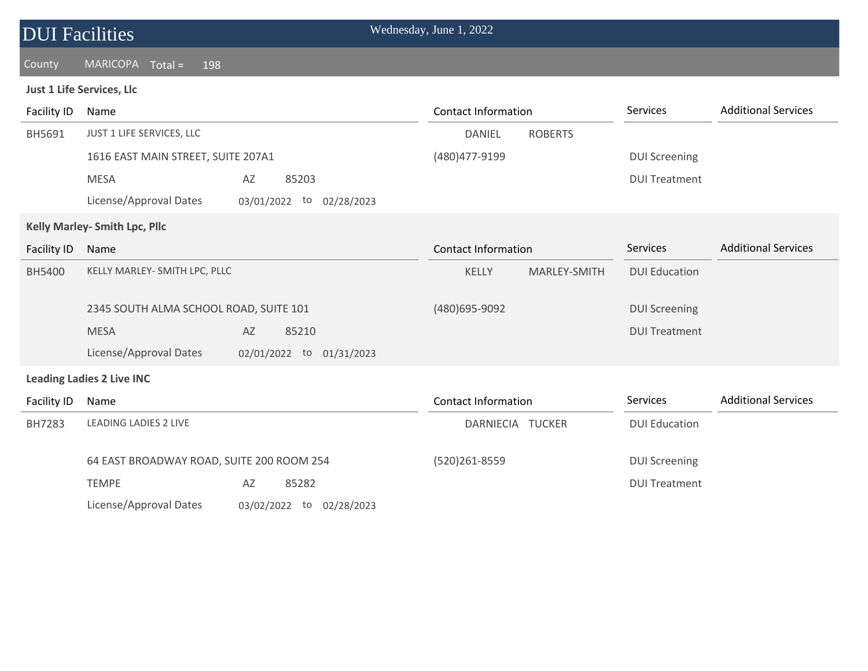| <b>DUI Facilities</b>         |                                           |                          |  | Wednesday, June 1, 2022    |                |                      |                            |
|-------------------------------|-------------------------------------------|--------------------------|--|----------------------------|----------------|----------------------|----------------------------|
| County                        | <b>MARICOPA</b><br>$Total =$<br>198       |                          |  |                            |                |                      |                            |
|                               | Just 1 Life Services, Llc                 |                          |  |                            |                |                      |                            |
| <b>Facility ID</b>            | Name                                      |                          |  | <b>Contact Information</b> |                | <b>Services</b>      | <b>Additional Services</b> |
| BH5691                        | JUST 1 LIFE SERVICES, LLC                 |                          |  | <b>DANIEL</b>              | <b>ROBERTS</b> |                      |                            |
|                               | 1616 EAST MAIN STREET, SUITE 207A1        |                          |  | (480) 477-9199             |                | <b>DUI Screening</b> |                            |
|                               | <b>MESA</b>                               | AZ<br>85203              |  |                            |                | <b>DUI Treatment</b> |                            |
|                               | License/Approval Dates                    | 03/01/2022 to 02/28/2023 |  |                            |                |                      |                            |
| Kelly Marley- Smith Lpc, Pllc |                                           |                          |  |                            |                |                      |                            |
| <b>Facility ID</b>            | Name                                      |                          |  | <b>Contact Information</b> |                | Services             | <b>Additional Services</b> |
| <b>BH5400</b>                 | KELLY MARLEY- SMITH LPC, PLLC             |                          |  | KELLY                      | MARLEY-SMITH   | <b>DUI Education</b> |                            |
|                               | 2345 SOUTH ALMA SCHOOL ROAD, SUITE 101    |                          |  | (480) 695-9092             |                | <b>DUI Screening</b> |                            |
|                               | <b>MESA</b>                               | AZ<br>85210              |  |                            |                | <b>DUI Treatment</b> |                            |
|                               | License/Approval Dates                    | 02/01/2022 to 01/31/2023 |  |                            |                |                      |                            |
|                               | <b>Leading Ladies 2 Live INC</b>          |                          |  |                            |                |                      |                            |
| <b>Facility ID</b>            | Name                                      |                          |  | <b>Contact Information</b> |                | Services             | <b>Additional Services</b> |
| BH7283                        | <b>LEADING LADIES 2 LIVE</b>              |                          |  | DARNIECIA TUCKER           |                | <b>DUI Education</b> |                            |
|                               | 64 EAST BROADWAY ROAD, SUITE 200 ROOM 254 |                          |  | (520)261-8559              |                | <b>DUI Screening</b> |                            |
|                               | <b>TEMPE</b>                              | AZ<br>85282              |  |                            |                | <b>DUI Treatment</b> |                            |

License/Approval Dates 03/02/2022 to 02/28/2023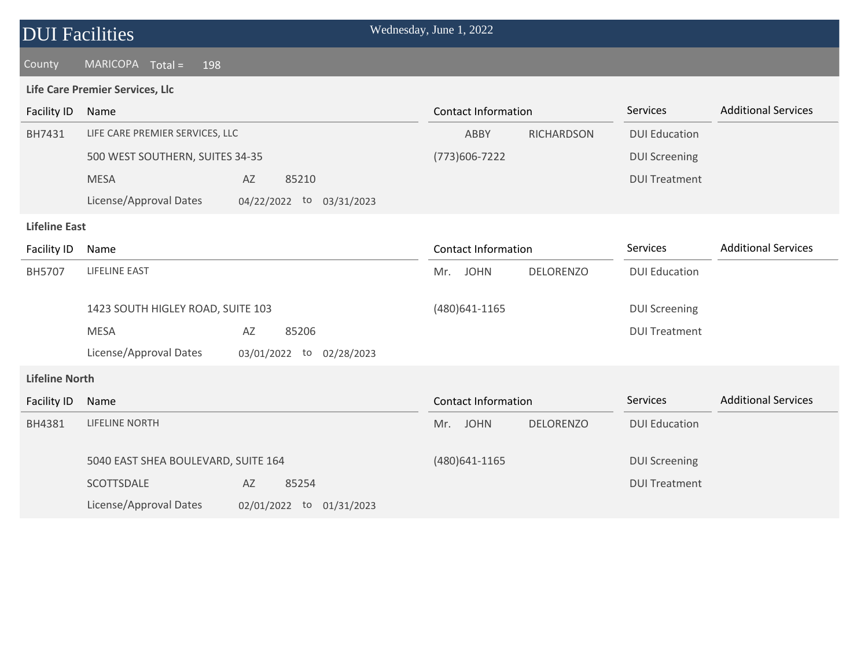| <b>DUI Facilities</b> |                                     |                          | Wednesday, June 1, 2022 |                            |                   |                      |                            |
|-----------------------|-------------------------------------|--------------------------|-------------------------|----------------------------|-------------------|----------------------|----------------------------|
| County                | $MARICOPA$ Total =<br>198           |                          |                         |                            |                   |                      |                            |
|                       | Life Care Premier Services, Llc     |                          |                         |                            |                   |                      |                            |
| <b>Facility ID</b>    | Name                                |                          |                         | <b>Contact Information</b> |                   | Services             | <b>Additional Services</b> |
| BH7431                | LIFE CARE PREMIER SERVICES, LLC     |                          |                         | ABBY                       | <b>RICHARDSON</b> | <b>DUI Education</b> |                            |
|                       | 500 WEST SOUTHERN, SUITES 34-35     |                          |                         | (773) 606-7222             |                   | <b>DUI Screening</b> |                            |
|                       | <b>MESA</b>                         | AZ<br>85210              |                         |                            |                   | <b>DUI Treatment</b> |                            |
|                       | License/Approval Dates              | 04/22/2022 to 03/31/2023 |                         |                            |                   |                      |                            |
| <b>Lifeline East</b>  |                                     |                          |                         |                            |                   |                      |                            |
| Facility ID           | Name                                |                          |                         | <b>Contact Information</b> |                   | Services             | <b>Additional Services</b> |
| BH5707                | LIFELINE EAST                       |                          | Mr.                     | <b>JOHN</b>                | <b>DELORENZO</b>  | <b>DUI Education</b> |                            |
|                       | 1423 SOUTH HIGLEY ROAD, SUITE 103   |                          |                         | (480) 641 - 1165           |                   | <b>DUI Screening</b> |                            |
|                       | <b>MESA</b>                         | AZ<br>85206              |                         |                            |                   | <b>DUI Treatment</b> |                            |
|                       | License/Approval Dates              | 03/01/2022 to 02/28/2023 |                         |                            |                   |                      |                            |
| <b>Lifeline North</b> |                                     |                          |                         |                            |                   |                      |                            |
| <b>Facility ID</b>    | Name                                |                          |                         | <b>Contact Information</b> |                   | Services             | <b>Additional Services</b> |
| BH4381                | <b>LIFELINE NORTH</b>               |                          |                         | Mr. JOHN                   | <b>DELORENZO</b>  | <b>DUI Education</b> |                            |
|                       | 5040 EAST SHEA BOULEVARD, SUITE 164 |                          |                         | (480)641-1165              |                   | <b>DUI Screening</b> |                            |
|                       | SCOTTSDALE                          | 85254<br>AZ              |                         |                            |                   | <b>DUI Treatment</b> |                            |
|                       | License/Approval Dates              | 02/01/2022 to 01/31/2023 |                         |                            |                   |                      |                            |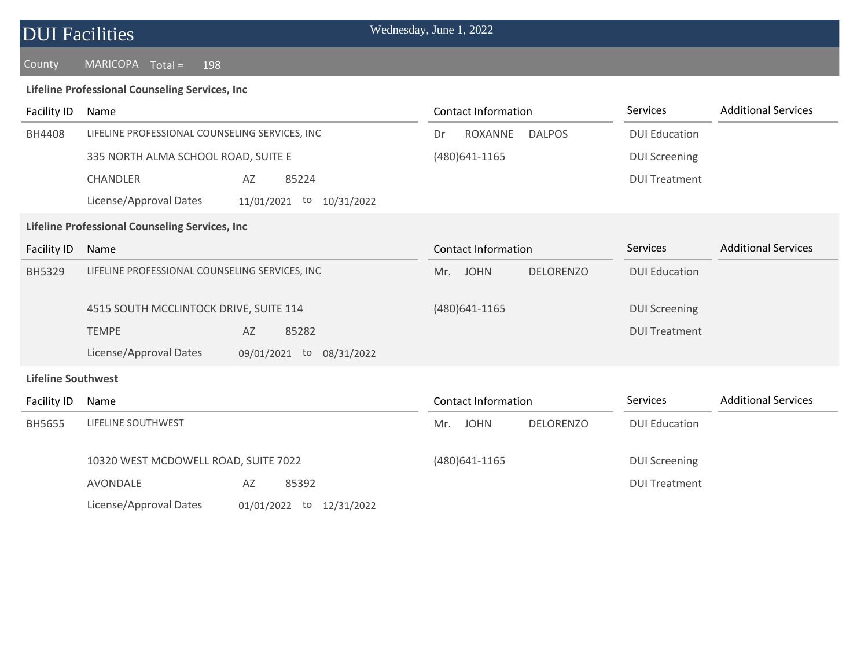### County MARICOPA Total = 198

### **Lifeline Professional Counseling Services, Inc**

| <b>Facility ID</b>        | Name                                                  | <b>Contact Information</b>             | Services             | <b>Additional Services</b> |
|---------------------------|-------------------------------------------------------|----------------------------------------|----------------------|----------------------------|
| BH4408                    | LIFELINE PROFESSIONAL COUNSELING SERVICES, INC        | ROXANNE<br><b>DALPOS</b><br>Dr         | <b>DUI Education</b> |                            |
|                           | 335 NORTH ALMA SCHOOL ROAD, SUITE E                   | (480) 641 - 1165                       | <b>DUI Screening</b> |                            |
|                           | <b>CHANDLER</b><br>AZ<br>85224                        |                                        | <b>DUI Treatment</b> |                            |
|                           | License/Approval Dates<br>11/01/2021 to<br>10/31/2022 |                                        |                      |                            |
|                           | Lifeline Professional Counseling Services, Inc        |                                        |                      |                            |
| <b>Facility ID</b>        | Name                                                  | <b>Contact Information</b>             | Services             | <b>Additional Services</b> |
| <b>BH5329</b>             | LIFELINE PROFESSIONAL COUNSELING SERVICES, INC        | <b>JOHN</b><br><b>DELORENZO</b><br>Mr. | <b>DUI Education</b> |                            |
|                           | 4515 SOUTH MCCLINTOCK DRIVE, SUITE 114                | (480) 641-1165                         | <b>DUI Screening</b> |                            |
|                           | <b>TEMPE</b><br>AZ<br>85282                           |                                        | <b>DUI Treatment</b> |                            |
|                           | License/Approval Dates<br>09/01/2021 to 08/31/2022    |                                        |                      |                            |
| <b>Lifeline Southwest</b> |                                                       |                                        |                      |                            |
| Facility ID               | Name                                                  | <b>Contact Information</b>             | Services             | <b>Additional Services</b> |
| <b>BH5655</b>             | LIFELINE SOUTHWEST                                    | <b>DELORENZO</b><br><b>JOHN</b><br>Mr. | <b>DUI Education</b> |                            |
|                           | 10320 WEST MCDOWELL ROAD, SUITE 7022                  | (480) 641-1165                         | <b>DUI Screening</b> |                            |
|                           | AVONDALE<br>85392<br>AZ                               |                                        | <b>DUI Treatment</b> |                            |
|                           | License/Approval Dates<br>01/01/2022 to 12/31/2022    |                                        |                      |                            |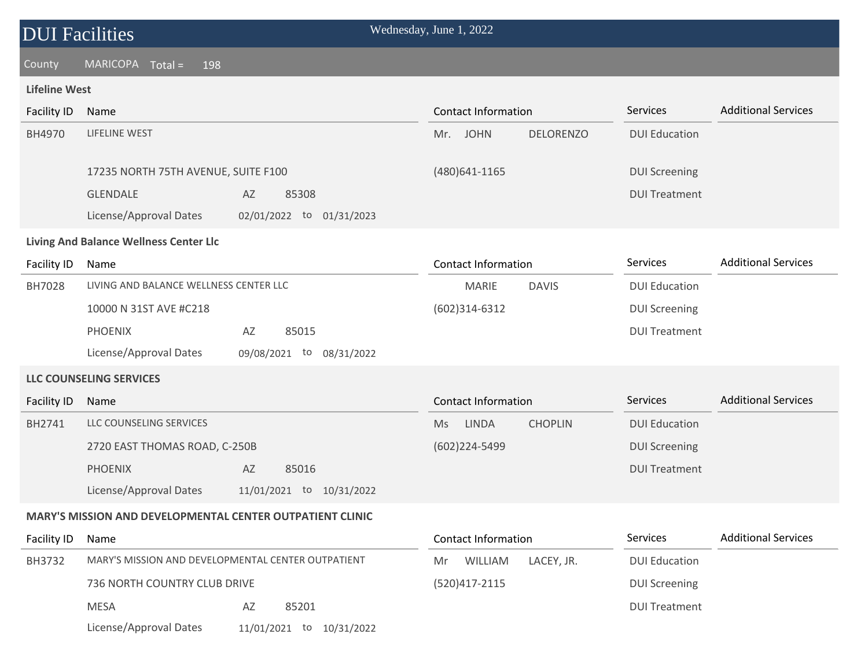County MARICOPA Total = 198

### **Lifeline West**

| Facility ID | Name                                |                                | Contact Information                    | Services             | <b>Additional Services</b> |
|-------------|-------------------------------------|--------------------------------|----------------------------------------|----------------------|----------------------------|
| BH4970      | LIFELINE WEST                       |                                | <b>DELORENZO</b><br><b>JOHN</b><br>Mr. | <b>DUI Education</b> |                            |
|             | 17235 NORTH 75TH AVENUE, SUITE F100 |                                | $(480)$ 641-1165                       | <b>DUI Screening</b> |                            |
|             | <b>GLENDALE</b>                     | 85308<br>AZ                    |                                        | <b>DUI Treatment</b> |                            |
|             | License/Approval Dates              | 01/31/2023<br>02/01/2022<br>to |                                        |                      |                            |

### **Living And Balance Wellness Center Llc**

| Facility ID | Name                                   |                                | Contact Information          | <b>Services</b>      | <b>Additional Services</b> |
|-------------|----------------------------------------|--------------------------------|------------------------------|----------------------|----------------------------|
| BH7028      | LIVING AND BALANCE WELLNESS CENTER LLC |                                | <b>MARIE</b><br><b>DAVIS</b> | <b>DUI Education</b> |                            |
|             | 10000 N 31ST AVE #C218                 |                                | $(602)314-6312$              | <b>DUI Screening</b> |                            |
|             | <b>PHOENIX</b>                         | 85015<br>AZ                    |                              | <b>DUI Treatment</b> |                            |
|             | License/Approval Dates                 | 09/08/2021<br>08/31/2022<br>to |                              |                      |                            |

#### **LLC COUNSELING SERVICES**

| Facility ID | Name                          |                             | Contact Information                         | <b>Services</b>      | <b>Additional Services</b> |
|-------------|-------------------------------|-----------------------------|---------------------------------------------|----------------------|----------------------------|
| BH2741      | LLC COUNSELING SERVICES       |                             | <b>CHOPLIN</b><br><b>LINDA</b><br><b>Ms</b> | <b>DUI Education</b> |                            |
|             | 2720 EAST THOMAS ROAD, C-250B |                             | (602)224-5499                               | DUI Screening        |                            |
|             | <b>PHOENIX</b>                | 85016<br>AZ                 |                                             | <b>DUI Treatment</b> |                            |
|             | License/Approval Dates        | 10/31/2022<br>11/01/2021 to |                                             |                      |                            |

#### **MARY'S MISSION AND DEVELOPMENTAL CENTER OUTPATIENT CLINIC**

| Facility ID | Name                                                                               |                             | Contact Information         | <b>Services</b>      | <b>Additional Services</b> |
|-------------|------------------------------------------------------------------------------------|-----------------------------|-----------------------------|----------------------|----------------------------|
| BH3732      | MARY'S MISSION AND DEVELOPMENTAL CENTER OUTPATIENT<br>736 NORTH COUNTRY CLUB DRIVE |                             | LACEY, JR.<br>WILLIAM<br>Mr | <b>DUI Education</b> |                            |
|             |                                                                                    |                             | (520)417-2115               | <b>DUI Screening</b> |                            |
|             | <b>MESA</b>                                                                        | 85201<br>AZ                 |                             | <b>DUI Treatment</b> |                            |
|             | License/Approval Dates                                                             | 10/31/2022<br>11/01/2021 to |                             |                      |                            |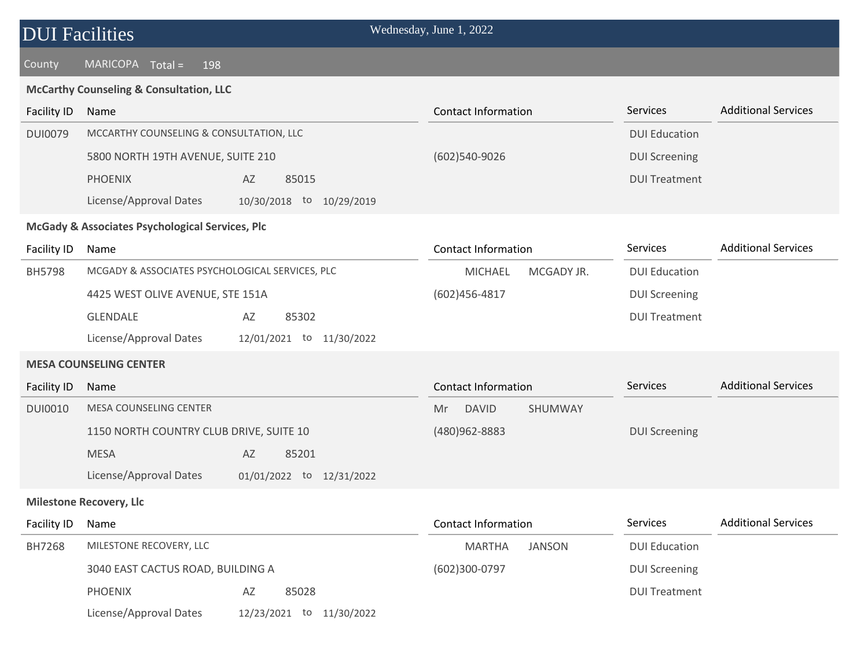| <b>DUI Facilities</b> |  |
|-----------------------|--|
|                       |  |

### **McCarthy Counseling & Consultation, LLC**

| <b>Facility ID</b> | Name                                               | <b>Contact Information</b>     | Services             | <b>Additional Services</b> |
|--------------------|----------------------------------------------------|--------------------------------|----------------------|----------------------------|
| <b>DUI0079</b>     | MCCARTHY COUNSELING & CONSULTATION, LLC            |                                | <b>DUI Education</b> |                            |
|                    | 5800 NORTH 19TH AVENUE, SUITE 210                  | (602)540-9026                  | <b>DUI Screening</b> |                            |
|                    | <b>PHOENIX</b><br>AZ<br>85015                      |                                | <b>DUI Treatment</b> |                            |
|                    | License/Approval Dates<br>10/30/2018 to 10/29/2019 |                                |                      |                            |
|                    | McGady & Associates Psychological Services, Plc    |                                |                      |                            |
| <b>Facility ID</b> | Name                                               | <b>Contact Information</b>     | Services             | <b>Additional Services</b> |
| BH5798             | MCGADY & ASSOCIATES PSYCHOLOGICAL SERVICES, PLC    | <b>MICHAEL</b><br>MCGADY JR.   | <b>DUI Education</b> |                            |
|                    | 4425 WEST OLIVE AVENUE, STE 151A                   | $(602)456 - 4817$              | <b>DUI Screening</b> |                            |
|                    | GLENDALE<br>85302<br>AZ                            |                                | <b>DUI Treatment</b> |                            |
|                    | License/Approval Dates<br>12/01/2021 to 11/30/2022 |                                |                      |                            |
|                    | <b>MESA COUNSELING CENTER</b>                      |                                |                      |                            |
| <b>Facility ID</b> | Name                                               | <b>Contact Information</b>     | Services             | <b>Additional Services</b> |
| <b>DUI0010</b>     | <b>MESA COUNSELING CENTER</b>                      | <b>DAVID</b><br>SHUMWAY<br>Mr  |                      |                            |
|                    | 1150 NORTH COUNTRY CLUB DRIVE, SUITE 10            | (480)962-8883                  | <b>DUI Screening</b> |                            |
|                    | <b>MESA</b><br>85201<br>AZ                         |                                |                      |                            |
|                    | License/Approval Dates<br>01/01/2022 to 12/31/2022 |                                |                      |                            |
|                    | <b>Milestone Recovery, Llc</b>                     |                                |                      |                            |
| Facility ID        | Name                                               | <b>Contact Information</b>     | Services             | <b>Additional Services</b> |
| BH7268             | MILESTONE RECOVERY, LLC                            | <b>JANSON</b><br><b>MARTHA</b> | <b>DUI Education</b> |                            |
|                    | 3040 EAST CACTUS ROAD, BUILDING A                  | (602)300-0797                  | <b>DUI Screening</b> |                            |
|                    | <b>PHOENIX</b><br>AZ<br>85028                      |                                | <b>DUI Treatment</b> |                            |
|                    | License/Approval Dates<br>12/23/2021 to 11/30/2022 |                                |                      |                            |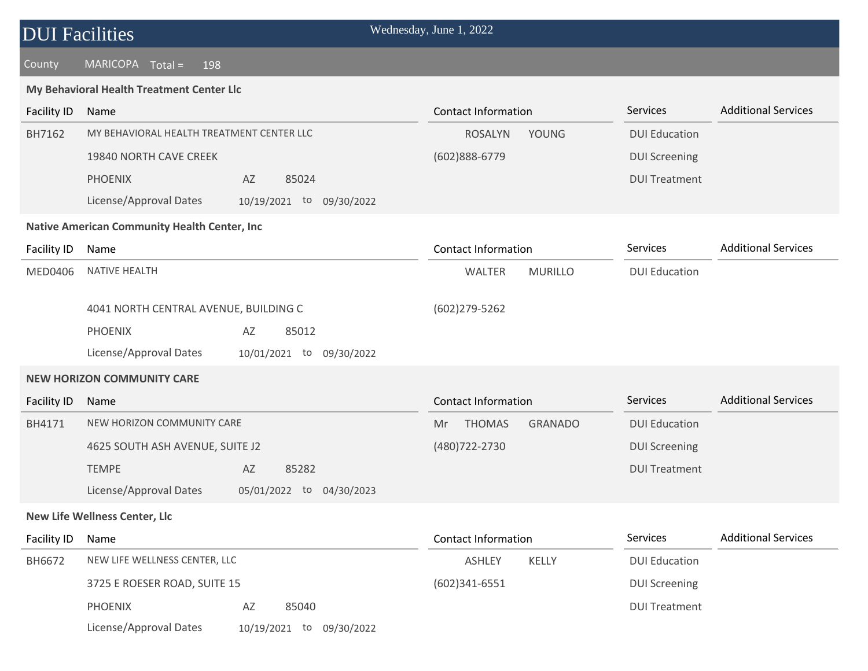| <b>DUI Facilities</b> |                                                     | Wednesday, June 1, 2022               |                      |                            |
|-----------------------|-----------------------------------------------------|---------------------------------------|----------------------|----------------------------|
| County                | $MARICOPA$ $Total =$<br>198                         |                                       |                      |                            |
|                       | My Behavioral Health Treatment Center Llc           |                                       |                      |                            |
| Facility ID           | Name                                                | <b>Contact Information</b>            | Services             | <b>Additional Services</b> |
| BH7162                | MY BEHAVIORAL HEALTH TREATMENT CENTER LLC           | <b>YOUNG</b><br><b>ROSALYN</b>        | <b>DUI Education</b> |                            |
|                       | 19840 NORTH CAVE CREEK                              | (602)888-6779                         | <b>DUI Screening</b> |                            |
|                       | <b>PHOENIX</b><br>AZ<br>85024                       |                                       | <b>DUI Treatment</b> |                            |
|                       | License/Approval Dates<br>10/19/2021 to 09/30/2022  |                                       |                      |                            |
|                       | <b>Native American Community Health Center, Inc</b> |                                       |                      |                            |
| Facility ID           | Name                                                | <b>Contact Information</b>            | Services             | <b>Additional Services</b> |
| <b>MED0406</b>        | NATIVE HEALTH                                       | <b>MURILLO</b><br>WALTER              | <b>DUI Education</b> |                            |
|                       |                                                     |                                       |                      |                            |
|                       | 4041 NORTH CENTRAL AVENUE, BUILDING C               | (602)279-5262                         |                      |                            |
|                       | 85012<br><b>PHOENIX</b><br>AZ                       |                                       |                      |                            |
|                       | License/Approval Dates<br>10/01/2021 to 09/30/2022  |                                       |                      |                            |
|                       | <b>NEW HORIZON COMMUNITY CARE</b>                   |                                       |                      |                            |
| Facility ID           | Name                                                | <b>Contact Information</b>            | Services             | <b>Additional Services</b> |
| BH4171                | NEW HORIZON COMMUNITY CARE                          | <b>THOMAS</b><br><b>GRANADO</b><br>Mr | <b>DUI Education</b> |                            |
|                       | 4625 SOUTH ASH AVENUE, SUITE J2                     | (480) 722 - 2730                      | <b>DUI Screening</b> |                            |
|                       | <b>TEMPE</b><br>AZ<br>85282                         |                                       | <b>DUI Treatment</b> |                            |
|                       | License/Approval Dates<br>05/01/2022 to 04/30/2023  |                                       |                      |                            |
|                       | <b>New Life Wellness Center, Llc</b>                |                                       |                      |                            |
| Facility ID           | Name                                                | <b>Contact Information</b>            | Services             | <b>Additional Services</b> |
| BH6672                | NEW LIFE WELLNESS CENTER, LLC                       | ASHLEY<br>KELLY                       | <b>DUI Education</b> |                            |
|                       | 3725 E ROESER ROAD, SUITE 15                        | $(602)341-6551$                       | <b>DUI Screening</b> |                            |
|                       | <b>PHOENIX</b><br>85040<br>AZ                       |                                       | <b>DUI Treatment</b> |                            |
|                       | License/Approval Dates<br>10/19/2021 to 09/30/2022  |                                       |                      |                            |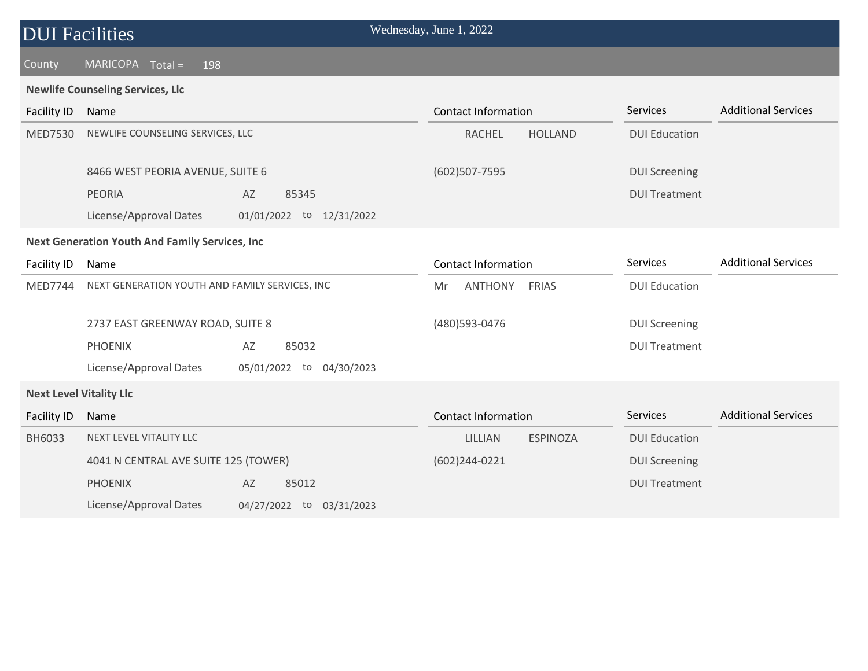#### County MARICOPA Total = 198

#### **Newlife Counseling Services, Llc**

| Facility ID                    | Name                                                  |                             | <b>Contact Information</b> |                 | Services             | <b>Additional Services</b> |
|--------------------------------|-------------------------------------------------------|-----------------------------|----------------------------|-----------------|----------------------|----------------------------|
| <b>MED7530</b>                 | NEWLIFE COUNSELING SERVICES, LLC                      |                             | <b>RACHEL</b>              | <b>HOLLAND</b>  | <b>DUI Education</b> |                            |
|                                | 8466 WEST PEORIA AVENUE, SUITE 6                      |                             | (602) 507-7595             |                 | <b>DUI Screening</b> |                            |
|                                | <b>PEORIA</b>                                         | AZ<br>85345                 |                            |                 | <b>DUI Treatment</b> |                            |
|                                | License/Approval Dates                                | 01/01/2022 to 12/31/2022    |                            |                 |                      |                            |
|                                | <b>Next Generation Youth And Family Services, Inc</b> |                             |                            |                 |                      |                            |
| Facility ID                    | Name                                                  |                             | <b>Contact Information</b> |                 | Services             | <b>Additional Services</b> |
| <b>MED7744</b>                 | NEXT GENERATION YOUTH AND FAMILY SERVICES, INC        |                             | <b>ANTHONY</b><br>Mr       | <b>FRIAS</b>    | <b>DUI Education</b> |                            |
|                                | 2737 EAST GREENWAY ROAD, SUITE 8                      |                             | (480) 593-0476             |                 | <b>DUI Screening</b> |                            |
|                                | <b>PHOENIX</b>                                        | 85032<br>AZ                 |                            |                 | <b>DUI Treatment</b> |                            |
|                                | License/Approval Dates                                | 05/01/2022 to<br>04/30/2023 |                            |                 |                      |                            |
| <b>Next Level Vitality Llc</b> |                                                       |                             |                            |                 |                      |                            |
| <b>Facility ID</b>             | Name                                                  |                             | <b>Contact Information</b> |                 | Services             | <b>Additional Services</b> |
| BH6033                         | NEXT LEVEL VITALITY LLC                               |                             | LILLIAN                    | <b>ESPINOZA</b> | <b>DUI Education</b> |                            |
|                                | 4041 N CENTRAL AVE SUITE 125 (TOWER)                  |                             | $(602)$ 244-0221           |                 | <b>DUI Screening</b> |                            |
|                                | <b>PHOENIX</b>                                        | AZ<br>85012                 |                            |                 | <b>DUI Treatment</b> |                            |
|                                | License/Approval Dates                                | 04/27/2022 to<br>03/31/2023 |                            |                 |                      |                            |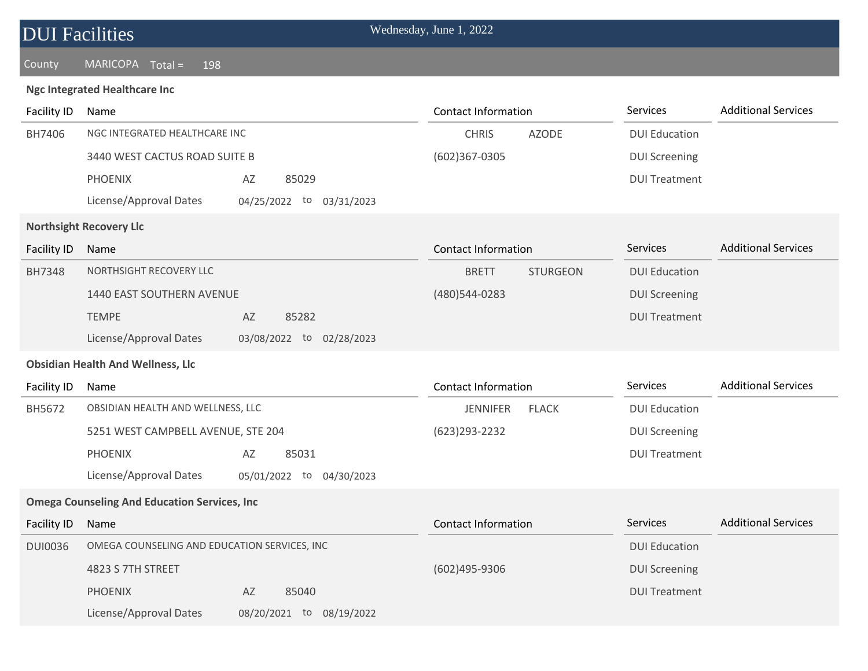| <b>DUI Facilities</b> |  |
|-----------------------|--|
|-----------------------|--|

#### County MARICOPA Total = 198

#### **Ngc Integrated Healthcare Inc**

| <b>Facility ID</b> | Name                                                 |                             | <b>Contact Information</b> |                 | Services             | <b>Additional Services</b> |
|--------------------|------------------------------------------------------|-----------------------------|----------------------------|-----------------|----------------------|----------------------------|
| BH7406             | NGC INTEGRATED HEALTHCARE INC                        |                             | <b>CHRIS</b>               | <b>AZODE</b>    | <b>DUI Education</b> |                            |
|                    | 3440 WEST CACTUS ROAD SUITE B                        |                             | (602)367-0305              |                 | <b>DUI Screening</b> |                            |
|                    | <b>PHOENIX</b>                                       | AZ<br>85029                 |                            |                 | <b>DUI Treatment</b> |                            |
|                    | License/Approval Dates                               | 04/25/2022 to<br>03/31/2023 |                            |                 |                      |                            |
|                    | <b>Northsight Recovery Llc</b>                       |                             |                            |                 |                      |                            |
| <b>Facility ID</b> | Name                                                 |                             | <b>Contact Information</b> |                 | Services             | <b>Additional Services</b> |
| <b>BH7348</b>      | NORTHSIGHT RECOVERY LLC                              |                             | <b>BRETT</b>               | <b>STURGEON</b> | <b>DUI Education</b> |                            |
|                    | 1440 EAST SOUTHERN AVENUE                            |                             | (480)544-0283              |                 | <b>DUI Screening</b> |                            |
|                    | <b>TEMPE</b>                                         | 85282<br>AZ                 |                            |                 | <b>DUI Treatment</b> |                            |
|                    | License/Approval Dates                               | 03/08/2022 to 02/28/2023    |                            |                 |                      |                            |
|                    | <b>Obsidian Health And Wellness, Llc</b>             |                             |                            |                 |                      |                            |
| Facility ID        | Name                                                 |                             | <b>Contact Information</b> |                 | Services             | <b>Additional Services</b> |
| BH5672             | OBSIDIAN HEALTH AND WELLNESS, LLC                    |                             | <b>JENNIFER</b>            | <b>FLACK</b>    | <b>DUI Education</b> |                            |
|                    | 5251 WEST CAMPBELL AVENUE, STE 204                   |                             | (623) 293 - 2232           |                 | <b>DUI Screening</b> |                            |
|                    | <b>PHOENIX</b>                                       | AZ<br>85031                 |                            |                 | <b>DUI Treatment</b> |                            |
|                    | License/Approval Dates                               | 05/01/2022 to 04/30/2023    |                            |                 |                      |                            |
|                    | <b>Omega Counseling And Education Services, Inc.</b> |                             |                            |                 |                      |                            |
| <b>Facility ID</b> | Name                                                 |                             | <b>Contact Information</b> |                 | Services             | <b>Additional Services</b> |
| <b>DUI0036</b>     | OMEGA COUNSELING AND EDUCATION SERVICES, INC         |                             |                            |                 | <b>DUI Education</b> |                            |
|                    | 4823 S 7TH STREET                                    |                             | (602)495-9306              |                 | <b>DUI Screening</b> |                            |
|                    | <b>PHOENIX</b>                                       | AZ<br>85040                 |                            |                 | <b>DUI Treatment</b> |                            |
|                    | License/Approval Dates                               | 08/20/2021 to 08/19/2022    |                            |                 |                      |                            |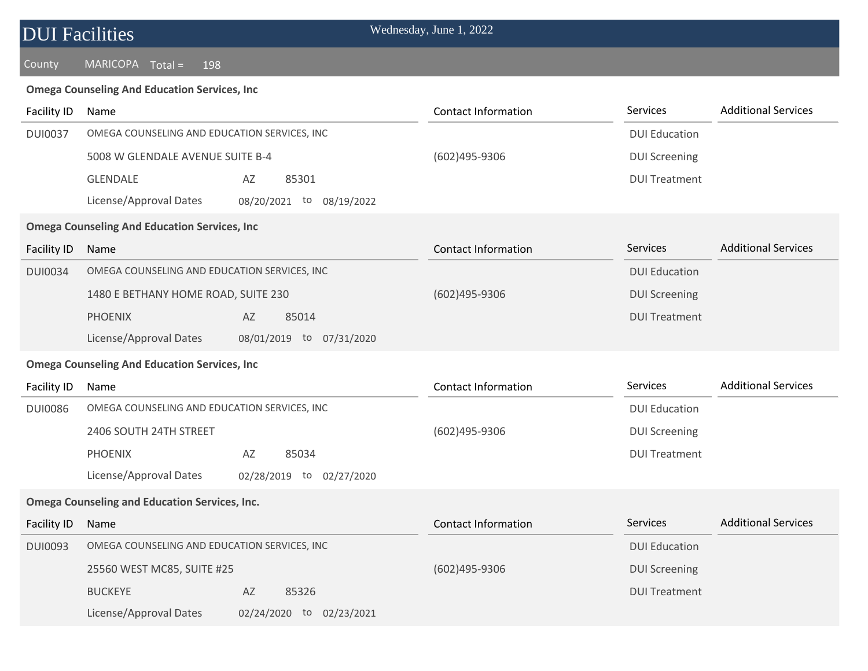### County MARICOPA Total = 198

#### **Omega Counseling And Education Services, Inc**

| Facility ID    | Name                                                  | <b>Contact Information</b> | Services             | <b>Additional Services</b> |  |  |  |  |
|----------------|-------------------------------------------------------|----------------------------|----------------------|----------------------------|--|--|--|--|
| <b>DUI0037</b> | OMEGA COUNSELING AND EDUCATION SERVICES, INC          |                            | <b>DUI Education</b> |                            |  |  |  |  |
|                | 5008 W GLENDALE AVENUE SUITE B-4                      | (602)495-9306              | <b>DUI Screening</b> |                            |  |  |  |  |
|                | <b>GLENDALE</b><br>AZ<br>85301                        |                            | <b>DUI Treatment</b> |                            |  |  |  |  |
|                | License/Approval Dates<br>08/20/2021 to<br>08/19/2022 |                            |                      |                            |  |  |  |  |
|                | <b>Omega Counseling And Education Services, Inc</b>   |                            |                      |                            |  |  |  |  |
| Facility ID    | Name                                                  | <b>Contact Information</b> | Services             | <b>Additional Services</b> |  |  |  |  |
| <b>DUI0034</b> | OMEGA COUNSELING AND EDUCATION SERVICES, INC          |                            | <b>DUI Education</b> |                            |  |  |  |  |
|                | 1480 E BETHANY HOME ROAD, SUITE 230                   | (602)495-9306              | <b>DUI Screening</b> |                            |  |  |  |  |
|                | <b>PHOENIX</b><br>AZ<br>85014                         |                            | <b>DUI Treatment</b> |                            |  |  |  |  |
|                | License/Approval Dates<br>08/01/2019 to 07/31/2020    |                            |                      |                            |  |  |  |  |
|                | <b>Omega Counseling And Education Services, Inc</b>   |                            |                      |                            |  |  |  |  |
| Facility ID    | Name                                                  | <b>Contact Information</b> | Services             | <b>Additional Services</b> |  |  |  |  |
| <b>DUI0086</b> | OMEGA COUNSELING AND EDUCATION SERVICES, INC          |                            | <b>DUI Education</b> |                            |  |  |  |  |
|                | 2406 SOUTH 24TH STREET                                | (602)495-9306              | <b>DUI Screening</b> |                            |  |  |  |  |
|                | 85034<br><b>PHOENIX</b><br>AZ                         |                            | <b>DUI Treatment</b> |                            |  |  |  |  |
|                | License/Approval Dates<br>02/28/2019 to 02/27/2020    |                            |                      |                            |  |  |  |  |
|                | <b>Omega Counseling and Education Services, Inc.</b>  |                            |                      |                            |  |  |  |  |
| Facility ID    | Name                                                  | <b>Contact Information</b> | Services             | <b>Additional Services</b> |  |  |  |  |
| <b>DUI0093</b> | OMEGA COUNSELING AND EDUCATION SERVICES, INC          |                            | <b>DUI Education</b> |                            |  |  |  |  |
|                | 25560 WEST MC85, SUITE #25                            | (602)495-9306              | <b>DUI Screening</b> |                            |  |  |  |  |
|                | <b>BUCKEYE</b><br>AZ<br>85326                         |                            | <b>DUI Treatment</b> |                            |  |  |  |  |
|                | License/Approval Dates<br>02/24/2020 to 02/23/2021    |                            |                      |                            |  |  |  |  |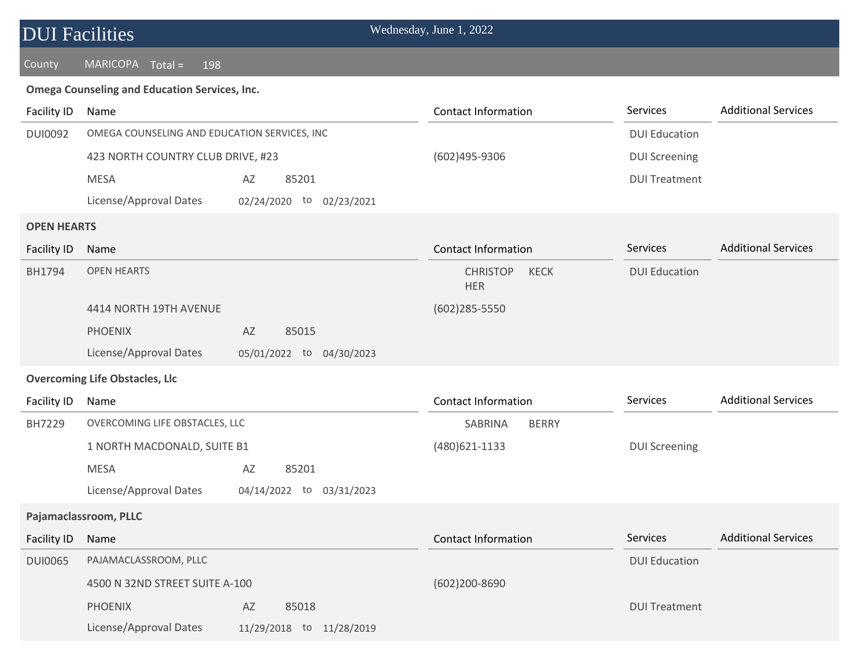### County MARICOPA Total = 198

#### **Omega Counseling and Education Services, Inc.**

| Facility ID        | Name                                         |                          | <b>Contact Information</b>                   | Services             | <b>Additional Services</b> |
|--------------------|----------------------------------------------|--------------------------|----------------------------------------------|----------------------|----------------------------|
| <b>DUI0092</b>     | OMEGA COUNSELING AND EDUCATION SERVICES, INC |                          |                                              | <b>DUI Education</b> |                            |
|                    | 423 NORTH COUNTRY CLUB DRIVE, #23            |                          | (602)495-9306                                | <b>DUI Screening</b> |                            |
|                    | <b>MESA</b>                                  | 85201<br>AZ              |                                              | <b>DUI Treatment</b> |                            |
|                    | License/Approval Dates                       | 02/24/2020 to 02/23/2021 |                                              |                      |                            |
| <b>OPEN HEARTS</b> |                                              |                          |                                              |                      |                            |
| Facility ID        | Name                                         |                          | <b>Contact Information</b>                   | Services             | <b>Additional Services</b> |
| BH1794             | <b>OPEN HEARTS</b>                           |                          | <b>CHRISTOP</b><br><b>KECK</b><br><b>HER</b> | <b>DUI Education</b> |                            |
|                    | 4414 NORTH 19TH AVENUE                       |                          | $(602)285 - 5550$                            |                      |                            |
|                    | <b>PHOENIX</b>                               | AZ<br>85015              |                                              |                      |                            |
|                    | License/Approval Dates                       | 05/01/2022 to 04/30/2023 |                                              |                      |                            |
|                    | <b>Overcoming Life Obstacles, Llc</b>        |                          |                                              |                      |                            |
|                    |                                              |                          |                                              |                      |                            |
| Facility ID        | Name                                         |                          | <b>Contact Information</b>                   | Services             | <b>Additional Services</b> |
| BH7229             | OVERCOMING LIFE OBSTACLES, LLC               |                          | <b>SABRINA</b><br><b>BERRY</b>               |                      |                            |
|                    | 1 NORTH MACDONALD, SUITE B1                  |                          | (480)621-1133                                | <b>DUI Screening</b> |                            |
|                    | <b>MESA</b>                                  | 85201<br>AZ              |                                              |                      |                            |
|                    | License/Approval Dates                       | 04/14/2022 to 03/31/2023 |                                              |                      |                            |
|                    | Pajamaclassroom, PLLC                        |                          |                                              |                      |                            |
| Facility ID        | Name                                         |                          | <b>Contact Information</b>                   | Services             | <b>Additional Services</b> |
| <b>DUI0065</b>     | PAJAMACLASSROOM, PLLC                        |                          |                                              | <b>DUI Education</b> |                            |
|                    | 4500 N 32ND STREET SUITE A-100               |                          | (602)200-8690                                |                      |                            |
|                    | <b>PHOENIX</b>                               | AZ<br>85018              |                                              | <b>DUI Treatment</b> |                            |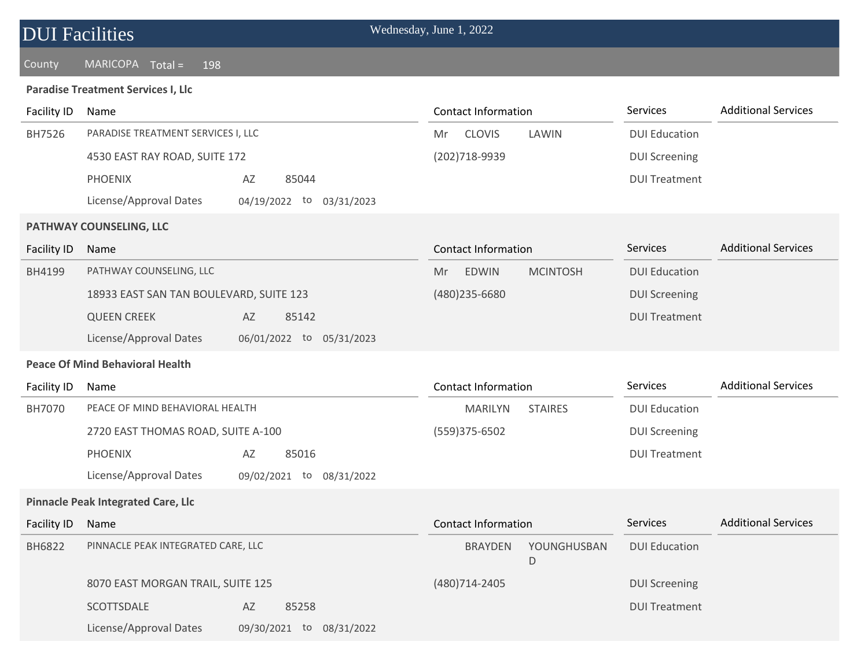#### County MARICOPA Total = 198

#### **Paradise Treatment Services I, Llc**

| Facility ID                            | Name                                      |                             | <b>Contact Information</b> |                  | <b>Services</b>      | <b>Additional Services</b> |
|----------------------------------------|-------------------------------------------|-----------------------------|----------------------------|------------------|----------------------|----------------------------|
| BH7526                                 | PARADISE TREATMENT SERVICES I, LLC        |                             | <b>CLOVIS</b><br>Mr        | LAWIN            | <b>DUI Education</b> |                            |
|                                        | 4530 EAST RAY ROAD, SUITE 172             |                             | (202)718-9939              |                  | <b>DUI Screening</b> |                            |
|                                        | <b>PHOENIX</b>                            | 85044<br>AZ                 |                            |                  | <b>DUI Treatment</b> |                            |
|                                        | License/Approval Dates                    | 04/19/2022 to 03/31/2023    |                            |                  |                      |                            |
|                                        | PATHWAY COUNSELING, LLC                   |                             |                            |                  |                      |                            |
| <b>Facility ID</b>                     | Name                                      |                             | <b>Contact Information</b> |                  | <b>Services</b>      | <b>Additional Services</b> |
| BH4199                                 | PATHWAY COUNSELING, LLC                   |                             | <b>EDWIN</b><br>Mr         | <b>MCINTOSH</b>  | <b>DUI Education</b> |                            |
|                                        | 18933 EAST SAN TAN BOULEVARD, SUITE 123   |                             | (480) 235-6680             |                  | <b>DUI Screening</b> |                            |
|                                        | <b>QUEEN CREEK</b>                        | AZ<br>85142                 |                            |                  | <b>DUI Treatment</b> |                            |
|                                        | License/Approval Dates                    | 06/01/2022 to 05/31/2023    |                            |                  |                      |                            |
| <b>Peace Of Mind Behavioral Health</b> |                                           |                             |                            |                  |                      |                            |
|                                        |                                           |                             |                            |                  |                      |                            |
| <b>Facility ID</b>                     | Name                                      |                             | <b>Contact Information</b> |                  | Services             | <b>Additional Services</b> |
| BH7070                                 | PEACE OF MIND BEHAVIORAL HEALTH           |                             | <b>MARILYN</b>             | <b>STAIRES</b>   | <b>DUI Education</b> |                            |
|                                        | 2720 EAST THOMAS ROAD, SUITE A-100        |                             | (559)375-6502              |                  | <b>DUI Screening</b> |                            |
|                                        | <b>PHOENIX</b>                            | 85016<br>AZ                 |                            |                  | <b>DUI Treatment</b> |                            |
|                                        | License/Approval Dates                    | 09/02/2021 to<br>08/31/2022 |                            |                  |                      |                            |
|                                        | <b>Pinnacle Peak Integrated Care, Llc</b> |                             |                            |                  |                      |                            |
| <b>Facility ID</b>                     | Name                                      |                             | <b>Contact Information</b> |                  | Services             | <b>Additional Services</b> |
| <b>BH6822</b>                          | PINNACLE PEAK INTEGRATED CARE, LLC        |                             | <b>BRAYDEN</b>             | YOUNGHUSBAN<br>D | <b>DUI Education</b> |                            |
|                                        | 8070 EAST MORGAN TRAIL, SUITE 125         |                             | (480)714-2405              |                  | <b>DUI Screening</b> |                            |
|                                        | SCOTTSDALE                                | AZ<br>85258                 |                            |                  | <b>DUI Treatment</b> |                            |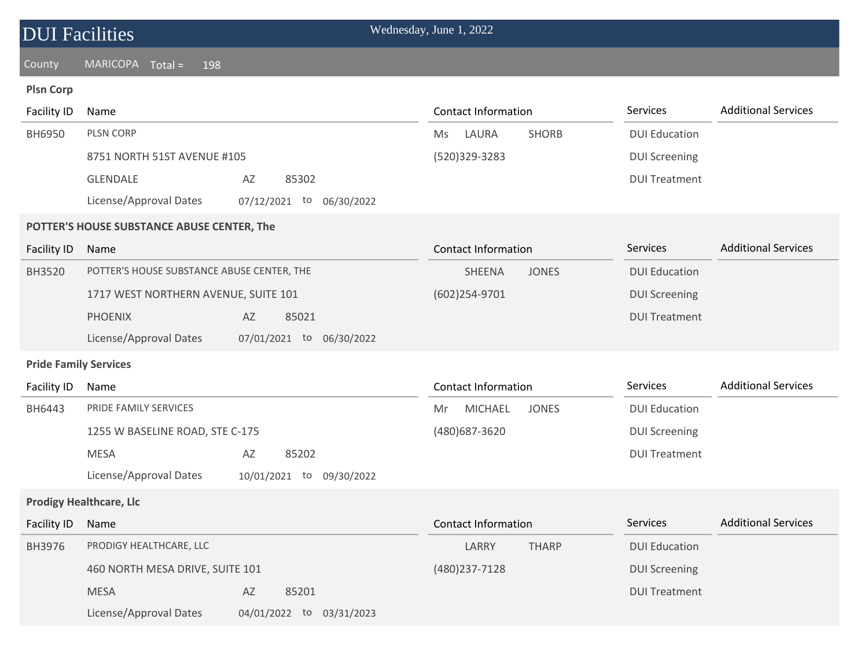## County MARICOPA Total = 198

## **Plsn Corp**

| <b>Facility ID</b>           | Name                                               | <b>Contact Information</b>           | Services             | <b>Additional Services</b> |  |  |  |  |
|------------------------------|----------------------------------------------------|--------------------------------------|----------------------|----------------------------|--|--|--|--|
| BH6950                       | PLSN CORP                                          | LAURA<br><b>SHORB</b><br>Ms          | <b>DUI Education</b> |                            |  |  |  |  |
|                              | 8751 NORTH 51ST AVENUE #105                        | (520)329-3283                        | <b>DUI Screening</b> |                            |  |  |  |  |
|                              | GLENDALE<br>85302<br>AZ                            |                                      | <b>DUI Treatment</b> |                            |  |  |  |  |
|                              | License/Approval Dates<br>07/12/2021 to 06/30/2022 |                                      |                      |                            |  |  |  |  |
|                              | POTTER'S HOUSE SUBSTANCE ABUSE CENTER, The         |                                      |                      |                            |  |  |  |  |
| <b>Facility ID</b>           | Name                                               | <b>Contact Information</b>           | Services             | <b>Additional Services</b> |  |  |  |  |
| <b>BH3520</b>                | POTTER'S HOUSE SUBSTANCE ABUSE CENTER, THE         | SHEENA<br><b>JONES</b>               | <b>DUI Education</b> |                            |  |  |  |  |
|                              | 1717 WEST NORTHERN AVENUE, SUITE 101               | (602)254-9701                        | <b>DUI Screening</b> |                            |  |  |  |  |
|                              | <b>PHOENIX</b><br>AZ<br>85021                      |                                      | <b>DUI Treatment</b> |                            |  |  |  |  |
|                              | License/Approval Dates<br>07/01/2021 to 06/30/2022 |                                      |                      |                            |  |  |  |  |
| <b>Pride Family Services</b> |                                                    |                                      |                      |                            |  |  |  |  |
| <b>Facility ID</b>           | Name                                               | <b>Contact Information</b>           | Services             | <b>Additional Services</b> |  |  |  |  |
| BH6443                       | PRIDE FAMILY SERVICES                              | <b>MICHAEL</b><br><b>JONES</b><br>Mr | <b>DUI Education</b> |                            |  |  |  |  |
|                              | 1255 W BASELINE ROAD, STE C-175                    | (480) 687-3620                       | <b>DUI Screening</b> |                            |  |  |  |  |
|                              | <b>MESA</b><br>85202<br>AZ                         |                                      | <b>DUI Treatment</b> |                            |  |  |  |  |
|                              | License/Approval Dates<br>10/01/2021 to 09/30/2022 |                                      |                      |                            |  |  |  |  |
|                              | <b>Prodigy Healthcare, Llc</b>                     |                                      |                      |                            |  |  |  |  |
| <b>Facility ID</b>           | Name                                               | <b>Contact Information</b>           | Services             | <b>Additional Services</b> |  |  |  |  |
| BH3976                       | PRODIGY HEALTHCARE, LLC                            | LARRY<br><b>THARP</b>                | <b>DUI Education</b> |                            |  |  |  |  |
|                              | 460 NORTH MESA DRIVE, SUITE 101                    | (480) 237-7128                       | <b>DUI Screening</b> |                            |  |  |  |  |
|                              |                                                    |                                      |                      |                            |  |  |  |  |
|                              | <b>MESA</b><br>85201<br>AZ                         |                                      | <b>DUI Treatment</b> |                            |  |  |  |  |

License/Approval Dates 04/01/2022 to 03/31/2023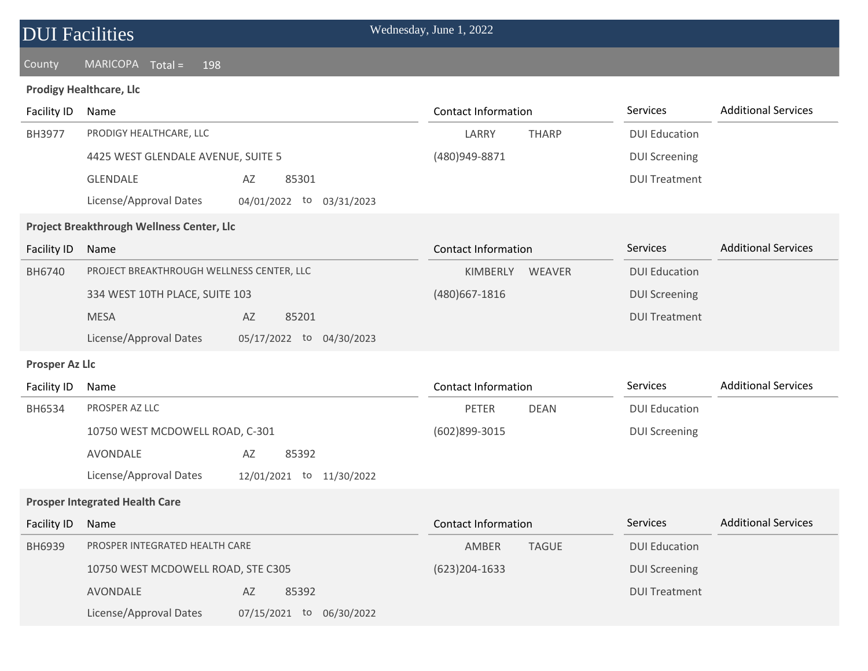| <b>DUI Facilities</b> |  |
|-----------------------|--|
|                       |  |

### County MARICOPA Total = 198

#### **Prodigy Healthcare, Llc**

| <b>Facility ID</b>    | Name                                               | <b>Contact Information</b>  | Services             | <b>Additional Services</b> |
|-----------------------|----------------------------------------------------|-----------------------------|----------------------|----------------------------|
| BH3977                | PRODIGY HEALTHCARE, LLC                            | LARRY<br><b>THARP</b>       | <b>DUI Education</b> |                            |
|                       | 4425 WEST GLENDALE AVENUE, SUITE 5                 | (480)949-8871               | <b>DUI Screening</b> |                            |
|                       | <b>GLENDALE</b><br>85301<br>AZ                     |                             | <b>DUI Treatment</b> |                            |
|                       | License/Approval Dates<br>04/01/2022 to 03/31/2023 |                             |                      |                            |
|                       | Project Breakthrough Wellness Center, Llc          |                             |                      |                            |
| Facility ID           | Name                                               | <b>Contact Information</b>  | Services             | <b>Additional Services</b> |
| BH6740                | PROJECT BREAKTHROUGH WELLNESS CENTER, LLC          | KIMBERLY<br><b>WEAVER</b>   | <b>DUI Education</b> |                            |
|                       | 334 WEST 10TH PLACE, SUITE 103                     | (480) 667-1816              | <b>DUI Screening</b> |                            |
|                       | <b>MESA</b><br>85201<br>AZ                         |                             | <b>DUI Treatment</b> |                            |
|                       | License/Approval Dates<br>05/17/2022 to 04/30/2023 |                             |                      |                            |
| <b>Prosper Az Llc</b> |                                                    |                             |                      |                            |
| Facility ID           | Name                                               | <b>Contact Information</b>  | Services             | <b>Additional Services</b> |
| BH6534                | PROSPER AZ LLC                                     | <b>PETER</b><br><b>DEAN</b> | <b>DUI Education</b> |                            |
|                       | 10750 WEST MCDOWELL ROAD, C-301                    | (602)899-3015               | <b>DUI Screening</b> |                            |
|                       | AVONDALE<br>AZ<br>85392                            |                             |                      |                            |
|                       | License/Approval Dates<br>12/01/2021 to 11/30/2022 |                             |                      |                            |
|                       | <b>Prosper Integrated Health Care</b>              |                             |                      |                            |
| <b>Facility ID</b>    | Name                                               | <b>Contact Information</b>  | Services             | <b>Additional Services</b> |
| BH6939                | PROSPER INTEGRATED HEALTH CARE                     | AMBER<br><b>TAGUE</b>       | <b>DUI Education</b> |                            |
|                       | 10750 WEST MCDOWELL ROAD, STE C305                 | $(623)204-1633$             | <b>DUI Screening</b> |                            |
|                       | <b>AVONDALE</b><br>85392<br>AZ                     |                             | <b>DUI Treatment</b> |                            |
|                       | License/Approval Dates<br>07/15/2021 to 06/30/2022 |                             |                      |                            |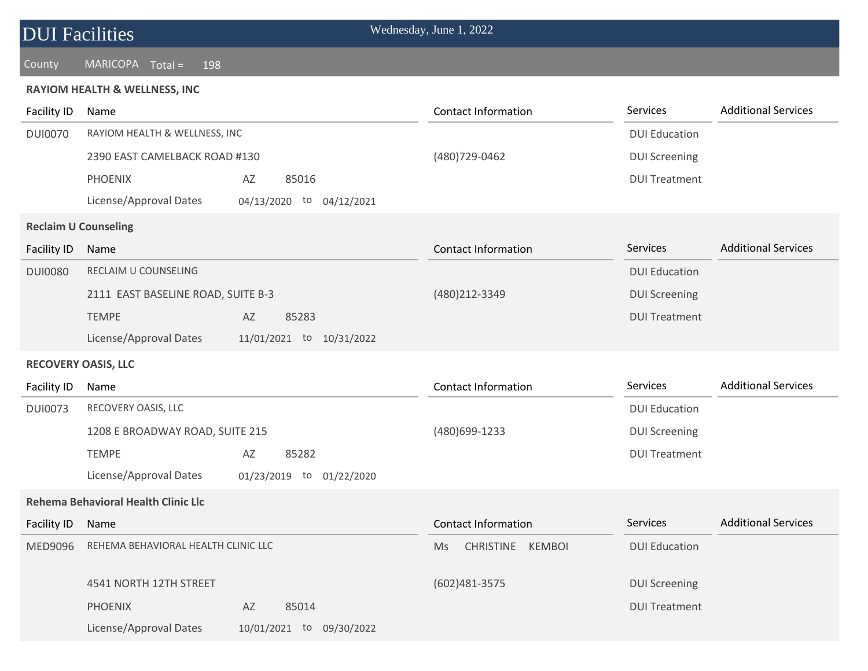#### County MARICOPA Total = 198

#### **RAYIOM HEALTH & WELLNESS, INC**

| <b>Facility ID</b> | Name                                       |                          | <b>Contact Information</b>    | Services             | <b>Additional Services</b> |
|--------------------|--------------------------------------------|--------------------------|-------------------------------|----------------------|----------------------------|
| <b>DUI0070</b>     | RAYIOM HEALTH & WELLNESS, INC              |                          |                               | <b>DUI Education</b> |                            |
|                    | 2390 EAST CAMELBACK ROAD #130              |                          | (480) 729-0462                | <b>DUI Screening</b> |                            |
|                    | <b>PHOENIX</b>                             | 85016<br>AZ              |                               | <b>DUI Treatment</b> |                            |
|                    | License/Approval Dates                     | 04/13/2020 to 04/12/2021 |                               |                      |                            |
|                    | <b>Reclaim U Counseling</b>                |                          |                               |                      |                            |
| Facility ID        | Name                                       |                          | <b>Contact Information</b>    | <b>Services</b>      | <b>Additional Services</b> |
| <b>DUI0080</b>     | RECLAIM U COUNSELING                       |                          |                               | <b>DUI Education</b> |                            |
|                    | 2111 EAST BASELINE ROAD, SUITE B-3         |                          | (480)212-3349                 | <b>DUI Screening</b> |                            |
|                    | <b>TEMPE</b>                               | 85283<br>AZ              |                               | <b>DUI Treatment</b> |                            |
|                    | License/Approval Dates                     | 11/01/2021 to 10/31/2022 |                               |                      |                            |
|                    | <b>RECOVERY OASIS, LLC</b>                 |                          |                               |                      |                            |
| <b>Facility ID</b> | Name                                       |                          | Contact Information           | Services             | <b>Additional Services</b> |
| <b>DUI0073</b>     | RECOVERY OASIS, LLC                        |                          |                               | <b>DUI Education</b> |                            |
|                    | 1208 E BROADWAY ROAD, SUITE 215            |                          | (480)699-1233                 | <b>DUI Screening</b> |                            |
|                    | <b>TEMPE</b>                               | 85282<br>AZ              |                               | <b>DUI Treatment</b> |                            |
|                    | License/Approval Dates                     | 01/23/2019 to 01/22/2020 |                               |                      |                            |
|                    | <b>Rehema Behavioral Health Clinic Llc</b> |                          |                               |                      |                            |
| Facility ID        | Name                                       |                          | <b>Contact Information</b>    | <b>Services</b>      | <b>Additional Services</b> |
| MED9096            | REHEMA BEHAVIORAL HEALTH CLINIC LLC        |                          | CHRISTINE KEMBOI<br><b>Ms</b> | <b>DUI Education</b> |                            |
|                    | 4541 NORTH 12TH STREET                     |                          | (602)481-3575                 | <b>DUI Screening</b> |                            |
|                    | <b>PHOENIX</b>                             | 85014<br>AZ              |                               | <b>DUI Treatment</b> |                            |
|                    | License/Approval Dates                     |                          |                               |                      |                            |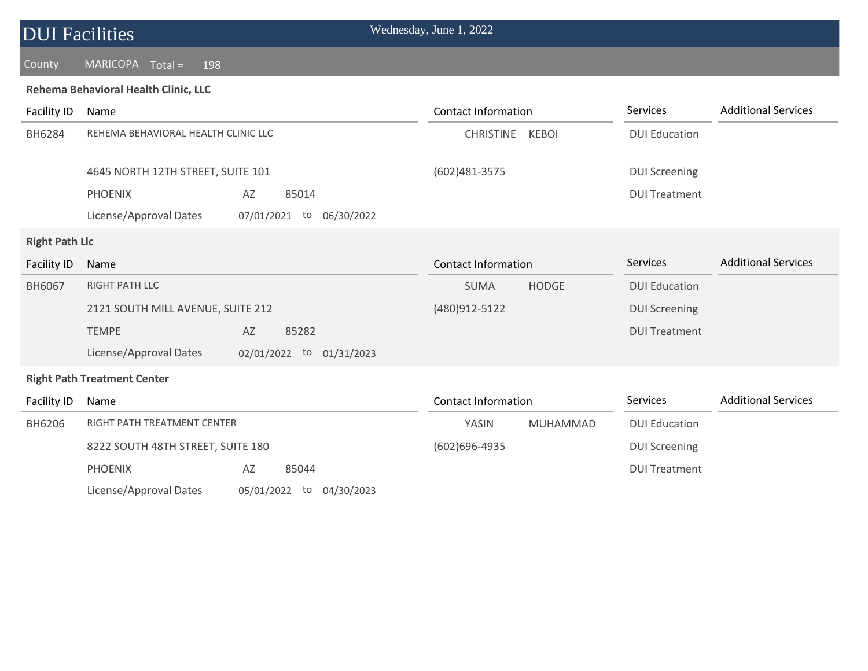## County MARICOPA Total = 198

#### **Rehema Behavioral Health Clinic, LLC**

| Facility ID           | Name                                |                                | <b>Contact Information</b> |              | Services             | <b>Additional Services</b> |
|-----------------------|-------------------------------------|--------------------------------|----------------------------|--------------|----------------------|----------------------------|
| BH6284                | REHEMA BEHAVIORAL HEALTH CLINIC LLC |                                | <b>CHRISTINE</b>           | <b>KEBOI</b> | <b>DUI Education</b> |                            |
|                       |                                     |                                |                            |              |                      |                            |
|                       | 4645 NORTH 12TH STREET, SUITE 101   |                                | (602)481-3575              |              | <b>DUI Screening</b> |                            |
|                       | <b>PHOENIX</b>                      | 85014<br>AZ                    |                            |              | <b>DUI Treatment</b> |                            |
|                       | License/Approval Dates              | 07/01/2021<br>to<br>06/30/2022 |                            |              |                      |                            |
| <b>Right Path Llc</b> |                                     |                                |                            |              |                      |                            |
| Facility ID           | Name                                |                                | <b>Contact Information</b> |              | Services             | <b>Additional Services</b> |
| BH6067                | <b>RIGHT PATH LLC</b>               |                                | <b>SUMA</b>                | <b>HODGE</b> | <b>DUI Education</b> |                            |
|                       | 2121 SOUTH MILL AVENUE, SUITE 212   |                                | (480)912-5122              |              | <b>DUI Screening</b> |                            |
|                       | <b>TEMPE</b>                        | 85282<br>AZ                    |                            |              | <b>DUI Treatment</b> |                            |
|                       | License/Approval Dates              | 02/01/2022 to 01/31/2023       |                            |              |                      |                            |
|                       | <b>Right Path Treatment Center</b>  |                                |                            |              |                      |                            |
| Facility ID           | Name                                |                                | <b>Contact Information</b> |              | Services             | <b>Additional Services</b> |
| BH6206                | RIGHT PATH TREATMENT CENTER         |                                | YASIN                      | MUHAMMAD     | <b>DUI Education</b> |                            |
|                       | 8222 SOUTH 48TH STREET, SUITE 180   |                                | $(602)696 - 4935$          |              | <b>DUI Screening</b> |                            |
|                       | <b>PHOENIX</b>                      | AZ<br>85044                    |                            |              | <b>DUI Treatment</b> |                            |

License/Approval Dates 05/01/2022 to 04/30/2023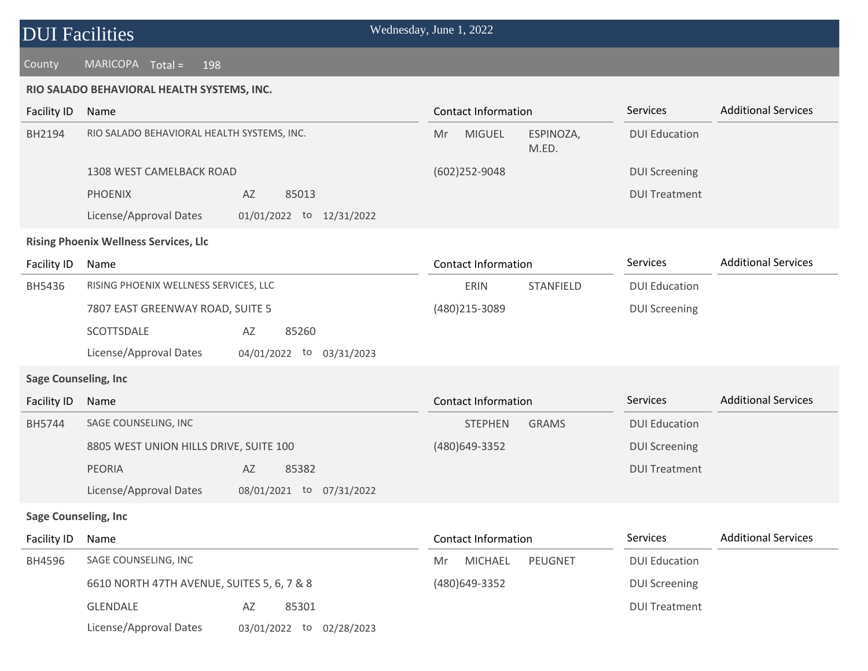#### County MARICOPA Total = 198

#### **RIO SALADO BEHAVIORAL HEALTH SYSTEMS, INC.**

| <b>Facility ID</b>           | Name                                         |                                |    | <b>Contact Information</b> |                    | Services             | <b>Additional Services</b> |
|------------------------------|----------------------------------------------|--------------------------------|----|----------------------------|--------------------|----------------------|----------------------------|
| BH2194                       | RIO SALADO BEHAVIORAL HEALTH SYSTEMS, INC.   |                                | Mr | <b>MIGUEL</b>              | ESPINOZA,<br>M.ED. | <b>DUI Education</b> |                            |
|                              | 1308 WEST CAMELBACK ROAD                     |                                |    | $(602)252 - 9048$          |                    | <b>DUI Screening</b> |                            |
|                              | <b>PHOENIX</b>                               | AZ<br>85013                    |    |                            |                    | <b>DUI Treatment</b> |                            |
|                              | License/Approval Dates                       | 01/01/2022 to 12/31/2022       |    |                            |                    |                      |                            |
|                              | <b>Rising Phoenix Wellness Services, Llc</b> |                                |    |                            |                    |                      |                            |
| <b>Facility ID</b>           | Name                                         |                                |    | <b>Contact Information</b> |                    | Services             | <b>Additional Services</b> |
| BH5436                       | RISING PHOENIX WELLNESS SERVICES, LLC        |                                |    | ERIN                       | STANFIELD          | <b>DUI Education</b> |                            |
|                              | 7807 EAST GREENWAY ROAD, SUITE 5             |                                |    | (480) 215-3089             |                    | <b>DUI Screening</b> |                            |
|                              | SCOTTSDALE                                   | AZ<br>85260                    |    |                            |                    |                      |                            |
|                              | License/Approval Dates                       | 04/01/2022<br>to<br>03/31/2023 |    |                            |                    |                      |                            |
| <b>Sage Counseling, Inc.</b> |                                              |                                |    |                            |                    |                      |                            |
| <b>Facility ID</b>           | Name                                         |                                |    | <b>Contact Information</b> |                    | Services             | <b>Additional Services</b> |
| <b>BH5744</b>                | SAGE COUNSELING, INC                         |                                |    | <b>STEPHEN</b>             | <b>GRAMS</b>       | <b>DUI Education</b> |                            |
|                              | 8805 WEST UNION HILLS DRIVE, SUITE 100       |                                |    | (480) 649 - 3352           |                    | <b>DUI Screening</b> |                            |
|                              | <b>PEORIA</b>                                | AZ<br>85382                    |    |                            |                    | <b>DUI Treatment</b> |                            |
|                              | License/Approval Dates                       | 08/01/2021<br>to<br>07/31/2022 |    |                            |                    |                      |                            |
| <b>Sage Counseling, Inc.</b> |                                              |                                |    |                            |                    |                      |                            |
| Facility ID                  | Name                                         |                                |    | <b>Contact Information</b> |                    | Services             | <b>Additional Services</b> |

| <b>Facility ID</b> | -Name                                      |                             | Contact Information      | <b>SELVILES</b>      | AUUILIUITH SEIVILES |
|--------------------|--------------------------------------------|-----------------------------|--------------------------|----------------------|---------------------|
| BH4596             | SAGE COUNSELING, INC                       |                             | PEUGNET<br>MICHAEL<br>Mr | <b>DUI Education</b> |                     |
|                    | 6610 NORTH 47TH AVENUE, SUITES 5, 6, 7 & 8 |                             | (480)649-3352            | DUI Screening        |                     |
|                    | <b>GLENDALE</b>                            | 85301<br>AZ                 |                          | <b>DUI Treatment</b> |                     |
|                    | License/Approval Dates                     | 02/28/2023<br>03/01/2022 to |                          |                      |                     |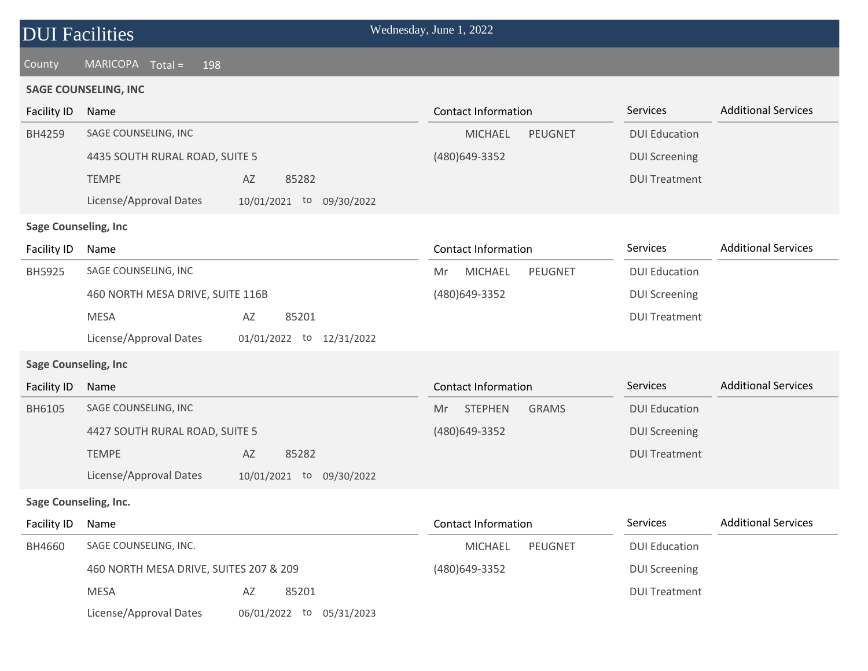### County MARICOPA Total = 198

#### **SAGE COUNSELING, INC**

| <b>Facility ID</b>           | Name                                   |                             | <b>Contact Information</b>             | Services             | <b>Additional Services</b> |
|------------------------------|----------------------------------------|-----------------------------|----------------------------------------|----------------------|----------------------------|
| BH4259                       | SAGE COUNSELING, INC                   |                             | <b>MICHAEL</b><br><b>PEUGNET</b>       | <b>DUI Education</b> |                            |
|                              | 4435 SOUTH RURAL ROAD, SUITE 5         |                             | (480)649-3352                          | <b>DUI Screening</b> |                            |
|                              | <b>TEMPE</b>                           | AZ<br>85282                 |                                        | <b>DUI Treatment</b> |                            |
|                              | License/Approval Dates                 | 10/01/2021 to<br>09/30/2022 |                                        |                      |                            |
| <b>Sage Counseling, Inc</b>  |                                        |                             |                                        |                      |                            |
| Facility ID                  | Name                                   |                             | <b>Contact Information</b>             | Services             | <b>Additional Services</b> |
| BH5925                       | SAGE COUNSELING, INC                   |                             | <b>PEUGNET</b><br><b>MICHAEL</b><br>Mr | <b>DUI Education</b> |                            |
|                              | 460 NORTH MESA DRIVE, SUITE 116B       |                             | (480)649-3352                          | <b>DUI Screening</b> |                            |
|                              | <b>MESA</b>                            | AZ<br>85201                 |                                        | <b>DUI Treatment</b> |                            |
|                              | License/Approval Dates                 | 01/01/2022 to<br>12/31/2022 |                                        |                      |                            |
| <b>Sage Counseling, Inc</b>  |                                        |                             |                                        |                      |                            |
| Facility ID                  | Name                                   |                             | <b>Contact Information</b>             | Services             | <b>Additional Services</b> |
| BH6105                       | SAGE COUNSELING, INC                   |                             | <b>STEPHEN</b><br><b>GRAMS</b><br>Mr   | <b>DUI Education</b> |                            |
|                              | 4427 SOUTH RURAL ROAD, SUITE 5         |                             | (480)649-3352                          | <b>DUI Screening</b> |                            |
|                              | <b>TEMPE</b>                           | AZ<br>85282                 |                                        | <b>DUI Treatment</b> |                            |
|                              | License/Approval Dates                 | 10/01/2021 to 09/30/2022    |                                        |                      |                            |
| <b>Sage Counseling, Inc.</b> |                                        |                             |                                        |                      |                            |
| Facility ID                  | Name                                   |                             | <b>Contact Information</b>             | Services             | <b>Additional Services</b> |
| BH4660                       | SAGE COUNSELING, INC.                  |                             | <b>PEUGNET</b><br><b>MICHAEL</b>       | <b>DUI Education</b> |                            |
|                              | 460 NORTH MESA DRIVE, SUITES 207 & 209 |                             | (480) 649-3352                         | <b>DUI Screening</b> |                            |
|                              | <b>MESA</b>                            | 85201<br>AZ                 |                                        | <b>DUI Treatment</b> |                            |
|                              | License/Approval Dates                 | 06/01/2022 to<br>05/31/2023 |                                        |                      |                            |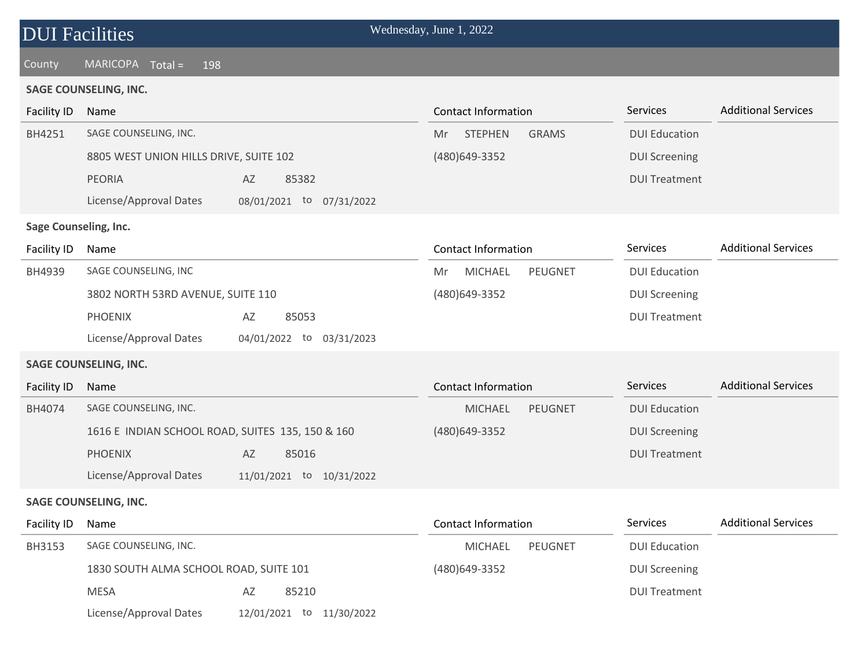| <b>DUI Facilities</b> |  |
|-----------------------|--|
|                       |  |

### County MARICOPA Total = 198

#### **SAGE COUNSELING, INC.**

| <b>Facility ID</b>    | <b>Contact Information</b><br>Name               |                                 | Services                   | <b>Additional Services</b> |                      |                            |
|-----------------------|--------------------------------------------------|---------------------------------|----------------------------|----------------------------|----------------------|----------------------------|
| BH4251                | SAGE COUNSELING, INC.                            |                                 | <b>STEPHEN</b><br>Mr       | <b>GRAMS</b>               | <b>DUI Education</b> |                            |
|                       | 8805 WEST UNION HILLS DRIVE, SUITE 102           |                                 | (480) 649 - 3352           |                            | <b>DUI Screening</b> |                            |
|                       | <b>PEORIA</b>                                    | AZ<br>85382                     |                            |                            | <b>DUI Treatment</b> |                            |
|                       | License/Approval Dates                           | 08/01/2021 to 07/31/2022        |                            |                            |                      |                            |
| Sage Counseling, Inc. |                                                  |                                 |                            |                            |                      |                            |
| Facility ID           | Name                                             |                                 | <b>Contact Information</b> |                            | Services             | <b>Additional Services</b> |
| BH4939                | SAGE COUNSELING, INC                             |                                 | <b>MICHAEL</b><br>Mr       | <b>PEUGNET</b>             | <b>DUI Education</b> |                            |
|                       | 3802 NORTH 53RD AVENUE, SUITE 110                |                                 | (480)649-3352              |                            | <b>DUI Screening</b> |                            |
|                       | <b>PHOENIX</b>                                   | $\mathsf{A}\mathsf{Z}$<br>85053 |                            |                            | <b>DUI Treatment</b> |                            |
|                       | License/Approval Dates                           | 04/01/2022 to 03/31/2023        |                            |                            |                      |                            |
|                       | <b>SAGE COUNSELING, INC.</b>                     |                                 |                            |                            |                      |                            |
| Facility ID           | Name                                             |                                 | <b>Contact Information</b> |                            | Services             | <b>Additional Services</b> |
| BH4074                | SAGE COUNSELING, INC.                            |                                 | <b>MICHAEL</b>             | <b>PEUGNET</b>             | <b>DUI Education</b> |                            |
|                       | 1616 E INDIAN SCHOOL ROAD, SUITES 135, 150 & 160 |                                 | (480) 649-3352             |                            | <b>DUI Screening</b> |                            |
|                       | <b>PHOENIX</b>                                   | AZ<br>85016                     |                            |                            | <b>DUI Treatment</b> |                            |
|                       | License/Approval Dates                           | 11/01/2021 to 10/31/2022        |                            |                            |                      |                            |
|                       | <b>SAGE COUNSELING, INC.</b>                     |                                 |                            |                            |                      |                            |
| Facility ID           | Name                                             |                                 | <b>Contact Information</b> |                            | Services             | <b>Additional Services</b> |
| <b>BH3153</b>         | SAGE COUNSELING, INC.                            |                                 | <b>MICHAEL</b>             | PEUGNET                    | <b>DUI Education</b> |                            |
|                       | 1830 SOUTH ALMA SCHOOL ROAD, SUITE 101           |                                 | (480)649-3352              |                            | <b>DUI Screening</b> |                            |
|                       | <b>MESA</b>                                      | 85210<br>AZ                     |                            |                            | <b>DUI Treatment</b> |                            |
|                       | License/Approval Dates                           | 12/01/2021 to<br>11/30/2022     |                            |                            |                      |                            |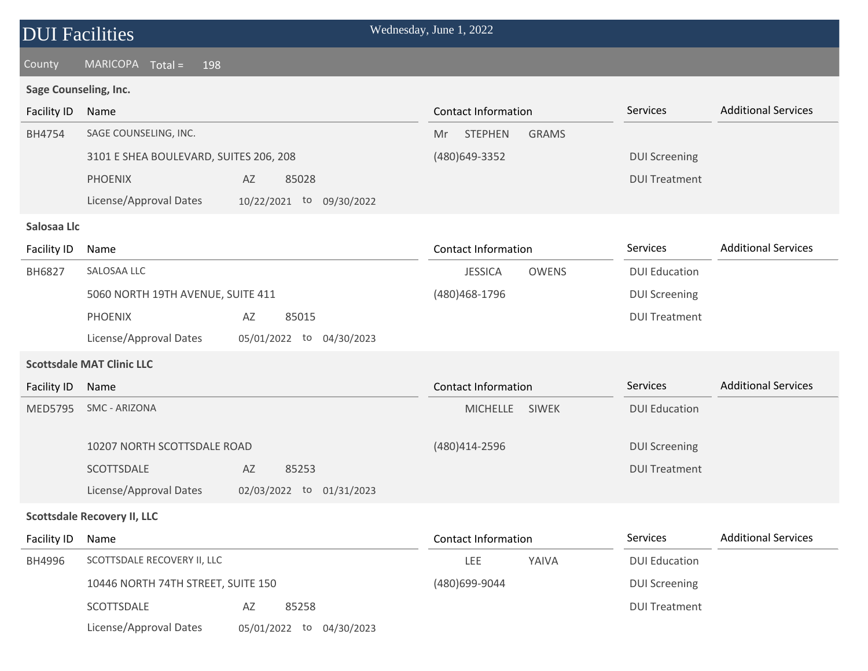## DUI Facilities Wednesday, June 1, 2022 County MARICOPA Total = 198 BH4754 SAGE COUNSELING, INC. **Sage Counseling, Inc.** 3101 E SHEA BOULEVARD, SUITES 206, 208 (480)649-3352 Mr STEPHEN GRAMS Services DUI Screening Facility ID Name Additional Services Contact Information Contact Information Services Additional Services

License/Approval Dates 10/22/2021 to 09/30/2022

PHOENIX AZ 85028

#### **Salosaa Llc**

| <b>Facility ID</b> | Name                              |                                | Contact Information        |              | <b>Services</b>      | <b>Additional Services</b> |
|--------------------|-----------------------------------|--------------------------------|----------------------------|--------------|----------------------|----------------------------|
| <b>BH6827</b>      | SALOSAA LLC                       |                                | <b>JESSICA</b>             | <b>OWENS</b> | <b>DUI Education</b> |                            |
|                    | 5060 NORTH 19TH AVENUE, SUITE 411 |                                | (480) 468-1796             |              | <b>DUI Screening</b> |                            |
|                    | <b>PHOENIX</b>                    | 85015<br>AZ                    |                            |              | <b>DUI Treatment</b> |                            |
|                    | License/Approval Dates            | 05/01/2022<br>04/30/2023<br>to |                            |              |                      |                            |
|                    | <b>Scottsdale MAT Clinic LLC</b>  |                                |                            |              |                      |                            |
| Facility ID        | Name                              |                                | <b>Contact Information</b> |              | <b>Services</b>      | <b>Additional Services</b> |
| <b>MED5795</b>     | SMC - ARIZONA                     |                                | <b>MICHELLE</b>            | <b>SIWEK</b> | <b>DUI Education</b> |                            |
|                    |                                   |                                |                            |              |                      |                            |

DUI Treatment

| 10207 NORTH SCOTTSDALE ROAD |    |                          | (480)414-2596 | <b>DUI Screening</b> |
|-----------------------------|----|--------------------------|---------------|----------------------|
| SCOTTSDALE                  | AZ | 85253                    |               | <b>DUI Treatment</b> |
| License/Approval Dates      |    | 02/03/2022 to 01/31/2023 |               |                      |

#### **Scottsdale Recovery II, LLC**

| Facility ID | Name                               |                             | <b>Contact Information</b> |       | <b>Services</b>      | <b>Additional Services</b> |  |
|-------------|------------------------------------|-----------------------------|----------------------------|-------|----------------------|----------------------------|--|
| BH4996      | SCOTTSDALE RECOVERY II, LLC        |                             | LEE                        | YAIVA | <b>DUI Education</b> |                            |  |
|             | 10446 NORTH 74TH STREET, SUITE 150 |                             | (480)699-9044              |       | <b>DUI Screening</b> |                            |  |
|             | SCOTTSDALE                         | 85258<br>AZ                 |                            |       | <b>DUI Treatment</b> |                            |  |
|             | License/Approval Dates             | 04/30/2023<br>05/01/2022 to |                            |       |                      |                            |  |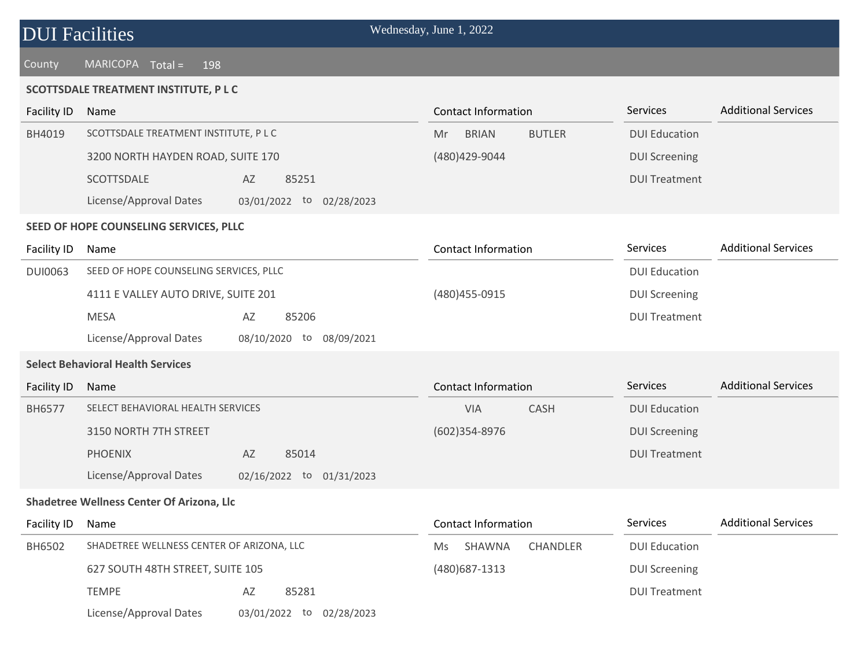| <b>DUI Facilities</b> |  |
|-----------------------|--|
|                       |  |

County MARICOPA Total = 198

#### **SCOTTSDALE TREATMENT INSTITUTE, P L C**

| <b>Facility ID</b> | Name                                      |                             | <b>Contact Information</b>          | Services             | <b>Additional Services</b> |
|--------------------|-------------------------------------------|-----------------------------|-------------------------------------|----------------------|----------------------------|
| BH4019             | SCOTTSDALE TREATMENT INSTITUTE, P L C     |                             | <b>BRIAN</b><br><b>BUTLER</b><br>Mr | <b>DUI Education</b> |                            |
|                    | 3200 NORTH HAYDEN ROAD, SUITE 170         |                             | (480) 429-9044                      | <b>DUI Screening</b> |                            |
|                    | SCOTTSDALE                                | 85251<br>AZ                 |                                     | <b>DUI Treatment</b> |                            |
|                    | License/Approval Dates                    | 03/01/2022 to 02/28/2023    |                                     |                      |                            |
|                    | SEED OF HOPE COUNSELING SERVICES, PLLC    |                             |                                     |                      |                            |
| Facility ID        | Name                                      |                             | <b>Contact Information</b>          | Services             | <b>Additional Services</b> |
| <b>DUI0063</b>     | SEED OF HOPE COUNSELING SERVICES, PLLC    |                             |                                     | <b>DUI Education</b> |                            |
|                    | 4111 E VALLEY AUTO DRIVE, SUITE 201       |                             | (480) 455-0915                      | <b>DUI Screening</b> |                            |
|                    | <b>MESA</b>                               | 85206<br>AZ                 |                                     | <b>DUI Treatment</b> |                            |
|                    | License/Approval Dates                    | 08/10/2020 to<br>08/09/2021 |                                     |                      |                            |
|                    | <b>Select Behavioral Health Services</b>  |                             |                                     |                      |                            |
| <b>Facility ID</b> | Name                                      |                             | <b>Contact Information</b>          | Services             | <b>Additional Services</b> |
| BH6577             | SELECT BEHAVIORAL HEALTH SERVICES         |                             | VIA<br><b>CASH</b>                  | <b>DUI Education</b> |                            |
|                    | 3150 NORTH 7TH STREET                     |                             | (602)354-8976                       | <b>DUI Screening</b> |                            |
|                    | <b>PHOENIX</b>                            | AZ<br>85014                 |                                     | <b>DUI Treatment</b> |                            |
|                    | License/Approval Dates                    | 02/16/2022 to 01/31/2023    |                                     |                      |                            |
|                    | Shadetree Wellness Center Of Arizona, Llc |                             |                                     |                      |                            |
| Facility ID        | Name                                      |                             | <b>Contact Information</b>          | Services             | <b>Additional Services</b> |
| BH6502             | SHADETREE WELLNESS CENTER OF ARIZONA, LLC |                             | CHANDLER<br>SHAWNA<br>Ms            | <b>DUI Education</b> |                            |
|                    | 627 SOUTH 48TH STREET, SUITE 105          |                             | (480) 687-1313                      | <b>DUI Screening</b> |                            |
|                    | <b>TEMPE</b>                              | 85281<br>AZ                 |                                     | <b>DUI Treatment</b> |                            |

License/Approval Dates 03/01/2022 to 02/28/2023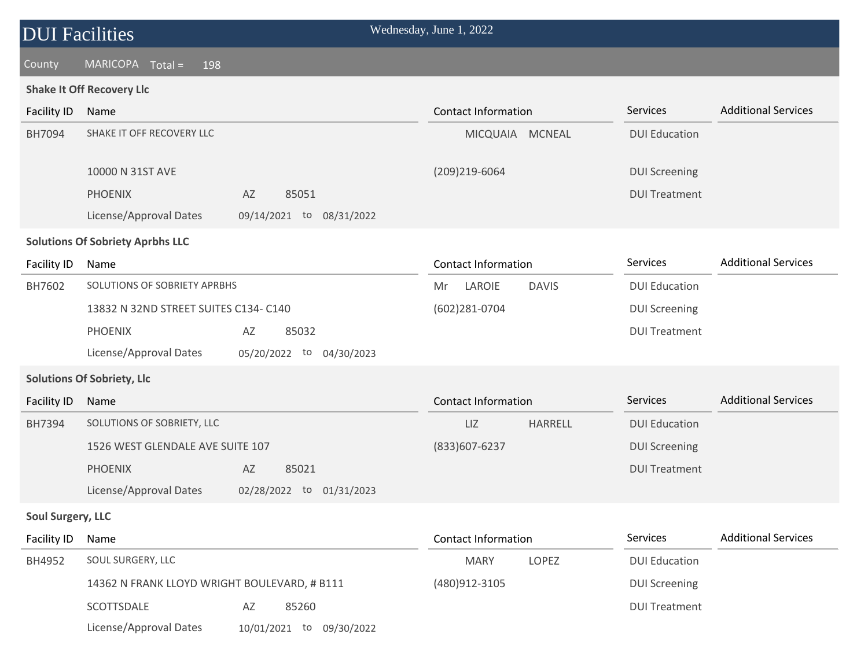## County MARICOPA Total = 198

#### **Shake It Off Recovery Llc**

| <b>Facility ID</b>       | Name                                         |                             | <b>Contact Information</b> |                 | Services             | <b>Additional Services</b> |
|--------------------------|----------------------------------------------|-----------------------------|----------------------------|-----------------|----------------------|----------------------------|
| BH7094                   | SHAKE IT OFF RECOVERY LLC                    |                             |                            | MICQUAIA MCNEAL | <b>DUI Education</b> |                            |
|                          | 10000 N 31ST AVE                             |                             | (209)219-6064              |                 | <b>DUI Screening</b> |                            |
|                          | <b>PHOENIX</b>                               | AZ<br>85051                 |                            |                 | <b>DUI Treatment</b> |                            |
|                          | License/Approval Dates                       | 09/14/2021 to 08/31/2022    |                            |                 |                      |                            |
|                          | <b>Solutions Of Sobriety Aprbhs LLC</b>      |                             |                            |                 |                      |                            |
| Facility ID              | Name                                         |                             | <b>Contact Information</b> |                 | Services             | <b>Additional Services</b> |
| BH7602                   | SOLUTIONS OF SOBRIETY APRBHS                 |                             | LAROIE<br>Mr               | <b>DAVIS</b>    | <b>DUI Education</b> |                            |
|                          | 13832 N 32ND STREET SUITES C134- C140        |                             | (602)281-0704              |                 | <b>DUI Screening</b> |                            |
|                          | <b>PHOENIX</b>                               | AZ<br>85032                 |                            |                 | <b>DUI Treatment</b> |                            |
|                          | License/Approval Dates                       | 05/20/2022 to<br>04/30/2023 |                            |                 |                      |                            |
|                          | <b>Solutions Of Sobriety, Llc</b>            |                             |                            |                 |                      |                            |
| <b>Facility ID</b>       | Name                                         |                             | <b>Contact Information</b> |                 | Services             | <b>Additional Services</b> |
| BH7394                   | SOLUTIONS OF SOBRIETY, LLC                   |                             | LIZ                        | HARRELL         | <b>DUI Education</b> |                            |
|                          | 1526 WEST GLENDALE AVE SUITE 107             |                             | (833) 607-6237             |                 | <b>DUI Screening</b> |                            |
|                          | <b>PHOENIX</b>                               | AZ<br>85021                 |                            |                 | <b>DUI Treatment</b> |                            |
|                          | License/Approval Dates                       | 02/28/2022 to 01/31/2023    |                            |                 |                      |                            |
| <b>Soul Surgery, LLC</b> |                                              |                             |                            |                 |                      |                            |
| Facility ID              | Name                                         |                             | <b>Contact Information</b> |                 | Services             | <b>Additional Services</b> |
| BH4952                   | SOUL SURGERY, LLC                            |                             | <b>MARY</b>                | LOPEZ           | <b>DUI Education</b> |                            |
|                          | 14362 N FRANK LLOYD WRIGHT BOULEVARD, # B111 |                             | (480)912-3105              |                 | <b>DUI Screening</b> |                            |
|                          | SCOTTSDALE                                   | AZ<br>85260                 |                            |                 | <b>DUI Treatment</b> |                            |

License/Approval Dates 10/01/2021 to 09/30/2022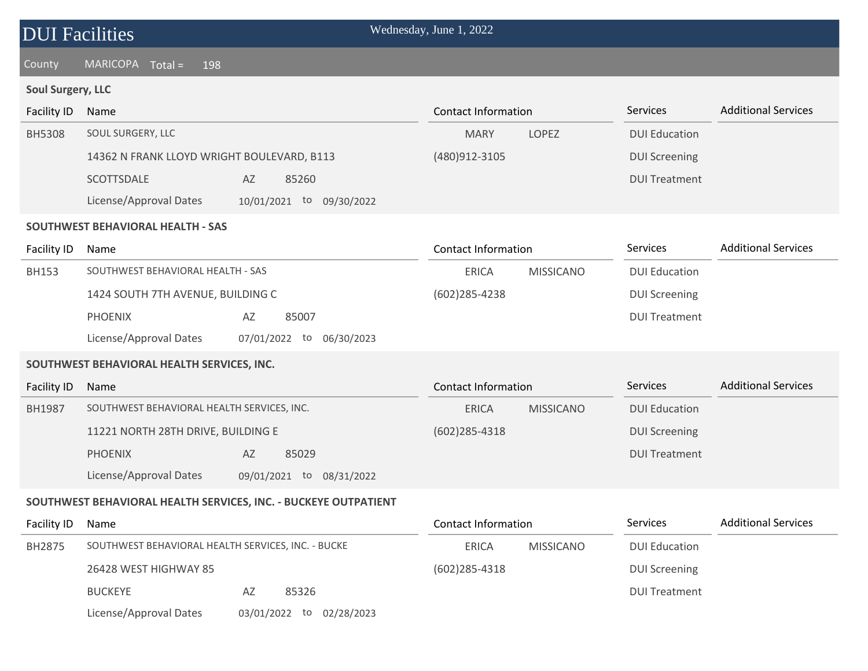## County MARICOPA Total = 198

## **Soul Surgery, LLC**

| Facility ID   | Name                                                     | <b>Contact Information</b>       | Services             | <b>Additional Services</b> |
|---------------|----------------------------------------------------------|----------------------------------|----------------------|----------------------------|
| <b>BH5308</b> | SOUL SURGERY, LLC                                        | <b>MARY</b><br><b>LOPEZ</b>      | <b>DUI Education</b> |                            |
|               | 14362 N FRANK LLOYD WRIGHT BOULEVARD, B113               | (480) 912 - 3105                 | <b>DUI Screening</b> |                            |
|               | SCOTTSDALE<br>AZ<br>85260                                |                                  | <b>DUI Treatment</b> |                            |
|               | License/Approval Dates<br>10/01/2021 to 09/30/2022       |                                  |                      |                            |
|               | SOUTHWEST BEHAVIORAL HEALTH - SAS                        |                                  |                      |                            |
| Facility ID   | Name                                                     | <b>Contact Information</b>       | <b>Services</b>      | <b>Additional Services</b> |
| <b>BH153</b>  | SOUTHWEST BEHAVIORAL HEALTH - SAS                        | <b>ERICA</b><br><b>MISSICANO</b> | <b>DUI Education</b> |                            |
|               | 1424 SOUTH 7TH AVENUE, BUILDING C                        | $(602)$ 285-4238                 | <b>DUI Screening</b> |                            |
|               | <b>PHOENIX</b><br>85007<br>AZ                            |                                  | <b>DUI Treatment</b> |                            |
|               | License/Approval Dates<br>07/01/2022 to<br>06/30/2023    |                                  |                      |                            |
|               | SOUTHWEST BEHAVIORAL HEALTH SERVICES, INC.               |                                  |                      |                            |
| Facility ID   | Name                                                     | <b>Contact Information</b>       | Services             | <b>Additional Services</b> |
| <b>BH1987</b> | SOUTHWEST BEHAVIORAL HEALTH SERVICES, INC.               | <b>MISSICANO</b><br><b>ERICA</b> | <b>DUI Education</b> |                            |
|               | 11221 NORTH 28TH DRIVE, BUILDING E                       | $(602)$ 285-4318                 | <b>DUI Screening</b> |                            |
|               | <b>PHOENIX</b><br>85029<br>AZ                            |                                  | <b>DUI Treatment</b> |                            |
|               | License/Approval Dates<br>09/01/2021<br>to<br>08/31/2022 |                                  |                      |                            |

### **SOUTHWEST BEHAVIORAL HEALTH SERVICES, INC. - BUCKEYE OUTPATIENT**

| Facility ID | Name                                               |                             | Contact Information |                  | <b>Services</b>      | <b>Additional Services</b> |
|-------------|----------------------------------------------------|-----------------------------|---------------------|------------------|----------------------|----------------------------|
| BH2875      | SOUTHWEST BEHAVIORAL HEALTH SERVICES, INC. - BUCKE |                             | <b>ERICA</b>        | <b>MISSICANO</b> | <b>DUI Education</b> |                            |
|             | 26428 WEST HIGHWAY 85                              |                             | $(602)$ 285-4318    |                  | <b>DUI Screening</b> |                            |
|             | <b>BUCKEYE</b>                                     | 85326<br>AZ                 |                     |                  | <b>DUI Treatment</b> |                            |
|             | License/Approval Dates                             | 02/28/2023<br>03/01/2022 to |                     |                  |                      |                            |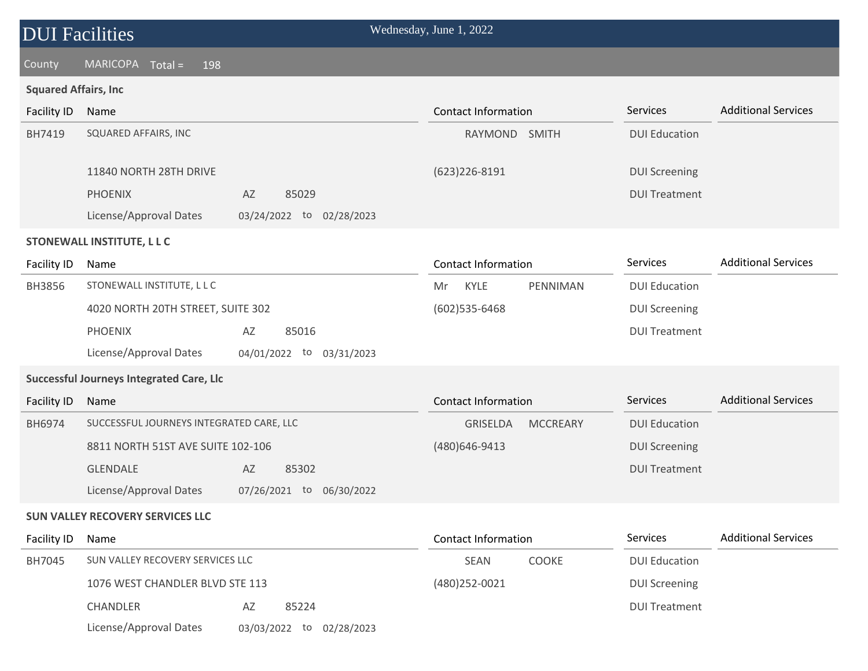#### County MARICOPA Total = 198

#### **Squared Affairs, Inc**

| Facility ID | Name                              |            |                  |    | Contact Information        |              | <b>Services</b>      | <b>Additional Services</b> |
|-------------|-----------------------------------|------------|------------------|----|----------------------------|--------------|----------------------|----------------------------|
| BH7419      | SQUARED AFFAIRS, INC              |            |                  |    | RAYMOND                    | <b>SMITH</b> | <b>DUI Education</b> |                            |
|             |                                   |            |                  |    |                            |              |                      |                            |
|             | 11840 NORTH 28TH DRIVE            |            |                  |    | $(623)226 - 8191$          |              | <b>DUI Screening</b> |                            |
|             | <b>PHOENIX</b>                    | AZ         | 85029            |    |                            |              | <b>DUI Treatment</b> |                            |
|             | License/Approval Dates            | 03/24/2022 | 02/28/2023<br>to |    |                            |              |                      |                            |
|             | STONEWALL INSTITUTE, L L C        |            |                  |    |                            |              |                      |                            |
| Facility ID | Name                              |            |                  |    | <b>Contact Information</b> |              | <b>Services</b>      | <b>Additional Services</b> |
| BH3856      | STONEWALL INSTITUTE, L L C        |            |                  | Mr | KYLE                       | PENNIMAN     | <b>DUI Education</b> |                            |
|             | 4020 NORTH 20TH STREET, SUITE 302 |            |                  |    | $(602)$ 535-6468           |              | <b>DUI Screening</b> |                            |
|             | <b>PHOENIX</b>                    | AZ         | 85016            |    |                            |              | <b>DUI Treatment</b> |                            |

License/Approval Dates 04/01/2022 to 03/31/2023

### **Successful Journeys Integrated Care, Llc**

| Facility ID   | Name                                     |                             | Contact Information                | <b>Services</b>      | <b>Additional Services</b> |
|---------------|------------------------------------------|-----------------------------|------------------------------------|----------------------|----------------------------|
| <b>BH6974</b> | SUCCESSFUL JOURNEYS INTEGRATED CARE, LLC |                             | <b>GRISELDA</b><br><b>MCCREARY</b> | <b>DUI Education</b> |                            |
|               | 8811 NORTH 51ST AVE SUITE 102-106        |                             | (480)646-9413                      | <b>DUI Screening</b> |                            |
|               | <b>GLENDALE</b>                          | AZ<br>85302                 |                                    | <b>DUI Treatment</b> |                            |
|               | License/Approval Dates                   | 06/30/2022<br>07/26/2021 to |                                    |                      |                            |

#### **SUN VALLEY RECOVERY SERVICES LLC**

| Facility ID | Name                             |                                | Contact Information         | <b>Services</b>      | <b>Additional Services</b> |
|-------------|----------------------------------|--------------------------------|-----------------------------|----------------------|----------------------------|
| BH7045      | SUN VALLEY RECOVERY SERVICES LLC |                                | <b>SEAN</b><br><b>COOKE</b> | <b>DUI Education</b> |                            |
|             | 1076 WEST CHANDLER BLVD STE 113  |                                | (480) 252-0021              | <b>DUI Screening</b> |                            |
|             | <b>CHANDLER</b>                  | 85224<br>AZ                    |                             | <b>DUI Treatment</b> |                            |
|             | License/Approval Dates           | 02/28/2023<br>03/03/2022<br>to |                             |                      |                            |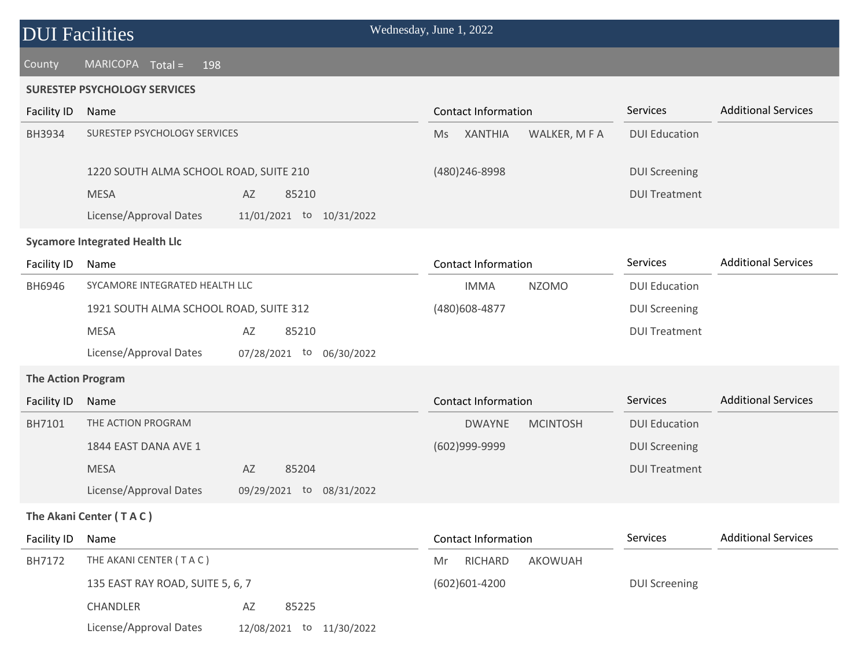#### County MARICOPA Total = 198

#### **SURESTEP PSYCHOLOGY SERVICES**

| <b>Facility ID</b>        | Name                                               | <b>Contact Information</b>                   | Services             | <b>Additional Services</b> |
|---------------------------|----------------------------------------------------|----------------------------------------------|----------------------|----------------------------|
| BH3934                    | SURESTEP PSYCHOLOGY SERVICES                       | <b>XANTHIA</b><br>WALKER, M F A<br><b>Ms</b> | <b>DUI Education</b> |                            |
|                           | 1220 SOUTH ALMA SCHOOL ROAD, SUITE 210             | (480) 246-8998                               | <b>DUI Screening</b> |                            |
|                           | <b>MESA</b><br>85210<br>AZ                         |                                              | <b>DUI Treatment</b> |                            |
|                           | License/Approval Dates<br>11/01/2021 to 10/31/2022 |                                              |                      |                            |
|                           | <b>Sycamore Integrated Health Llc</b>              |                                              |                      |                            |
| Facility ID               | Name                                               | <b>Contact Information</b>                   | Services             | <b>Additional Services</b> |
| BH6946                    | SYCAMORE INTEGRATED HEALTH LLC                     | <b>NZOMO</b><br><b>IMMA</b>                  | <b>DUI Education</b> |                            |
|                           | 1921 SOUTH ALMA SCHOOL ROAD, SUITE 312             | (480) 608-4877                               | <b>DUI Screening</b> |                            |
|                           | <b>MESA</b><br>85210<br>AZ                         |                                              | <b>DUI Treatment</b> |                            |
|                           | License/Approval Dates<br>07/28/2021 to 06/30/2022 |                                              |                      |                            |
| <b>The Action Program</b> |                                                    |                                              |                      |                            |
| <b>Facility ID</b>        | Name                                               | <b>Contact Information</b>                   | Services             | <b>Additional Services</b> |
| BH7101                    | THE ACTION PROGRAM                                 | <b>MCINTOSH</b><br><b>DWAYNE</b>             | <b>DUI Education</b> |                            |
|                           | 1844 EAST DANA AVE 1                               | (602)999-9999                                | <b>DUI Screening</b> |                            |
|                           | <b>MESA</b><br>85204<br>AZ                         |                                              | <b>DUI Treatment</b> |                            |
|                           | License/Approval Dates<br>09/29/2021 to 08/31/2022 |                                              |                      |                            |
|                           | The Akani Center (TAC)                             |                                              |                      |                            |
| <b>Facility ID</b>        | Name                                               | Contact Information                          | Services             | <b>Additional Services</b> |
| BH7172                    | THE AKANI CENTER (TAC)                             | <b>RICHARD</b><br>AKOWUAH<br>Mr              |                      |                            |
|                           | 135 EAST RAY ROAD, SUITE 5, 6, 7                   | $(602)601 - 4200$                            | <b>DUI Screening</b> |                            |
|                           | CHANDLER<br>AZ<br>85225                            |                                              |                      |                            |
|                           | License/Approval Dates<br>12/08/2021 to 11/30/2022 |                                              |                      |                            |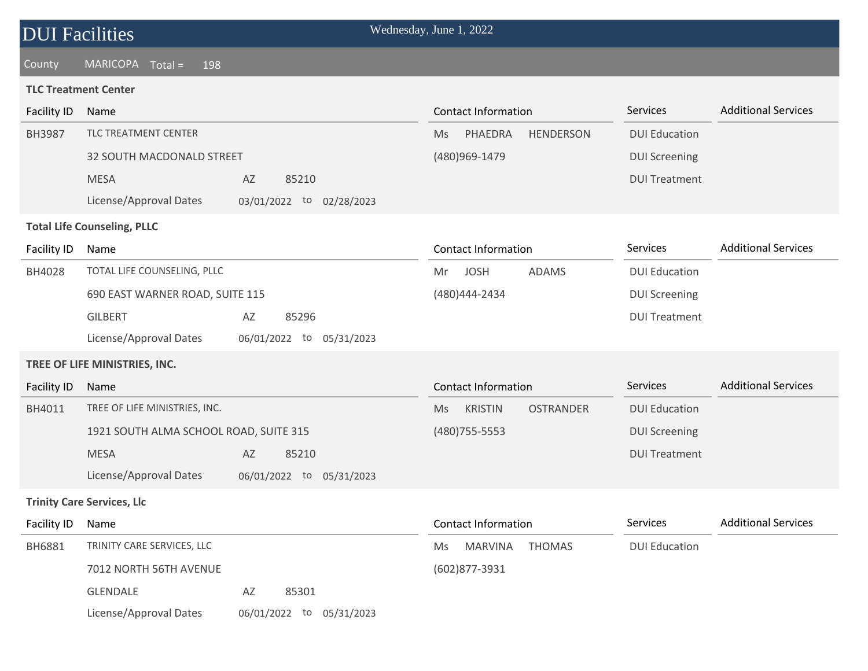### County MARICOPA Total = 198

#### **TLC Treatment Center**

| <b>Facility ID</b> | Name                                   |                             | <b>Contact Information</b>               | Services             | <b>Additional Services</b> |
|--------------------|----------------------------------------|-----------------------------|------------------------------------------|----------------------|----------------------------|
| <b>BH3987</b>      | TLC TREATMENT CENTER                   |                             | PHAEDRA<br><b>HENDERSON</b><br>Ms        | <b>DUI Education</b> |                            |
|                    | 32 SOUTH MACDONALD STREET              |                             | (480)969-1479                            | <b>DUI Screening</b> |                            |
|                    | <b>MESA</b>                            | AZ<br>85210                 |                                          | <b>DUI Treatment</b> |                            |
|                    | License/Approval Dates                 | 03/01/2022 to 02/28/2023    |                                          |                      |                            |
|                    | <b>Total Life Counseling, PLLC</b>     |                             |                                          |                      |                            |
| Facility ID        | Name                                   |                             | <b>Contact Information</b>               | Services             | <b>Additional Services</b> |
| BH4028             | TOTAL LIFE COUNSELING, PLLC            |                             | <b>JOSH</b><br>ADAMS<br>Mr               | <b>DUI Education</b> |                            |
|                    | 690 EAST WARNER ROAD, SUITE 115        |                             | (480) 444 - 2434                         | <b>DUI Screening</b> |                            |
|                    | <b>GILBERT</b>                         | AZ<br>85296                 |                                          | <b>DUI Treatment</b> |                            |
|                    | License/Approval Dates                 | 06/01/2022 to 05/31/2023    |                                          |                      |                            |
|                    | TREE OF LIFE MINISTRIES, INC.          |                             |                                          |                      |                            |
| <b>Facility ID</b> | Name                                   |                             | <b>Contact Information</b>               | Services             | <b>Additional Services</b> |
| BH4011             | TREE OF LIFE MINISTRIES, INC.          |                             | <b>KRISTIN</b><br><b>OSTRANDER</b><br>Ms | <b>DUI Education</b> |                            |
|                    | 1921 SOUTH ALMA SCHOOL ROAD, SUITE 315 |                             | (480) 755-5553                           | <b>DUI Screening</b> |                            |
|                    | <b>MESA</b>                            | AZ<br>85210                 |                                          | <b>DUI Treatment</b> |                            |
|                    | License/Approval Dates                 | 06/01/2022 to<br>05/31/2023 |                                          |                      |                            |
|                    | <b>Trinity Care Services, Llc</b>      |                             |                                          |                      |                            |
| Facility ID        | Name                                   |                             | Contact Information                      | Services             | <b>Additional Services</b> |
| BH6881             | TRINITY CARE SERVICES, LLC             |                             | <b>MARVINA</b><br><b>THOMAS</b><br>Ms    | <b>DUI Education</b> |                            |
|                    | 7012 NORTH 56TH AVENUE                 |                             | (602)877-3931                            |                      |                            |
|                    | <b>GLENDALE</b>                        | 85301<br>AZ                 |                                          |                      |                            |
|                    | License/Approval Dates                 | 06/01/2022 to<br>05/31/2023 |                                          |                      |                            |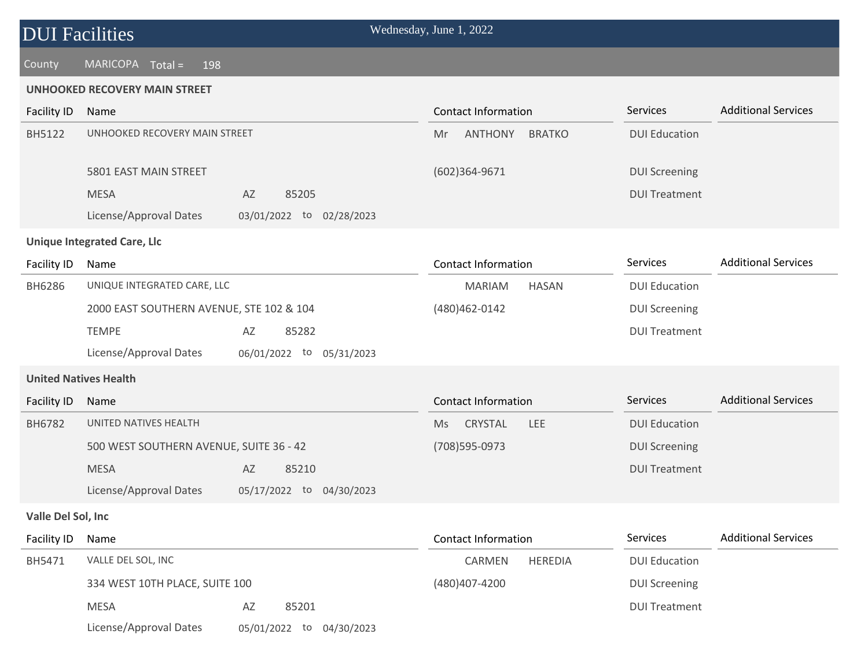#### County MARICOPA Total = 198

#### **UNHOOKED RECOVERY MAIN STREET**

| <b>Facility ID</b> | Name                                     |                             | <b>Contact Information</b> |                | Services             | <b>Additional Services</b> |
|--------------------|------------------------------------------|-----------------------------|----------------------------|----------------|----------------------|----------------------------|
| <b>BH5122</b>      | UNHOOKED RECOVERY MAIN STREET            |                             | <b>ANTHONY</b><br>Mr       | <b>BRATKO</b>  | <b>DUI Education</b> |                            |
|                    | 5801 EAST MAIN STREET                    |                             | $(602)364-9671$            |                | <b>DUI Screening</b> |                            |
|                    | <b>MESA</b>                              | AZ<br>85205                 |                            |                | <b>DUI Treatment</b> |                            |
|                    | License/Approval Dates                   | 03/01/2022 to<br>02/28/2023 |                            |                |                      |                            |
|                    | <b>Unique Integrated Care, Llc</b>       |                             |                            |                |                      |                            |
| <b>Facility ID</b> | Name                                     |                             | <b>Contact Information</b> |                | Services             | <b>Additional Services</b> |
| BH6286             | UNIQUE INTEGRATED CARE, LLC              |                             | <b>MARIAM</b>              | <b>HASAN</b>   | <b>DUI Education</b> |                            |
|                    | 2000 EAST SOUTHERN AVENUE, STE 102 & 104 |                             | (480) 462-0142             |                | <b>DUI Screening</b> |                            |
|                    | <b>TEMPE</b>                             | 85282<br>AZ                 |                            |                | <b>DUI Treatment</b> |                            |
|                    | License/Approval Dates                   | 06/01/2022 to<br>05/31/2023 |                            |                |                      |                            |
|                    | <b>United Natives Health</b>             |                             |                            |                |                      |                            |
| Facility ID        | Name                                     |                             | <b>Contact Information</b> |                | Services             | <b>Additional Services</b> |
| BH6782             | UNITED NATIVES HEALTH                    |                             | CRYSTAL<br>Ms              | <b>LEE</b>     | <b>DUI Education</b> |                            |
|                    | 500 WEST SOUTHERN AVENUE, SUITE 36 - 42  |                             | (708) 595-0973             |                | <b>DUI Screening</b> |                            |
|                    | <b>MESA</b>                              | 85210<br>AZ                 |                            |                | <b>DUI Treatment</b> |                            |
|                    | License/Approval Dates                   | 05/17/2022 to 04/30/2023    |                            |                |                      |                            |
| Valle Del Sol, Inc |                                          |                             |                            |                |                      |                            |
| Facility ID        | Name                                     |                             | <b>Contact Information</b> |                | Services             | <b>Additional Services</b> |
| BH5471             | VALLE DEL SOL, INC                       |                             | <b>CARMEN</b>              | <b>HEREDIA</b> | <b>DUI Education</b> |                            |

(480)407-4200

DUI Screening

DUI Treatment

334 WEST 10TH PLACE, SUITE 100

MESA AZ 85201

License/Approval Dates 05/01/2022 to 04/30/2023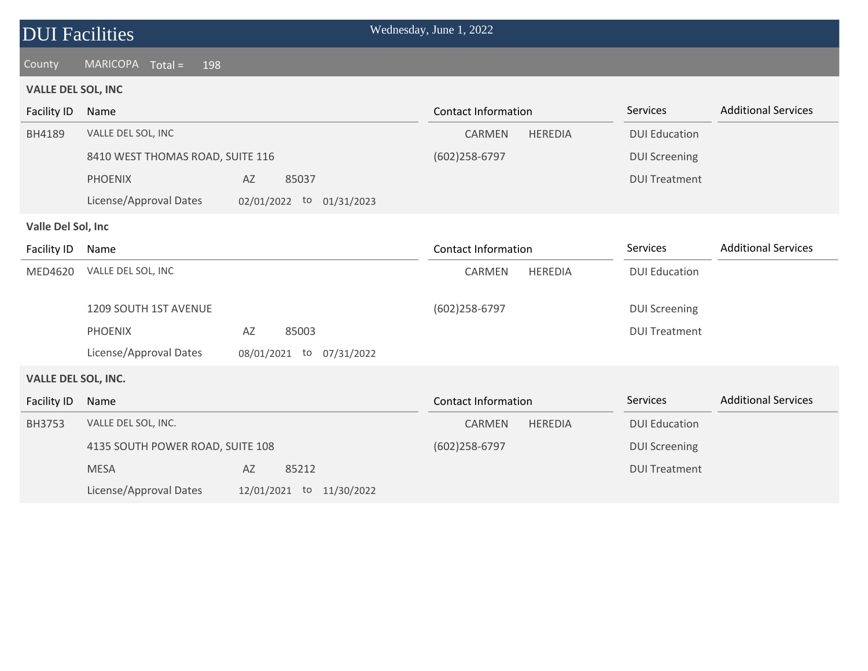| <b>DUI</b> Facilities      |                                     |                          | Wednesday, June 1, 2022    |                |                      |                            |
|----------------------------|-------------------------------------|--------------------------|----------------------------|----------------|----------------------|----------------------------|
| County                     | <b>MARICOPA</b><br>$Total =$<br>198 |                          |                            |                |                      |                            |
| <b>VALLE DEL SOL, INC</b>  |                                     |                          |                            |                |                      |                            |
| <b>Facility ID</b>         | Name                                |                          | <b>Contact Information</b> |                | <b>Services</b>      | <b>Additional Services</b> |
| BH4189                     | VALLE DEL SOL, INC                  |                          | CARMEN                     | <b>HEREDIA</b> | <b>DUI Education</b> |                            |
|                            | 8410 WEST THOMAS ROAD, SUITE 116    |                          | $(602)258 - 6797$          |                | <b>DUI Screening</b> |                            |
|                            | <b>PHOENIX</b>                      | 85037<br>AZ              |                            |                | <b>DUI Treatment</b> |                            |
|                            | License/Approval Dates              | 02/01/2022 to 01/31/2023 |                            |                |                      |                            |
| Valle Del Sol, Inc         |                                     |                          |                            |                |                      |                            |
| Facility ID                | Name                                |                          | <b>Contact Information</b> |                | Services             | <b>Additional Services</b> |
| MED4620                    | VALLE DEL SOL, INC                  |                          | CARMEN                     | <b>HEREDIA</b> | <b>DUI Education</b> |                            |
|                            | 1209 SOUTH 1ST AVENUE               |                          |                            |                |                      |                            |
|                            |                                     |                          | (602)258-6797              |                | <b>DUI Screening</b> |                            |
|                            | <b>PHOENIX</b>                      | 85003<br>AZ              |                            |                | <b>DUI Treatment</b> |                            |
|                            | License/Approval Dates              | 08/01/2021 to 07/31/2022 |                            |                |                      |                            |
| <b>VALLE DEL SOL, INC.</b> |                                     |                          |                            |                |                      |                            |
| <b>Facility ID</b>         | Name                                |                          | <b>Contact Information</b> |                | Services             | <b>Additional Services</b> |
| <b>BH3753</b>              | VALLE DEL SOL, INC.                 |                          | <b>CARMEN</b>              | <b>HEREDIA</b> | <b>DUI Education</b> |                            |
|                            | 4135 SOUTH POWER ROAD, SUITE 108    |                          | $(602)258 - 6797$          |                | <b>DUI Screening</b> |                            |
|                            | <b>MESA</b>                         | AZ<br>85212              |                            |                | <b>DUI Treatment</b> |                            |
|                            | License/Approval Dates              | 12/01/2021 to 11/30/2022 |                            |                |                      |                            |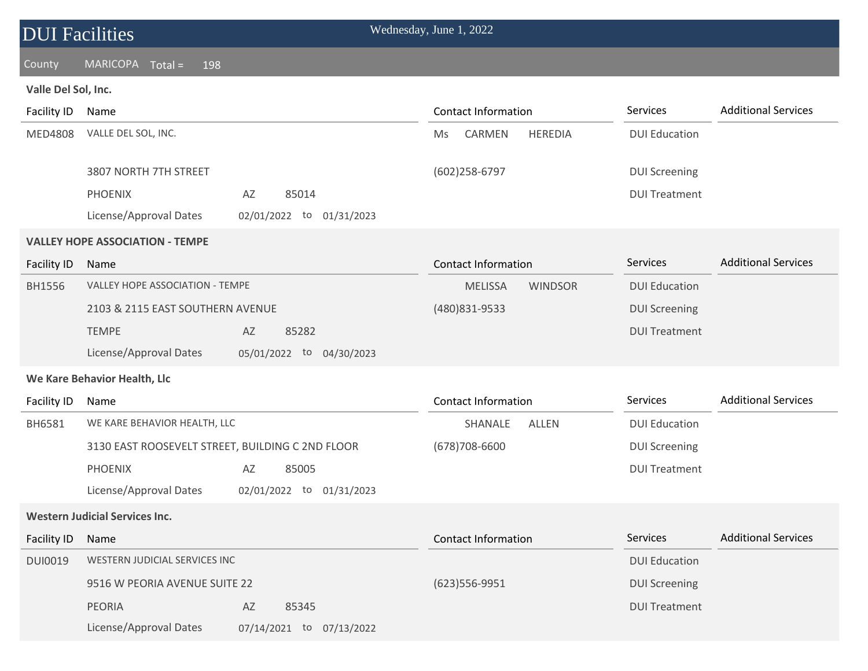### County MARICOPA Total = 198

### **Valle Del Sol, Inc.**

| Facility ID        | Name                                               | <b>Contact Information</b>            | Services             | <b>Additional Services</b> |
|--------------------|----------------------------------------------------|---------------------------------------|----------------------|----------------------------|
| <b>MED4808</b>     | VALLE DEL SOL, INC.                                | CARMEN<br><b>HEREDIA</b><br><b>Ms</b> | <b>DUI Education</b> |                            |
|                    | 3807 NORTH 7TH STREET                              | (602)258-6797                         | <b>DUI Screening</b> |                            |
|                    | <b>PHOENIX</b><br>85014<br>AZ                      |                                       | <b>DUI Treatment</b> |                            |
|                    | License/Approval Dates<br>02/01/2022 to 01/31/2023 |                                       |                      |                            |
|                    | <b>VALLEY HOPE ASSOCIATION - TEMPE</b>             |                                       |                      |                            |
| <b>Facility ID</b> | Name                                               | <b>Contact Information</b>            | Services             | <b>Additional Services</b> |
| BH1556             | <b>VALLEY HOPE ASSOCIATION - TEMPE</b>             | <b>MELISSA</b><br><b>WINDSOR</b>      | <b>DUI Education</b> |                            |
|                    | 2103 & 2115 EAST SOUTHERN AVENUE                   | (480) 831-9533                        | <b>DUI Screening</b> |                            |
|                    | <b>TEMPE</b><br>85282<br>AZ                        |                                       | <b>DUI Treatment</b> |                            |
|                    | License/Approval Dates<br>05/01/2022 to 04/30/2023 |                                       |                      |                            |
|                    | We Kare Behavior Health, Llc                       |                                       |                      |                            |
| Facility ID        | Name                                               | <b>Contact Information</b>            | Services             | <b>Additional Services</b> |
| BH6581             | WE KARE BEHAVIOR HEALTH, LLC                       | SHANALE<br><b>ALLEN</b>               | <b>DUI Education</b> |                            |
|                    | 3130 EAST ROOSEVELT STREET, BUILDING C 2ND FLOOR   | $(678)708 - 6600$                     | <b>DUI Screening</b> |                            |
|                    | <b>PHOENIX</b><br>85005<br>AZ                      |                                       | <b>DUI Treatment</b> |                            |
|                    | License/Approval Dates<br>02/01/2022 to 01/31/2023 |                                       |                      |                            |
|                    | <b>Western Judicial Services Inc.</b>              |                                       |                      |                            |
| <b>Facility ID</b> | Name                                               | <b>Contact Information</b>            | Services             | <b>Additional Services</b> |
| <b>DUI0019</b>     | WESTERN JUDICIAL SERVICES INC                      |                                       | <b>DUI Education</b> |                            |
|                    | 9516 W PEORIA AVENUE SUITE 22                      | (623) 556-9951                        | <b>DUI Screening</b> |                            |
|                    | <b>PEORIA</b><br>85345<br>AZ                       |                                       | <b>DUI Treatment</b> |                            |
|                    | License/Approval Dates<br>07/14/2021 to 07/13/2022 |                                       |                      |                            |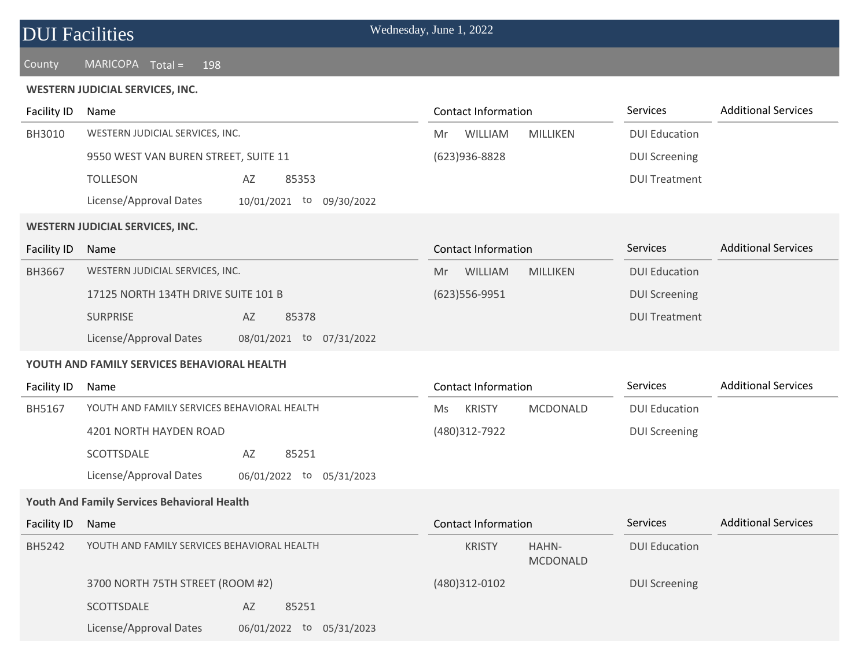## County MARICOPA Total = 198

#### **WESTERN JUDICIAL SERVICES, INC.**

| <b>Facility ID</b> | Name                                                  | <b>Contact Information</b>                | Services             | <b>Additional Services</b> |
|--------------------|-------------------------------------------------------|-------------------------------------------|----------------------|----------------------------|
| BH3010             | WESTERN JUDICIAL SERVICES, INC.                       | WILLIAM<br>MILLIKEN<br>Mr                 | <b>DUI Education</b> |                            |
|                    | 9550 WEST VAN BUREN STREET, SUITE 11                  | (623)936-8828                             | <b>DUI Screening</b> |                            |
|                    | <b>TOLLESON</b><br>AZ<br>85353                        |                                           | <b>DUI Treatment</b> |                            |
|                    | License/Approval Dates<br>10/01/2021 to<br>09/30/2022 |                                           |                      |                            |
|                    | <b>WESTERN JUDICIAL SERVICES, INC.</b>                |                                           |                      |                            |
| <b>Facility ID</b> | Name                                                  | <b>Contact Information</b>                | Services             | <b>Additional Services</b> |
| BH3667             | WESTERN JUDICIAL SERVICES, INC.                       | WILLIAM<br><b>MILLIKEN</b><br>Mr.         | <b>DUI Education</b> |                            |
|                    | 17125 NORTH 134TH DRIVE SUITE 101 B                   | $(623)$ 556-9951                          | <b>DUI Screening</b> |                            |
|                    | <b>SURPRISE</b><br>AZ<br>85378                        |                                           | <b>DUI Treatment</b> |                            |
|                    | License/Approval Dates<br>08/01/2021 to 07/31/2022    |                                           |                      |                            |
|                    | YOUTH AND FAMILY SERVICES BEHAVIORAL HEALTH           |                                           |                      |                            |
|                    |                                                       |                                           |                      |                            |
| Facility ID        | Name                                                  | <b>Contact Information</b>                | Services             | <b>Additional Services</b> |
| BH5167             | YOUTH AND FAMILY SERVICES BEHAVIORAL HEALTH           | <b>KRISTY</b><br><b>MCDONALD</b><br>Ms    | <b>DUI Education</b> |                            |
|                    | 4201 NORTH HAYDEN ROAD                                | (480)312-7922                             | <b>DUI Screening</b> |                            |
|                    | SCOTTSDALE<br>AZ<br>85251                             |                                           |                      |                            |
|                    | License/Approval Dates<br>06/01/2022 to 05/31/2023    |                                           |                      |                            |
|                    | <b>Youth And Family Services Behavioral Health</b>    |                                           |                      |                            |
| <b>Facility ID</b> | Name                                                  | <b>Contact Information</b>                | <b>Services</b>      | <b>Additional Services</b> |
| BH5242             | YOUTH AND FAMILY SERVICES BEHAVIORAL HEALTH           | <b>KRISTY</b><br>HAHN-<br><b>MCDONALD</b> | <b>DUI Education</b> |                            |
|                    | 3700 NORTH 75TH STREET (ROOM #2)                      | (480)312-0102                             | <b>DUI Screening</b> |                            |
|                    | SCOTTSDALE<br>AZ<br>85251                             |                                           |                      |                            |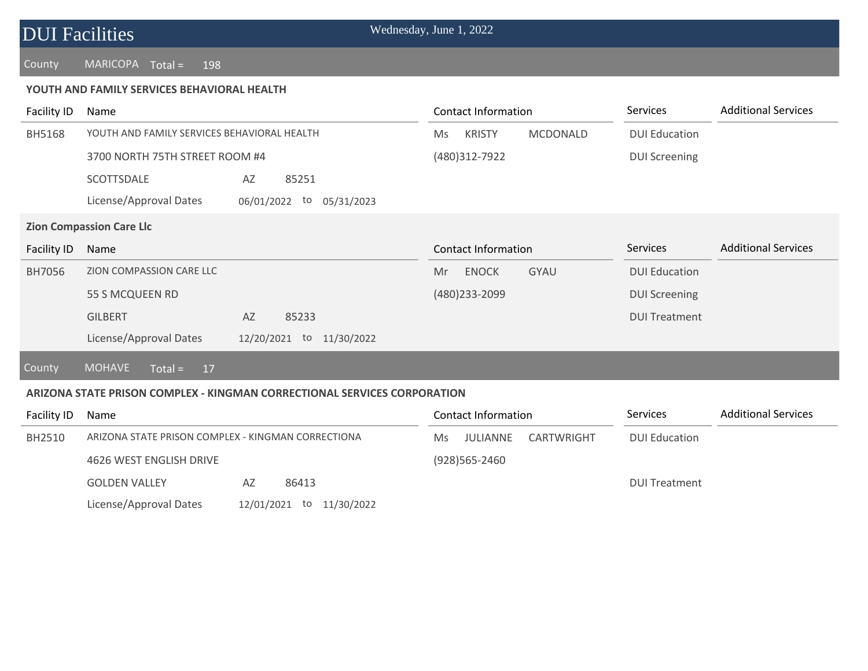#### County MARICOPA Total = 198

#### **YOUTH AND FAMILY SERVICES BEHAVIORAL HEALTH**

| Facility ID        | Name                                                                     |               | Contact Information        |                   | <b>Services</b>      | <b>Additional Services</b> |
|--------------------|--------------------------------------------------------------------------|---------------|----------------------------|-------------------|----------------------|----------------------------|
| <b>BH5168</b>      | YOUTH AND FAMILY SERVICES BEHAVIORAL HEALTH                              | <b>Ms</b>     | <b>KRISTY</b>              | <b>MCDONALD</b>   | <b>DUI Education</b> |                            |
|                    | 3700 NORTH 75TH STREET ROOM #4                                           |               | (480)312-7922              |                   | <b>DUI Screening</b> |                            |
|                    | SCOTTSDALE<br>85251<br>AZ                                                |               |                            |                   |                      |                            |
|                    | License/Approval Dates<br>06/01/2022                                     | to 05/31/2023 |                            |                   |                      |                            |
|                    | <b>Zion Compassion Care Llc</b>                                          |               |                            |                   |                      |                            |
| <b>Facility ID</b> | Name                                                                     |               | <b>Contact Information</b> |                   | Services             | <b>Additional Services</b> |
| BH7056             | ZION COMPASSION CARE LLC                                                 | Mr            | <b>ENOCK</b>               | <b>GYAU</b>       | <b>DUI Education</b> |                            |
|                    | 55 S MCQUEEN RD                                                          |               | (480) 233 - 2099           |                   | <b>DUI Screening</b> |                            |
|                    | <b>GILBERT</b><br>AZ<br>85233                                            |               |                            |                   | <b>DUI Treatment</b> |                            |
|                    | License/Approval Dates<br>12/20/2021 to 11/30/2022                       |               |                            |                   |                      |                            |
| County             | <b>MOHAVE</b><br>$Total =$<br>17                                         |               |                            |                   |                      |                            |
|                    | ARIZONA STATE PRISON COMPLEX - KINGMAN CORRECTIONAL SERVICES CORPORATION |               |                            |                   |                      |                            |
| Facility ID        | Name                                                                     |               | <b>Contact Information</b> |                   | Services             | <b>Additional Services</b> |
| BH2510             | ARIZONA STATE PRISON COMPLEX - KINGMAN CORRECTIONA                       | <b>Ms</b>     | <b>JULIANNE</b>            | <b>CARTWRIGHT</b> | <b>DUI Education</b> |                            |
|                    | 4626 WEST ENGLISH DRIVE                                                  |               | (928)565-2460              |                   |                      |                            |

DUI Treatment

| <b>GOLDEN VALLEY</b>   | AZ. | 86413 |                          |
|------------------------|-----|-------|--------------------------|
| License/Approval Dates |     |       | 12/01/2021 to 11/30/2022 |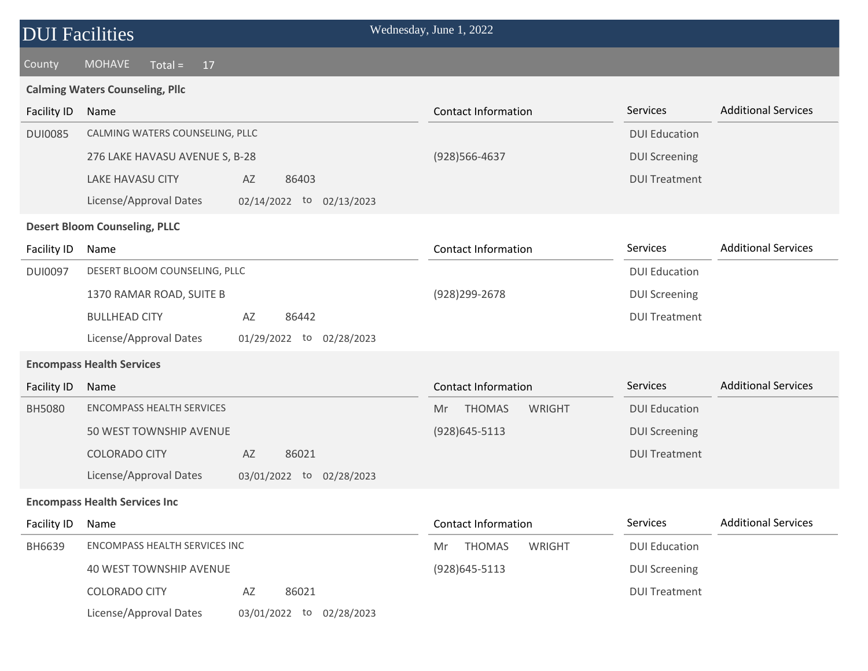## County MOHAVE Total = 17

#### **Calming Waters Counseling, Pllc**

| <b>Facility ID</b> | Name                                                  | <b>Contact Information</b>    | Services             | <b>Additional Services</b> |
|--------------------|-------------------------------------------------------|-------------------------------|----------------------|----------------------------|
| <b>DUI0085</b>     | CALMING WATERS COUNSELING, PLLC                       |                               | <b>DUI Education</b> |                            |
|                    | 276 LAKE HAVASU AVENUE S, B-28                        | (928) 566-4637                | <b>DUI Screening</b> |                            |
|                    | <b>LAKE HAVASU CITY</b><br>AZ<br>86403                |                               | <b>DUI Treatment</b> |                            |
|                    | License/Approval Dates<br>02/14/2022 to<br>02/13/2023 |                               |                      |                            |
|                    | <b>Desert Bloom Counseling, PLLC</b>                  |                               |                      |                            |
| Facility ID        | Name                                                  | <b>Contact Information</b>    | Services             | <b>Additional Services</b> |
| <b>DUI0097</b>     | DESERT BLOOM COUNSELING, PLLC                         |                               | <b>DUI Education</b> |                            |
|                    | 1370 RAMAR ROAD, SUITE B                              | (928) 299-2678                | <b>DUI Screening</b> |                            |
|                    | <b>BULLHEAD CITY</b><br>86442<br>AZ                   |                               | <b>DUI Treatment</b> |                            |
|                    | License/Approval Dates<br>01/29/2022 to<br>02/28/2023 |                               |                      |                            |
|                    | <b>Encompass Health Services</b>                      |                               |                      |                            |
| <b>Facility ID</b> | Name                                                  | <b>Contact Information</b>    | Services             | <b>Additional Services</b> |
| <b>BH5080</b>      | <b>ENCOMPASS HEALTH SERVICES</b>                      | <b>THOMAS</b><br>WRIGHT<br>Mr | <b>DUI Education</b> |                            |
|                    | 50 WEST TOWNSHIP AVENUE                               | (928) 645-5113                | <b>DUI Screening</b> |                            |
|                    | <b>COLORADO CITY</b><br>AZ<br>86021                   |                               | <b>DUI Treatment</b> |                            |
|                    | License/Approval Dates<br>03/01/2022 to 02/28/2023    |                               |                      |                            |
|                    | <b>Encompass Health Services Inc</b>                  |                               |                      |                            |
| <b>Facility ID</b> | Name                                                  | <b>Contact Information</b>    | Services             | <b>Additional Services</b> |
| BH6639             | ENCOMPASS HEALTH SERVICES INC                         | <b>THOMAS</b><br>WRIGHT<br>Mr | <b>DUI Education</b> |                            |
|                    | <b>40 WEST TOWNSHIP AVENUE</b>                        | (928) 645-5113                | <b>DUI Screening</b> |                            |
|                    | <b>COLORADO CITY</b><br>AZ<br>86021                   |                               | <b>DUI Treatment</b> |                            |
|                    | License/Approval Dates<br>03/01/2022 to 02/28/2023    |                               |                      |                            |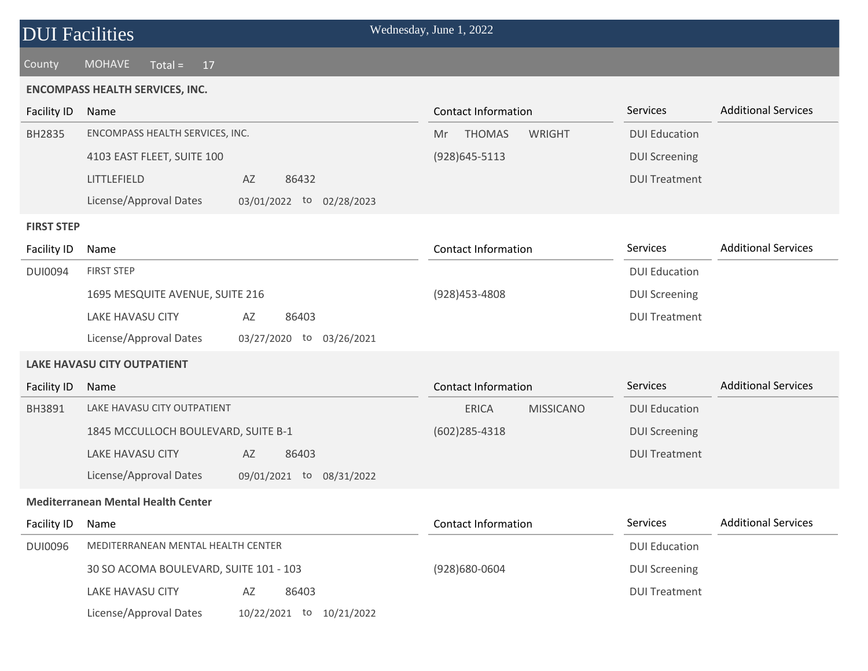| <b>DUI Facilities</b> |                                                    | Wednesday, June 1, 2022          |                      |                            |
|-----------------------|----------------------------------------------------|----------------------------------|----------------------|----------------------------|
| County                | <b>MOHAVE</b><br>$Total =$<br>17                   |                                  |                      |                            |
|                       | <b>ENCOMPASS HEALTH SERVICES, INC.</b>             |                                  |                      |                            |
| Facility ID           | Name                                               | <b>Contact Information</b>       | Services             | <b>Additional Services</b> |
| BH2835                | ENCOMPASS HEALTH SERVICES, INC.                    | <b>THOMAS</b><br>WRIGHT<br>Mr.   | <b>DUI Education</b> |                            |
|                       | 4103 EAST FLEET, SUITE 100                         | $(928)645 - 5113$                | <b>DUI Screening</b> |                            |
|                       | LITTLEFIELD<br>AZ<br>86432                         |                                  | <b>DUI Treatment</b> |                            |
|                       | License/Approval Dates<br>03/01/2022 to 02/28/2023 |                                  |                      |                            |
| <b>FIRST STEP</b>     |                                                    |                                  |                      |                            |
| Facility ID           | Name                                               | <b>Contact Information</b>       | Services             | <b>Additional Services</b> |
| <b>DUI0094</b>        | <b>FIRST STEP</b>                                  |                                  | <b>DUI Education</b> |                            |
|                       | 1695 MESQUITE AVENUE, SUITE 216                    | (928) 453-4808                   | <b>DUI Screening</b> |                            |
|                       | <b>LAKE HAVASU CITY</b><br>AZ<br>86403             |                                  | <b>DUI Treatment</b> |                            |
|                       | License/Approval Dates<br>03/27/2020 to 03/26/2021 |                                  |                      |                            |
|                       | <b>LAKE HAVASU CITY OUTPATIENT</b>                 |                                  |                      |                            |
| Facility ID           | Name                                               | <b>Contact Information</b>       | Services             | <b>Additional Services</b> |
| BH3891                | LAKE HAVASU CITY OUTPATIENT                        | <b>ERICA</b><br><b>MISSICANO</b> | <b>DUI Education</b> |                            |
|                       | 1845 MCCULLOCH BOULEVARD, SUITE B-1                | $(602)$ 285-4318                 | <b>DUI Screening</b> |                            |
|                       | <b>LAKE HAVASU CITY</b><br>AZ<br>86403             |                                  | <b>DUI Treatment</b> |                            |
|                       | License/Approval Dates<br>09/01/2021 to 08/31/2022 |                                  |                      |                            |
|                       | <b>Mediterranean Mental Health Center</b>          |                                  |                      |                            |
| Facility ID           | Name                                               | <b>Contact Information</b>       | Services             | <b>Additional Services</b> |
| <b>DUI0096</b>        | MEDITERRANEAN MENTAL HEALTH CENTER                 |                                  | <b>DUI Education</b> |                            |
|                       | 30 SO ACOMA BOULEVARD, SUITE 101 - 103             | (928)680-0604                    | <b>DUI Screening</b> |                            |
|                       | LAKE HAVASU CITY<br>86403<br>AZ                    |                                  | <b>DUI Treatment</b> |                            |
|                       | License/Approval Dates<br>10/22/2021 to 10/21/2022 |                                  |                      |                            |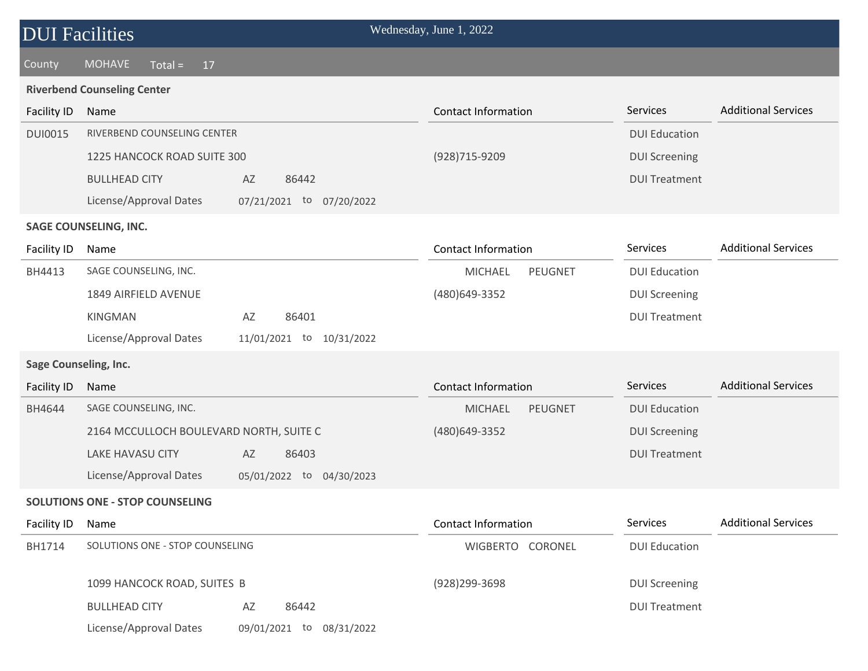### County MOHAVE Total = 17

#### **Riverbend Counseling Center**

| <b>Facility ID</b>           | Name                                                  | <b>Contact Information</b>       | <b>Additional Services</b><br>Services |  |  |  |  |
|------------------------------|-------------------------------------------------------|----------------------------------|----------------------------------------|--|--|--|--|
| <b>DUI0015</b>               | RIVERBEND COUNSELING CENTER                           |                                  | <b>DUI Education</b>                   |  |  |  |  |
|                              | 1225 HANCOCK ROAD SUITE 300                           | (928) 715-9209                   | <b>DUI Screening</b>                   |  |  |  |  |
|                              | <b>BULLHEAD CITY</b><br>AZ<br>86442                   |                                  | <b>DUI Treatment</b>                   |  |  |  |  |
|                              | License/Approval Dates<br>07/21/2021 to 07/20/2022    |                                  |                                        |  |  |  |  |
|                              | <b>SAGE COUNSELING, INC.</b>                          |                                  |                                        |  |  |  |  |
| Facility ID                  | Name                                                  | <b>Contact Information</b>       | <b>Additional Services</b><br>Services |  |  |  |  |
| BH4413                       | SAGE COUNSELING, INC.                                 | PEUGNET<br><b>MICHAEL</b>        | <b>DUI Education</b>                   |  |  |  |  |
|                              | 1849 AIRFIELD AVENUE                                  | (480)649-3352                    | <b>DUI Screening</b>                   |  |  |  |  |
|                              | <b>KINGMAN</b><br>86401<br>AZ                         |                                  | <b>DUI Treatment</b>                   |  |  |  |  |
|                              | License/Approval Dates<br>10/31/2022<br>11/01/2021 to |                                  |                                        |  |  |  |  |
| <b>Sage Counseling, Inc.</b> |                                                       |                                  |                                        |  |  |  |  |
|                              |                                                       |                                  |                                        |  |  |  |  |
| <b>Facility ID</b>           | Name                                                  | <b>Contact Information</b>       | <b>Additional Services</b><br>Services |  |  |  |  |
| BH4644                       | SAGE COUNSELING, INC.                                 | <b>PEUGNET</b><br><b>MICHAEL</b> | <b>DUI Education</b>                   |  |  |  |  |
|                              | 2164 MCCULLOCH BOULEVARD NORTH, SUITE C               | (480) 649-3352                   | <b>DUI Screening</b>                   |  |  |  |  |
|                              | <b>LAKE HAVASU CITY</b><br>AZ<br>86403                |                                  | <b>DUI Treatment</b>                   |  |  |  |  |
|                              | License/Approval Dates<br>05/01/2022 to 04/30/2023    |                                  |                                        |  |  |  |  |
|                              | <b>SOLUTIONS ONE - STOP COUNSELING</b>                |                                  |                                        |  |  |  |  |
| Facility ID                  | Name                                                  | <b>Contact Information</b>       | <b>Additional Services</b><br>Services |  |  |  |  |
| BH1714                       | SOLUTIONS ONE - STOP COUNSELING                       | WIGBERTO CORONEL                 | <b>DUI Education</b>                   |  |  |  |  |
|                              |                                                       |                                  |                                        |  |  |  |  |
|                              | 1099 HANCOCK ROAD, SUITES B                           | (928) 299-3698                   | <b>DUI Screening</b>                   |  |  |  |  |
|                              | <b>BULLHEAD CITY</b><br>AZ<br>86442                   |                                  | <b>DUI Treatment</b>                   |  |  |  |  |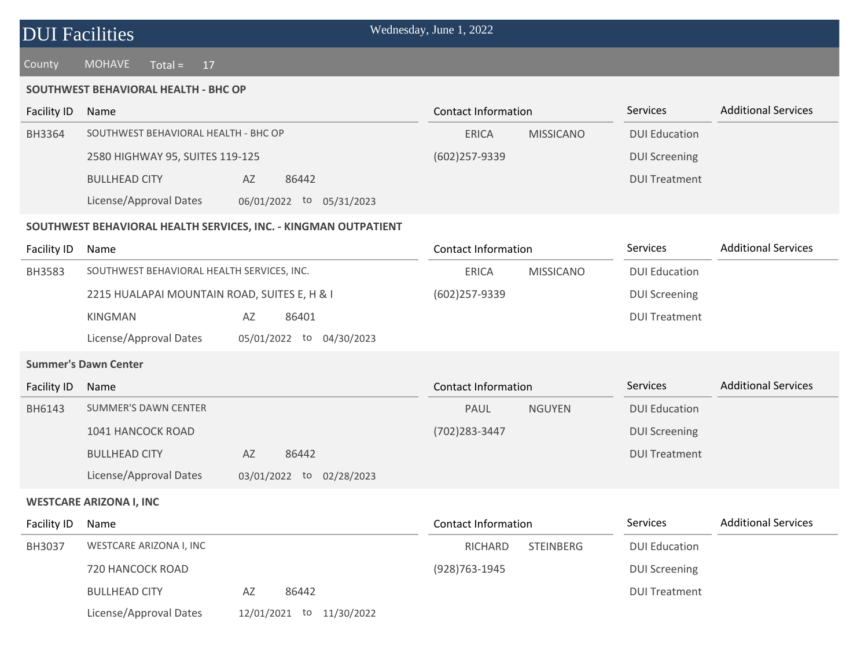| <b>DUI Facilities</b> |  |
|-----------------------|--|
|-----------------------|--|

County MOHAVE Total = 17

#### **SOUTHWEST BEHAVIORAL HEALTH - BHC OP**

| Facility ID | Name                                 |                             | Contact Information |                  | <b>Services</b>      | <b>Additional Services</b> |
|-------------|--------------------------------------|-----------------------------|---------------------|------------------|----------------------|----------------------------|
| BH3364      | SOUTHWEST BEHAVIORAL HEALTH - BHC OP |                             | <b>ERICA</b>        | <b>MISSICANO</b> | <b>DUI Education</b> |                            |
|             | 2580 HIGHWAY 95, SUITES 119-125      |                             | $(602)257-9339$     |                  | <b>DUI Screening</b> |                            |
|             | <b>BULLHEAD CITY</b>                 | 86442<br>AZ                 |                     |                  | <b>DUI Treatment</b> |                            |
|             | License/Approval Dates               | 06/01/2022 to<br>05/31/2023 |                     |                  |                      |                            |

#### **SOUTHWEST BEHAVIORAL HEALTH SERVICES, INC. - KINGMAN OUTPATIENT**

| Facility ID   | Name                                         |                             | Contact Information |                  | <b>Services</b>      | <b>Additional Services</b> |
|---------------|----------------------------------------------|-----------------------------|---------------------|------------------|----------------------|----------------------------|
| <b>BH3583</b> | SOUTHWEST BEHAVIORAL HEALTH SERVICES, INC.   |                             | <b>ERICA</b>        | <b>MISSICANO</b> | <b>DUI Education</b> |                            |
|               | 2215 HUALAPAI MOUNTAIN ROAD, SUITES E, H & I |                             | $(602)257-9339$     |                  | <b>DUI Screening</b> |                            |
|               | KINGMAN                                      | 86401<br>AZ                 |                     |                  | <b>DUI Treatment</b> |                            |
|               | License/Approval Dates                       | 04/30/2023<br>05/01/2022 to |                     |                  |                      |                            |

#### **Summer's Dawn Center**

| Facility ID | Name                   |    |                          | Contact Information |               | <b>Services</b>      | <b>Additional Services</b> |
|-------------|------------------------|----|--------------------------|---------------------|---------------|----------------------|----------------------------|
| BH6143      | SUMMER'S DAWN CENTER   |    |                          | PAUL                | <b>NGUYEN</b> | <b>DUI Education</b> |                            |
|             | 1041 HANCOCK ROAD      |    |                          | (702) 283-3447      |               | <b>DUI Screening</b> |                            |
|             | <b>BULLHEAD CITY</b>   | AZ | 86442                    |                     |               | <b>DUI Treatment</b> |                            |
|             | License/Approval Dates |    | 03/01/2022 to 02/28/2023 |                     |               |                      |                            |

#### **WESTCARE ARIZONA I, INC**

| Facility ID   | Name                    |            |               | Contact Information |                  | <b>Services</b>      | <b>Additional Services</b> |
|---------------|-------------------------|------------|---------------|---------------------|------------------|----------------------|----------------------------|
| <b>BH3037</b> | WESTCARE ARIZONA I, INC |            |               | RICHARD             | <b>STEINBERG</b> | <b>DUI Education</b> |                            |
|               | 720 HANCOCK ROAD        |            |               | (928)763-1945       |                  | <b>DUI Screening</b> |                            |
|               | <b>BULLHEAD CITY</b>    | AZ         | 86442         |                     |                  | <b>DUI Treatment</b> |                            |
|               | License/Approval Dates  | 12/01/2021 | to 11/30/2022 |                     |                  |                      |                            |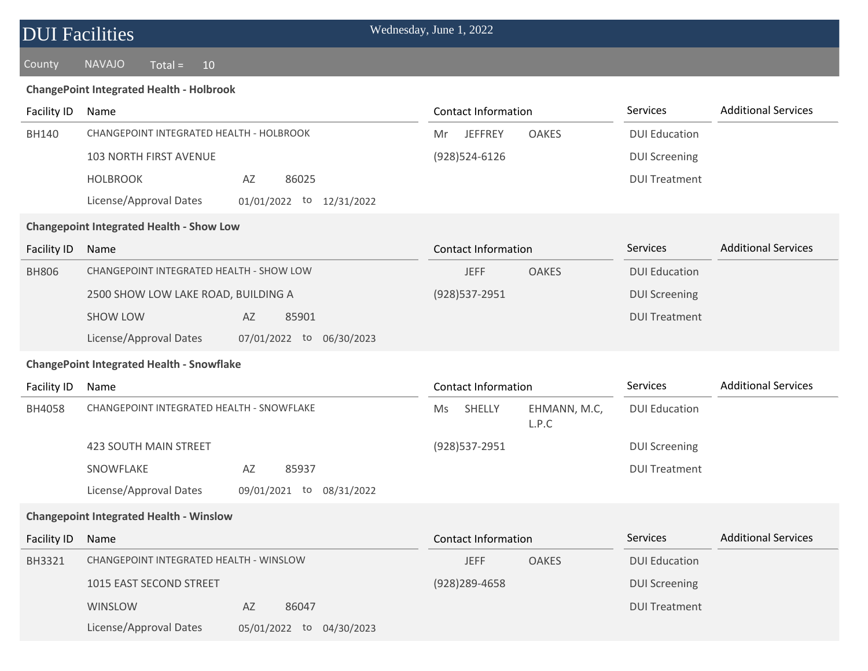| <b>DUI Facilities</b> |                                                       | Wednesday, June 1, 2022               |                      |                            |
|-----------------------|-------------------------------------------------------|---------------------------------------|----------------------|----------------------------|
| County                | <b>NAVAJO</b><br>$Total =$<br>10                      |                                       |                      |                            |
|                       | <b>ChangePoint Integrated Health - Holbrook</b>       |                                       |                      |                            |
| Facility ID           | Name                                                  | <b>Contact Information</b>            | Services             | <b>Additional Services</b> |
| <b>BH140</b>          | CHANGEPOINT INTEGRATED HEALTH - HOLBROOK              | <b>JEFFREY</b><br><b>OAKES</b><br>Mr  | <b>DUI Education</b> |                            |
|                       | 103 NORTH FIRST AVENUE                                | (928)524-6126                         | <b>DUI Screening</b> |                            |
|                       | <b>HOLBROOK</b><br>86025<br>AZ                        |                                       | <b>DUI Treatment</b> |                            |
|                       | License/Approval Dates<br>01/01/2022 to 12/31/2022    |                                       |                      |                            |
|                       | <b>Changepoint Integrated Health - Show Low</b>       |                                       |                      |                            |
| <b>Facility ID</b>    | Name                                                  | <b>Contact Information</b>            | <b>Services</b>      | <b>Additional Services</b> |
| <b>BH806</b>          | CHANGEPOINT INTEGRATED HEALTH - SHOW LOW              | <b>OAKES</b><br><b>JEFF</b>           | <b>DUI Education</b> |                            |
|                       | 2500 SHOW LOW LAKE ROAD, BUILDING A                   | (928) 537-2951                        | <b>DUI Screening</b> |                            |
|                       | <b>SHOW LOW</b><br>85901<br>AZ                        |                                       | <b>DUI Treatment</b> |                            |
|                       | License/Approval Dates<br>07/01/2022 to 06/30/2023    |                                       |                      |                            |
|                       | <b>ChangePoint Integrated Health - Snowflake</b>      |                                       |                      |                            |
| Facility ID           | Name                                                  | <b>Contact Information</b>            | Services             | <b>Additional Services</b> |
| BH4058                | CHANGEPOINT INTEGRATED HEALTH - SNOWFLAKE             | SHELLY<br>EHMANN, M.C,<br>Ms<br>L.P.C | <b>DUI Education</b> |                            |
|                       | <b>423 SOUTH MAIN STREET</b>                          | (928) 537-2951                        | <b>DUI Screening</b> |                            |
|                       | SNOWFLAKE<br>AZ<br>85937                              |                                       | <b>DUI Treatment</b> |                            |
|                       | License/Approval Dates<br>09/01/2021 to<br>08/31/2022 |                                       |                      |                            |
|                       | <b>Changepoint Integrated Health - Winslow</b>        |                                       |                      |                            |
| <b>Facility ID</b>    | Name                                                  | <b>Contact Information</b>            | Services             | <b>Additional Services</b> |
| BH3321                | CHANGEPOINT INTEGRATED HEALTH - WINSLOW               | <b>JEFF</b><br><b>OAKES</b>           | <b>DUI Education</b> |                            |
|                       | 1015 EAST SECOND STREET                               | $(928)$ 289-4658                      | <b>DUI Screening</b> |                            |
|                       | WINSLOW<br>86047<br>AZ                                |                                       | <b>DUI Treatment</b> |                            |
|                       | License/Approval Dates<br>05/01/2022 to 04/30/2023    |                                       |                      |                            |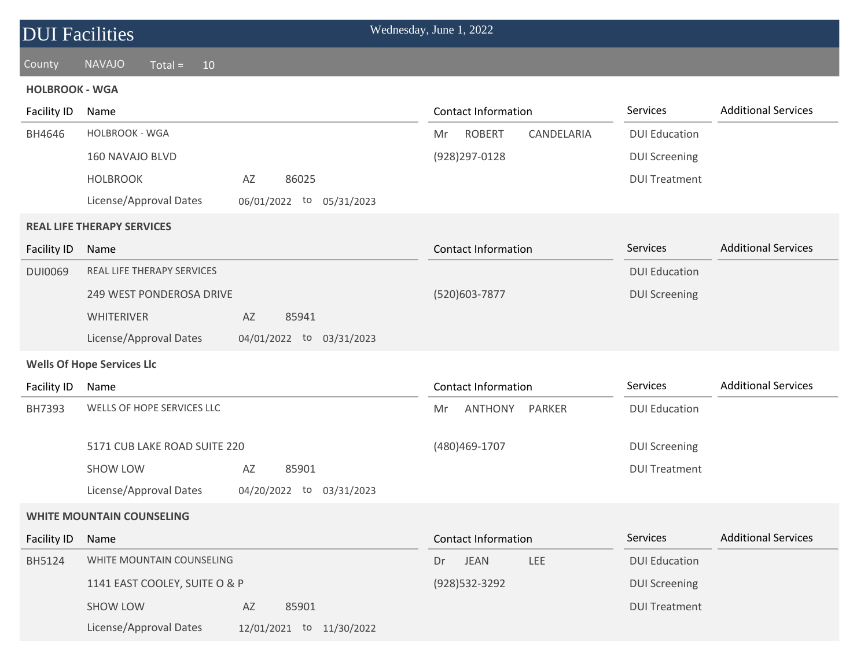| <b>DUI Facilities</b> |                                   |                                | Wednesday, June 1, 2022           |                      |                            |
|-----------------------|-----------------------------------|--------------------------------|-----------------------------------|----------------------|----------------------------|
| County                | <b>NAVAJO</b><br>$Total =$<br>10  |                                |                                   |                      |                            |
| <b>HOLBROOK - WGA</b> |                                   |                                |                                   |                      |                            |
| <b>Facility ID</b>    | Name                              |                                | <b>Contact Information</b>        | Services             | <b>Additional Services</b> |
| BH4646                | HOLBROOK - WGA                    |                                | <b>ROBERT</b><br>CANDELARIA<br>Mr | <b>DUI Education</b> |                            |
|                       | 160 NAVAJO BLVD                   |                                | (928) 297-0128                    | <b>DUI Screening</b> |                            |
|                       | <b>HOLBROOK</b>                   | 86025<br>AZ                    |                                   | <b>DUI Treatment</b> |                            |
|                       | License/Approval Dates            | 06/01/2022 to 05/31/2023       |                                   |                      |                            |
|                       | <b>REAL LIFE THERAPY SERVICES</b> |                                |                                   |                      |                            |
| Facility ID           | Name                              |                                | <b>Contact Information</b>        | Services             | <b>Additional Services</b> |
| <b>DUI0069</b>        | <b>REAL LIFE THERAPY SERVICES</b> |                                |                                   | <b>DUI Education</b> |                            |
|                       | 249 WEST PONDEROSA DRIVE          |                                | (520)603-7877                     | <b>DUI Screening</b> |                            |
|                       | <b>WHITERIVER</b>                 | 85941<br>AZ                    |                                   |                      |                            |
|                       | License/Approval Dates            | 04/01/2022 to 03/31/2023       |                                   |                      |                            |
|                       | <b>Wells Of Hope Services Llc</b> |                                |                                   |                      |                            |
| <b>Facility ID</b>    | Name                              |                                | <b>Contact Information</b>        | Services             | <b>Additional Services</b> |
| BH7393                | WELLS OF HOPE SERVICES LLC        |                                | ANTHONY<br>Mr<br><b>PARKER</b>    | <b>DUI Education</b> |                            |
|                       | 5171 CUB LAKE ROAD SUITE 220      |                                | (480) 469-1707                    | <b>DUI Screening</b> |                            |
|                       | <b>SHOW LOW</b>                   | 85901<br>AZ                    |                                   | <b>DUI Treatment</b> |                            |
|                       | License/Approval Dates            | 04/20/2022<br>to<br>03/31/2023 |                                   |                      |                            |
|                       | <b>WHITE MOUNTAIN COUNSELING</b>  |                                |                                   |                      |                            |
| <b>Facility ID</b>    | Name                              |                                | <b>Contact Information</b>        | Services             | <b>Additional Services</b> |
| BH5124                | WHITE MOUNTAIN COUNSELING         |                                | <b>JEAN</b><br><b>LEE</b><br>Dr   | <b>DUI Education</b> |                            |
|                       | 1141 EAST COOLEY, SUITE O & P     |                                | (928) 532-3292                    | <b>DUI Screening</b> |                            |
|                       | <b>SHOW LOW</b>                   | 85901<br>AZ                    |                                   | <b>DUI Treatment</b> |                            |
|                       | License/Approval Dates            | 12/01/2021 to 11/30/2022       |                                   |                      |                            |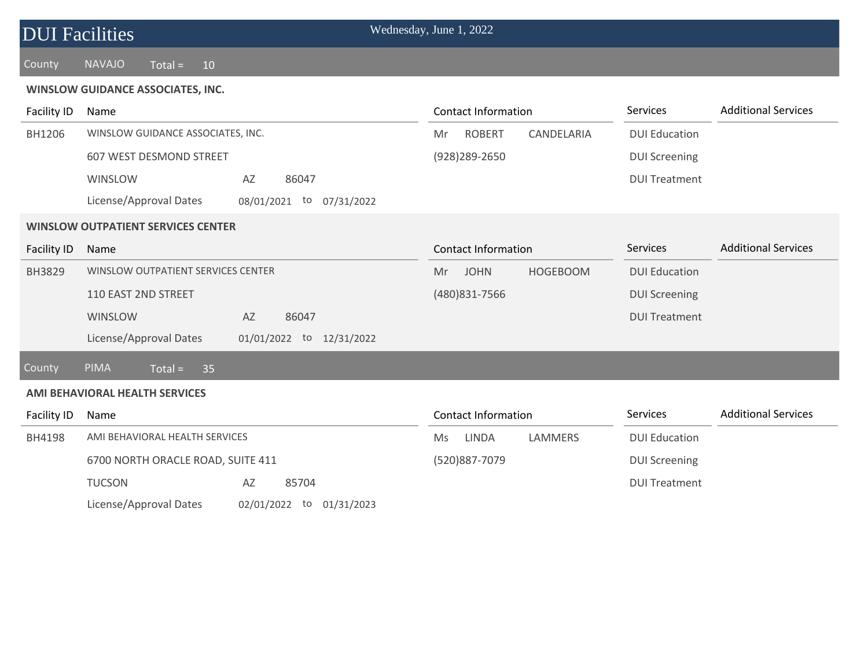| <b>DUI Facilities</b> |                                                    | Wednesday, June 1, 2022              |                      |                            |
|-----------------------|----------------------------------------------------|--------------------------------------|----------------------|----------------------------|
| County                | <b>NAVAJO</b><br>$Total =$<br>10                   |                                      |                      |                            |
|                       | <b>WINSLOW GUIDANCE ASSOCIATES, INC.</b>           |                                      |                      |                            |
| <b>Facility ID</b>    | Name                                               | <b>Contact Information</b>           | Services             | <b>Additional Services</b> |
| BH1206                | WINSLOW GUIDANCE ASSOCIATES, INC.                  | <b>ROBERT</b><br>CANDELARIA<br>Mr    | <b>DUI Education</b> |                            |
|                       | 607 WEST DESMOND STREET                            | (928) 289-2650                       | <b>DUI Screening</b> |                            |
|                       | WINSLOW<br>86047<br>AZ                             |                                      | <b>DUI Treatment</b> |                            |
|                       | License/Approval Dates<br>08/01/2021 to 07/31/2022 |                                      |                      |                            |
|                       | <b>WINSLOW OUTPATIENT SERVICES CENTER</b>          |                                      |                      |                            |
| <b>Facility ID</b>    | Name                                               | <b>Contact Information</b>           | Services             | <b>Additional Services</b> |
| BH3829                | WINSLOW OUTPATIENT SERVICES CENTER                 | <b>JOHN</b><br><b>HOGEBOOM</b><br>Mr | <b>DUI Education</b> |                            |
|                       | 110 EAST 2ND STREET                                | (480) 831-7566                       | <b>DUI Screening</b> |                            |
|                       | WINSLOW<br>86047<br>AZ                             |                                      | <b>DUI Treatment</b> |                            |
|                       | License/Approval Dates<br>01/01/2022 to 12/31/2022 |                                      |                      |                            |
| <b>County</b>         | PIMA<br>$Total =$<br>35                            |                                      |                      |                            |
|                       | AMI BEHAVIORAL HEALTH SERVICES                     |                                      |                      |                            |
| Facility ID           | Name                                               | <b>Contact Information</b>           | Services             | <b>Additional Services</b> |
| BH4198                | AMI BEHAVIORAL HEALTH SERVICES                     | <b>LINDA</b><br>LAMMERS<br>Ms        | <b>DUI Education</b> |                            |
|                       | 6700 NORTH ORACLE ROAD, SUITE 411                  | (520)887-7079                        | <b>DUI Screening</b> |                            |
|                       | <b>TUCSON</b><br>85704<br>AZ                       |                                      | <b>DUI Treatment</b> |                            |
|                       | License/Approval Dates<br>02/01/2022 to 01/31/2023 |                                      |                      |                            |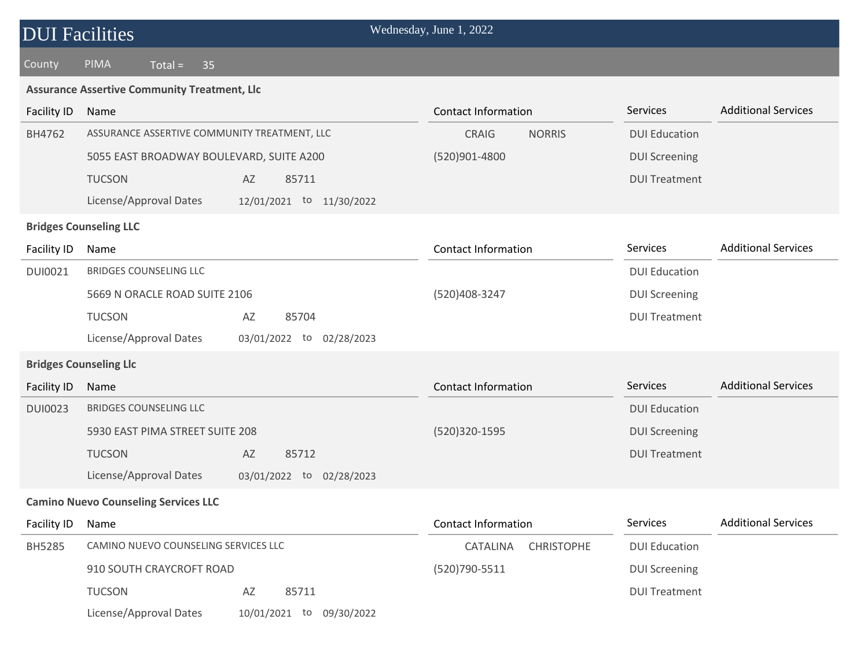| <b>DUI</b> Facilities |                                                     |                                | Wednesday, June 1, 2022       |                      |                            |
|-----------------------|-----------------------------------------------------|--------------------------------|-------------------------------|----------------------|----------------------------|
| County                | PIMA<br>$Total =$<br>35                             |                                |                               |                      |                            |
|                       | <b>Assurance Assertive Community Treatment, Llc</b> |                                |                               |                      |                            |
| <b>Facility ID</b>    | Name                                                |                                | <b>Contact Information</b>    | <b>Services</b>      | <b>Additional Services</b> |
| BH4762                | ASSURANCE ASSERTIVE COMMUNITY TREATMENT, LLC        |                                | CRAIG<br><b>NORRIS</b>        | <b>DUI Education</b> |                            |
|                       | 5055 EAST BROADWAY BOULEVARD, SUITE A200            |                                | (520)901-4800                 | <b>DUI Screening</b> |                            |
|                       | <b>TUCSON</b>                                       | AZ<br>85711                    |                               | <b>DUI Treatment</b> |                            |
|                       | License/Approval Dates                              | 12/01/2021 to 11/30/2022       |                               |                      |                            |
|                       | <b>Bridges Counseling LLC</b>                       |                                |                               |                      |                            |
| <b>Facility ID</b>    | Name                                                |                                | <b>Contact Information</b>    | Services             | <b>Additional Services</b> |
| <b>DUI0021</b>        | <b>BRIDGES COUNSELING LLC</b>                       |                                |                               | <b>DUI Education</b> |                            |
|                       | 5669 N ORACLE ROAD SUITE 2106                       |                                | (520)408-3247                 | <b>DUI Screening</b> |                            |
|                       | <b>TUCSON</b>                                       | AZ<br>85704                    |                               | <b>DUI Treatment</b> |                            |
|                       | License/Approval Dates                              | 03/01/2022<br>to<br>02/28/2023 |                               |                      |                            |
|                       | <b>Bridges Counseling Llc</b>                       |                                |                               |                      |                            |
| <b>Facility ID</b>    | Name                                                |                                | <b>Contact Information</b>    | Services             | <b>Additional Services</b> |
| <b>DUI0023</b>        | <b>BRIDGES COUNSELING LLC</b>                       |                                |                               | <b>DUI Education</b> |                            |
|                       | 5930 EAST PIMA STREET SUITE 208                     |                                | (520)320-1595                 | <b>DUI Screening</b> |                            |
|                       | <b>TUCSON</b>                                       | 85712<br>AZ                    |                               | <b>DUI Treatment</b> |                            |
|                       | License/Approval Dates                              | 03/01/2022 to 02/28/2023       |                               |                      |                            |
|                       | <b>Camino Nuevo Counseling Services LLC</b>         |                                |                               |                      |                            |
| <b>Facility ID</b>    | Name                                                |                                | <b>Contact Information</b>    | Services             | <b>Additional Services</b> |
| BH5285                | CAMINO NUEVO COUNSELING SERVICES LLC                |                                | CATALINA<br><b>CHRISTOPHE</b> | <b>DUI Education</b> |                            |
|                       | 910 SOUTH CRAYCROFT ROAD                            |                                | (520)790-5511                 | <b>DUI Screening</b> |                            |
|                       | <b>TUCSON</b>                                       | 85711<br>AZ                    |                               | <b>DUI Treatment</b> |                            |
|                       | License/Approval Dates                              | 10/01/2021 to 09/30/2022       |                               |                      |                            |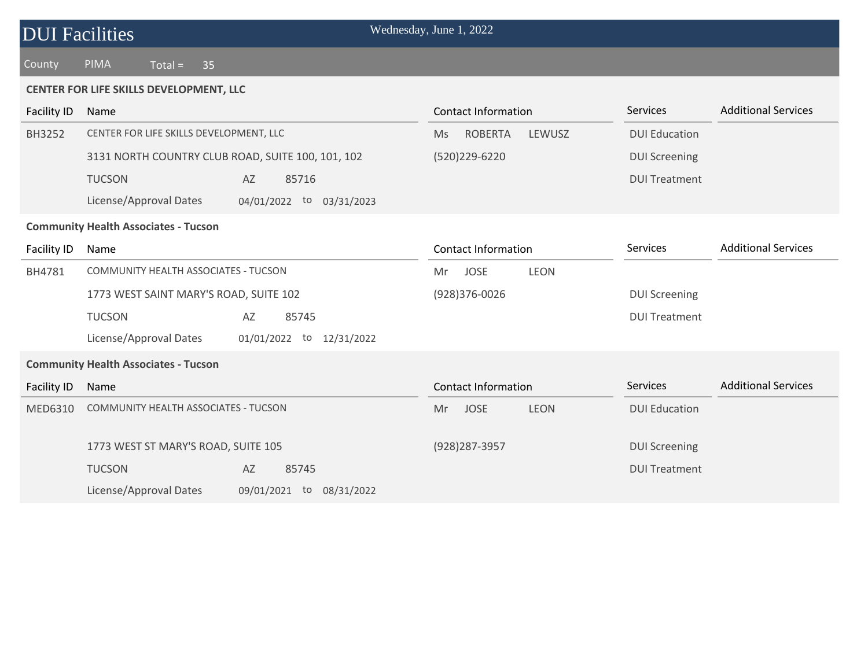| <b>DUI Facilities</b>                       |                                                    | Wednesday, June 1, 2022          |                      |                            |  |  |  |
|---------------------------------------------|----------------------------------------------------|----------------------------------|----------------------|----------------------------|--|--|--|
| County                                      | PIMA<br>$Total =$<br>35                            |                                  |                      |                            |  |  |  |
| CENTER FOR LIFE SKILLS DEVELOPMENT, LLC     |                                                    |                                  |                      |                            |  |  |  |
| <b>Facility ID</b>                          | Name                                               | <b>Contact Information</b>       | Services             | <b>Additional Services</b> |  |  |  |
| BH3252                                      | CENTER FOR LIFE SKILLS DEVELOPMENT, LLC            | <b>ROBERTA</b><br>LEWUSZ<br>Ms   | <b>DUI Education</b> |                            |  |  |  |
|                                             | 3131 NORTH COUNTRY CLUB ROAD, SUITE 100, 101, 102  | (520)229-6220                    | <b>DUI Screening</b> |                            |  |  |  |
|                                             | <b>TUCSON</b><br>AZ<br>85716                       |                                  | <b>DUI Treatment</b> |                            |  |  |  |
|                                             | License/Approval Dates<br>04/01/2022 to 03/31/2023 |                                  |                      |                            |  |  |  |
| <b>Community Health Associates - Tucson</b> |                                                    |                                  |                      |                            |  |  |  |
| Facility ID                                 | Name                                               | <b>Contact Information</b>       | Services             | <b>Additional Services</b> |  |  |  |
| BH4781                                      | COMMUNITY HEALTH ASSOCIATES - TUCSON               | <b>JOSE</b><br><b>LEON</b><br>Mr |                      |                            |  |  |  |
|                                             | 1773 WEST SAINT MARY'S ROAD, SUITE 102             | (928)376-0026                    | <b>DUI Screening</b> |                            |  |  |  |
|                                             | <b>TUCSON</b><br>85745<br>AZ                       |                                  | <b>DUI Treatment</b> |                            |  |  |  |
|                                             | License/Approval Dates<br>01/01/2022 to 12/31/2022 |                                  |                      |                            |  |  |  |
| <b>Community Health Associates - Tucson</b> |                                                    |                                  |                      |                            |  |  |  |
| Facility ID                                 | Name                                               | <b>Contact Information</b>       | Services             | <b>Additional Services</b> |  |  |  |
| <b>MED6310</b>                              | <b>COMMUNITY HEALTH ASSOCIATES - TUCSON</b>        | <b>JOSE</b><br><b>LEON</b><br>Mr | <b>DUI Education</b> |                            |  |  |  |
|                                             |                                                    |                                  |                      |                            |  |  |  |
|                                             | 1773 WEST ST MARY'S ROAD, SUITE 105                | (928) 287-3957                   | <b>DUI Screening</b> |                            |  |  |  |
|                                             | <b>TUCSON</b><br>AZ<br>85745                       |                                  | <b>DUI Treatment</b> |                            |  |  |  |
|                                             | License/Approval Dates<br>09/01/2021 to 08/31/2022 |                                  |                      |                            |  |  |  |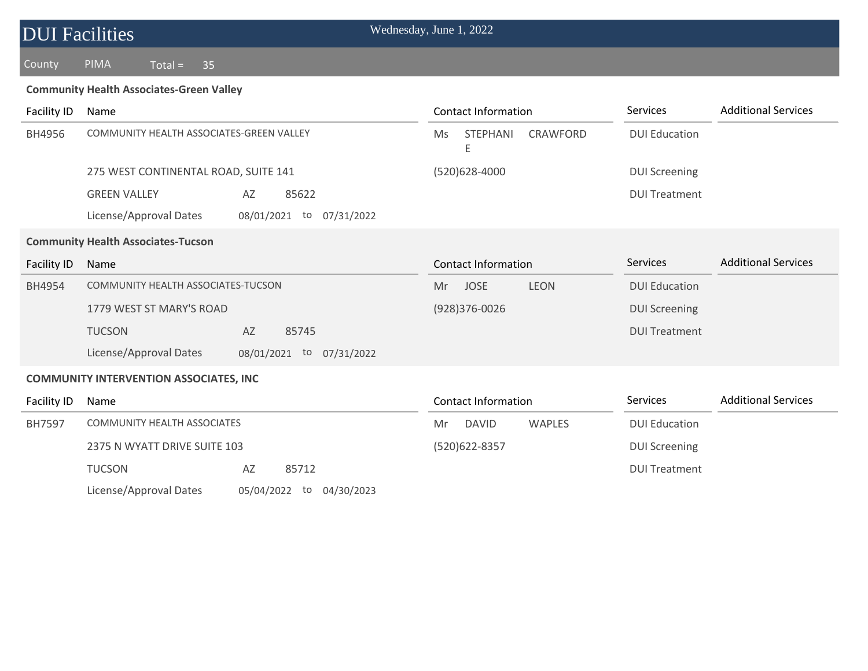| <b>DUI Facilities</b> |
|-----------------------|
|-----------------------|

County PIMA Total = 35

#### **Community Health Associates-Green Valley**

| Facility ID                                    | Name                                                           |                                | <b>Contact Information</b> |                      | <b>Services</b>      | <b>Additional Services</b> |  |
|------------------------------------------------|----------------------------------------------------------------|--------------------------------|----------------------------|----------------------|----------------------|----------------------------|--|
| BH4956                                         | COMMUNITY HEALTH ASSOCIATES-GREEN VALLEY                       |                                | <b>Ms</b>                  | <b>STEPHANI</b><br>Ε | <b>CRAWFORD</b>      | <b>DUI Education</b>       |  |
|                                                | 275 WEST CONTINENTAL ROAD, SUITE 141                           |                                |                            | (520)628-4000        |                      | <b>DUI Screening</b>       |  |
|                                                | <b>GREEN VALLEY</b>                                            | 85622<br>AZ                    |                            |                      |                      | <b>DUI Treatment</b>       |  |
|                                                | License/Approval Dates                                         | 08/01/2021<br>07/31/2022<br>to |                            |                      |                      |                            |  |
| <b>Community Health Associates-Tucson</b>      |                                                                |                                |                            |                      |                      |                            |  |
| Facility ID                                    | Name                                                           |                                | <b>Contact Information</b> |                      | <b>Services</b>      | <b>Additional Services</b> |  |
| BH4954                                         | COMMUNITY HEALTH ASSOCIATES-TUCSON<br>1779 WEST ST MARY'S ROAD |                                | Mr                         | <b>JOSE</b>          | <b>LEON</b>          | <b>DUI Education</b>       |  |
|                                                |                                                                |                                | (928)376-0026              |                      | <b>DUI Screening</b> |                            |  |
|                                                | <b>TUCSON</b>                                                  | AZ<br>85745                    |                            |                      |                      | <b>DUI Treatment</b>       |  |
|                                                | License/Approval Dates                                         | 08/01/2021<br>to<br>07/31/2022 |                            |                      |                      |                            |  |
| <b>COMMUNITY INTERVENTION ASSOCIATES, INC.</b> |                                                                |                                |                            |                      |                      |                            |  |

| Facility ID   | Name                                                               |                          | Contact Information          | <b>Additional Services</b><br><b>Services</b> |
|---------------|--------------------------------------------------------------------|--------------------------|------------------------------|-----------------------------------------------|
| <b>BH7597</b> | <b>COMMUNITY HEALTH ASSOCIATES</b><br>2375 N WYATT DRIVE SUITE 103 |                          | DAVID<br><b>WAPLES</b><br>Mr | <b>DUI Education</b>                          |
|               |                                                                    |                          | (520)622-8357                | <b>DUI Screening</b>                          |
|               | <b>TUCSON</b>                                                      | 85712<br>AZ              |                              | <b>DUI Treatment</b>                          |
|               | License/Approval Dates                                             | 05/04/2022 to 04/30/2023 |                              |                                               |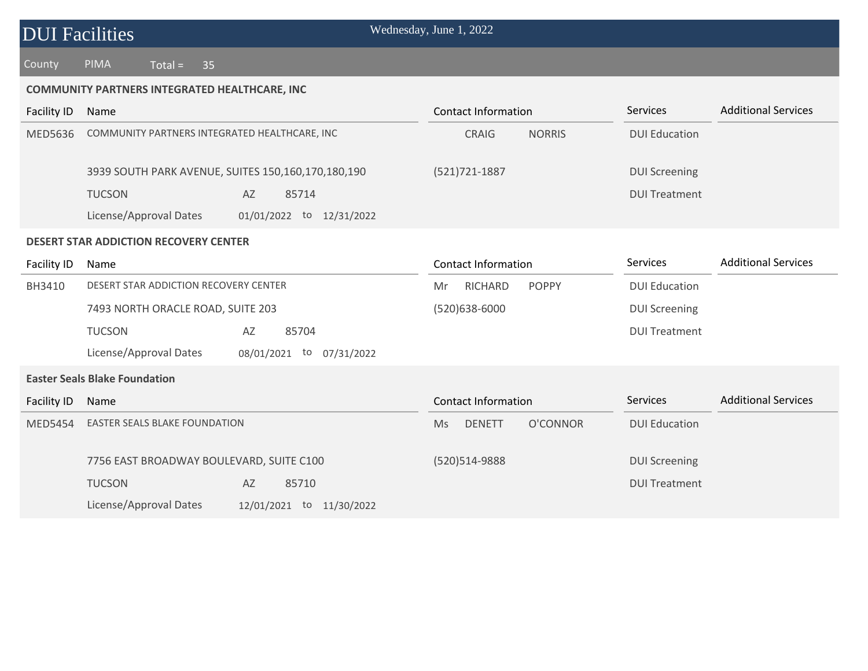County PIMA Total = 35

#### **COMMUNITY PARTNERS INTEGRATED HEALTHCARE, INC**

| Facility ID                                  | Name                                                     | <b>Contact Information</b>             | <b>Services</b>      | <b>Additional Services</b> |  |  |
|----------------------------------------------|----------------------------------------------------------|----------------------------------------|----------------------|----------------------------|--|--|
| MED5636                                      | COMMUNITY PARTNERS INTEGRATED HEALTHCARE, INC            | CRAIG<br><b>NORRIS</b>                 | <b>DUI Education</b> |                            |  |  |
|                                              | 3939 SOUTH PARK AVENUE, SUITES 150,160,170,180,190       | (521) 721-1887                         | <b>DUI Screening</b> |                            |  |  |
|                                              | <b>TUCSON</b><br>AZ<br>85714                             |                                        | <b>DUI Treatment</b> |                            |  |  |
|                                              | License/Approval Dates<br>01/01/2022 to<br>12/31/2022    |                                        |                      |                            |  |  |
| <b>DESERT STAR ADDICTION RECOVERY CENTER</b> |                                                          |                                        |                      |                            |  |  |
| Facility ID                                  | Name                                                     | <b>Contact Information</b>             | <b>Services</b>      | <b>Additional Services</b> |  |  |
| BH3410                                       | DESERT STAR ADDICTION RECOVERY CENTER                    | RICHARD<br><b>POPPY</b><br>Mr          | <b>DUI Education</b> |                            |  |  |
|                                              | 7493 NORTH ORACLE ROAD, SUITE 203                        | $(520)638 - 6000$                      | <b>DUI Screening</b> |                            |  |  |
|                                              | <b>TUCSON</b><br>AZ<br>85704                             |                                        | <b>DUI Treatment</b> |                            |  |  |
|                                              | License/Approval Dates<br>08/01/2021<br>to<br>07/31/2022 |                                        |                      |                            |  |  |
| <b>Easter Seals Blake Foundation</b>         |                                                          |                                        |                      |                            |  |  |
| Facility ID                                  | Name                                                     | <b>Contact Information</b>             | <b>Services</b>      | <b>Additional Services</b> |  |  |
| <b>MED5454</b>                               | <b>EASTER SEALS BLAKE FOUNDATION</b>                     | O'CONNOR<br><b>Ms</b><br><b>DENETT</b> | <b>DUI Education</b> |                            |  |  |

(520)514-9888

DUI Screening DUI Treatment

7756 EAST BROADWAY BOULEVARD, SUITE C100 TUCSON AZ 85710 License/Approval Dates 12/01/2021 to 11/30/2022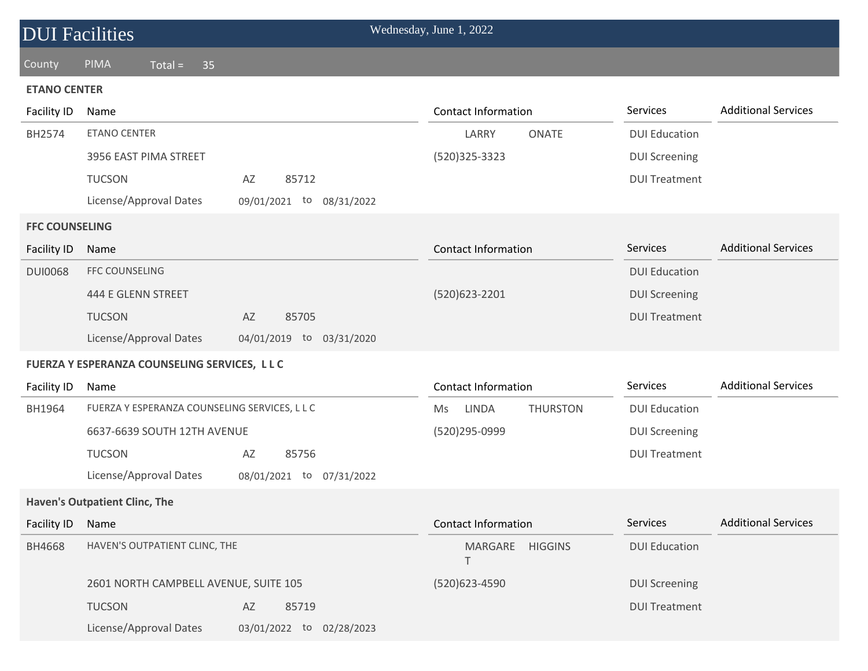| <b>DUI Facilities</b> |                                               |                          | Wednesday, June 1, 2022    |                 |                      |                            |
|-----------------------|-----------------------------------------------|--------------------------|----------------------------|-----------------|----------------------|----------------------------|
| County                | <b>PIMA</b><br>$Total =$<br>35                |                          |                            |                 |                      |                            |
| <b>ETANO CENTER</b>   |                                               |                          |                            |                 |                      |                            |
| Facility ID           | Name                                          |                          | <b>Contact Information</b> |                 | Services             | <b>Additional Services</b> |
| BH2574                | <b>ETANO CENTER</b>                           |                          | LARRY                      | <b>ONATE</b>    | <b>DUI Education</b> |                            |
|                       | 3956 EAST PIMA STREET                         |                          | (520) 325 - 3323           |                 | <b>DUI Screening</b> |                            |
|                       | <b>TUCSON</b>                                 | 85712<br>AZ              |                            |                 | <b>DUI Treatment</b> |                            |
|                       | License/Approval Dates                        | 09/01/2021 to 08/31/2022 |                            |                 |                      |                            |
| <b>FFC COUNSELING</b> |                                               |                          |                            |                 |                      |                            |
| <b>Facility ID</b>    | Name                                          |                          | <b>Contact Information</b> |                 | Services             | <b>Additional Services</b> |
| <b>DUI0068</b>        | <b>FFC COUNSELING</b>                         |                          |                            |                 | <b>DUI Education</b> |                            |
|                       | 444 E GLENN STREET                            |                          | (520)623-2201              |                 | <b>DUI Screening</b> |                            |
|                       | <b>TUCSON</b>                                 | AZ<br>85705              |                            |                 | <b>DUI Treatment</b> |                            |
|                       | License/Approval Dates                        | 04/01/2019 to 03/31/2020 |                            |                 |                      |                            |
|                       | FUERZA Y ESPERANZA COUNSELING SERVICES, L L C |                          |                            |                 |                      |                            |
| Facility ID           | Name                                          |                          | <b>Contact Information</b> |                 | Services             | <b>Additional Services</b> |
| BH1964                | FUERZA Y ESPERANZA COUNSELING SERVICES, L L C |                          | LINDA<br>Ms                | <b>THURSTON</b> | <b>DUI Education</b> |                            |
|                       | 6637-6639 SOUTH 12TH AVENUE                   |                          | (520)295-0999              |                 | <b>DUI Screening</b> |                            |
|                       | <b>TUCSON</b>                                 | AZ<br>85756              |                            |                 | <b>DUI Treatment</b> |                            |
|                       | License/Approval Dates                        | 08/01/2021 to 07/31/2022 |                            |                 |                      |                            |
|                       | <b>Haven's Outpatient Clinc, The</b>          |                          |                            |                 |                      |                            |
| <b>Facility ID</b>    | Name                                          |                          | <b>Contact Information</b> |                 | Services             | <b>Additional Services</b> |
| BH4668                | HAVEN'S OUTPATIENT CLINC, THE                 |                          | MARGARE HIGGINS<br>Τ       |                 | <b>DUI Education</b> |                            |
|                       | 2601 NORTH CAMPBELL AVENUE, SUITE 105         |                          | (520)623-4590              |                 | <b>DUI Screening</b> |                            |
|                       | <b>TUCSON</b>                                 | AZ<br>85719              |                            |                 | <b>DUI Treatment</b> |                            |
|                       | License/Approval Dates                        | 03/01/2022 to 02/28/2023 |                            |                 |                      |                            |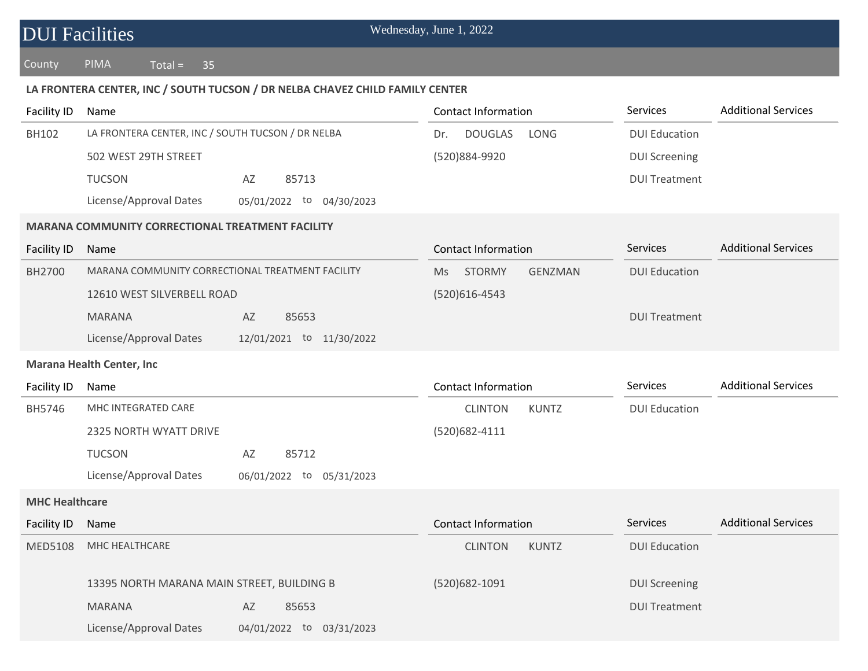| <b>DUI Facilities</b> |                                                                              | Wednesday, June 1, 2022               |                      |                            |
|-----------------------|------------------------------------------------------------------------------|---------------------------------------|----------------------|----------------------------|
| County                | <b>PIMA</b><br>$Total =$<br>35                                               |                                       |                      |                            |
|                       | LA FRONTERA CENTER, INC / SOUTH TUCSON / DR NELBA CHAVEZ CHILD FAMILY CENTER |                                       |                      |                            |
| Facility ID           | Name                                                                         | <b>Contact Information</b>            | Services             | <b>Additional Services</b> |
| <b>BH102</b>          | LA FRONTERA CENTER, INC / SOUTH TUCSON / DR NELBA                            | <b>DOUGLAS</b><br>LONG<br>Dr.         | <b>DUI Education</b> |                            |
|                       | 502 WEST 29TH STREET                                                         | (520)884-9920                         | <b>DUI Screening</b> |                            |
|                       | <b>TUCSON</b><br>85713<br>AZ                                                 |                                       | <b>DUI Treatment</b> |                            |
|                       | License/Approval Dates<br>05/01/2022 to 04/30/2023                           |                                       |                      |                            |
|                       | <b>MARANA COMMUNITY CORRECTIONAL TREATMENT FACILITY</b>                      |                                       |                      |                            |
| <b>Facility ID</b>    | Name                                                                         | <b>Contact Information</b>            | Services             | <b>Additional Services</b> |
| BH2700                | MARANA COMMUNITY CORRECTIONAL TREATMENT FACILITY                             | <b>STORMY</b><br><b>GENZMAN</b><br>Ms | <b>DUI Education</b> |                            |
|                       | 12610 WEST SILVERBELL ROAD                                                   | (520)616-4543                         |                      |                            |
|                       | <b>MARANA</b><br>AZ<br>85653                                                 |                                       | <b>DUI Treatment</b> |                            |
|                       | License/Approval Dates<br>12/01/2021 to 11/30/2022                           |                                       |                      |                            |
|                       | <b>Marana Health Center, Inc</b>                                             |                                       |                      |                            |
| <b>Facility ID</b>    | Name                                                                         | <b>Contact Information</b>            | Services             | <b>Additional Services</b> |
| BH5746                | MHC INTEGRATED CARE                                                          | <b>CLINTON</b><br><b>KUNTZ</b>        | <b>DUI Education</b> |                            |
|                       | 2325 NORTH WYATT DRIVE                                                       | (520)682-4111                         |                      |                            |
|                       | <b>TUCSON</b><br>85712<br>AZ                                                 |                                       |                      |                            |
|                       | License/Approval Dates<br>06/01/2022<br>to<br>05/31/2023                     |                                       |                      |                            |
| <b>MHC Healthcare</b> |                                                                              |                                       |                      |                            |
| Facility ID           | Name                                                                         | <b>Contact Information</b>            | Services             | <b>Additional Services</b> |
| MED5108               | MHC HEALTHCARE                                                               | <b>KUNTZ</b><br><b>CLINTON</b>        | <b>DUI Education</b> |                            |
|                       | 13395 NORTH MARANA MAIN STREET, BUILDING B                                   | (520)682-1091                         | <b>DUI Screening</b> |                            |
|                       | <b>MARANA</b><br>AZ<br>85653                                                 |                                       | <b>DUI Treatment</b> |                            |
|                       | License/Approval Dates<br>04/01/2022 to 03/31/2023                           |                                       |                      |                            |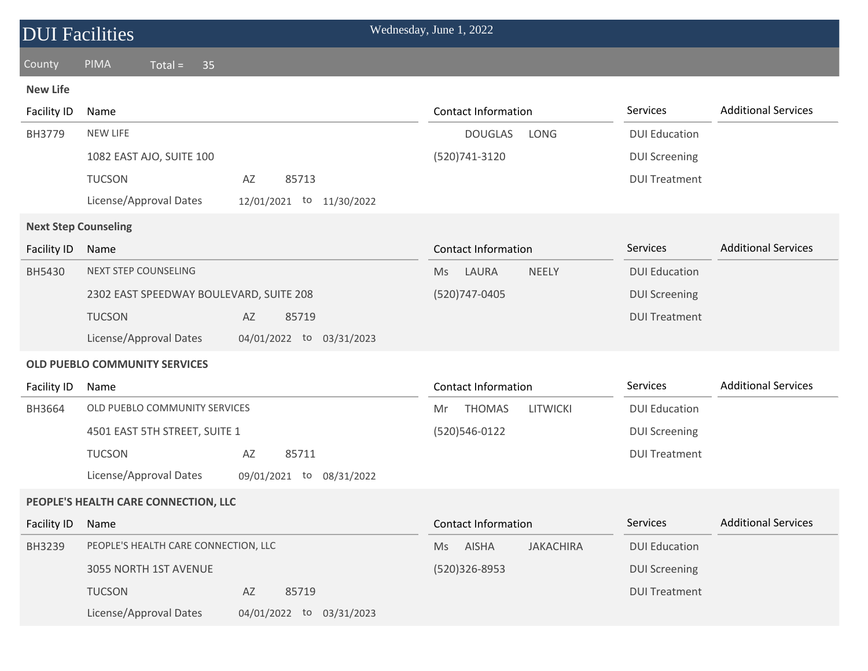| <b>DUI Facilities</b>       |                                                    | Wednesday, June 1, 2022                |                                               |
|-----------------------------|----------------------------------------------------|----------------------------------------|-----------------------------------------------|
| County                      | <b>PIMA</b><br>$Total =$<br>35                     |                                        |                                               |
| <b>New Life</b>             |                                                    |                                        |                                               |
| Facility ID                 | Name                                               | <b>Contact Information</b>             | Services<br><b>Additional Services</b>        |
| BH3779                      | <b>NEW LIFE</b>                                    | <b>DOUGLAS</b><br>LONG                 | <b>DUI Education</b>                          |
|                             | 1082 EAST AJO, SUITE 100                           | (520)741-3120                          | <b>DUI Screening</b>                          |
|                             | <b>TUCSON</b><br>AZ<br>85713                       |                                        | <b>DUI Treatment</b>                          |
|                             | License/Approval Dates<br>12/01/2021 to 11/30/2022 |                                        |                                               |
| <b>Next Step Counseling</b> |                                                    |                                        |                                               |
| <b>Facility ID</b>          | Name                                               | <b>Contact Information</b>             | <b>Additional Services</b><br><b>Services</b> |
| <b>BH5430</b>               | <b>NEXT STEP COUNSELING</b>                        | LAURA<br><b>NEELY</b><br>Ms            | <b>DUI Education</b>                          |
|                             | 2302 EAST SPEEDWAY BOULEVARD, SUITE 208            | (520) 747-0405                         | <b>DUI Screening</b>                          |
|                             | <b>TUCSON</b><br>AZ<br>85719                       |                                        | <b>DUI Treatment</b>                          |
|                             | License/Approval Dates<br>04/01/2022 to 03/31/2023 |                                        |                                               |
|                             | <b>OLD PUEBLO COMMUNITY SERVICES</b>               |                                        |                                               |
| <b>Facility ID</b>          | Name                                               | <b>Contact Information</b>             | <b>Additional Services</b><br>Services        |
| BH3664                      | OLD PUEBLO COMMUNITY SERVICES                      | <b>THOMAS</b><br><b>LITWICKI</b><br>Mr | <b>DUI Education</b>                          |
|                             | 4501 EAST 5TH STREET, SUITE 1                      | (520)546-0122                          | <b>DUI Screening</b>                          |
|                             | <b>TUCSON</b><br>AZ<br>85711                       |                                        | <b>DUI Treatment</b>                          |
|                             | License/Approval Dates<br>09/01/2021 to 08/31/2022 |                                        |                                               |
|                             | PEOPLE'S HEALTH CARE CONNECTION, LLC               |                                        |                                               |
| <b>Facility ID</b>          | Name                                               | <b>Contact Information</b>             | <b>Additional Services</b><br>Services        |
| BH3239                      | PEOPLE'S HEALTH CARE CONNECTION, LLC               | AISHA<br><b>JAKACHIRA</b><br>Ms        | <b>DUI Education</b>                          |
|                             | 3055 NORTH 1ST AVENUE                              | (520)326-8953                          | <b>DUI Screening</b>                          |
|                             | <b>TUCSON</b><br>85719<br>AZ                       |                                        | <b>DUI Treatment</b>                          |
|                             | License/Approval Dates<br>04/01/2022 to 03/31/2023 |                                        |                                               |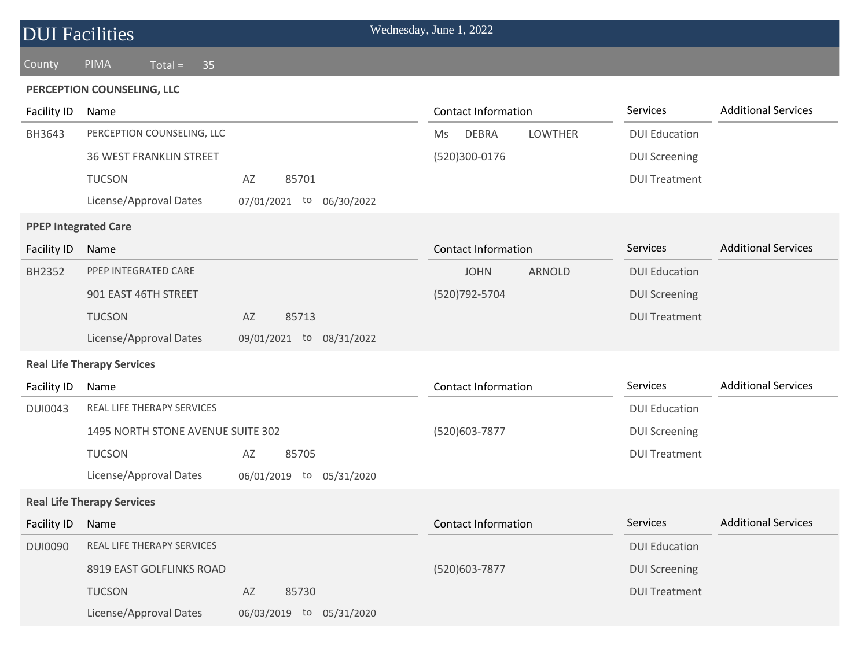| <b>DUI Facilities</b>       |                                   |                                | Wednesday, June 1, 2022              |                      |                            |
|-----------------------------|-----------------------------------|--------------------------------|--------------------------------------|----------------------|----------------------------|
| County                      | PIMA<br>$Total =$<br>35           |                                |                                      |                      |                            |
|                             | PERCEPTION COUNSELING, LLC        |                                |                                      |                      |                            |
| Facility ID                 | Name                              |                                | <b>Contact Information</b>           | Services             | <b>Additional Services</b> |
| BH3643                      | PERCEPTION COUNSELING, LLC        |                                | <b>DEBRA</b><br><b>LOWTHER</b><br>Ms | <b>DUI Education</b> |                            |
|                             | <b>36 WEST FRANKLIN STREET</b>    |                                | (520)300-0176                        | <b>DUI Screening</b> |                            |
|                             | <b>TUCSON</b>                     | AZ<br>85701                    |                                      | <b>DUI Treatment</b> |                            |
|                             | License/Approval Dates            | 07/01/2021 to 06/30/2022       |                                      |                      |                            |
| <b>PPEP Integrated Care</b> |                                   |                                |                                      |                      |                            |
| Facility ID                 | Name                              |                                | <b>Contact Information</b>           | <b>Services</b>      | <b>Additional Services</b> |
| <b>BH2352</b>               | PPEP INTEGRATED CARE              |                                | <b>JOHN</b><br><b>ARNOLD</b>         | <b>DUI Education</b> |                            |
|                             | 901 EAST 46TH STREET              |                                | (520) 792-5704                       | <b>DUI Screening</b> |                            |
|                             | <b>TUCSON</b>                     | AZ<br>85713                    |                                      | <b>DUI Treatment</b> |                            |
|                             | License/Approval Dates            | 09/01/2021 to<br>08/31/2022    |                                      |                      |                            |
|                             | <b>Real Life Therapy Services</b> |                                |                                      |                      |                            |
| <b>Facility ID</b>          | Name                              |                                | <b>Contact Information</b>           | Services             | <b>Additional Services</b> |
| <b>DUI0043</b>              | REAL LIFE THERAPY SERVICES        |                                |                                      | <b>DUI Education</b> |                            |
|                             | 1495 NORTH STONE AVENUE SUITE 302 |                                | (520)603-7877                        | <b>DUI Screening</b> |                            |
|                             | <b>TUCSON</b>                     | AZ<br>85705                    |                                      | <b>DUI Treatment</b> |                            |
|                             | License/Approval Dates            | 06/01/2019<br>05/31/2020<br>to |                                      |                      |                            |
|                             | <b>Real Life Therapy Services</b> |                                |                                      |                      |                            |
| <b>Facility ID</b>          | Name                              |                                | <b>Contact Information</b>           | Services             | <b>Additional Services</b> |
| <b>DUI0090</b>              | REAL LIFE THERAPY SERVICES        |                                |                                      | <b>DUI Education</b> |                            |
|                             | 8919 EAST GOLFLINKS ROAD          |                                | (520)603-7877                        | <b>DUI Screening</b> |                            |
|                             | <b>TUCSON</b>                     | AZ<br>85730                    |                                      | <b>DUI Treatment</b> |                            |
|                             | License/Approval Dates            | 06/03/2019 to 05/31/2020       |                                      |                      |                            |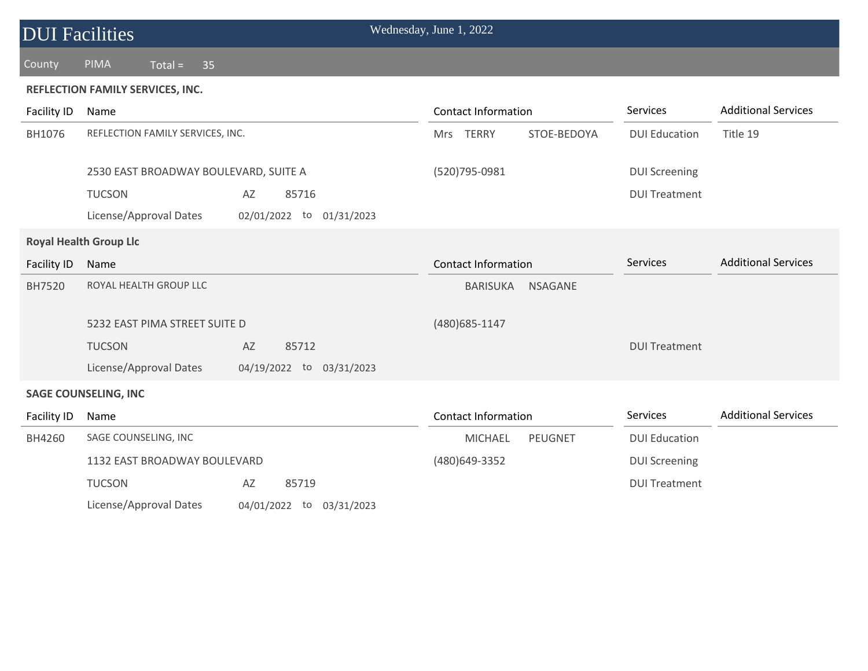| <b>DUI Facilities</b>            |                                                    | Wednesday, June 1, 2022           |                      |                            |  |  |  |
|----------------------------------|----------------------------------------------------|-----------------------------------|----------------------|----------------------------|--|--|--|
| County                           | <b>PIMA</b><br>$Total =$<br>35                     |                                   |                      |                            |  |  |  |
| REFLECTION FAMILY SERVICES, INC. |                                                    |                                   |                      |                            |  |  |  |
| Facility ID                      | Name                                               | <b>Contact Information</b>        | Services             | <b>Additional Services</b> |  |  |  |
| BH1076                           | REFLECTION FAMILY SERVICES, INC.                   | Mrs TERRY<br>STOE-BEDOYA          | <b>DUI Education</b> | Title 19                   |  |  |  |
|                                  | 2530 EAST BROADWAY BOULEVARD, SUITE A              | (520)795-0981                     | <b>DUI Screening</b> |                            |  |  |  |
|                                  | <b>TUCSON</b><br>AZ<br>85716                       |                                   | <b>DUI Treatment</b> |                            |  |  |  |
|                                  | License/Approval Dates<br>02/01/2022 to 01/31/2023 |                                   |                      |                            |  |  |  |
|                                  | <b>Royal Health Group Llc</b>                      |                                   |                      |                            |  |  |  |
| Facility ID                      | Name                                               | <b>Contact Information</b>        | <b>Services</b>      | <b>Additional Services</b> |  |  |  |
| BH7520                           | ROYAL HEALTH GROUP LLC                             | <b>NSAGANE</b><br><b>BARISUKA</b> |                      |                            |  |  |  |
|                                  | 5232 EAST PIMA STREET SUITE D                      | (480) 685-1147                    |                      |                            |  |  |  |
|                                  | <b>TUCSON</b><br>AZ<br>85712                       |                                   | <b>DUI Treatment</b> |                            |  |  |  |
|                                  | License/Approval Dates<br>04/19/2022 to 03/31/2023 |                                   |                      |                            |  |  |  |
|                                  | <b>SAGE COUNSELING, INC</b>                        |                                   |                      |                            |  |  |  |
| Facility ID                      | Name                                               | <b>Contact Information</b>        | Services             | <b>Additional Services</b> |  |  |  |
| BH4260                           | SAGE COUNSELING, INC                               | <b>MICHAEL</b><br>PEUGNET         | <b>DUI Education</b> |                            |  |  |  |
|                                  | 1132 EAST BROADWAY BOULEVARD                       | (480) 649-3352                    | <b>DUI Screening</b> |                            |  |  |  |
|                                  | <b>TUCSON</b><br>85719<br>AZ                       |                                   | <b>DUI Treatment</b> |                            |  |  |  |
|                                  | License/Approval Dates<br>04/01/2022 to 03/31/2023 |                                   |                      |                            |  |  |  |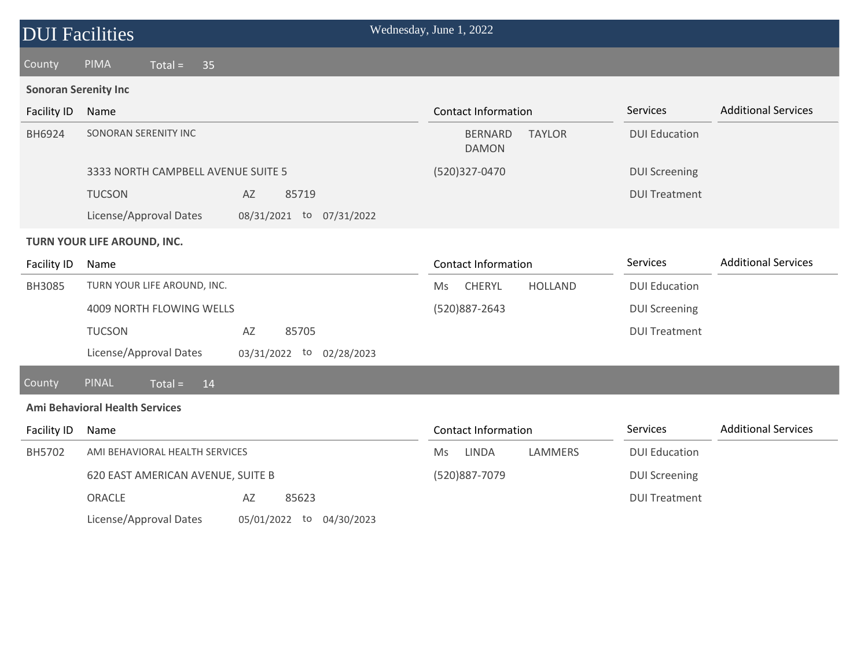| <b>DUI Facilities</b>       |                                       |                          | Wednesday, June 1, 2022                         |                      |                            |  |
|-----------------------------|---------------------------------------|--------------------------|-------------------------------------------------|----------------------|----------------------------|--|
| County                      | PIMA<br>$Total =$<br>35               |                          |                                                 |                      |                            |  |
| <b>Sonoran Serenity Inc</b> |                                       |                          |                                                 |                      |                            |  |
| Facility ID                 | Name                                  |                          | <b>Contact Information</b>                      | Services             | <b>Additional Services</b> |  |
| BH6924                      | SONORAN SERENITY INC                  |                          | <b>TAYLOR</b><br><b>BERNARD</b><br><b>DAMON</b> | <b>DUI Education</b> |                            |  |
|                             | 3333 NORTH CAMPBELL AVENUE SUITE 5    |                          | (520)327-0470                                   | <b>DUI Screening</b> |                            |  |
|                             | <b>TUCSON</b>                         | AZ<br>85719              |                                                 | <b>DUI Treatment</b> |                            |  |
|                             | License/Approval Dates                | 08/31/2021 to 07/31/2022 |                                                 |                      |                            |  |
| TURN YOUR LIFE AROUND, INC. |                                       |                          |                                                 |                      |                            |  |
| <b>Facility ID</b>          | Name                                  |                          | <b>Contact Information</b>                      | Services             | <b>Additional Services</b> |  |
| BH3085                      | TURN YOUR LIFE AROUND, INC.           |                          | CHERYL<br><b>HOLLAND</b><br>Ms.                 | <b>DUI Education</b> |                            |  |
|                             | 4009 NORTH FLOWING WELLS              |                          | (520)887-2643                                   | <b>DUI Screening</b> |                            |  |
|                             | <b>TUCSON</b>                         | AZ<br>85705              |                                                 | <b>DUI Treatment</b> |                            |  |
|                             | License/Approval Dates                | 03/31/2022 to 02/28/2023 |                                                 |                      |                            |  |
| County                      | <b>PINAL</b><br>$Total =$<br>14       |                          |                                                 |                      |                            |  |
|                             | <b>Ami Behavioral Health Services</b> |                          |                                                 |                      |                            |  |
| Facility ID                 | Name                                  |                          | <b>Contact Information</b>                      | Services             | <b>Additional Services</b> |  |
| BH5702                      | AMI BEHAVIORAL HEALTH SERVICES        |                          | LINDA<br><b>LAMMERS</b><br><b>Ms</b>            | <b>DUI Education</b> |                            |  |
|                             | 620 EAST AMERICAN AVENUE, SUITE B     |                          | (520)887-7079                                   | <b>DUI Screening</b> |                            |  |
|                             | ORACLE                                | 85623<br>AZ              |                                                 | <b>DUI Treatment</b> |                            |  |
|                             | License/Approval Dates                | 05/01/2022 to 04/30/2023 |                                                 |                      |                            |  |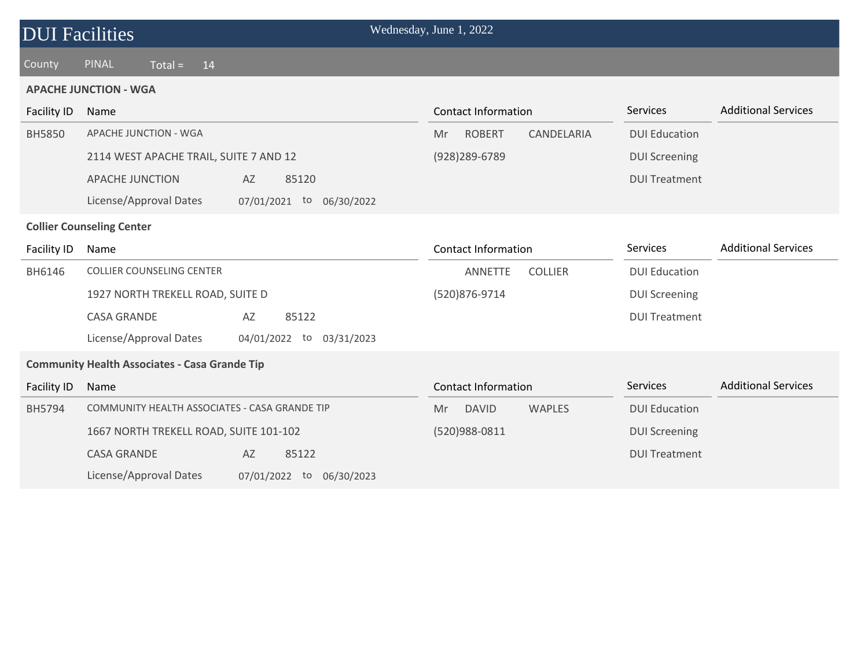| <b>DUI Facilities</b>            |                                                      | Wednesday, June 1, 2022  |                            |                |                      |                            |
|----------------------------------|------------------------------------------------------|--------------------------|----------------------------|----------------|----------------------|----------------------------|
| County                           | <b>PINAL</b><br>$Total =$<br>14                      |                          |                            |                |                      |                            |
|                                  | <b>APACHE JUNCTION - WGA</b>                         |                          |                            |                |                      |                            |
| Facility ID                      | Name                                                 |                          | <b>Contact Information</b> |                | Services             | <b>Additional Services</b> |
| <b>BH5850</b>                    | APACHE JUNCTION - WGA                                |                          | <b>ROBERT</b><br>Mr.       | CANDELARIA     | <b>DUI Education</b> |                            |
|                                  | 2114 WEST APACHE TRAIL, SUITE 7 AND 12               |                          | (928) 289-6789             |                | <b>DUI Screening</b> |                            |
|                                  | <b>APACHE JUNCTION</b><br>AZ                         | 85120                    |                            |                | <b>DUI Treatment</b> |                            |
|                                  | License/Approval Dates                               | 07/01/2021 to 06/30/2022 |                            |                |                      |                            |
| <b>Collier Counseling Center</b> |                                                      |                          |                            |                |                      |                            |
| Facility ID                      | Name                                                 |                          | <b>Contact Information</b> |                | Services             | <b>Additional Services</b> |
| BH6146                           | <b>COLLIER COUNSELING CENTER</b>                     |                          | <b>ANNETTE</b>             | <b>COLLIER</b> | <b>DUI Education</b> |                            |
|                                  | 1927 NORTH TREKELL ROAD, SUITE D                     |                          | (520)876-9714              |                | <b>DUI Screening</b> |                            |
|                                  | <b>CASA GRANDE</b><br>AZ                             | 85122                    |                            |                | <b>DUI Treatment</b> |                            |
|                                  | License/Approval Dates                               | 04/01/2022 to 03/31/2023 |                            |                |                      |                            |
|                                  | <b>Community Health Associates - Casa Grande Tip</b> |                          |                            |                |                      |                            |
| Facility ID                      | Name                                                 |                          | <b>Contact Information</b> |                | Services             | <b>Additional Services</b> |
| BH5794                           | COMMUNITY HEALTH ASSOCIATES - CASA GRANDE TIP        |                          | <b>DAVID</b><br>Mr.        | <b>WAPLES</b>  | <b>DUI Education</b> |                            |
|                                  | 1667 NORTH TREKELL ROAD, SUITE 101-102               |                          | (520)988-0811              |                | <b>DUI Screening</b> |                            |
|                                  | <b>CASA GRANDE</b><br>AZ                             | 85122                    |                            |                | <b>DUI Treatment</b> |                            |
|                                  | License/Approval Dates                               | 07/01/2022 to 06/30/2023 |                            |                |                      |                            |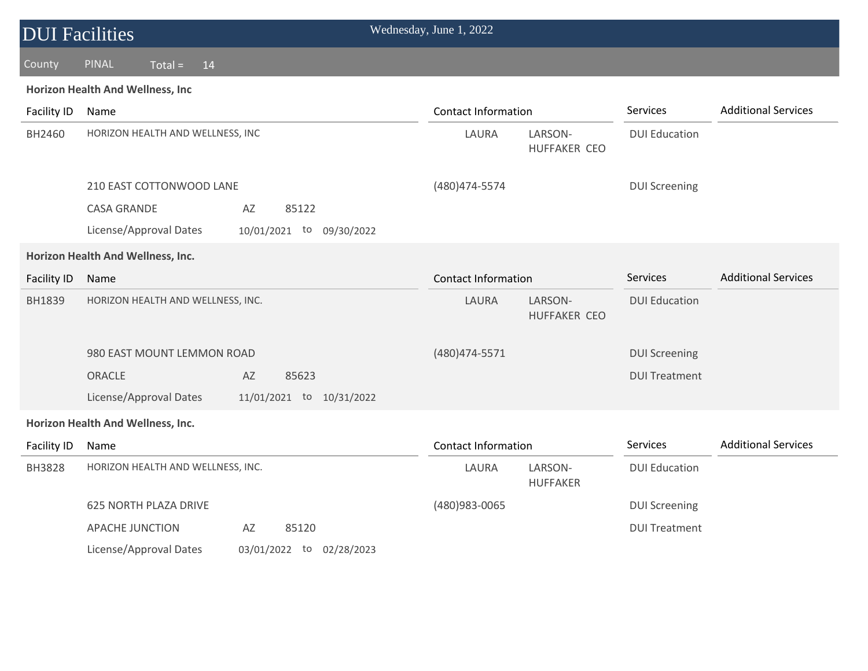| <b>DUI Facilities</b> |                                                    | Wednesday, June 1, 2022    |                                                        |                            |
|-----------------------|----------------------------------------------------|----------------------------|--------------------------------------------------------|----------------------------|
| County                | PINAL<br>$Total =$<br>14                           |                            |                                                        |                            |
|                       | Horizon Health And Wellness, Inc                   |                            |                                                        |                            |
| Facility ID           | Name                                               | <b>Contact Information</b> | Services                                               | <b>Additional Services</b> |
| BH2460                | HORIZON HEALTH AND WELLNESS, INC                   | LAURA<br>LARSON-           | <b>DUI Education</b><br>HUFFAKER CEO                   |                            |
|                       | 210 EAST COTTONWOOD LANE                           | (480) 474-5574             | <b>DUI Screening</b>                                   |                            |
|                       | <b>CASA GRANDE</b><br>AZ<br>85122                  |                            |                                                        |                            |
|                       | License/Approval Dates<br>10/01/2021 to 09/30/2022 |                            |                                                        |                            |
|                       | Horizon Health And Wellness, Inc.                  |                            |                                                        |                            |
| <b>Facility ID</b>    | Name                                               | <b>Contact Information</b> | Services                                               | <b>Additional Services</b> |
| BH1839                | HORIZON HEALTH AND WELLNESS, INC.                  | LAURA                      | LARSON-<br><b>DUI Education</b><br><b>HUFFAKER CEO</b> |                            |
|                       | 980 EAST MOUNT LEMMON ROAD                         | (480) 474-5571             | <b>DUI Screening</b>                                   |                            |
|                       | ORACLE<br>AZ<br>85623                              |                            | <b>DUI Treatment</b>                                   |                            |
|                       | License/Approval Dates<br>11/01/2021 to 10/31/2022 |                            |                                                        |                            |
|                       | Horizon Health And Wellness, Inc.                  |                            |                                                        |                            |
| Facility ID           | Name                                               | <b>Contact Information</b> | Services                                               | <b>Additional Services</b> |
| <b>BH3828</b>         | HORIZON HEALTH AND WELLNESS, INC.                  | LARSON-<br>LAURA           | <b>DUI Education</b><br><b>HUFFAKER</b>                |                            |
|                       | <b>625 NORTH PLAZA DRIVE</b>                       | (480)983-0065              | <b>DUI Screening</b>                                   |                            |
|                       | AZ<br><b>APACHE JUNCTION</b><br>85120              |                            | <b>DUI Treatment</b>                                   |                            |
|                       | License/Approval Dates<br>03/01/2022 to 02/28/2023 |                            |                                                        |                            |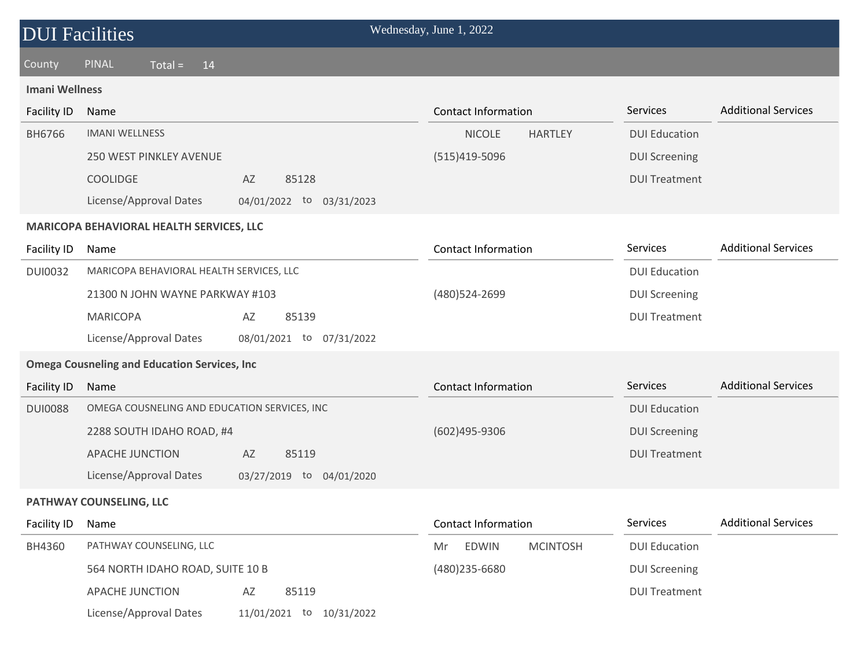| <b>DUI Facilities</b>                    |                                                       | Wednesday, June 1, 2022               |                      |                            |  |  |  |
|------------------------------------------|-------------------------------------------------------|---------------------------------------|----------------------|----------------------------|--|--|--|
| County                                   | <b>PINAL</b><br>$Total =$<br>14                       |                                       |                      |                            |  |  |  |
| <b>Imani Wellness</b>                    |                                                       |                                       |                      |                            |  |  |  |
| <b>Facility ID</b>                       | Name                                                  | <b>Contact Information</b>            | Services             | <b>Additional Services</b> |  |  |  |
| <b>BH6766</b>                            | <b>IMANI WELLNESS</b>                                 | <b>NICOLE</b><br><b>HARTLEY</b>       | <b>DUI Education</b> |                            |  |  |  |
|                                          | <b>250 WEST PINKLEY AVENUE</b>                        | (515)419-5096                         | <b>DUI Screening</b> |                            |  |  |  |
|                                          | <b>COOLIDGE</b><br>85128<br>AZ                        |                                       | <b>DUI Treatment</b> |                            |  |  |  |
|                                          | License/Approval Dates<br>04/01/2022 to 03/31/2023    |                                       |                      |                            |  |  |  |
| MARICOPA BEHAVIORAL HEALTH SERVICES, LLC |                                                       |                                       |                      |                            |  |  |  |
| Facility ID                              | Name                                                  | <b>Contact Information</b>            | Services             | <b>Additional Services</b> |  |  |  |
| <b>DUI0032</b>                           | MARICOPA BEHAVIORAL HEALTH SERVICES, LLC              |                                       | <b>DUI Education</b> |                            |  |  |  |
|                                          | 21300 N JOHN WAYNE PARKWAY #103                       | (480) 524 - 2699                      | <b>DUI Screening</b> |                            |  |  |  |
|                                          | <b>MARICOPA</b><br>AZ<br>85139                        |                                       | <b>DUI Treatment</b> |                            |  |  |  |
|                                          | License/Approval Dates<br>08/01/2021 to 07/31/2022    |                                       |                      |                            |  |  |  |
|                                          | <b>Omega Cousneling and Education Services, Inc.</b>  |                                       |                      |                            |  |  |  |
| <b>Facility ID</b>                       | Name                                                  | <b>Contact Information</b>            | Services             | <b>Additional Services</b> |  |  |  |
| <b>DUI0088</b>                           | OMEGA COUSNELING AND EDUCATION SERVICES, INC          |                                       | <b>DUI Education</b> |                            |  |  |  |
|                                          | 2288 SOUTH IDAHO ROAD, #4                             | (602)495-9306                         | <b>DUI Screening</b> |                            |  |  |  |
|                                          | <b>APACHE JUNCTION</b><br>AZ<br>85119                 |                                       | <b>DUI Treatment</b> |                            |  |  |  |
|                                          | License/Approval Dates<br>03/27/2019 to 04/01/2020    |                                       |                      |                            |  |  |  |
|                                          | PATHWAY COUNSELING, LLC                               |                                       |                      |                            |  |  |  |
| <b>Facility ID</b>                       | Name                                                  | <b>Contact Information</b>            | Services             | <b>Additional Services</b> |  |  |  |
| BH4360                                   | PATHWAY COUNSELING, LLC                               | <b>EDWIN</b><br><b>MCINTOSH</b><br>Mr | <b>DUI Education</b> |                            |  |  |  |
|                                          | 564 NORTH IDAHO ROAD, SUITE 10 B                      | (480) 235-6680                        | <b>DUI Screening</b> |                            |  |  |  |
|                                          | APACHE JUNCTION<br>AZ<br>85119                        |                                       | <b>DUI Treatment</b> |                            |  |  |  |
|                                          | License/Approval Dates<br>11/01/2021 to<br>10/31/2022 |                                       |                      |                            |  |  |  |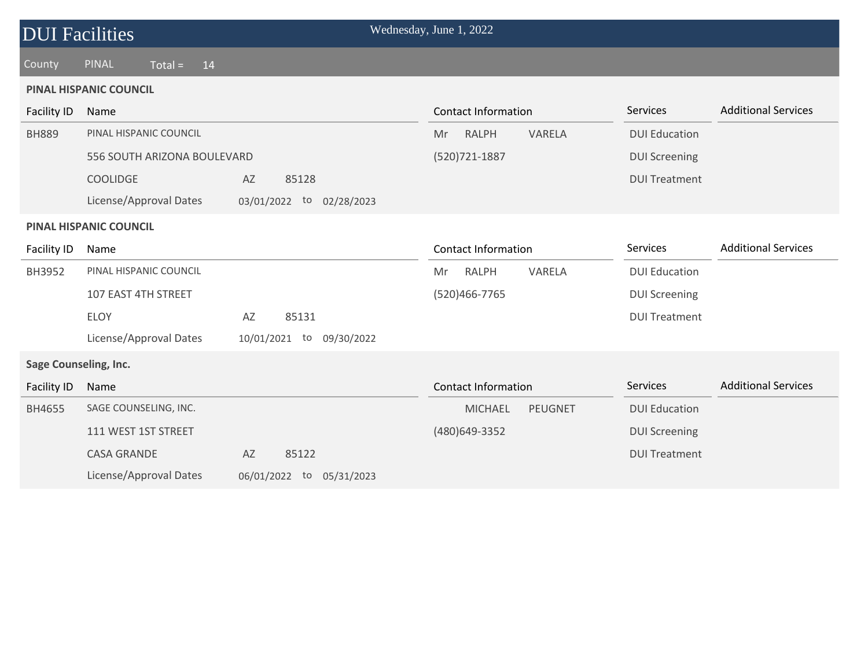| <b>DUI Facilities</b>        |                                                   |                          | Wednesday, June 1, 2022          |                      |                            |  |
|------------------------------|---------------------------------------------------|--------------------------|----------------------------------|----------------------|----------------------------|--|
| County                       | <b>PINAL</b><br>$\overline{\text{Total}}$ =<br>14 |                          |                                  |                      |                            |  |
|                              | <b>PINAL HISPANIC COUNCIL</b>                     |                          |                                  |                      |                            |  |
| <b>Facility ID</b>           | Name                                              |                          | <b>Contact Information</b>       | Services             | <b>Additional Services</b> |  |
| <b>BH889</b>                 | PINAL HISPANIC COUNCIL                            |                          | <b>RALPH</b><br>VARELA<br>Mr     | <b>DUI Education</b> |                            |  |
|                              | 556 SOUTH ARIZONA BOULEVARD                       |                          | (520) 721-1887                   | <b>DUI Screening</b> |                            |  |
|                              | <b>COOLIDGE</b>                                   | AZ<br>85128              |                                  | <b>DUI Treatment</b> |                            |  |
|                              | License/Approval Dates                            | 03/01/2022 to 02/28/2023 |                                  |                      |                            |  |
|                              | <b>PINAL HISPANIC COUNCIL</b>                     |                          |                                  |                      |                            |  |
| Facility ID                  | Name                                              |                          | <b>Contact Information</b>       | Services             | <b>Additional Services</b> |  |
| BH3952                       | PINAL HISPANIC COUNCIL                            |                          | VARELA<br><b>RALPH</b><br>Mr     | <b>DUI Education</b> |                            |  |
|                              | 107 EAST 4TH STREET                               |                          | (520)466-7765                    | <b>DUI Screening</b> |                            |  |
|                              | <b>ELOY</b>                                       | 85131<br>AZ              |                                  | <b>DUI Treatment</b> |                            |  |
|                              | License/Approval Dates                            | 10/01/2021 to 09/30/2022 |                                  |                      |                            |  |
| <b>Sage Counseling, Inc.</b> |                                                   |                          |                                  |                      |                            |  |
| <b>Facility ID</b>           | Name                                              |                          | <b>Contact Information</b>       | Services             | <b>Additional Services</b> |  |
| BH4655                       | SAGE COUNSELING, INC.                             |                          | <b>PEUGNET</b><br><b>MICHAEL</b> | <b>DUI Education</b> |                            |  |
|                              | 111 WEST 1ST STREET                               |                          | (480) 649-3352                   | <b>DUI Screening</b> |                            |  |
|                              | <b>CASA GRANDE</b>                                | AZ<br>85122              |                                  | <b>DUI Treatment</b> |                            |  |
|                              | License/Approval Dates                            | 06/01/2022 to 05/31/2023 |                                  |                      |                            |  |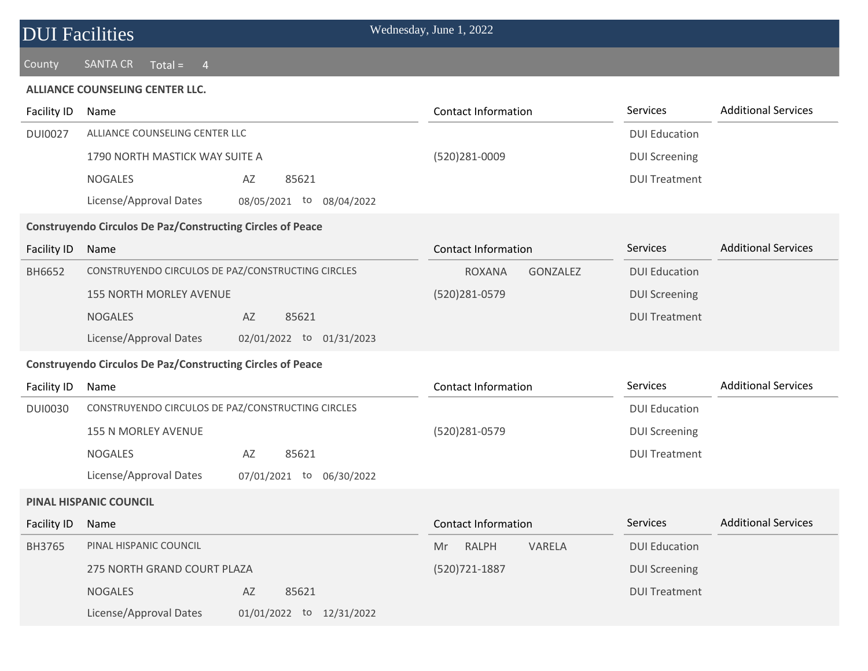### **DUI Facilities** Wednesday, June 1, 2022

#### County SANTA CR Total = 4

#### **ALLIANCE COUNSELING CENTER LLC.**

| <b>Facility ID</b> | Name                                                              | <b>Contact Information</b>       | Services             | <b>Additional Services</b> |  |  |  |
|--------------------|-------------------------------------------------------------------|----------------------------------|----------------------|----------------------------|--|--|--|
| <b>DUI0027</b>     | ALLIANCE COUNSELING CENTER LLC                                    |                                  | <b>DUI Education</b> |                            |  |  |  |
|                    | 1790 NORTH MASTICK WAY SUITE A                                    | (520)281-0009                    | <b>DUI Screening</b> |                            |  |  |  |
|                    | <b>NOGALES</b><br>AZ<br>85621                                     |                                  | <b>DUI Treatment</b> |                            |  |  |  |
|                    | License/Approval Dates<br>08/05/2021 to<br>08/04/2022             |                                  |                      |                            |  |  |  |
|                    | <b>Construyendo Circulos De Paz/Constructing Circles of Peace</b> |                                  |                      |                            |  |  |  |
| Facility ID        | Name                                                              | <b>Contact Information</b>       | Services             | <b>Additional Services</b> |  |  |  |
| BH6652             | CONSTRUYENDO CIRCULOS DE PAZ/CONSTRUCTING CIRCLES                 | <b>ROXANA</b><br><b>GONZALEZ</b> | <b>DUI Education</b> |                            |  |  |  |
|                    | <b>155 NORTH MORLEY AVENUE</b>                                    | (520)281-0579                    | <b>DUI Screening</b> |                            |  |  |  |
|                    | <b>NOGALES</b><br>AZ<br>85621                                     |                                  | <b>DUI Treatment</b> |                            |  |  |  |
|                    | License/Approval Dates<br>02/01/2022 to 01/31/2023                |                                  |                      |                            |  |  |  |
|                    | <b>Construyendo Circulos De Paz/Constructing Circles of Peace</b> |                                  |                      |                            |  |  |  |
| Facility ID        | Name                                                              | <b>Contact Information</b>       | Services             | <b>Additional Services</b> |  |  |  |
| <b>DUI0030</b>     | CONSTRUYENDO CIRCULOS DE PAZ/CONSTRUCTING CIRCLES                 |                                  | <b>DUI Education</b> |                            |  |  |  |
|                    | 155 N MORLEY AVENUE                                               | (520)281-0579                    | <b>DUI Screening</b> |                            |  |  |  |
|                    | <b>NOGALES</b><br>AZ<br>85621                                     |                                  | <b>DUI Treatment</b> |                            |  |  |  |
|                    | License/Approval Dates<br>07/01/2021 to 06/30/2022                |                                  |                      |                            |  |  |  |
|                    | <b>PINAL HISPANIC COUNCIL</b>                                     |                                  |                      |                            |  |  |  |
| Facility ID        | Name                                                              | <b>Contact Information</b>       | Services             | <b>Additional Services</b> |  |  |  |
| BH3765             | PINAL HISPANIC COUNCIL                                            | <b>RALPH</b><br>VARELA<br>Mr     | <b>DUI Education</b> |                            |  |  |  |
|                    | 275 NORTH GRAND COURT PLAZA                                       | (520) 721-1887                   | <b>DUI Screening</b> |                            |  |  |  |
|                    | 85621<br><b>NOGALES</b><br>AZ                                     |                                  | <b>DUI Treatment</b> |                            |  |  |  |
|                    | License/Approval Dates<br>01/01/2022 to 12/31/2022                |                                  |                      |                            |  |  |  |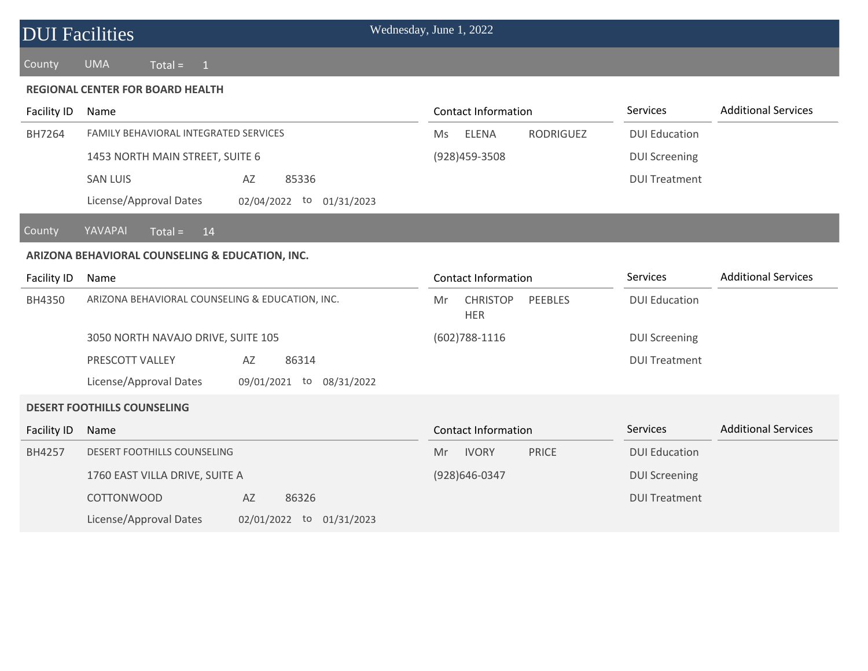| <b>DUI Facilities</b> |                                                       | Wednesday, June 1, 2022                        |                      |                            |
|-----------------------|-------------------------------------------------------|------------------------------------------------|----------------------|----------------------------|
| County                | <b>UMA</b><br>$Total =$<br>$\overline{1}$             |                                                |                      |                            |
|                       | <b>REGIONAL CENTER FOR BOARD HEALTH</b>               |                                                |                      |                            |
| Facility ID           | Name                                                  | <b>Contact Information</b>                     | Services             | <b>Additional Services</b> |
| BH7264                | FAMILY BEHAVIORAL INTEGRATED SERVICES                 | <b>ELENA</b><br><b>RODRIGUEZ</b><br>Ms         | <b>DUI Education</b> |                            |
|                       | 1453 NORTH MAIN STREET, SUITE 6                       | (928) 459-3508                                 | <b>DUI Screening</b> |                            |
|                       | <b>SAN LUIS</b><br>AZ<br>85336                        |                                                | <b>DUI Treatment</b> |                            |
|                       | License/Approval Dates<br>02/04/2022 to 01/31/2023    |                                                |                      |                            |
| County                | YAVAPAI<br>$Total =$<br>14                            |                                                |                      |                            |
|                       | ARIZONA BEHAVIORAL COUNSELING & EDUCATION, INC.       |                                                |                      |                            |
| Facility ID           | Name                                                  | <b>Contact Information</b>                     | Services             | <b>Additional Services</b> |
| BH4350                | ARIZONA BEHAVIORAL COUNSELING & EDUCATION, INC.       | <b>CHRISTOP</b><br>PEEBLES<br>Mr<br><b>HER</b> | <b>DUI Education</b> |                            |
|                       | 3050 NORTH NAVAJO DRIVE, SUITE 105                    | $(602)788 - 1116$                              | <b>DUI Screening</b> |                            |
|                       | PRESCOTT VALLEY<br>86314<br>AZ                        |                                                | <b>DUI Treatment</b> |                            |
|                       | License/Approval Dates<br>09/01/2021 to<br>08/31/2022 |                                                |                      |                            |
|                       | <b>DESERT FOOTHILLS COUNSELING</b>                    |                                                |                      |                            |
| <b>Facility ID</b>    | Name                                                  | <b>Contact Information</b>                     | Services             | <b>Additional Services</b> |
| BH4257                | DESERT FOOTHILLS COUNSELING                           | <b>IVORY</b><br><b>PRICE</b><br>Mr             | <b>DUI Education</b> |                            |
|                       | 1760 EAST VILLA DRIVE, SUITE A                        | (928) 646-0347                                 | <b>DUI Screening</b> |                            |
|                       | <b>COTTONWOOD</b><br>AZ<br>86326                      |                                                | <b>DUI Treatment</b> |                            |
|                       | License/Approval Dates<br>02/01/2022 to 01/31/2023    |                                                |                      |                            |
|                       |                                                       |                                                |                      |                            |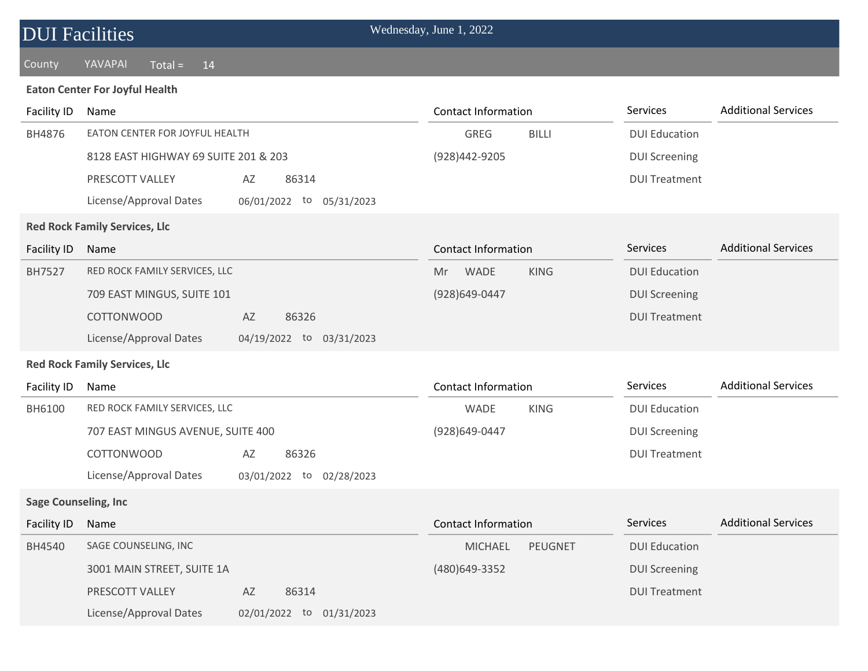# DUI Facilities Wednesday, June 1, 2022

#### County YAVAPAI Total = 14

#### **Eaton Center For Joyful Health**

| <b>Facility ID</b>          | Name                                               | <b>Contact Information</b>       | Services             | <b>Additional Services</b> |
|-----------------------------|----------------------------------------------------|----------------------------------|----------------------|----------------------------|
| BH4876                      | EATON CENTER FOR JOYFUL HEALTH                     | <b>GREG</b><br><b>BILLI</b>      | <b>DUI Education</b> |                            |
|                             | 8128 EAST HIGHWAY 69 SUITE 201 & 203               | (928)442-9205                    | <b>DUI Screening</b> |                            |
|                             | PRESCOTT VALLEY<br>AZ<br>86314                     |                                  | <b>DUI Treatment</b> |                            |
|                             | License/Approval Dates<br>06/01/2022 to 05/31/2023 |                                  |                      |                            |
|                             | <b>Red Rock Family Services, Llc</b>               |                                  |                      |                            |
| Facility ID                 | Name                                               | <b>Contact Information</b>       | Services             | <b>Additional Services</b> |
| BH7527                      | RED ROCK FAMILY SERVICES, LLC                      | <b>KING</b><br><b>WADE</b><br>Mr | <b>DUI Education</b> |                            |
|                             | 709 EAST MINGUS, SUITE 101                         | (928)649-0447                    | <b>DUI Screening</b> |                            |
|                             | <b>COTTONWOOD</b><br>AZ<br>86326                   |                                  | <b>DUI Treatment</b> |                            |
|                             | License/Approval Dates<br>04/19/2022 to 03/31/2023 |                                  |                      |                            |
|                             | <b>Red Rock Family Services, Llc</b>               |                                  |                      |                            |
| Facility ID                 | Name                                               | <b>Contact Information</b>       | Services             | <b>Additional Services</b> |
| BH6100                      | RED ROCK FAMILY SERVICES, LLC                      | WADE<br><b>KING</b>              | <b>DUI Education</b> |                            |
|                             | 707 EAST MINGUS AVENUE, SUITE 400                  | (928)649-0447                    | <b>DUI Screening</b> |                            |
|                             | <b>COTTONWOOD</b><br>86326<br>AZ                   |                                  | <b>DUI Treatment</b> |                            |
|                             | License/Approval Dates<br>03/01/2022 to 02/28/2023 |                                  |                      |                            |
| <b>Sage Counseling, Inc</b> |                                                    |                                  |                      |                            |
| <b>Facility ID</b>          | Name                                               | <b>Contact Information</b>       | Services             | <b>Additional Services</b> |
| BH4540                      | SAGE COUNSELING, INC                               | <b>MICHAEL</b><br><b>PEUGNET</b> | <b>DUI Education</b> |                            |
|                             | 3001 MAIN STREET, SUITE 1A                         | (480)649-3352                    | <b>DUI Screening</b> |                            |
|                             | PRESCOTT VALLEY<br>AZ<br>86314                     |                                  | <b>DUI Treatment</b> |                            |
|                             | License/Approval Dates<br>02/01/2022 to 01/31/2023 |                                  |                      |                            |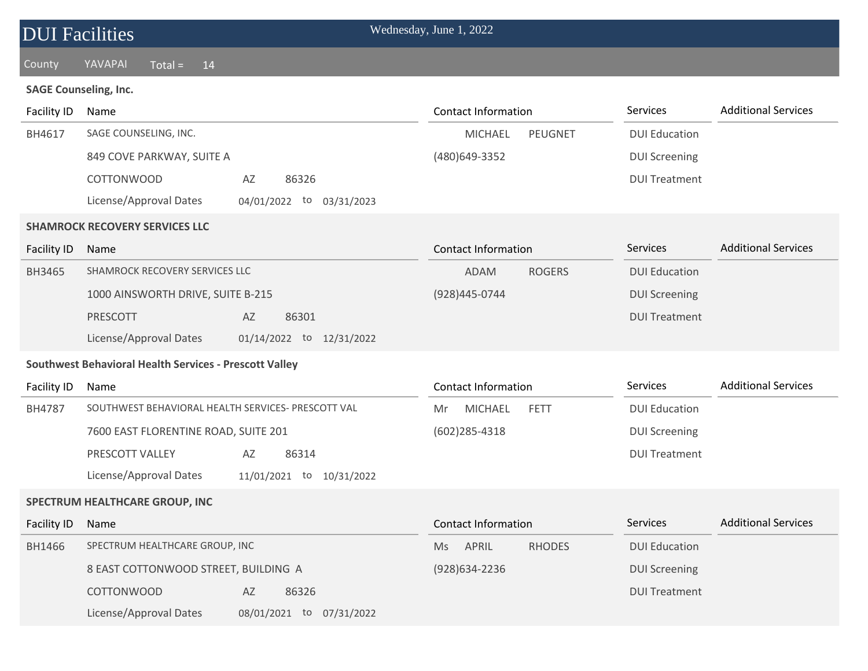| <b>DUI</b> Facilities |                                                        | Wednesday, June 1, 2022             |                      |                            |
|-----------------------|--------------------------------------------------------|-------------------------------------|----------------------|----------------------------|
| County                | YAVAPAI<br>$Total =$<br>14                             |                                     |                      |                            |
|                       | <b>SAGE Counseling, Inc.</b>                           |                                     |                      |                            |
| Facility ID           | Name                                                   | <b>Contact Information</b>          | Services             | <b>Additional Services</b> |
| BH4617                | SAGE COUNSELING, INC.                                  | <b>PEUGNET</b><br><b>MICHAEL</b>    | <b>DUI Education</b> |                            |
|                       | 849 COVE PARKWAY, SUITE A                              | (480)649-3352                       | <b>DUI Screening</b> |                            |
|                       | <b>COTTONWOOD</b><br>86326<br>AZ                       |                                     | <b>DUI Treatment</b> |                            |
|                       | License/Approval Dates<br>04/01/2022 to<br>03/31/2023  |                                     |                      |                            |
|                       | <b>SHAMROCK RECOVERY SERVICES LLC</b>                  |                                     |                      |                            |
| <b>Facility ID</b>    | Name                                                   | <b>Contact Information</b>          | Services             | <b>Additional Services</b> |
| BH3465                | SHAMROCK RECOVERY SERVICES LLC                         | <b>ROGERS</b><br><b>ADAM</b>        | <b>DUI Education</b> |                            |
|                       | 1000 AINSWORTH DRIVE, SUITE B-215                      | (928)445-0744                       | <b>DUI Screening</b> |                            |
|                       | <b>PRESCOTT</b><br>AZ<br>86301                         |                                     | <b>DUI Treatment</b> |                            |
|                       | License/Approval Dates<br>01/14/2022 to 12/31/2022     |                                     |                      |                            |
|                       | Southwest Behavioral Health Services - Prescott Valley |                                     |                      |                            |
| Facility ID           | Name                                                   | <b>Contact Information</b>          | Services             | <b>Additional Services</b> |
| BH4787                | SOUTHWEST BEHAVIORAL HEALTH SERVICES- PRESCOTT VAL     | <b>MICHAEL</b><br><b>FETT</b><br>Mr | <b>DUI Education</b> |                            |
|                       | 7600 EAST FLORENTINE ROAD, SUITE 201                   | $(602)$ 285-4318                    | <b>DUI Screening</b> |                            |
|                       | PRESCOTT VALLEY<br>86314<br>AZ                         |                                     | <b>DUI Treatment</b> |                            |
|                       | License/Approval Dates<br>11/01/2021 to<br>10/31/2022  |                                     |                      |                            |
|                       | SPECTRUM HEALTHCARE GROUP, INC                         |                                     |                      |                            |
| <b>Facility ID</b>    | Name                                                   | <b>Contact Information</b>          | Services             | <b>Additional Services</b> |
| BH1466                | SPECTRUM HEALTHCARE GROUP, INC                         | APRIL<br><b>RHODES</b><br>Ms        | <b>DUI Education</b> |                            |
|                       | 8 EAST COTTONWOOD STREET, BUILDING A                   | (928) 634 - 2236                    | <b>DUI Screening</b> |                            |
|                       | <b>COTTONWOOD</b><br>86326<br>AZ                       |                                     | <b>DUI Treatment</b> |                            |
|                       | License/Approval Dates<br>08/01/2021 to<br>07/31/2022  |                                     |                      |                            |
|                       |                                                        |                                     |                      |                            |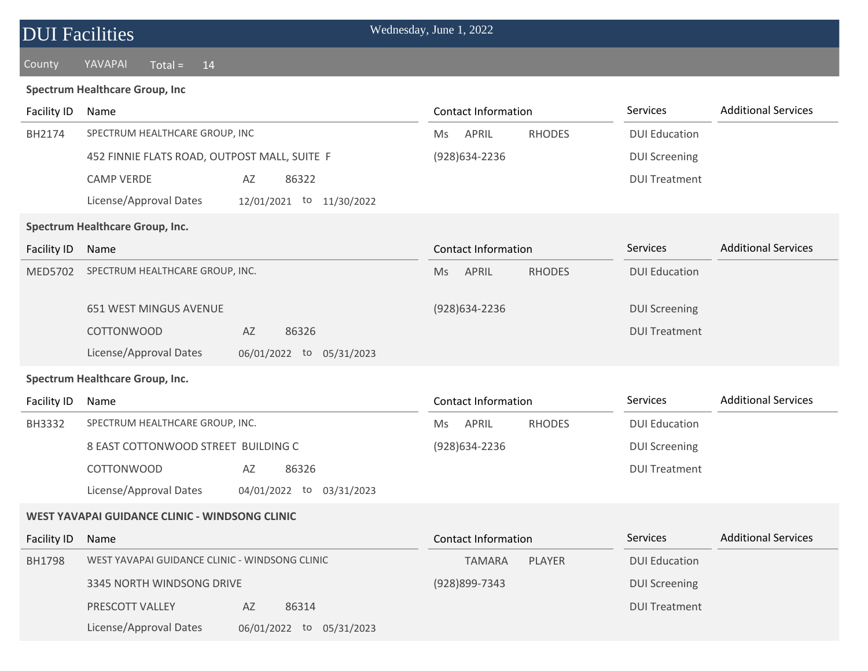| <b>DUI</b> Facilities |                                                       | Wednesday, June 1, 2022             |                      |                            |
|-----------------------|-------------------------------------------------------|-------------------------------------|----------------------|----------------------------|
| County                | YAVAPAI<br>$Total =$<br>14                            |                                     |                      |                            |
|                       | <b>Spectrum Healthcare Group, Inc</b>                 |                                     |                      |                            |
| Facility ID           | Name                                                  | <b>Contact Information</b>          | Services             | <b>Additional Services</b> |
| BH2174                | SPECTRUM HEALTHCARE GROUP, INC                        | APRIL<br><b>RHODES</b><br>Ms.       | <b>DUI Education</b> |                            |
|                       | 452 FINNIE FLATS ROAD, OUTPOST MALL, SUITE F          | (928)634-2236                       | <b>DUI Screening</b> |                            |
|                       | <b>CAMP VERDE</b><br>AZ<br>86322                      |                                     | <b>DUI Treatment</b> |                            |
|                       | License/Approval Dates<br>12/01/2021 to 11/30/2022    |                                     |                      |                            |
|                       | Spectrum Healthcare Group, Inc.                       |                                     |                      |                            |
| <b>Facility ID</b>    | Name                                                  | <b>Contact Information</b>          | Services             | <b>Additional Services</b> |
| <b>MED5702</b>        | SPECTRUM HEALTHCARE GROUP, INC.                       | APRIL<br><b>RHODES</b><br><b>Ms</b> | <b>DUI Education</b> |                            |
|                       |                                                       |                                     |                      |                            |
|                       | <b>651 WEST MINGUS AVENUE</b>                         | (928) 634-2236                      | <b>DUI Screening</b> |                            |
|                       | <b>COTTONWOOD</b><br>86326<br>AZ                      |                                     | <b>DUI Treatment</b> |                            |
|                       | License/Approval Dates<br>06/01/2022 to<br>05/31/2023 |                                     |                      |                            |
|                       | Spectrum Healthcare Group, Inc.                       |                                     |                      |                            |
| Facility ID           | Name                                                  | <b>Contact Information</b>          | Services             | <b>Additional Services</b> |
| <b>BH3332</b>         | SPECTRUM HEALTHCARE GROUP, INC.                       | APRIL<br><b>RHODES</b><br>Ms        | <b>DUI Education</b> |                            |
|                       | 8 EAST COTTONWOOD STREET BUILDING C                   | (928) 634-2236                      | <b>DUI Screening</b> |                            |
|                       | COTTONWOOD<br>86326<br>AZ                             |                                     | <b>DUI Treatment</b> |                            |
|                       | License/Approval Dates<br>04/01/2022 to<br>03/31/2023 |                                     |                      |                            |
|                       | WEST YAVAPAI GUIDANCE CLINIC - WINDSONG CLINIC        |                                     |                      |                            |
| <b>Facility ID</b>    | Name                                                  | <b>Contact Information</b>          | Services             | <b>Additional Services</b> |
| BH1798                | WEST YAVAPAI GUIDANCE CLINIC - WINDSONG CLINIC        | PLAYER<br><b>TAMARA</b>             | <b>DUI Education</b> |                            |
|                       | 3345 NORTH WINDSONG DRIVE                             | (928)899-7343                       | <b>DUI Screening</b> |                            |
|                       | PRESCOTT VALLEY<br>86314<br>AZ                        |                                     | <b>DUI Treatment</b> |                            |
|                       | License/Approval Dates<br>06/01/2022 to 05/31/2023    |                                     |                      |                            |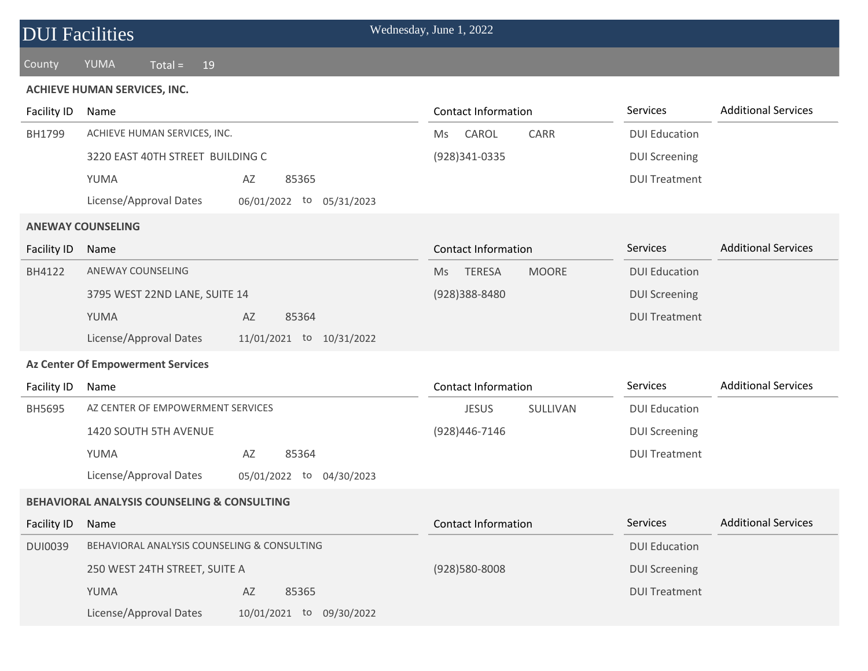| <b>DUI Facilities</b> |                                                        |                          | Wednesday, June 1, 2022                    |                      |                            |
|-----------------------|--------------------------------------------------------|--------------------------|--------------------------------------------|----------------------|----------------------------|
| County                | YUMA<br>$Total =$<br>19                                |                          |                                            |                      |                            |
|                       | <b>ACHIEVE HUMAN SERVICES, INC.</b>                    |                          |                                            |                      |                            |
| Facility ID           | Name                                                   |                          | <b>Contact Information</b>                 | Services             | <b>Additional Services</b> |
| BH1799                | ACHIEVE HUMAN SERVICES, INC.                           |                          | CAROL<br>CARR<br>Ms                        | <b>DUI Education</b> |                            |
|                       | 3220 EAST 40TH STREET BUILDING C                       |                          | (928)341-0335                              | <b>DUI Screening</b> |                            |
|                       | YUMA                                                   | AZ<br>85365              |                                            | <b>DUI Treatment</b> |                            |
|                       | License/Approval Dates                                 | 06/01/2022 to 05/31/2023 |                                            |                      |                            |
|                       | <b>ANEWAY COUNSELING</b>                               |                          |                                            |                      |                            |
| <b>Facility ID</b>    | Name                                                   |                          | <b>Contact Information</b>                 | Services             | <b>Additional Services</b> |
| BH4122                | ANEWAY COUNSELING                                      |                          | <b>TERESA</b><br><b>MOORE</b><br><b>Ms</b> | <b>DUI Education</b> |                            |
|                       | 3795 WEST 22ND LANE, SUITE 14                          |                          | (928)388-8480                              | <b>DUI Screening</b> |                            |
|                       | YUMA                                                   | AZ<br>85364              |                                            | <b>DUI Treatment</b> |                            |
|                       | License/Approval Dates                                 | 11/01/2021 to 10/31/2022 |                                            |                      |                            |
|                       | <b>Az Center Of Empowerment Services</b>               |                          |                                            |                      |                            |
| Facility ID           | Name                                                   |                          | <b>Contact Information</b>                 | Services             | <b>Additional Services</b> |
| BH5695                | AZ CENTER OF EMPOWERMENT SERVICES                      |                          | SULLIVAN<br><b>JESUS</b>                   | <b>DUI Education</b> |                            |
|                       | 1420 SOUTH 5TH AVENUE                                  |                          | (928)446-7146                              | <b>DUI Screening</b> |                            |
|                       | YUMA                                                   | 85364<br>AZ              |                                            | <b>DUI Treatment</b> |                            |
|                       | License/Approval Dates                                 | 05/01/2022 to 04/30/2023 |                                            |                      |                            |
|                       | <b>BEHAVIORAL ANALYSIS COUNSELING &amp; CONSULTING</b> |                          |                                            |                      |                            |
| <b>Facility ID</b>    | Name                                                   |                          | <b>Contact Information</b>                 | Services             | <b>Additional Services</b> |
| <b>DUI0039</b>        | BEHAVIORAL ANALYSIS COUNSELING & CONSULTING            |                          |                                            | <b>DUI Education</b> |                            |
|                       | 250 WEST 24TH STREET, SUITE A                          |                          | (928)580-8008                              | <b>DUI Screening</b> |                            |
|                       | YUMA                                                   | 85365<br>AZ              |                                            | <b>DUI Treatment</b> |                            |
|                       | License/Approval Dates                                 | 10/01/2021 to 09/30/2022 |                                            |                      |                            |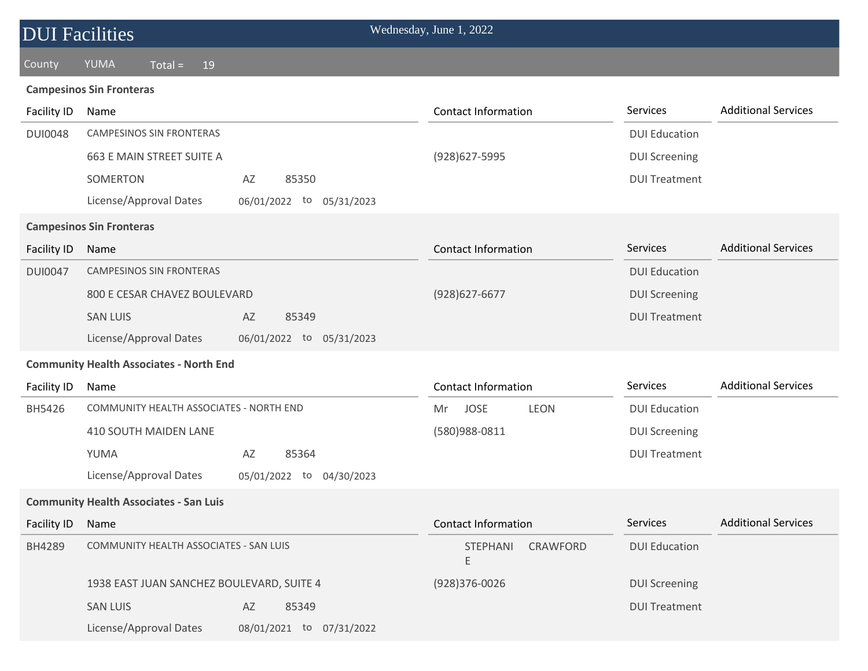| <b>DUI Facilities</b> |                                                |                             | Wednesday, June 1, 2022          |                      |                            |
|-----------------------|------------------------------------------------|-----------------------------|----------------------------------|----------------------|----------------------------|
| County                | YUMA<br>19<br>$Total =$                        |                             |                                  |                      |                            |
|                       | <b>Campesinos Sin Fronteras</b>                |                             |                                  |                      |                            |
| Facility ID           | Name                                           |                             | <b>Contact Information</b>       | Services             | <b>Additional Services</b> |
| <b>DUI0048</b>        | <b>CAMPESINOS SIN FRONTERAS</b>                |                             |                                  | <b>DUI Education</b> |                            |
|                       | 663 E MAIN STREET SUITE A                      |                             | (928) 627-5995                   | <b>DUI Screening</b> |                            |
|                       | SOMERTON                                       | 85350<br>AZ                 |                                  | <b>DUI Treatment</b> |                            |
|                       | License/Approval Dates                         | 06/01/2022 to<br>05/31/2023 |                                  |                      |                            |
|                       | <b>Campesinos Sin Fronteras</b>                |                             |                                  |                      |                            |
| <b>Facility ID</b>    | Name                                           |                             | <b>Contact Information</b>       | Services             | <b>Additional Services</b> |
| <b>DUI0047</b>        | <b>CAMPESINOS SIN FRONTERAS</b>                |                             |                                  | <b>DUI Education</b> |                            |
|                       | 800 E CESAR CHAVEZ BOULEVARD                   |                             | (928) 627-6677                   | <b>DUI Screening</b> |                            |
|                       | <b>SAN LUIS</b>                                | 85349<br>AZ                 |                                  | <b>DUI Treatment</b> |                            |
|                       | License/Approval Dates                         | 06/01/2022 to 05/31/2023    |                                  |                      |                            |
|                       | <b>Community Health Associates - North End</b> |                             |                                  |                      |                            |
| Facility ID           | Name                                           |                             | <b>Contact Information</b>       | Services             | <b>Additional Services</b> |
| BH5426                | COMMUNITY HEALTH ASSOCIATES - NORTH END        |                             | <b>JOSE</b><br><b>LEON</b><br>Mr | <b>DUI Education</b> |                            |
|                       | 410 SOUTH MAIDEN LANE                          |                             | (580)988-0811                    | <b>DUI Screening</b> |                            |
|                       | YUMA                                           | AZ<br>85364                 |                                  | <b>DUI Treatment</b> |                            |
|                       | License/Approval Dates                         | 05/01/2022 to 04/30/2023    |                                  |                      |                            |
|                       | <b>Community Health Associates - San Luis</b>  |                             |                                  |                      |                            |
| <b>Facility ID</b>    | Name                                           |                             | <b>Contact Information</b>       | Services             | <b>Additional Services</b> |
| BH4289                | COMMUNITY HEALTH ASSOCIATES - SAN LUIS         |                             | <b>STEPHANI</b><br>CRAWFORD<br>Ε | <b>DUI Education</b> |                            |
|                       | 1938 EAST JUAN SANCHEZ BOULEVARD, SUITE 4      |                             | (928)376-0026                    | <b>DUI Screening</b> |                            |
|                       | <b>SAN LUIS</b>                                | 85349<br>AZ                 |                                  | <b>DUI Treatment</b> |                            |
|                       | License/Approval Dates                         | 08/01/2021 to 07/31/2022    |                                  |                      |                            |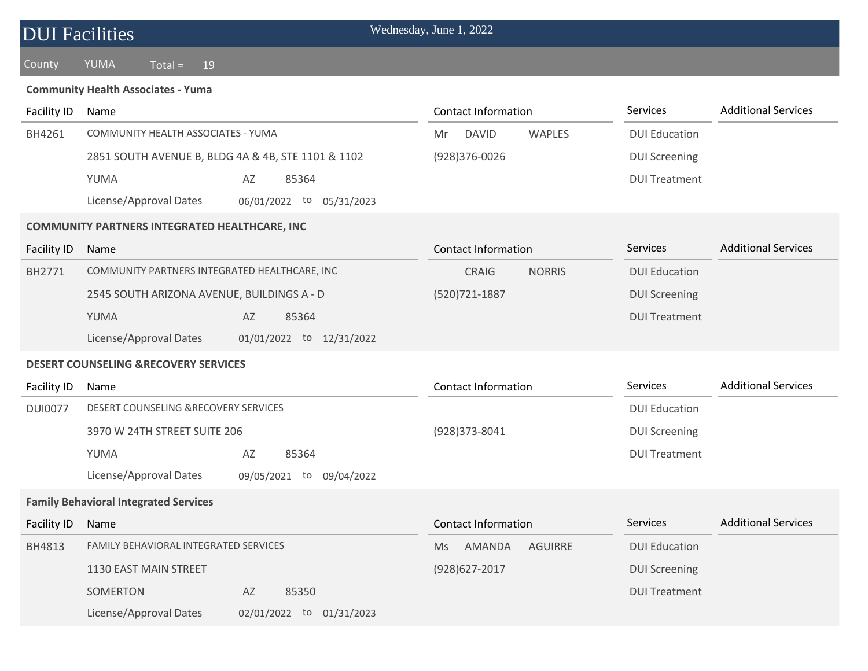| <b>DUI Facilities</b>                     |                                                       | Wednesday, June 1, 2022             |                      |                            |  |  |  |  |  |
|-------------------------------------------|-------------------------------------------------------|-------------------------------------|----------------------|----------------------------|--|--|--|--|--|
| County                                    | YUMA<br>$Total =$<br>19                               |                                     |                      |                            |  |  |  |  |  |
| <b>Community Health Associates - Yuma</b> |                                                       |                                     |                      |                            |  |  |  |  |  |
| Facility ID                               | Name                                                  | <b>Contact Information</b>          | Services             | <b>Additional Services</b> |  |  |  |  |  |
| BH4261                                    | COMMUNITY HEALTH ASSOCIATES - YUMA                    | <b>DAVID</b><br><b>WAPLES</b><br>Mr | <b>DUI Education</b> |                            |  |  |  |  |  |
|                                           | 2851 SOUTH AVENUE B, BLDG 4A & 4B, STE 1101 & 1102    | (928)376-0026                       | <b>DUI Screening</b> |                            |  |  |  |  |  |
|                                           | YUMA<br>AZ<br>85364                                   |                                     | <b>DUI Treatment</b> |                            |  |  |  |  |  |
|                                           | License/Approval Dates<br>06/01/2022 to<br>05/31/2023 |                                     |                      |                            |  |  |  |  |  |
|                                           | <b>COMMUNITY PARTNERS INTEGRATED HEALTHCARE, INC</b>  |                                     |                      |                            |  |  |  |  |  |
| <b>Facility ID</b>                        | Name                                                  | <b>Contact Information</b>          | Services             | <b>Additional Services</b> |  |  |  |  |  |
| BH2771                                    | COMMUNITY PARTNERS INTEGRATED HEALTHCARE, INC         | <b>NORRIS</b><br><b>CRAIG</b>       | <b>DUI Education</b> |                            |  |  |  |  |  |
|                                           | 2545 SOUTH ARIZONA AVENUE, BUILDINGS A - D            | (520) 721-1887                      | <b>DUI Screening</b> |                            |  |  |  |  |  |
|                                           | YUMA<br>85364<br>AZ                                   |                                     | <b>DUI Treatment</b> |                            |  |  |  |  |  |
|                                           | License/Approval Dates<br>01/01/2022 to 12/31/2022    |                                     |                      |                            |  |  |  |  |  |
|                                           | <b>DESERT COUNSELING &amp;RECOVERY SERVICES</b>       |                                     |                      |                            |  |  |  |  |  |
| Facility ID                               | Name                                                  | <b>Contact Information</b>          | Services             | <b>Additional Services</b> |  |  |  |  |  |
| <b>DUI0077</b>                            | DESERT COUNSELING &RECOVERY SERVICES                  |                                     | <b>DUI Education</b> |                            |  |  |  |  |  |
|                                           | 3970 W 24TH STREET SUITE 206                          | (928)373-8041                       | <b>DUI Screening</b> |                            |  |  |  |  |  |
|                                           | YUMA<br>AZ<br>85364                                   |                                     | <b>DUI Treatment</b> |                            |  |  |  |  |  |
|                                           | License/Approval Dates<br>09/05/2021 to<br>09/04/2022 |                                     |                      |                            |  |  |  |  |  |
|                                           | <b>Family Behavioral Integrated Services</b>          |                                     |                      |                            |  |  |  |  |  |
| <b>Facility ID</b>                        | Name                                                  | <b>Contact Information</b>          | Services             | <b>Additional Services</b> |  |  |  |  |  |
| BH4813                                    | FAMILY BEHAVIORAL INTEGRATED SERVICES                 | AMANDA<br><b>AGUIRRE</b><br>Ms      | <b>DUI Education</b> |                            |  |  |  |  |  |
|                                           | 1130 EAST MAIN STREET                                 | (928) 627-2017                      | <b>DUI Screening</b> |                            |  |  |  |  |  |
|                                           | SOMERTON<br>85350<br>AZ                               |                                     | <b>DUI Treatment</b> |                            |  |  |  |  |  |
|                                           | License/Approval Dates<br>02/01/2022 to 01/31/2023    |                                     |                      |                            |  |  |  |  |  |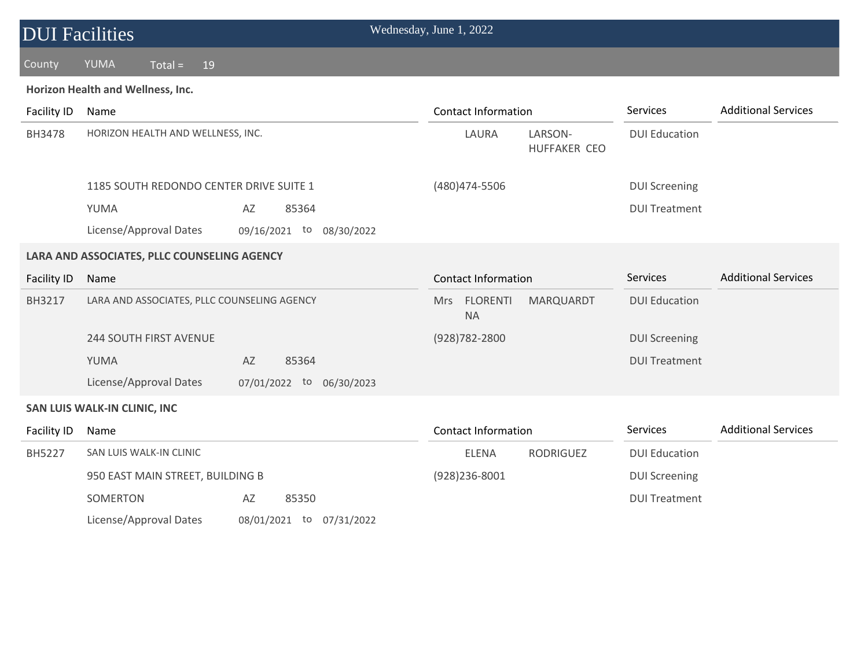| <b>DUI Facilities</b>                       |                                             |                          | Wednesday, June 1, 2022    |                            |                      |                            |
|---------------------------------------------|---------------------------------------------|--------------------------|----------------------------|----------------------------|----------------------|----------------------------|
| County                                      | <b>YUMA</b><br>$Total =$<br>19              |                          |                            |                            |                      |                            |
|                                             | Horizon Health and Wellness, Inc.           |                          |                            |                            |                      |                            |
| Facility ID                                 | Name                                        |                          | <b>Contact Information</b> |                            | Services             | <b>Additional Services</b> |
| BH3478                                      | HORIZON HEALTH AND WELLNESS, INC.           |                          | LAURA                      | LARSON-<br>HUFFAKER CEO    | <b>DUI Education</b> |                            |
|                                             | 1185 SOUTH REDONDO CENTER DRIVE SUITE 1     |                          | (480) 474-5506             |                            | <b>DUI Screening</b> |                            |
|                                             | YUMA                                        | AZ<br>85364              |                            |                            | <b>DUI Treatment</b> |                            |
|                                             | License/Approval Dates                      | 09/16/2021 to 08/30/2022 |                            |                            |                      |                            |
| LARA AND ASSOCIATES, PLLC COUNSELING AGENCY |                                             |                          |                            |                            |                      |                            |
| <b>Facility ID</b>                          | Name                                        |                          |                            | <b>Contact Information</b> |                      | <b>Additional Services</b> |
| BH3217                                      | LARA AND ASSOCIATES, PLLC COUNSELING AGENCY |                          | Mrs FLORENTI<br><b>NA</b>  | MARQUARDT                  | <b>DUI Education</b> |                            |
|                                             | <b>244 SOUTH FIRST AVENUE</b>               |                          | (928) 782-2800             |                            | <b>DUI Screening</b> |                            |
|                                             | YUMA                                        | AZ<br>85364              |                            |                            | <b>DUI Treatment</b> |                            |
|                                             | License/Approval Dates                      | 07/01/2022 to 06/30/2023 |                            |                            |                      |                            |
|                                             | SAN LUIS WALK-IN CLINIC, INC                |                          |                            |                            |                      |                            |
| Facility ID                                 | Name                                        |                          | <b>Contact Information</b> |                            | Services             | <b>Additional Services</b> |
| BH5227                                      | SAN LUIS WALK-IN CLINIC                     |                          | <b>ELENA</b>               | <b>RODRIGUEZ</b>           | <b>DUI Education</b> |                            |
|                                             | 950 EAST MAIN STREET, BUILDING B            |                          | (928) 236-8001             |                            | <b>DUI Screening</b> |                            |
|                                             | SOMERTON                                    | AZ<br>85350              |                            |                            | <b>DUI Treatment</b> |                            |
|                                             | License/Approval Dates                      | 08/01/2021 to 07/31/2022 |                            |                            |                      |                            |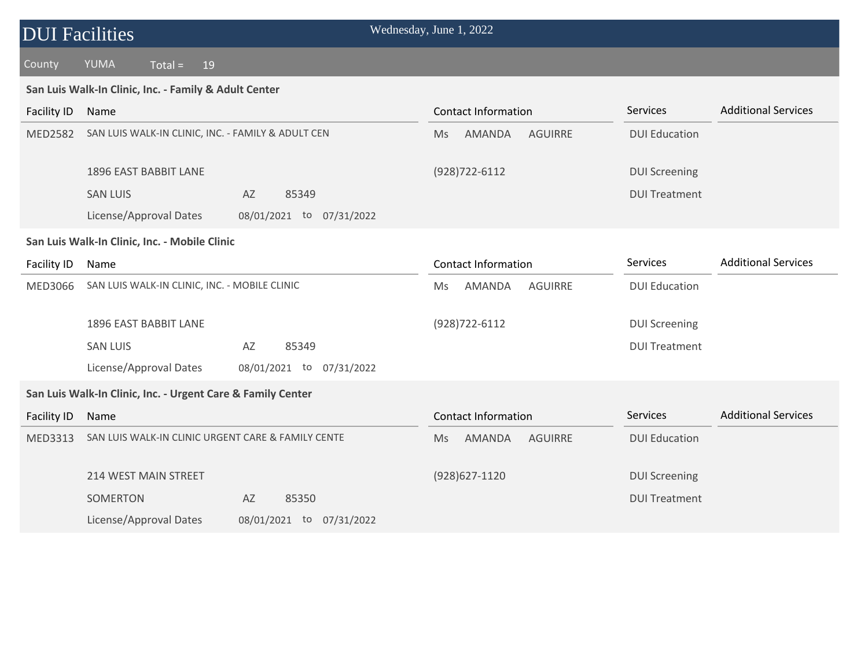# DUI Facilities Wednesday, June 1, 2022

### County YUMA Total = 19

#### **San Luis Walk-In Clinic, Inc. - Family & Adult Center**

| Facility ID    | Name                                                        | <b>Contact Information</b>            | <b>Services</b>      | <b>Additional Services</b> |
|----------------|-------------------------------------------------------------|---------------------------------------|----------------------|----------------------------|
| <b>MED2582</b> | SAN LUIS WALK-IN CLINIC, INC. - FAMILY & ADULT CEN          | AMANDA<br><b>AGUIRRE</b><br>Ms        | <b>DUI Education</b> |                            |
|                | 1896 EAST BABBIT LANE                                       | (928) 722-6112                        | <b>DUI Screening</b> |                            |
|                | <b>SAN LUIS</b><br>AZ<br>85349                              |                                       | <b>DUI Treatment</b> |                            |
|                | License/Approval Dates<br>08/01/2021 to 07/31/2022          |                                       |                      |                            |
|                | San Luis Walk-In Clinic, Inc. - Mobile Clinic               |                                       |                      |                            |
| Facility ID    | Name                                                        | <b>Contact Information</b>            | Services             | <b>Additional Services</b> |
| <b>MED3066</b> | SAN LUIS WALK-IN CLINIC, INC. - MOBILE CLINIC               | <b>AGUIRRE</b><br>AMANDA<br>Ms        | <b>DUI Education</b> |                            |
|                | 1896 EAST BABBIT LANE                                       | (928) 722-6112                        | <b>DUI Screening</b> |                            |
|                | <b>SAN LUIS</b><br>85349<br>AZ                              |                                       | <b>DUI Treatment</b> |                            |
|                | License/Approval Dates<br>08/01/2021 to<br>07/31/2022       |                                       |                      |                            |
|                | San Luis Walk-In Clinic, Inc. - Urgent Care & Family Center |                                       |                      |                            |
| Facility ID    | Name                                                        | <b>Contact Information</b>            | Services             | <b>Additional Services</b> |
| MED3313        | SAN LUIS WALK-IN CLINIC URGENT CARE & FAMILY CENTE          | AMANDA<br><b>AGUIRRE</b><br><b>Ms</b> | <b>DUI Education</b> |                            |
|                | <b>214 WEST MAIN STREET</b>                                 | $(928)627 - 1120$                     | <b>DUI Screening</b> |                            |
|                | SOMERTON<br>AZ<br>85350                                     |                                       | <b>DUI Treatment</b> |                            |
|                | License/Approval Dates<br>08/01/2021 to<br>07/31/2022       |                                       |                      |                            |